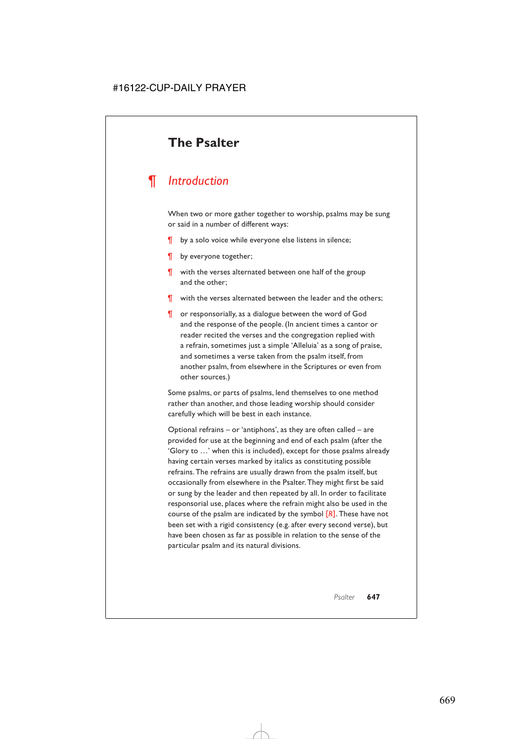# **The Psalter**

# *¶ Introduction*

When two or more gather together to worship, psalms may be sung or said in a number of different ways:

- ¶ by a solo voice while everyone else listens in silence;
- ¶ by everyone together;
- ¶ with the verses alternated between one half of the group and the other;
- ¶ with the verses alternated between the leader and the others;
- ¶ or responsorially, as a dialogue between the word of God and the response of the people. (In ancient times a cantor or reader recited the verses and the congregation replied with a refrain, sometimes just a simple 'Alleluia' as a song of praise, and sometimes a verse taken from the psalm itself, from another psalm, from elsewhere in the Scriptures or even from other sources.)

Some psalms, or parts of psalms, lend themselves to one method rather than another, and those leading worship should consider carefully which will be best in each instance.

Optional refrains – or 'antiphons', as they are often called – are provided for use at the beginning and end of each psalm (after the 'Glory to …' when this is included), except for those psalms already having certain verses marked by italics as constituting possible refrains. The refrains are usually drawn from the psalm itself, but occasionally from elsewhere in the Psalter. They might first be said or sung by the leader and then repeated by all. In order to facilitate responsorial use, places where the refrain might also be used in the course of the psalm are indicated by the symbol [*R*]. These have not been set with a rigid consistency (e.g. after every second verse), but have been chosen as far as possible in relation to the sense of the particular psalm and its natural divisions.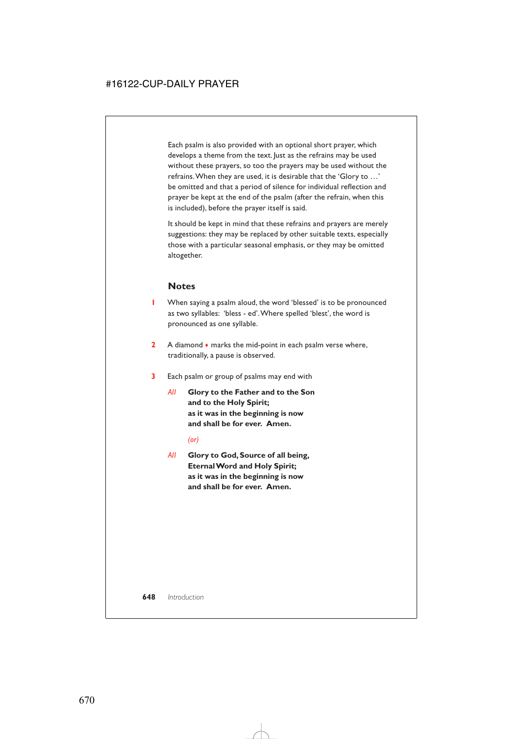Each psalm is also provided with an optional short prayer, which develops a theme from the text. Just as the refrains may be used without these prayers, so too the prayers may be used without the refrains.When they are used, it is desirable that the 'Glory to …' be omitted and that a period of silence for individual reflection and prayer be kept at the end of the psalm (after the refrain, when this is included), before the prayer itself is said.

It should be kept in mind that these refrains and prayers are merely suggestions: they may be replaced by other suitable texts, especially those with a particular seasonal emphasis, or they may be omitted altogether.

#### **Notes**

- **1** When saying a psalm aloud, the word 'blessed' is to be pronounced as two syllables: 'bless - ed'.Where spelled 'blest', the word is pronounced as one syllable.
- **2** A diamond ♦ marks the mid-point in each psalm verse where, traditionally, a pause is observed.
- **3** Each psalm or group of psalms may end with
	- *All* **Glory to the Father and to the Son and to the Holy Spirit; as it was in the beginning is now and shall be for ever. Amen.**

*(or)*

*All* **Glory to God, Source of all being, Eternal Word and Holy Spirit; as it was in the beginning is now and shall be for ever. Amen.**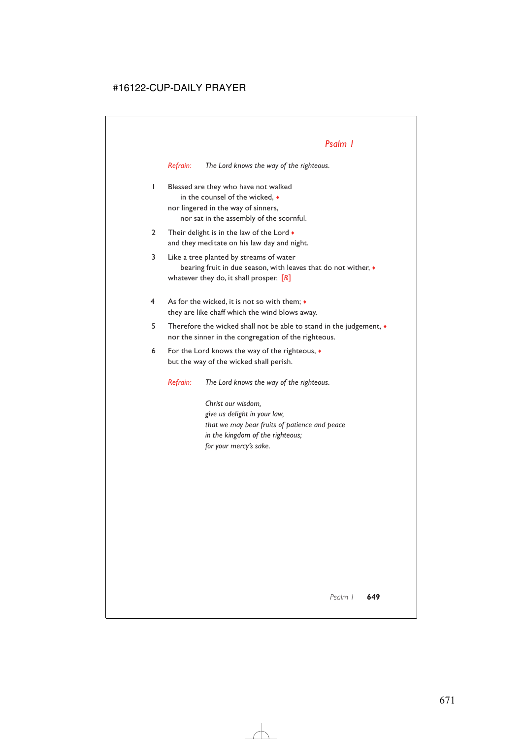*Refrain: The Lord knows the way of the righteous.*

- 1 Blessed are they who have not walked in the counsel of the wicked, ♦ nor lingered in the way of sinners, nor sat in the assembly of the scornful.
- 2 Their delight is in the law of the Lord  $\bullet$ and they meditate on his law day and night.
- 3 Like a tree planted by streams of water bearing fruit in due season, with leaves that do not wither, ♦ whatever they do, it shall prosper. [*R*]
- 4 As for the wicked, it is not so with them; ♦ they are like chaff which the wind blows away.
- 5 Therefore the wicked shall not be able to stand in the judgement, ♦ nor the sinner in the congregation of the righteous.
- 6 For the Lord knows the way of the righteous, ♦ but the way of the wicked shall perish.

*Refrain: The Lord knows the way of the righteous.*

*Christ our wisdom, give us delight in your law, that we may bear fruits of patience and peace in the kingdom of the righteous; for your mercy's sake.*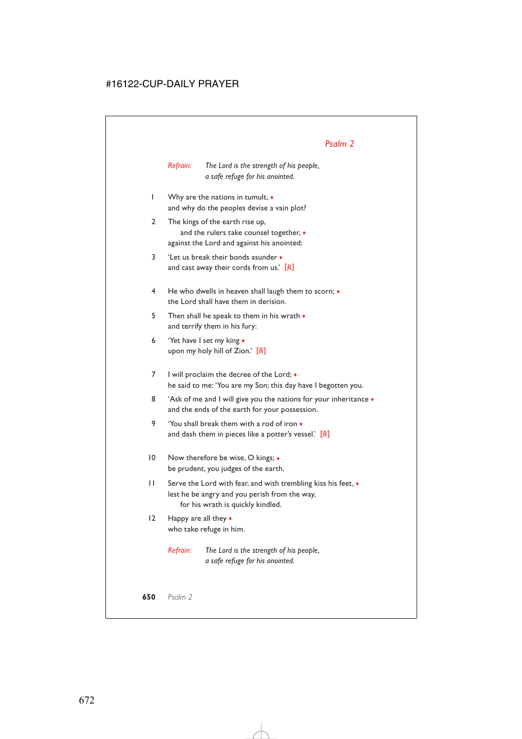*Refrain: The Lord is the strength of his people, a safe refuge for his anointed.*

- 1 Why are the nations in tumult, ♦ and why do the peoples devise a vain plot?
- 2 The kings of the earth rise up, and the rulers take counsel together,  $\bullet$ against the Lord and against his anointed:
- 3 'Let us break their bonds asunder ♦ and cast away their cords from us.' [*R*]
- 4 He who dwells in heaven shall laugh them to scorn; ♦ the Lord shall have them in derision.
- 5 Then shall he speak to them in his wrath  $\bullet$ and terrify them in his fury:
- 6 'Yet have I set my king ♦ upon my holy hill of Zion.' [*R*]
- 7 I will proclaim the decree of the Lord;  $\bullet$ he said to me: 'You are my Son; this day have I begotten you.
- 8 'Ask of me and I will give you the nations for your inheritance  $\bullet$ and the ends of the earth for your possession.
- 9 'You shall break them with a rod of iron ♦ and dash them in pieces like a potter's vessel.' [*R*]
- 10 Now therefore be wise, O kings;  $\triangleleft$ be prudent, you judges of the earth.
- 11 Serve the Lord with fear, and with trembling kiss his feet, ♦ lest he be angry and you perish from the way, for his wrath is quickly kindled.
- 12 Happy are all they  $\triangle$ who take refuge in him.

*Refrain: The Lord is the strength of his people, a safe refuge for his anointed.*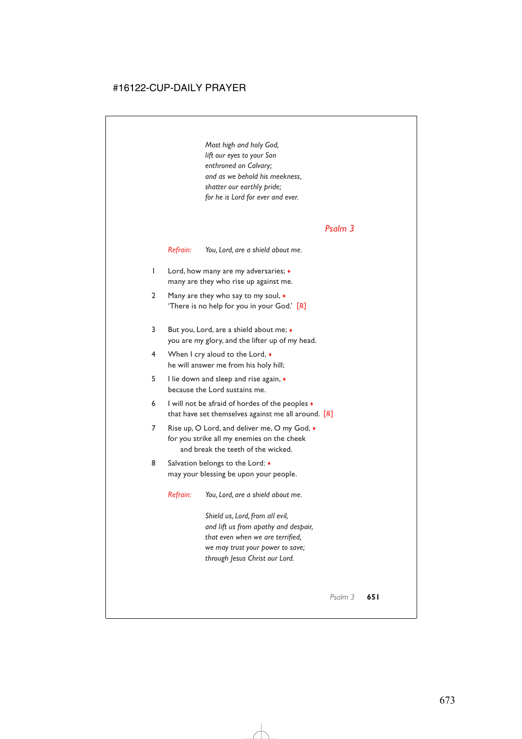*Most high and holy God, lift our eyes to your Son enthroned on Calvary; and as we behold his meekness, shatter our earthly pride; for he is Lord for ever and ever.*

#### *Psalm 3*

*Refrain: You, Lord, are a shield about me.*

- 1 Lord, how many are my adversaries; ♦ many are they who rise up against me.
- 2 Many are they who say to my soul,  $\bullet$ 'There is no help for you in your God.' [*R*]
- 3 But you, Lord, are a shield about me; ♦ you are my glory, and the lifter up of my head.
- 4 When I cry aloud to the Lord, ♦ he will answer me from his holy hill;
- 5 I lie down and sleep and rise again, ♦ because the Lord sustains me.
- 6 I will not be afraid of hordes of the peoples  $\bullet$ that have set themselves against me all around. [*R*]
- 7 Rise up, O Lord, and deliver me, O my God,  $\bullet$ for you strike all my enemies on the cheek and break the teeth of the wicked.
- 8 Salvation belongs to the Lord:  $\bullet$ may your blessing be upon your people.

*Refrain: You, Lord, are a shield about me.*

*Shield us, Lord, from all evil, and lift us from apathy and despair, that even when we are terrified, we may trust your power to save; through Jesus Christ our Lord.*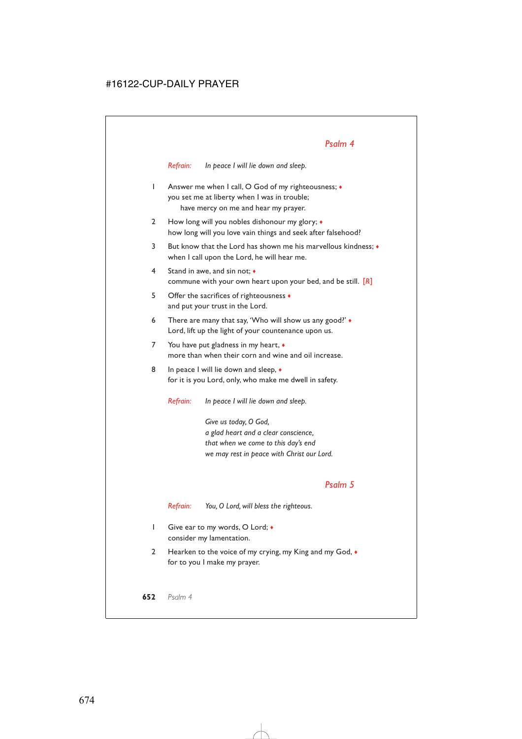*Refrain: In peace I will lie down and sleep.*

- 1 Answer me when I call, O God of my righteousness;  $\triangleleft$ you set me at liberty when I was in trouble; have mercy on me and hear my prayer.
- 2 How long will you nobles dishonour my glory;  $\bullet$ how long will you love vain things and seek after falsehood?
- 3 But know that the Lord has shown me his marvellous kindness; ♦ when I call upon the Lord, he will hear me.
- 4 Stand in awe, and sin not; ♦ commune with your own heart upon your bed, and be still. [*R*]
- 5 Offer the sacrifices of righteousness ♦ and put your trust in the Lord.
- 6 There are many that say, 'Who will show us any good?' ♦ Lord, lift up the light of your countenance upon us.
- 7 You have put gladness in my heart,  $\bullet$ more than when their corn and wine and oil increase.
- 8 In peace I will lie down and sleep,  $\bullet$ for it is you Lord, only, who make me dwell in safety.

*Refrain: In peace I will lie down and sleep.*

*Give us today, O God, a glad heart and a clear conscience, that when we come to this day's end we may rest in peace with Christ our Lord.*

#### *Psalm 5*

*Refrain: You, O Lord, will bless the righteous.*

- 1 Give ear to my words, O Lord;  $\bullet$ consider my lamentation.
- 2 Hearken to the voice of my crying, my King and my God,  $\bullet$ for to you I make my prayer.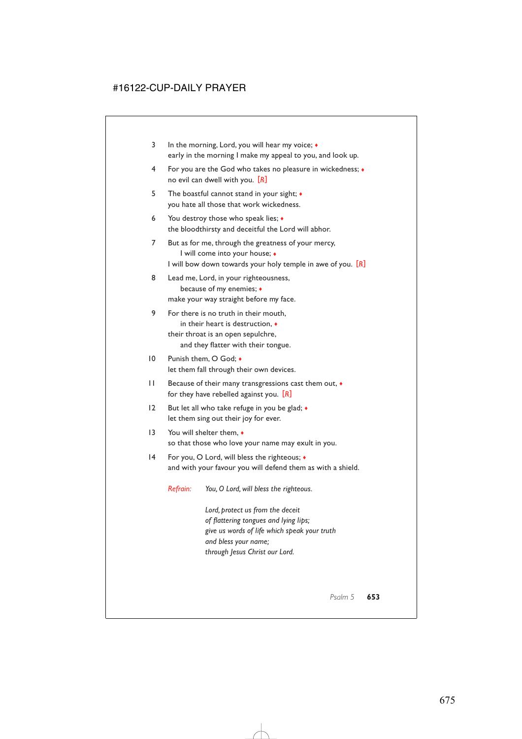- 3 In the morning, Lord, you will hear my voice;  $\triangleleft$ early in the morning I make my appeal to you, and look up.
- 4 For you are the God who takes no pleasure in wickedness; ♦ no evil can dwell with you. [*R*]
- 5 The boastful cannot stand in your sight; ♦ you hate all those that work wickedness.
- 6 You destroy those who speak lies;  $\bullet$ the bloodthirsty and deceitful the Lord will abhor.
- 7 But as for me, through the greatness of your mercy, I will come into your house; ♦ I will bow down towards your holy temple in awe of you. [*R*]
- 8 Lead me, Lord, in your righteousness, because of my enemies; ♦ make your way straight before my face.
- 9 For there is no truth in their mouth, in their heart is destruction, ♦ their throat is an open sepulchre, and they flatter with their tongue.
- 10 Punish them, O God; ♦ let them fall through their own devices.
- 11 Because of their many transgressions cast them out, ♦ for they have rebelled against you. [*R*]
- 12 But let all who take refuge in you be glad;  $\bullet$ let them sing out their joy for ever.
- 13 You will shelter them,  $\bullet$ so that those who love your name may exult in you.
- 14 For you, O Lord, will bless the righteous;  $\triangleleft$ and with your favour you will defend them as with a shield.

*Refrain: You, O Lord, will bless the righteous.*

*Lord, protect us from the deceit of flattering tongues and lying lips; give us words of life which speak your truth and bless your name; through Jesus Christ our Lord.*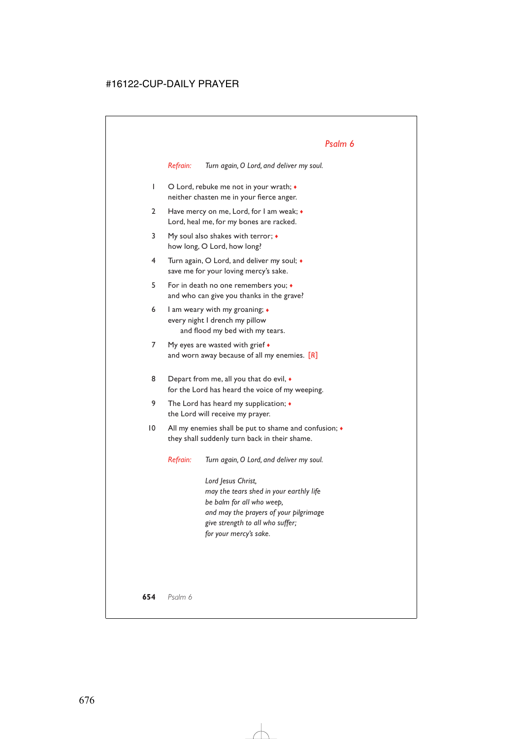*Refrain: Turn again, O Lord, and deliver my soul.*

- 1 O Lord, rebuke me not in your wrath; ♦ neither chasten me in your fierce anger.
- 2 Have mercy on me, Lord, for I am weak; ♦ Lord, heal me, for my bones are racked.
- 3 My soul also shakes with terror;  $\triangleleft$ how long, O Lord, how long?
- 4 Turn again, O Lord, and deliver my soul; ♦ save me for your loving mercy's sake.
- 5 For in death no one remembers you; ♦ and who can give you thanks in the grave?
- 6 I am weary with my groaning;  $\triangleleft$ every night I drench my pillow and flood my bed with my tears.
- 7 My eyes are wasted with grief  $\triangleleft$ and worn away because of all my enemies. [*R*]
- 8 Depart from me, all you that do evil,  $\bullet$ for the Lord has heard the voice of my weeping.
- 9 The Lord has heard my supplication;  $\bullet$ the Lord will receive my prayer.
- 10 All my enemies shall be put to shame and confusion;  $\bullet$ they shall suddenly turn back in their shame.

*Refrain: Turn again, O Lord, and deliver my soul.*

*Lord Jesus Christ, may the tears shed in your earthly life be balm for all who weep, and may the prayers of your pilgrimage give strength to all who suffer; for your mercy's sake.*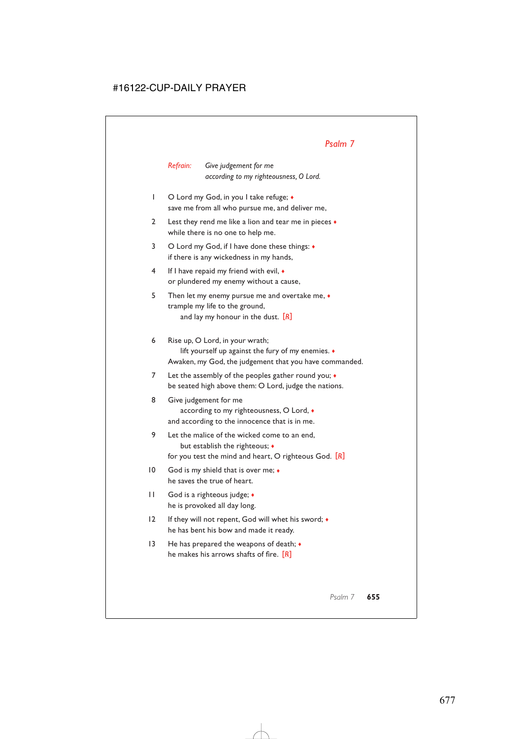*Refrain: Give judgement for me according to my righteousness, O Lord.*

- 1 O Lord my God, in you I take refuge; ♦ save me from all who pursue me, and deliver me,
- 2 Lest they rend me like a lion and tear me in pieces  $\bullet$ while there is no one to help me.
- 3 O Lord my God, if I have done these things:  $\triangleleft$ if there is any wickedness in my hands,
- 4 If I have repaid my friend with evil, ♦ or plundered my enemy without a cause,
- 5 Then let my enemy pursue me and overtake me, ♦ trample my life to the ground, and lay my honour in the dust. [*R*]
- 6 Rise up, O Lord, in your wrath; lift yourself up against the fury of my enemies. ♦ Awaken, my God, the judgement that you have commanded.
- 7 Let the assembly of the peoples gather round you;  $\bullet$ be seated high above them: O Lord, judge the nations.
- 8 Give judgement for me according to my righteousness, O Lord, ♦ and according to the innocence that is in me.
- 9 Let the malice of the wicked come to an end, but establish the righteous; ♦ for you test the mind and heart, O righteous God. [*R*]
- 10 God is my shield that is over me;  $\bullet$ he saves the true of heart.
- 11 God is a righteous judge; ♦ he is provoked all day long.
- 12 If they will not repent, God will whet his sword; ♦ he has bent his bow and made it ready.
- 13 He has prepared the weapons of death; ♦ he makes his arrows shafts of fire. [*R*]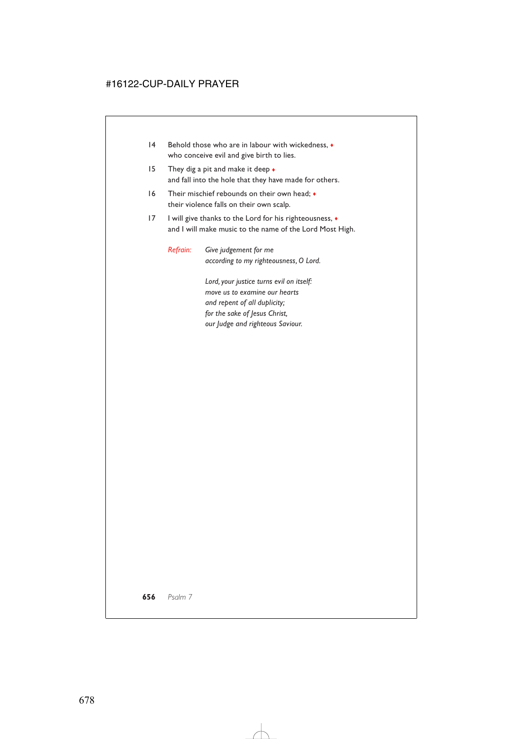- 14 Behold those who are in labour with wickedness,  $\bullet$ who conceive evil and give birth to lies.
- 15 They dig a pit and make it deep  $\bullet$ and fall into the hole that they have made for others.
- 16 Their mischief rebounds on their own head; ♦ their violence falls on their own scalp.
- 17 I will give thanks to the Lord for his righteousness,  $\bullet$ and I will make music to the name of the Lord Most High.

*Refrain: Give judgement for me according to my righteousness, O Lord.*

> *Lord, your justice turns evil on itself: move us to examine our hearts and repent of all duplicity; for the sake of Jesus Christ, our Judge and righteous Saviour.*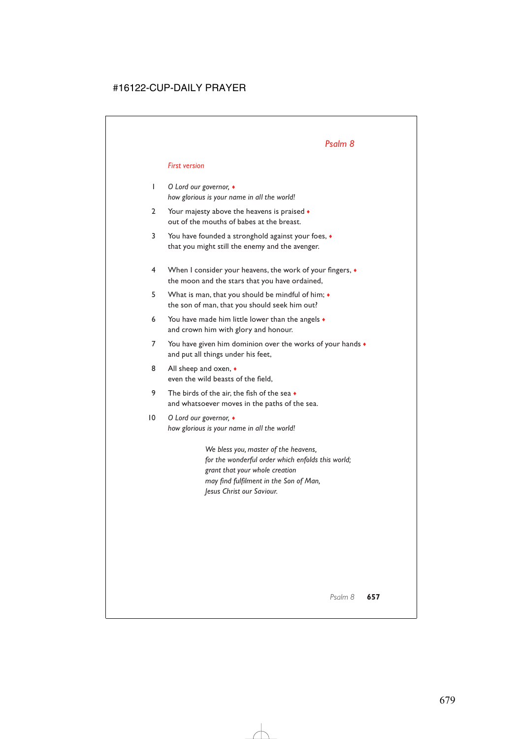#### *First version*

- 1 *O Lord our governor,* ♦ *how glorious is your name in all the world!*
- 2 Your majesty above the heavens is praised  $\bullet$ out of the mouths of babes at the breast.
- 3 You have founded a stronghold against your foes, ♦ that you might still the enemy and the avenger.
- 4 When I consider your heavens, the work of your fingers, ♦ the moon and the stars that you have ordained,
- 5 What is man, that you should be mindful of him; ♦ the son of man, that you should seek him out?
- 6 You have made him little lower than the angels  $\bullet$ and crown him with glory and honour.
- 7 You have given him dominion over the works of your hands  $\bullet$ and put all things under his feet,
- 8 All sheep and oxen,  $\bullet$ even the wild beasts of the field,
- 9 The birds of the air, the fish of the sea  $\bullet$ and whatsoever moves in the paths of the sea.
- 10 *O Lord our governor,* ♦ *how glorious is your name in all the world!*

*We bless you, master of the heavens, for the wonderful order which enfolds this world; grant that your whole creation may find fulfilment in the Son of Man, Jesus Christ our Saviour.*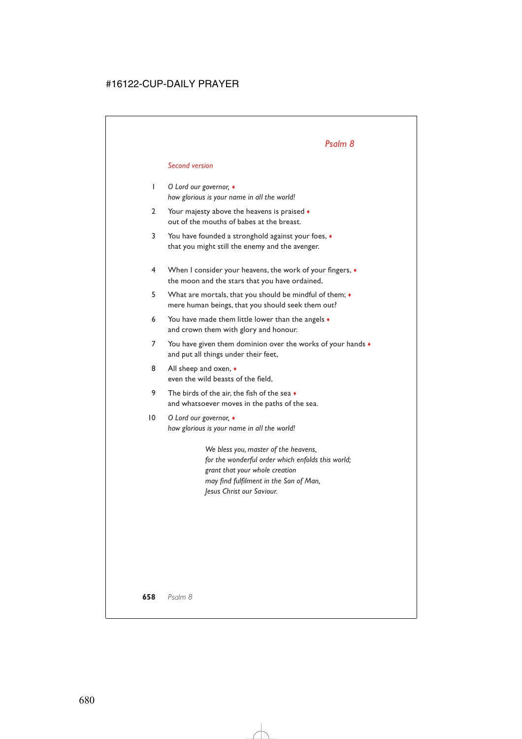#### *Second version*

- 1 *O Lord our governor,* ♦ *how glorious is your name in all the world!*
- 2 Your majesty above the heavens is praised  $\bullet$ out of the mouths of babes at the breast.
- 3 You have founded a stronghold against your foes, ♦ that you might still the enemy and the avenger.
- 4 When I consider your heavens, the work of your fingers, ♦ the moon and the stars that you have ordained,
- 5 What are mortals, that you should be mindful of them; ♦ mere human beings, that you should seek them out?
- 6 You have made them little lower than the angels  $\bullet$ and crown them with glory and honour.
- 7 You have given them dominion over the works of your hands  $\bullet$ and put all things under their feet,
- 8 All sheep and oxen,  $\bullet$ even the wild beasts of the field,
- 9 The birds of the air, the fish of the sea  $\bullet$ and whatsoever moves in the paths of the sea.
- 10 *O Lord our governor,* ♦ *how glorious is your name in all the world!*

*We bless you, master of the heavens, for the wonderful order which enfolds this world; grant that your whole creation may find fulfilment in the Son of Man, Jesus Christ our Saviour.*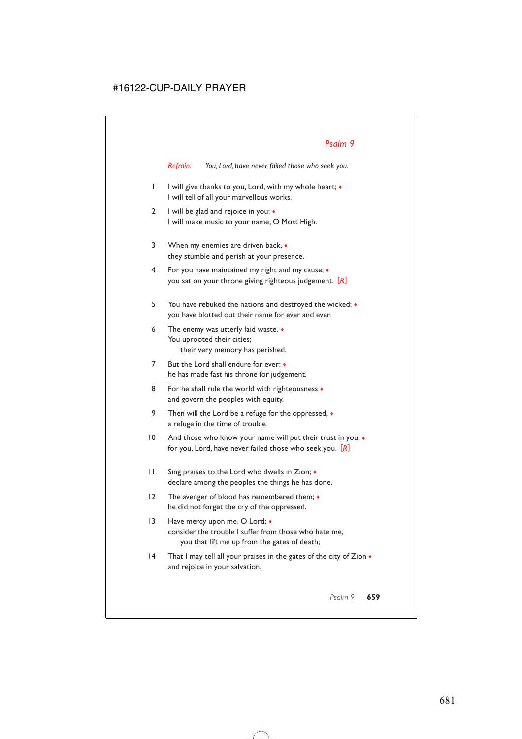*Refrain: You, Lord, have never failed those who seek you.*

- 1 I will give thanks to you, Lord, with my whole heart; ♦ I will tell of all your marvellous works.
- 2 I will be glad and rejoice in you; ♦ I will make music to your name, O Most High.
- 3 When my enemies are driven back, ♦ they stumble and perish at your presence.
- 4 For you have maintained my right and my cause; ♦ you sat on your throne giving righteous judgement. [*R*]
- 5 You have rebuked the nations and destroyed the wicked; ♦ you have blotted out their name for ever and ever.
- 6 The enemy was utterly laid waste. ♦ You uprooted their cities; their very memory has perished.
- 7 But the Lord shall endure for ever;  $\bullet$ he has made fast his throne for judgement.
- 8 For he shall rule the world with righteousness  $\bullet$ and govern the peoples with equity.
- 9 Then will the Lord be a refuge for the oppressed,  $\bullet$ a refuge in the time of trouble.
- 10 And those who know your name will put their trust in you,  $\bullet$ for you, Lord, have never failed those who seek you. [*R*]
- 11 Sing praises to the Lord who dwells in Zion; ♦ declare among the peoples the things he has done.
- 12 The avenger of blood has remembered them; ♦ he did not forget the cry of the oppressed.
- 13 Have mercy upon me, O Lord;  $\triangle$ consider the trouble I suffer from those who hate me, you that lift me up from the gates of death;
- 14 That I may tell all your praises in the gates of the city of Zion  $\bullet$ and rejoice in your salvation.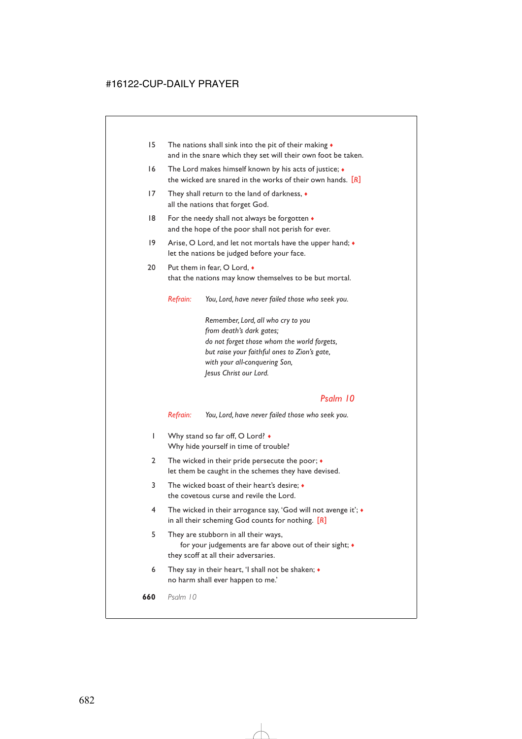- 15 The nations shall sink into the pit of their making  $\bullet$ and in the snare which they set will their own foot be taken.
- 16 The Lord makes himself known by his acts of justice;  $\bullet$ the wicked are snared in the works of their own hands. [*R*]
- 17 They shall return to the land of darkness, ♦ all the nations that forget God.
- 18 For the needy shall not always be forgotten  $\triangleleft$ and the hope of the poor shall not perish for ever.
- 19 Arise, O Lord, and let not mortals have the upper hand;  $\bullet$ let the nations be judged before your face.
- 20 Put them in fear, O Lord,  $\bullet$ that the nations may know themselves to be but mortal.

*Refrain: You, Lord, have never failed those who seek you.*

*Remember, Lord, all who cry to you from death's dark gates; do not forget those whom the world forgets, but raise your faithful ones to Zion's gate, with your all-conquering Son, Jesus Christ our Lord.*

#### *Psalm 10*

*Refrain: You, Lord, have never failed those who seek you.*

- 1 Why stand so far off, O Lord? Why hide yourself in time of trouble?
- 2 The wicked in their pride persecute the poor;  $\bullet$ let them be caught in the schemes they have devised.
- 3 The wicked boast of their heart's desire; ♦ the covetous curse and revile the Lord.
- 4 The wicked in their arrogance say, 'God will not avenge it'; ♦ in all their scheming God counts for nothing. [*R*]
- 5 They are stubborn in all their ways, for your judgements are far above out of their sight;  $\bullet$ they scoff at all their adversaries.
- 6 They say in their heart, 'I shall not be shaken; ♦ no harm shall ever happen to me.'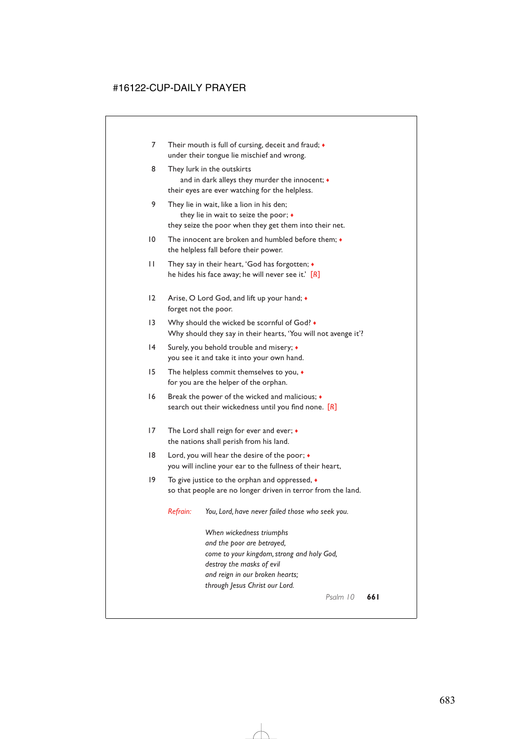- 7 Their mouth is full of cursing, deceit and fraud;  $\bullet$ under their tongue lie mischief and wrong.
- 8 They lurk in the outskirts and in dark alleys they murder the innocent;  $\bullet$ their eyes are ever watching for the helpless.
- 9 They lie in wait, like a lion in his den; they lie in wait to seize the poor; ♦ they seize the poor when they get them into their net.
- 10 The innocent are broken and humbled before them; ♦ the helpless fall before their power.
- 11 They say in their heart, 'God has forgotten; ♦ he hides his face away; he will never see it.' [*R*]
- 12 Arise, O Lord God, and lift up your hand;  $\bullet$ forget not the poor.
- 13 Why should the wicked be scornful of God?  $\bullet$ Why should they say in their hearts, 'You will not avenge it'?
- 14 Surely, you behold trouble and misery; ♦ you see it and take it into your own hand.
- 15 The helpless commit themselves to you, ♦ for you are the helper of the orphan.
- 16 Break the power of the wicked and malicious;  $\bullet$ search out their wickedness until you find none. [*R*]
- 17 The Lord shall reign for ever and ever; ♦ the nations shall perish from his land.
- 18 Lord, you will hear the desire of the poor;  $\triangleleft$ you will incline your ear to the fullness of their heart,
- 19 To give justice to the orphan and oppressed, ♦ so that people are no longer driven in terror from the land.

*Refrain: You, Lord, have never failed those who seek you.*

*When wickedness triumphs and the poor are betrayed, come to your kingdom, strong and holy God, destroy the masks of evil and reign in our broken hearts; through Jesus Christ our Lord.*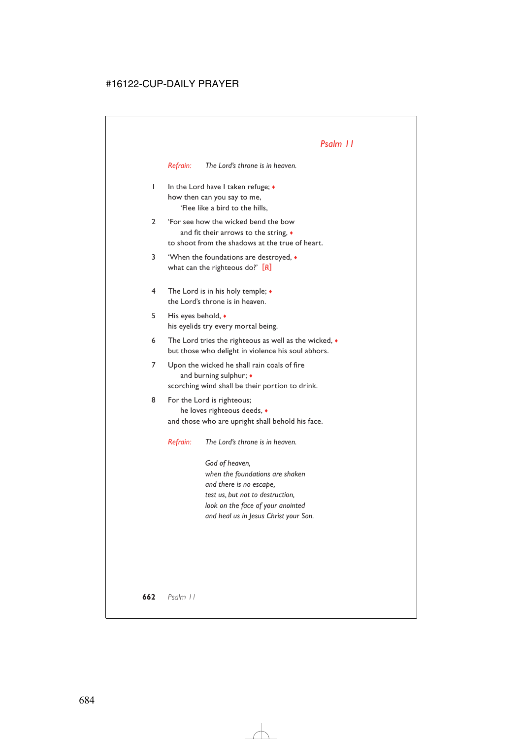*Refrain: The Lord's throne is in heaven.*

- 1 In the Lord have I taken refuge; ♦ how then can you say to me, 'Flee like a bird to the hills,
- 2 'For see how the wicked bend the bow and fit their arrows to the string, ♦ to shoot from the shadows at the true of heart.
- 3 'When the foundations are destroyed, ♦ what can the righteous do?' [*R*]
- 4 The Lord is in his holy temple; ♦ the Lord's throne is in heaven.
- 5 His eyes behold, ♦ his eyelids try every mortal being.
- 6 The Lord tries the righteous as well as the wicked,  $\bullet$ but those who delight in violence his soul abhors.
- 7 Upon the wicked he shall rain coals of fire and burning sulphur;  $\bullet$ scorching wind shall be their portion to drink.
- 8 For the Lord is righteous; he loves righteous deeds, ♦ and those who are upright shall behold his face.

*Refrain: The Lord's throne is in heaven.*

*God of heaven, when the foundations are shaken and there is no escape, test us, but not to destruction, look on the face of your anointed and heal us in Jesus Christ your Son.*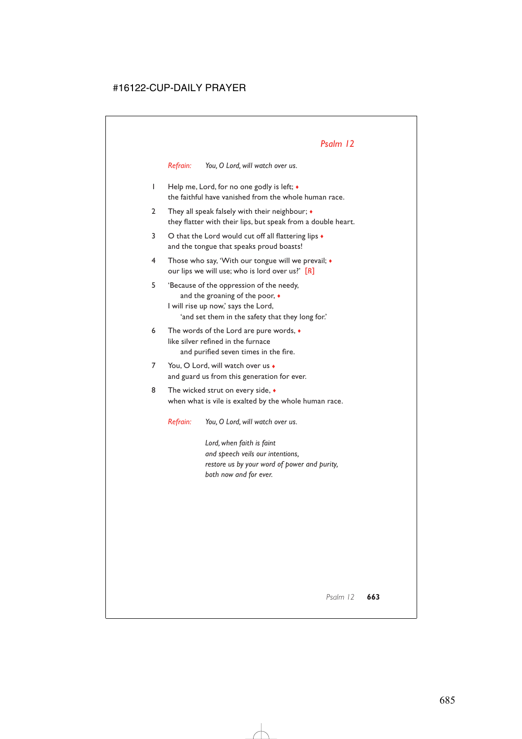*Refrain: You, O Lord, will watch over us.*

- 1 Help me, Lord, for no one godly is left; ♦ the faithful have vanished from the whole human race.
- 2 They all speak falsely with their neighbour;  $\bullet$ they flatter with their lips, but speak from a double heart.
- 3 O that the Lord would cut off all flattering lips  $\bullet$ and the tongue that speaks proud boasts!
- 4 Those who say, 'With our tongue will we prevail; ♦ our lips we will use; who is lord over us?' [*R*]
- 5 'Because of the oppression of the needy, and the groaning of the poor,  $\bullet$ I will rise up now,' says the Lord, 'and set them in the safety that they long for.'
- 6 The words of the Lord are pure words, ♦ like silver refined in the furnace and purified seven times in the fire.
- 7 You, O Lord, will watch over us  $\bullet$ and guard us from this generation for ever.
- 8 The wicked strut on every side,  $\bullet$ when what is vile is exalted by the whole human race.

*Refrain: You, O Lord, will watch over us.*

*Lord, when faith is faint and speech veils our intentions, restore us by your word of power and purity, both now and for ever.*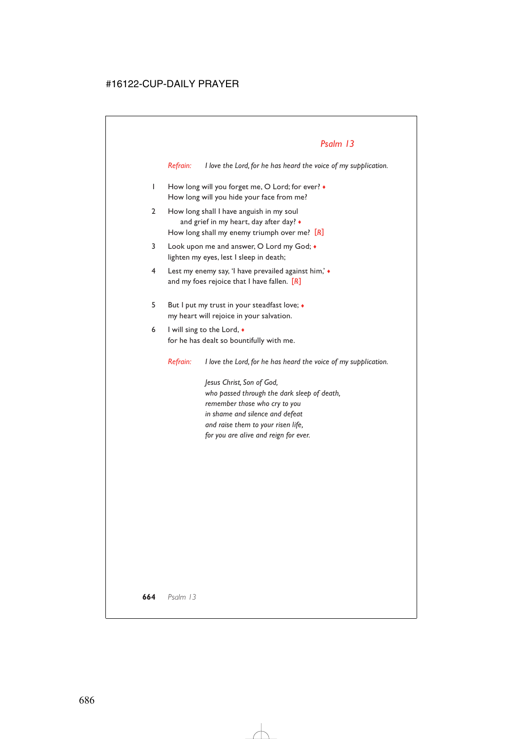*Refrain: I love the Lord, for he has heard the voice of my supplication.*

- 1 How long will you forget me, O Lord; for ever?  $\bullet$ How long will you hide your face from me?
- 2 How long shall I have anguish in my soul and grief in my heart, day after day?  $\bullet$ How long shall my enemy triumph over me? [*R*]
- 3 Look upon me and answer, O Lord my God;  $\bullet$ lighten my eyes, lest I sleep in death;
- 4 Lest my enemy say, 'I have prevailed against him,' ♦ and my foes rejoice that I have fallen. [*R*]
- 5 But I put my trust in your steadfast love; ♦ my heart will rejoice in your salvation.
- 6 I will sing to the Lord,  $\bullet$ for he has dealt so bountifully with me.

*Refrain: I love the Lord, for he has heard the voice of my supplication.*

*Jesus Christ, Son of God, who passed through the dark sleep of death, remember those who cry to you in shame and silence and defeat and raise them to your risen life, for you are alive and reign for ever.*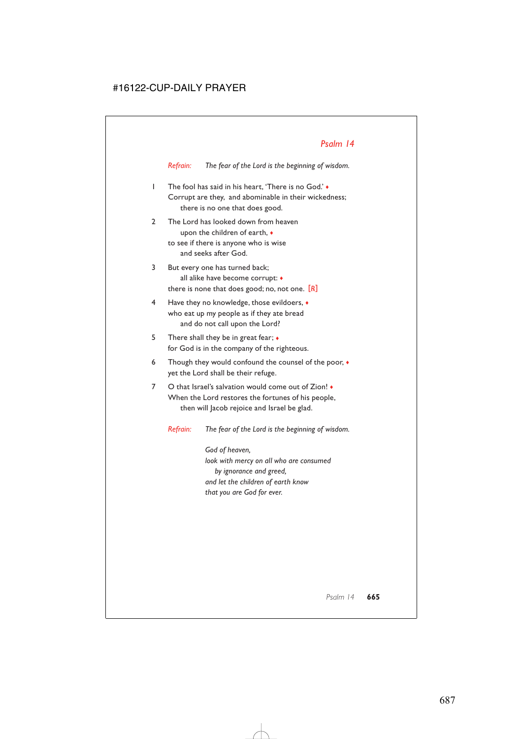*Refrain: The fear of the Lord is the beginning of wisdom.*

- 1 The fool has said in his heart, 'There is no God.' ♦ Corrupt are they, and abominable in their wickedness; there is no one that does good.
- 2 The Lord has looked down from heaven upon the children of earth, ♦ to see if there is anyone who is wise and seeks after God.
- 3 But every one has turned back; all alike have become corrupt: ♦ there is none that does good; no, not one. [*R*]
- 4 Have they no knowledge, those evildoers, ♦ who eat up my people as if they ate bread and do not call upon the Lord?
- 5 There shall they be in great fear;  $\bullet$ for God is in the company of the righteous.
- 6 Though they would confound the counsel of the poor, ♦ yet the Lord shall be their refuge.
- 7 O that Israel's salvation would come out of Zion! ♦ When the Lord restores the fortunes of his people, then will Jacob rejoice and Israel be glad.

*Refrain: The fear of the Lord is the beginning of wisdom.*

*God of heaven, look with mercy on all who are consumed by ignorance and greed, and let the children of earth know that you are God for ever.*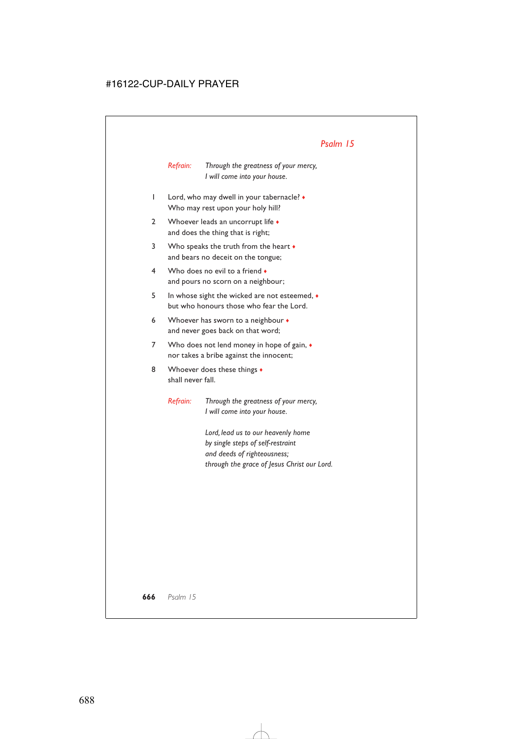*Refrain: Through the greatness of your mercy, I will come into your house.*

- 1 Lord, who may dwell in your tabernacle? ♦ Who may rest upon your holy hill?
- 2 Whoever leads an uncorrupt life  $\bullet$ and does the thing that is right;
- 3 Who speaks the truth from the heart  $\bullet$ and bears no deceit on the tongue;
- 4 Who does no evil to a friend  $\bullet$ and pours no scorn on a neighbour;
- 5 In whose sight the wicked are not esteemed, ♦ but who honours those who fear the Lord.
- 6 Whoever has sworn to a neighbour  $\bullet$ and never goes back on that word;
- 7 Who does not lend money in hope of gain,  $\bullet$ nor takes a bribe against the innocent;
- 8 Whoever does these things  $\bullet$ shall never fall.

*Refrain: Through the greatness of your mercy, I will come into your house.*

> *Lord, lead us to our heavenly home by single steps of self-restraint and deeds of righteousness; through the grace of Jesus Christ our Lord.*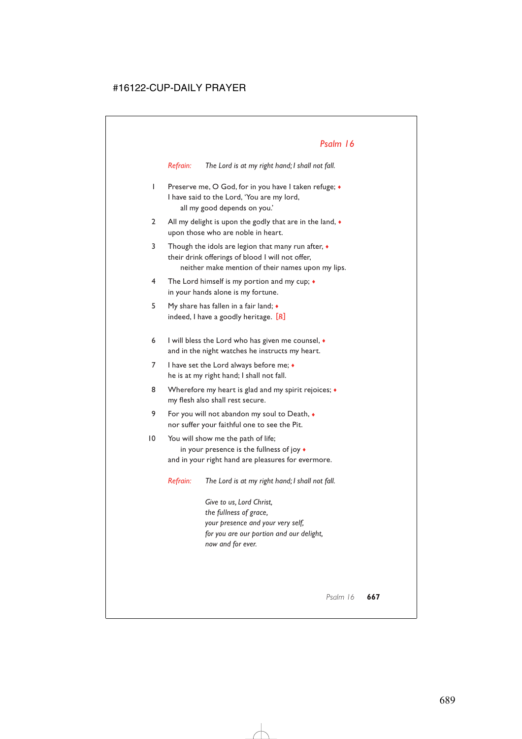*Refrain: The Lord is at my right hand; I shall not fall.*

- 1 Preserve me, O God, for in you have I taken refuge; ♦ I have said to the Lord, 'You are my lord, all my good depends on you.'
- 2 All my delight is upon the godly that are in the land,  $\bullet$ upon those who are noble in heart.
- 3 Though the idols are legion that many run after,  $\bullet$ their drink offerings of blood I will not offer, neither make mention of their names upon my lips.
- 4 The Lord himself is my portion and my cup; ♦ in your hands alone is my fortune.
- 5 My share has fallen in a fair land; ♦ indeed, I have a goodly heritage. [*R*]
- 6 I will bless the Lord who has given me counsel,  $\bullet$ and in the night watches he instructs my heart.
- 7 I have set the Lord always before me:  $\bullet$ he is at my right hand; I shall not fall.
- 8 Wherefore my heart is glad and my spirit rejoices;  $\bullet$ my flesh also shall rest secure.
- 9 For you will not abandon my soul to Death, ♦ nor suffer your faithful one to see the Pit.
- 10 You will show me the path of life; in your presence is the fullness of joy ♦ and in your right hand are pleasures for evermore.

*Refrain: The Lord is at my right hand; I shall not fall.*

*Give to us, Lord Christ, the fullness of grace, your presence and your very self, for you are our portion and our delight, now and for ever.*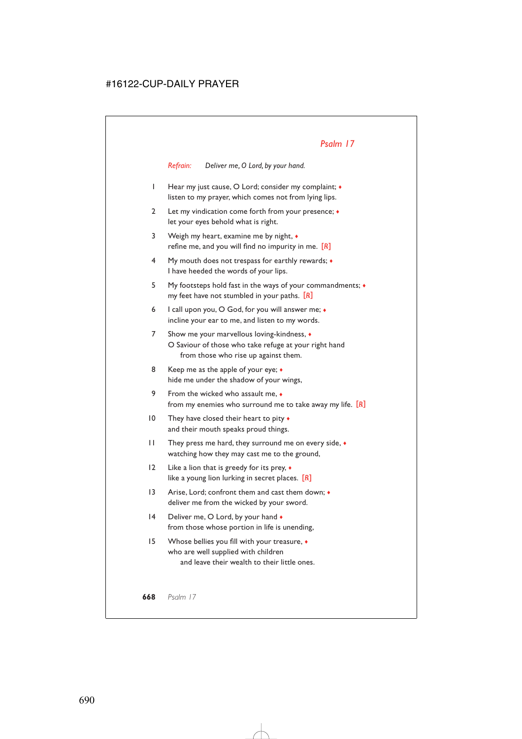*Refrain: Deliver me, O Lord, by your hand.*

- 1 Hear my just cause, O Lord; consider my complaint; ♦ listen to my prayer, which comes not from lying lips.
- 2 Let my vindication come forth from your presence; ♦ let your eyes behold what is right.
- 3 Weigh my heart, examine me by night, ♦ refine me, and you will find no impurity in me. [*R*]
- 4 My mouth does not trespass for earthly rewards; ♦ I have heeded the words of your lips.
- 5 My footsteps hold fast in the ways of your commandments; ♦ my feet have not stumbled in your paths. [*R*]
- 6 I call upon you, O God, for you will answer me; ♦ incline your ear to me, and listen to my words.
- 7 Show me your marvellous loving-kindness,  $\triangleleft$ O Saviour of those who take refuge at your right hand from those who rise up against them.
- 8 Keep me as the apple of your eye;  $\bullet$ hide me under the shadow of your wings,
- 9 From the wicked who assault me,  $\bullet$ from my enemies who surround me to take away my life. [*R*]
- 10 They have closed their heart to pity  $\bullet$ and their mouth speaks proud things.
- 11 They press me hard, they surround me on every side, ♦ watching how they may cast me to the ground,
- 12 Like a lion that is greedy for its prey, ♦ like a young lion lurking in secret places. [*R*]
- 13 Arise, Lord; confront them and cast them down; ♦ deliver me from the wicked by your sword.
- 14 Deliver me, O Lord, by your hand  $\bullet$ from those whose portion in life is unending,
- 15 Whose bellies you fill with your treasure, ♦ who are well supplied with children and leave their wealth to their little ones.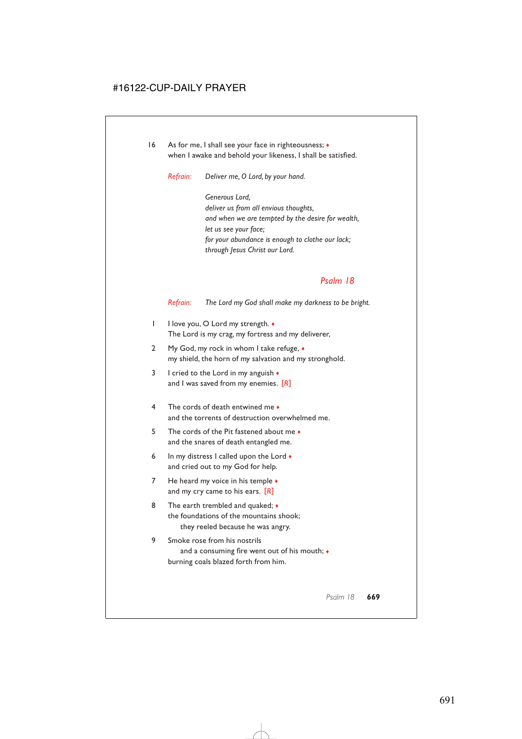16 As for me, I shall see your face in righteousness;  $\triangleleft$ when I awake and behold your likeness, I shall be satisfied.

*Refrain: Deliver me, O Lord, by your hand.*

*Generous Lord, deliver us from all envious thoughts, and when we are tempted by the desire for wealth, let us see your face; for your abundance is enough to clothe our lack; through Jesus Christ our Lord.*

#### *Psalm 18*

*Refrain: The Lord my God shall make my darkness to be bright.*

- 1 I love you, O Lord my strength. ♦ The Lord is my crag, my fortress and my deliverer,
- 2 My God, my rock in whom I take refuge,  $\bullet$ my shield, the horn of my salvation and my stronghold.
- 3 I cried to the Lord in my anguish  $\bullet$ and I was saved from my enemies. [*R*]
- 4 The cords of death entwined me ♦ and the torrents of destruction overwhelmed me.
- 5 The cords of the Pit fastened about me ♦ and the snares of death entangled me.
- 6 In my distress I called upon the Lord  $\bullet$ and cried out to my God for help.
- 7 He heard my voice in his temple  $\bullet$ and my cry came to his ears. [*R*]
- 8 The earth trembled and quaked;  $\bullet$ the foundations of the mountains shook; they reeled because he was angry.
- 9 Smoke rose from his nostrils and a consuming fire went out of his mouth;  $\bullet$ burning coals blazed forth from him.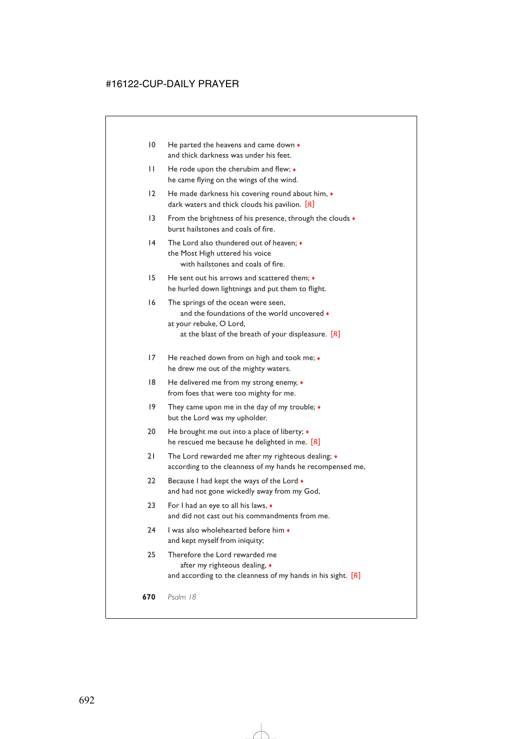- 10 He parted the heavens and came down  $\bullet$ and thick darkness was under his feet.
- 11 He rode upon the cherubim and flew; ♦ he came flying on the wings of the wind.
- 12 He made darkness his covering round about him,  $\bullet$ dark waters and thick clouds his pavilion. [*R*]
- 13 From the brightness of his presence, through the clouds  $\bullet$ burst hailstones and coals of fire.
- 14 The Lord also thundered out of heaven; ♦ the Most High uttered his voice with hailstones and coals of fire.
- 15 He sent out his arrows and scattered them; ♦ he hurled down lightnings and put them to flight.
- 16 The springs of the ocean were seen, and the foundations of the world uncovered  $\bullet$ at your rebuke, O Lord, at the blast of the breath of your displeasure. [*R*]
- 17 He reached down from on high and took me;  $\bullet$ he drew me out of the mighty waters.
- 18 He delivered me from my strong enemy, ♦ from foes that were too mighty for me.
- 19 They came upon me in the day of my trouble;  $\bullet$ but the Lord was my upholder.
- 20 He brought me out into a place of liberty;  $\triangleleft$ he rescued me because he delighted in me. [*R*]
- 21 The Lord rewarded me after my righteous dealing;  $\bullet$ according to the cleanness of my hands he recompensed me,
- 22 Because I had kept the ways of the Lord  $\bullet$ and had not gone wickedly away from my God,
- 23 For I had an eye to all his laws, ♦ and did not cast out his commandments from me.
- 24 I was also wholehearted before him ♦ and kept myself from iniquity;
- 25 Therefore the Lord rewarded me after my righteous dealing, ♦ and according to the cleanness of my hands in his sight. [*R*]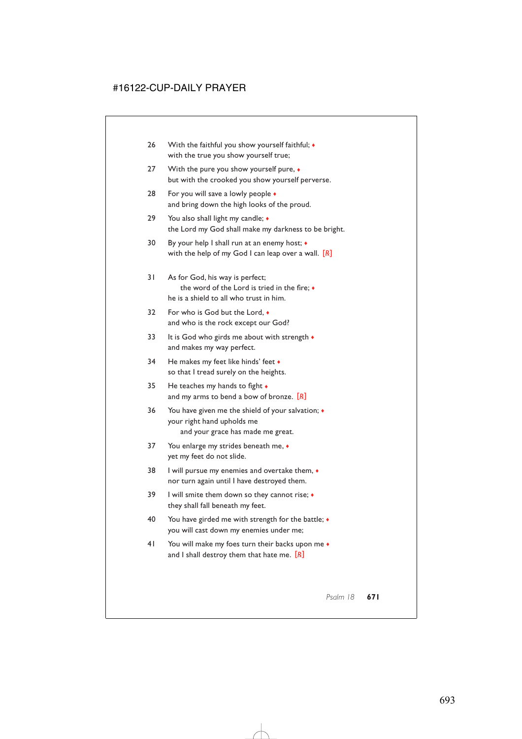- 26 With the faithful you show yourself faithful;  $\bullet$ with the true you show yourself true;
- 27 With the pure you show yourself pure,  $\bullet$ but with the crooked you show yourself perverse.
- 28 For you will save a lowly people  $\triangleleft$ and bring down the high looks of the proud.
- 29 You also shall light my candle;  $\triangleleft$ the Lord my God shall make my darkness to be bright.
- 30 By your help I shall run at an enemy host; ♦ with the help of my God I can leap over a wall. [*R*]
- 31 As for God, his way is perfect; the word of the Lord is tried in the fire; ♦ he is a shield to all who trust in him.
- 32 For who is God but the Lord, ♦ and who is the rock except our God?
- 33 It is God who girds me about with strength  $\bullet$ and makes my way perfect.
- 34 He makes my feet like hinds' feet  $\bullet$ so that I tread surely on the heights.
- 35 He teaches my hands to fight ♦ and my arms to bend a bow of bronze. [*R*]
- 36 You have given me the shield of your salvation; ♦ your right hand upholds me and your grace has made me great.
- 37 You enlarge my strides beneath me,  $\bullet$ yet my feet do not slide.
- 38 I will pursue my enemies and overtake them, ♦ nor turn again until I have destroyed them.
- 39 I will smite them down so they cannot rise;  $\triangleleft$ they shall fall beneath my feet.
- 40 You have girded me with strength for the battle;  $\bullet$ you will cast down my enemies under me;
- 41 You will make my foes turn their backs upon me  $\bullet$ and I shall destroy them that hate me. [*R*]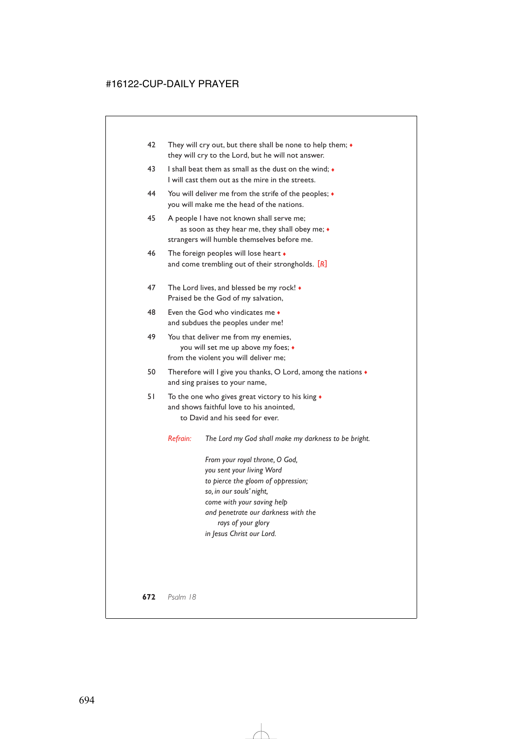- 42 They will cry out, but there shall be none to help them;  $\triangleleft$ they will cry to the Lord, but he will not answer.
- 43 I shall beat them as small as the dust on the wind; ♦ I will cast them out as the mire in the streets.
- 44 You will deliver me from the strife of the peoples; ♦ you will make me the head of the nations.
- 45 A people I have not known shall serve me; as soon as they hear me, they shall obey me; ♦ strangers will humble themselves before me.
- 46 The foreign peoples will lose heart  $\bullet$ and come trembling out of their strongholds. [*R*]
- 47 The Lord lives, and blessed be my rock! Praised be the God of my salvation,
- 48 Even the God who vindicates me ♦ and subdues the peoples under me!
- 49 You that deliver me from my enemies, you will set me up above my foes; ♦ from the violent you will deliver me;
- 50 Therefore will I give you thanks, O Lord, among the nations  $\bullet$ and sing praises to your name,
- 51 To the one who gives great victory to his king  $\bullet$ and shows faithful love to his anointed, to David and his seed for ever.

*Refrain: The Lord my God shall make my darkness to be bright.*

*From your royal throne, O God, you sent your living Word to pierce the gloom of oppression; so, in our souls' night, come with your saving help and penetrate our darkness with the rays of your glory in Jesus Christ our Lord.*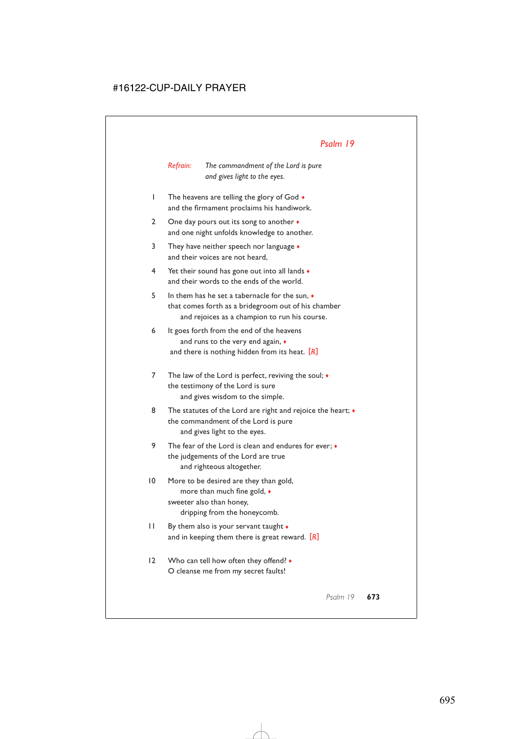*Refrain: The commandment of the Lord is pure and gives light to the eyes.*

- 1 The heavens are telling the glory of God ♦ and the firmament proclaims his handiwork.
- 2 One day pours out its song to another  $\bullet$ and one night unfolds knowledge to another.
- 3 They have neither speech nor language ♦ and their voices are not heard,
- 4 Yet their sound has gone out into all lands ♦ and their words to the ends of the world.
- 5 In them has he set a tabernacle for the sun, ♦ that comes forth as a bridegroom out of his chamber and rejoices as a champion to run his course.
- 6 It goes forth from the end of the heavens and runs to the very end again, ♦ and there is nothing hidden from its heat. [*R*]
- 7 The law of the Lord is perfect, reviving the soul;  $\bullet$ the testimony of the Lord is sure and gives wisdom to the simple.
- 8 The statutes of the Lord are right and rejoice the heart;  $\bullet$ the commandment of the Lord is pure and gives light to the eyes.
- 9 The fear of the Lord is clean and endures for ever;  $\bullet$ the judgements of the Lord are true and righteous altogether.
- 10 More to be desired are they than gold, more than much fine gold, ♦ sweeter also than honey, dripping from the honeycomb.
- 11 By them also is your servant taught ♦ and in keeping them there is great reward. [*R*]
- 12 Who can tell how often they offend? ♦ O cleanse me from my secret faults!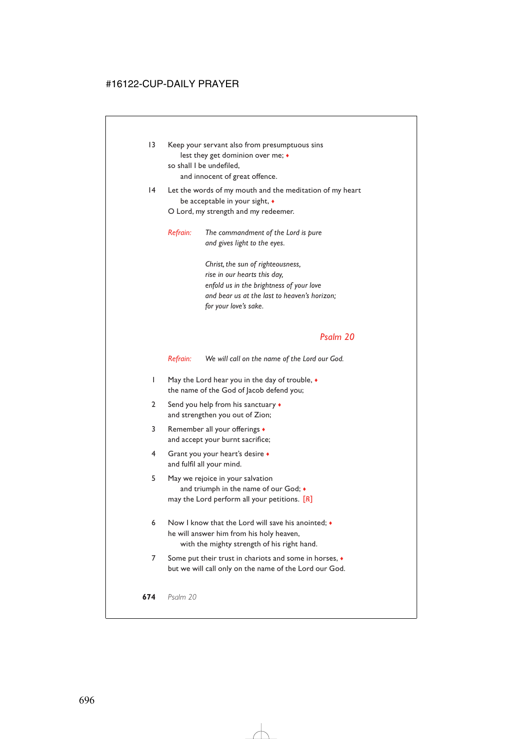- 13 Keep your servant also from presumptuous sins lest they get dominion over me; ♦ so shall I be undefiled, and innocent of great offence.
- 14 Let the words of my mouth and the meditation of my heart be acceptable in your sight, ♦

O Lord, my strength and my redeemer.

*Refrain: The commandment of the Lord is pure and gives light to the eyes.*

> *Christ, the sun of righteousness, rise in our hearts this day, enfold us in the brightness of your love and bear us at the last to heaven's horizon; for your love's sake.*

#### *Psalm 20*

*Refrain: We will call on the name of the Lord our God.*

- 1 May the Lord hear you in the day of trouble,  $\bullet$ the name of the God of Jacob defend you;
- 2 Send you help from his sanctuary  $\bullet$ and strengthen you out of Zion;
- 3 Remember all your offerings ♦ and accept your burnt sacrifice;
- 4 Grant you your heart's desire ♦ and fulfil all your mind.
- 5 May we rejoice in your salvation and triumph in the name of our God; ♦ may the Lord perform all your petitions. [*R*]
- 6 Now I know that the Lord will save his anointed;  $\bullet$ he will answer him from his holy heaven, with the mighty strength of his right hand.
- 7 Some put their trust in chariots and some in horses,  $\bullet$ but we will call only on the name of the Lord our God.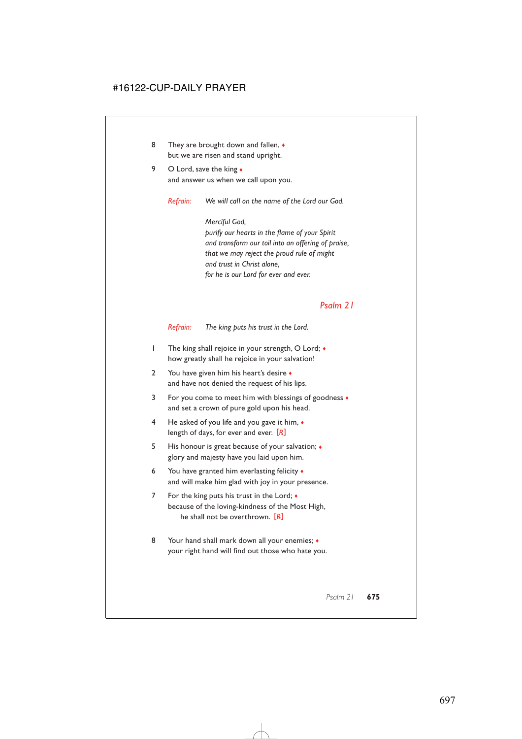- 8 They are brought down and fallen,  $\bullet$ but we are risen and stand upright.
- 9 O Lord, save the king  $\bullet$ and answer us when we call upon you.

*Refrain: We will call on the name of the Lord our God.*

*Merciful God, purify our hearts in the flame of your Spirit and transform our toil into an offering of praise, that we may reject the proud rule of might and trust in Christ alone, for he is our Lord for ever and ever.*

#### *Psalm 21*

*Refrain: The king puts his trust in the Lord.*

- 1 The king shall rejoice in your strength, O Lord; ♦ how greatly shall he rejoice in your salvation!
- 2 You have given him his heart's desire  $\bullet$ and have not denied the request of his lips.
- 3 For you come to meet him with blessings of goodness ♦ and set a crown of pure gold upon his head.
- 4 He asked of you life and you gave it him, ♦ length of days, for ever and ever. [*R*]
- 5 His honour is great because of your salvation; ♦ glory and majesty have you laid upon him.
- 6 You have granted him everlasting felicity  $\bullet$ and will make him glad with joy in your presence.
- 7 For the king puts his trust in the Lord;  $\bullet$ because of the loving-kindness of the Most High, he shall not be overthrown. [*R*]
- 8 Your hand shall mark down all your enemies;  $\bullet$ your right hand will find out those who hate you.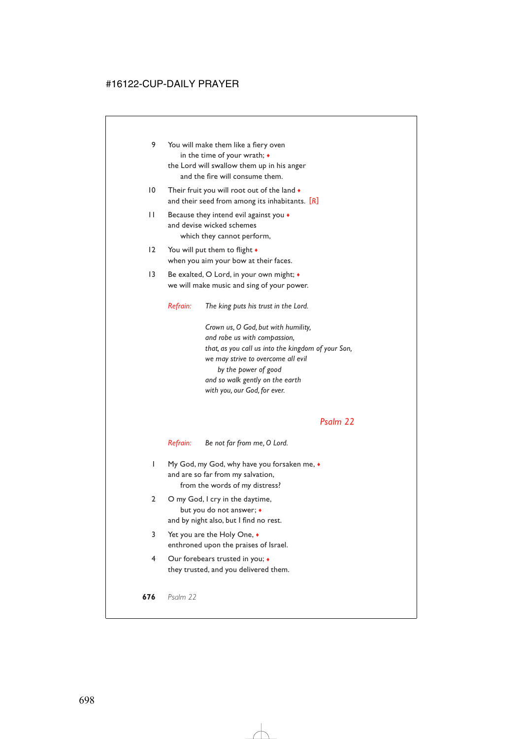- 9 You will make them like a fiery oven in the time of your wrath; ♦ the Lord will swallow them up in his anger and the fire will consume them.
- 10 Their fruit you will root out of the land  $\bullet$ and their seed from among its inhabitants. [*R*]
- 11 Because they intend evil against you ♦ and devise wicked schemes which they cannot perform,
- 12 You will put them to flight  $\bullet$ when you aim your bow at their faces.
- 13 Be exalted, O Lord, in your own might;  $\bullet$ we will make music and sing of your power.

*Refrain: The king puts his trust in the Lord.*

*Crown us, O God, but with humility, and robe us with compassion, that, as you call us into the kingdom of your Son, we may strive to overcome all evil by the power of good and so walk gently on the earth with you, our God, for ever.*

# *Psalm 22*

*Refrain: Be not far from me, O Lord.*

- 1 My God, my God, why have you forsaken me,  $\bullet$ and are so far from my salvation, from the words of my distress?
- 2 O my God, I cry in the daytime, but you do not answer; ♦ and by night also, but I find no rest.
- 3 Yet you are the Holy One, ♦ enthroned upon the praises of Israel.
- 4 Our forebears trusted in you; ♦ they trusted, and you delivered them.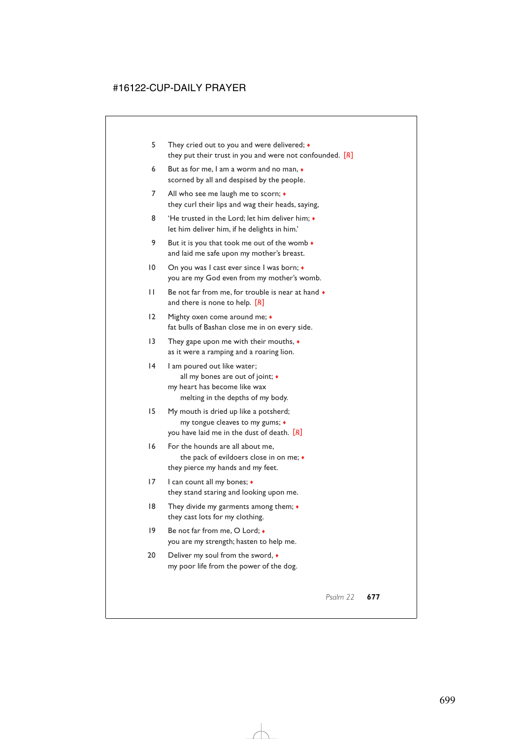- 5 They cried out to you and were delivered;  $\bullet$ they put their trust in you and were not confounded. [*R*]
- 6 But as for me, I am a worm and no man, ♦ scorned by all and despised by the people.
- 7 All who see me laugh me to scorn;  $\triangleleft$ they curl their lips and wag their heads, saying,
- 8 'He trusted in the Lord; let him deliver him;  $\bullet$ let him deliver him, if he delights in him.'
- 9 But it is you that took me out of the womb  $\bullet$ and laid me safe upon my mother's breast.
- 10 On you was I cast ever since I was born;  $\triangleleft$ you are my God even from my mother's womb.
- $11$  Be not far from me, for trouble is near at hand  $\bullet$ and there is none to help. [*R*]
- 12 Mighty oxen come around me;  $\bullet$ fat bulls of Bashan close me in on every side.
- 13 They gape upon me with their mouths, ♦ as it were a ramping and a roaring lion.
- 14 I am poured out like water; all my bones are out of joint; ♦ my heart has become like wax
	- melting in the depths of my body.
- 15 My mouth is dried up like a potsherd; my tongue cleaves to my gums; ♦ you have laid me in the dust of death. [*R*]
- 16 For the hounds are all about me, the pack of evildoers close in on me; ♦ they pierce my hands and my feet.
- 17 I can count all my bones; ♦ they stand staring and looking upon me.
- 18 They divide my garments among them; ♦ they cast lots for my clothing.
- 19 Be not far from me, O Lord:  $\bullet$ you are my strength; hasten to help me.
- 20 Deliver my soul from the sword,  $\bullet$ my poor life from the power of the dog.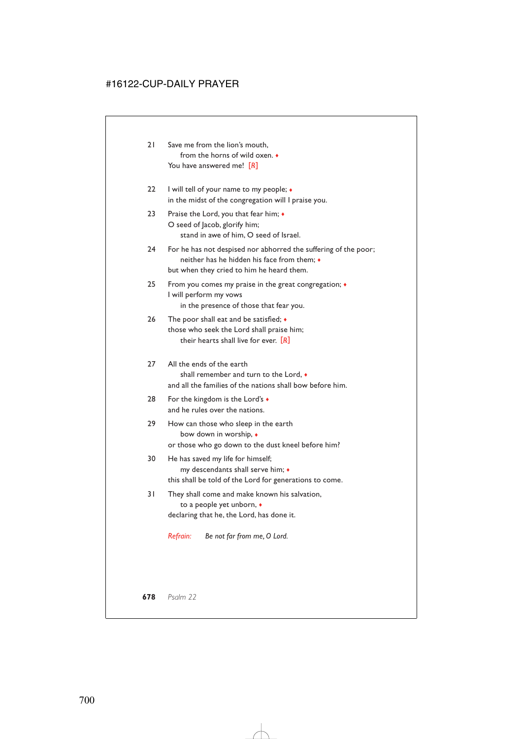| 21 | Save me from the lion's mouth.         |
|----|----------------------------------------|
|    | from the horns of wild oxen. $\bullet$ |
|    | You have answered me! [R]              |

- 22 I will tell of your name to my people;  $\bullet$ in the midst of the congregation will I praise you.
- 23 Praise the Lord, you that fear him;  $\bullet$ O seed of Jacob, glorify him; stand in awe of him, O seed of Israel.
- 24 For he has not despised nor abhorred the suffering of the poor; neither has he hidden his face from them; ♦ but when they cried to him he heard them.
- 25 From you comes my praise in the great congregation; ♦ I will perform my vows in the presence of those that fear you.
- 26 The poor shall eat and be satisfied;  $\bullet$ those who seek the Lord shall praise him; their hearts shall live for ever. [*R*]
- 27 All the ends of the earth shall remember and turn to the Lord, ♦ and all the families of the nations shall bow before him.
- 28 For the kingdom is the Lord's ♦ and he rules over the nations.
- 29 How can those who sleep in the earth bow down in worship, ♦ or those who go down to the dust kneel before him?
- 30 He has saved my life for himself; my descendants shall serve him; ♦ this shall be told of the Lord for generations to come.
- 31 They shall come and make known his salvation, to a people yet unborn, ♦ declaring that he, the Lord, has done it.

*Refrain: Be not far from me, O Lord.*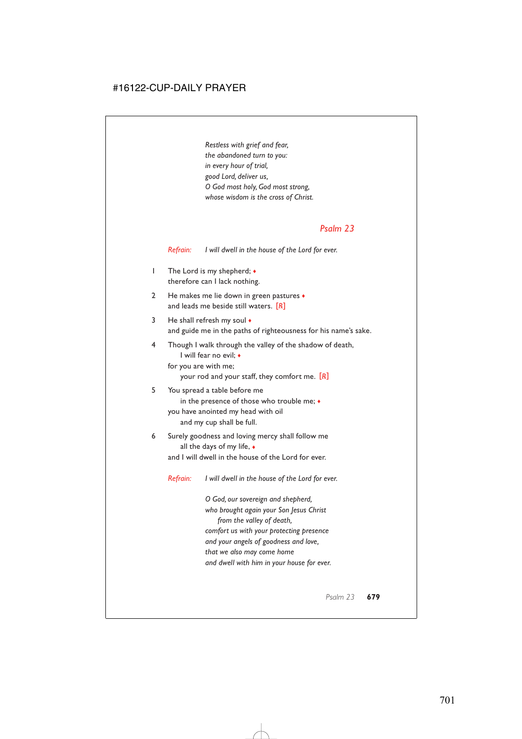*Restless with grief and fear, the abandoned turn to you: in every hour of trial, good Lord, deliver us, O God most holy, God most strong, whose wisdom is the cross of Christ.*

#### *Psalm 23*

*Refrain: I will dwell in the house of the Lord for ever.*

- 1 The Lord is my shepherd; ♦ therefore can I lack nothing.
- 2 He makes me lie down in green pastures  $\bullet$ and leads me beside still waters. [*R*]
- 3 He shall refresh my soul  $\bullet$ and guide me in the paths of righteousness for his name's sake.
- 4 Though I walk through the valley of the shadow of death, I will fear no evil; ♦
	- for you are with me; your rod and your staff, they comfort me. [*R*]
- 5 You spread a table before me in the presence of those who trouble me; ♦ you have anointed my head with oil and my cup shall be full.
- 6 Surely goodness and loving mercy shall follow me all the days of my life, ♦ and I will dwell in the house of the Lord for ever.

*Refrain: I will dwell in the house of the Lord for ever.*

*O God, our sovereign and shepherd, who brought again your Son Jesus Christ from the valley of death, comfort us with your protecting presence and your angels of goodness and love, that we also may come home and dwell with him in your house for ever.*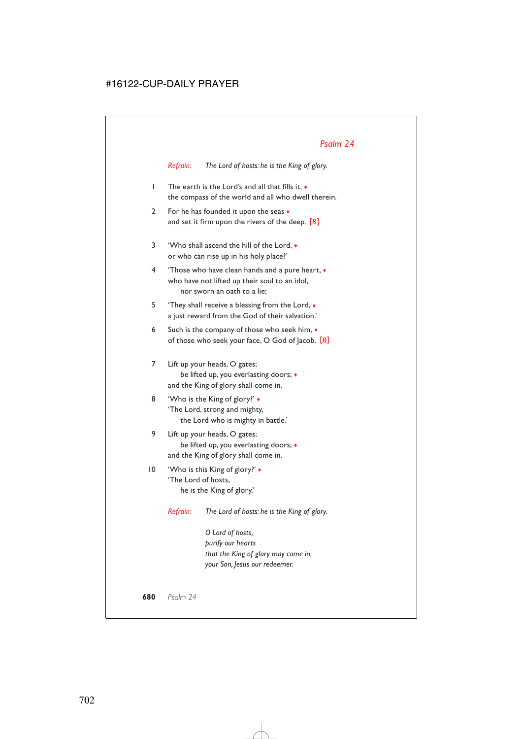*Refrain: The Lord of hosts: he is the King of glory.*

- 1 The earth is the Lord's and all that fills it, ♦ the compass of the world and all who dwell therein.
- 2 For he has founded it upon the seas  $\bullet$ and set it firm upon the rivers of the deep. [*R*]
- 3 'Who shall ascend the hill of the Lord, ♦ or who can rise up in his holy place?'
- 4 'Those who have clean hands and a pure heart, ♦ who have not lifted up their soul to an idol, nor sworn an oath to a lie;
- 5 'They shall receive a blessing from the Lord,  $\bullet$ a just reward from the God of their salvation.'
- 6 Such is the company of those who seek him, ♦ of those who seek your face, O God of Jacob. [*R*]
- 7 Lift up your heads, O gates; be lifted up, you everlasting doors; ♦ and the King of glory shall come in.
- 8 'Who is the King of glory?'  $\bullet$ 'The Lord, strong and mighty, the Lord who is mighty in battle.'
- 9 Lift up your heads, O gates; be lifted up, you everlasting doors; ♦ and the King of glory shall come in.
- 10 'Who is this King of glory?' ♦ 'The Lord of hosts, he is the King of glory.'

*Refrain: The Lord of hosts: he is the King of glory.*

*O Lord of hosts, purify our hearts that the King of glory may come in, your Son, Jesus our redeemer.*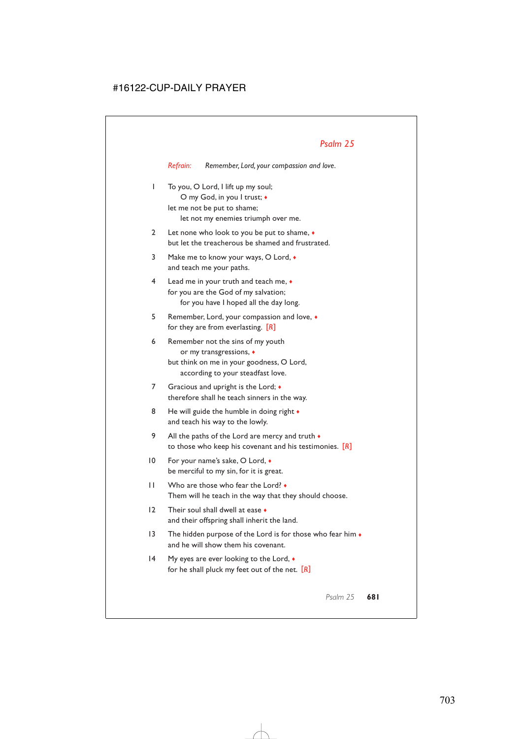*Refrain: Remember, Lord, your compassion and love.*

| I            | To you, O Lord, I lift up my soul;<br>O my God, in you I trust; •<br>let me not be put to shame;<br>let not my enemies triumph over me.        |
|--------------|------------------------------------------------------------------------------------------------------------------------------------------------|
| 2            | Let none who look to you be put to shame, $\bullet$<br>but let the treacherous be shamed and frustrated.                                       |
| 3            | Make me to know your ways, O Lord, $\bullet$<br>and teach me your paths.                                                                       |
| 4            | Lead me in your truth and teach me, $\bullet$<br>for you are the God of my salvation;<br>for you have I hoped all the day long.                |
| 5            | Remember, Lord, your compassion and love, •<br>for they are from everlasting. $[R]$                                                            |
| 6            | Remember not the sins of my youth<br>or my transgressions, •<br>but think on me in your goodness, O Lord,<br>according to your steadfast love. |
| 7            | Gracious and upright is the Lord; •<br>therefore shall he teach sinners in the way.                                                            |
| 8            | He will guide the humble in doing right +<br>and teach his way to the lowly.                                                                   |
| 9            | All the paths of the Lord are mercy and truth $\bullet$<br>to those who keep his covenant and his testimonies. $[R]$                           |
| 10           | For your name's sake, O Lord, ◆<br>be merciful to my sin, for it is great.                                                                     |
| $\mathsf{I}$ | Who are those who fear the Lord? $\bullet$<br>Them will he teach in the way that they should choose.                                           |
| 12           | Their soul shall dwell at ease $\bullet$<br>and their offspring shall inherit the land.                                                        |
| 13           | The hidden purpose of the Lord is for those who fear him $\bullet$<br>and he will show them his covenant.                                      |
| 14           | My eyes are ever looking to the Lord, $\bullet$<br>for he shall pluck my feet out of the net. $[R]$                                            |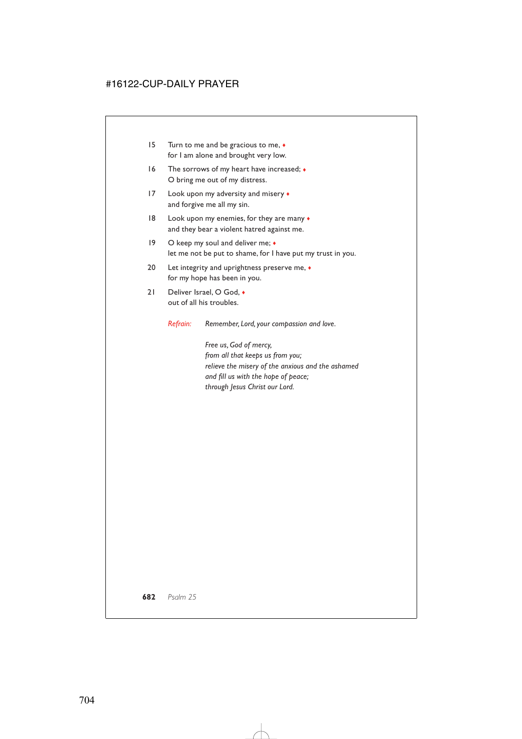- 15 Turn to me and be gracious to me, ♦ for I am alone and brought very low.
- 16 The sorrows of my heart have increased;  $\bullet$ O bring me out of my distress.
- 17 Look upon my adversity and misery  $\bullet$ and forgive me all my sin.
- 18 Look upon my enemies, for they are many ♦ and they bear a violent hatred against me.
- 19 O keep my soul and deliver me;  $\bullet$ let me not be put to shame, for I have put my trust in you.
- 20 Let integrity and uprightness preserve me,  $\bullet$ for my hope has been in you.
- 21 Deliver Israel, O God,  $\bullet$ out of all his troubles.

*Refrain: Remember, Lord, your compassion and love.*

*Free us, God of mercy, from all that keeps us from you; relieve the misery of the anxious and the ashamed and fill us with the hope of peace; through Jesus Christ our Lord.*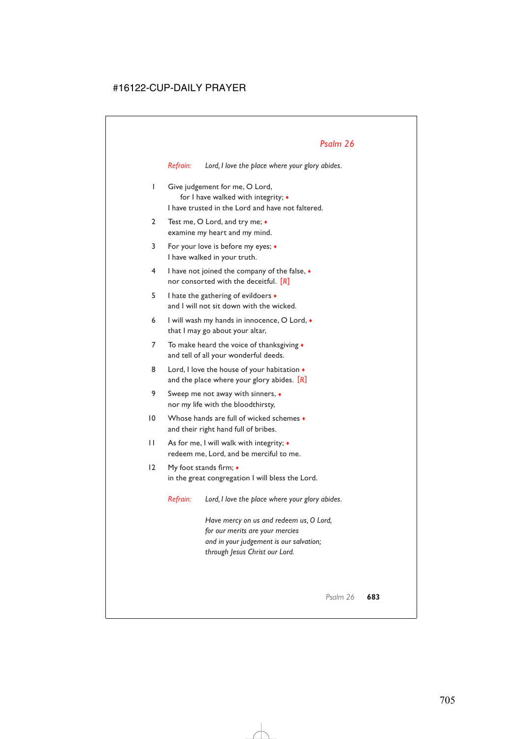*Refrain: Lord, I love the place where your glory abides.*

- 1 Give judgement for me, O Lord, for I have walked with integrity; ♦ I have trusted in the Lord and have not faltered.
- 2 Test me, O Lord, and try me;  $\bullet$ examine my heart and my mind.
- 3 For your love is before my eyes; ♦ I have walked in your truth.
- 4 I have not joined the company of the false, ♦ nor consorted with the deceitful. [*R*]
- 5 I hate the gathering of evildoers  $\bullet$ and I will not sit down with the wicked.
- 6 I will wash my hands in innocence, O Lord, ♦ that I may go about your altar,
- 7 To make heard the voice of thanksgiving  $\bullet$ and tell of all your wonderful deeds.
- 8 Lord, I love the house of your habitation  $\bullet$ and the place where your glory abides. [*R*]
- 9 Sweep me not away with sinners,  $\bullet$ nor my life with the bloodthirsty,
- 10 Whose hands are full of wicked schemes  $\bullet$ and their right hand full of bribes.
- 11 As for me, I will walk with integrity; ♦ redeem me, Lord, and be merciful to me.
- 12 My foot stands firm;  $\triangleleft$ in the great congregation I will bless the Lord.

*Refrain: Lord, I love the place where your glory abides.*

*Have mercy on us and redeem us, O Lord, for our merits are your mercies and in your judgement is our salvation; through Jesus Christ our Lord.*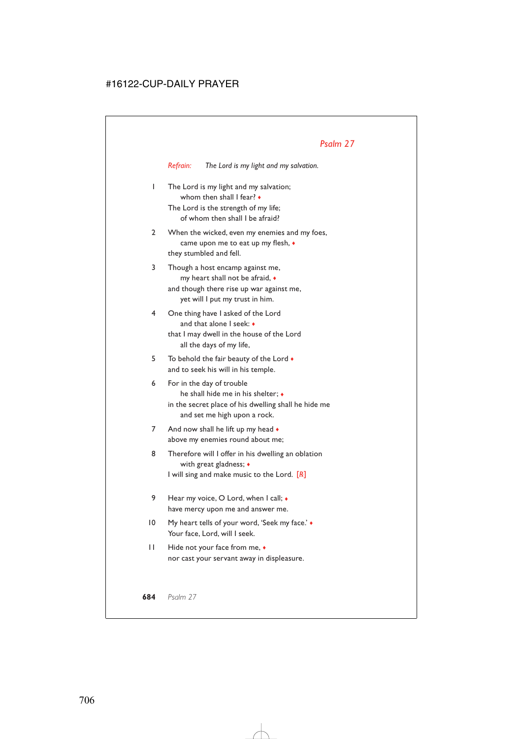*Refrain: The Lord is my light and my salvation.*

1 The Lord is my light and my salvation; whom then shall I fear? ♦

The Lord is the strength of my life; of whom then shall I be afraid?

- 2 When the wicked, even my enemies and my foes, came upon me to eat up my flesh, ♦ they stumbled and fell.
- 3 Though a host encamp against me, my heart shall not be afraid, ♦ and though there rise up war against me, yet will I put my trust in him.
- 4 One thing have I asked of the Lord and that alone I seek: ♦ that I may dwell in the house of the Lord all the days of my life,
- 5 To behold the fair beauty of the Lord  $\bullet$ and to seek his will in his temple.
- 6 For in the day of trouble he shall hide me in his shelter; ♦ in the secret place of his dwelling shall he hide me and set me high upon a rock.
- 7 And now shall he lift up my head  $\bullet$ above my enemies round about me;
- 8 Therefore will I offer in his dwelling an oblation with great gladness; ♦ I will sing and make music to the Lord. [*R*]
- 9 Hear my voice, O Lord, when I call;  $\bullet$ have mercy upon me and answer me.
- 10 My heart tells of your word, 'Seek my face.' ♦ Your face, Lord, will I seek.
- 11 Hide not your face from me, ♦ nor cast your servant away in displeasure.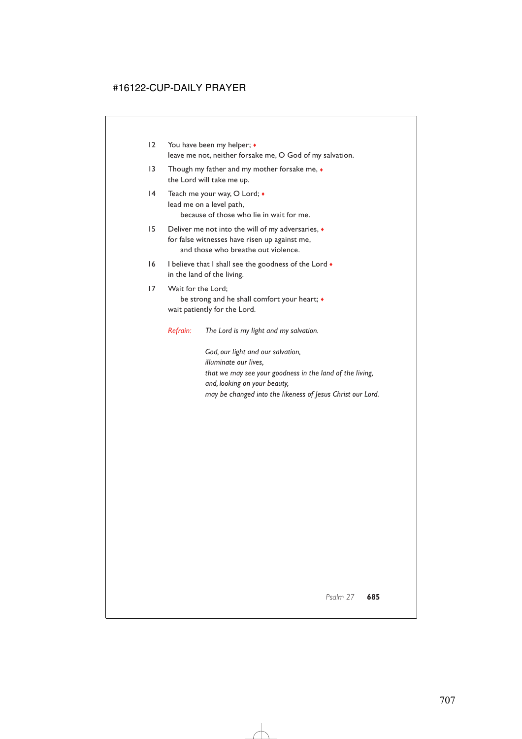- 12 You have been my helper; ♦ leave me not, neither forsake me, O God of my salvation.
- 13 Though my father and my mother forsake me,  $\bullet$ the Lord will take me up.
- 14 Teach me your way, O Lord;  $\bullet$ lead me on a level path, because of those who lie in wait for me.
- 15 Deliver me not into the will of my adversaries, ♦ for false witnesses have risen up against me, and those who breathe out violence.
- 16 I believe that I shall see the goodness of the Lord  $\bullet$ in the land of the living.
- 17 Wait for the Lord;

be strong and he shall comfort your heart; ♦ wait patiently for the Lord.

*Refrain: The Lord is my light and my salvation.*

*God, our light and our salvation, illuminate our lives, that we may see your goodness in the land of the living, and, looking on your beauty, may be changed into the likeness of Jesus Christ our Lord.*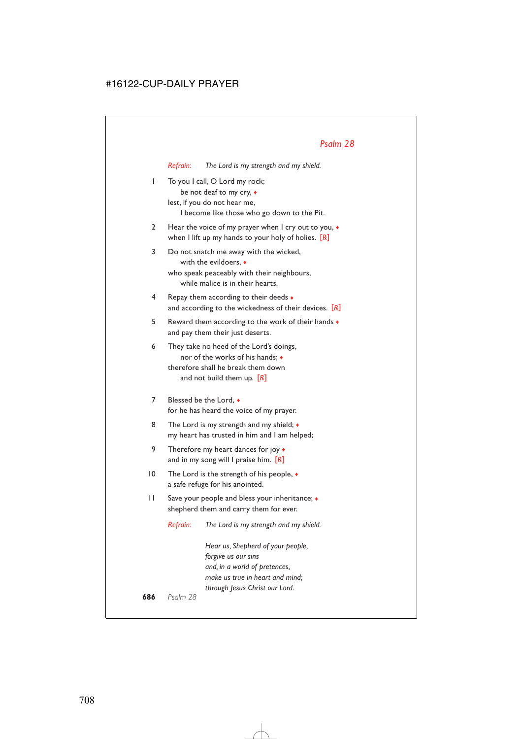|    | Refrain:                                                                                                                                                  | The Lord is my strength and my shield.                                                                                                                         |  |  |
|----|-----------------------------------------------------------------------------------------------------------------------------------------------------------|----------------------------------------------------------------------------------------------------------------------------------------------------------------|--|--|
| I  | To you I call, O Lord my rock;<br>be not deaf to my cry, •<br>lest, if you do not hear me,<br>I become like those who go down to the Pit.                 |                                                                                                                                                                |  |  |
| 2  | Hear the voice of my prayer when I cry out to you, •<br>when I lift up my hands to your holy of holies. $[R]$                                             |                                                                                                                                                                |  |  |
| 3  | Do not snatch me away with the wicked,<br>with the evildoers, •<br>who speak peaceably with their neighbours,<br>while malice is in their hearts.         |                                                                                                                                                                |  |  |
| 4  | Repay them according to their deeds •<br>and according to the wickedness of their devices. $[R]$                                                          |                                                                                                                                                                |  |  |
| 5  | Reward them according to the work of their hands $\bullet$<br>and pay them their just deserts.                                                            |                                                                                                                                                                |  |  |
| 6  | They take no heed of the Lord's doings,<br>nor of the works of his hands: $\bullet$<br>therefore shall he break them down<br>and not build them up. $[R]$ |                                                                                                                                                                |  |  |
| 7  | Blessed be the Lord. •<br>for he has heard the voice of my prayer.                                                                                        |                                                                                                                                                                |  |  |
| 8  | The Lord is my strength and my shield; $\bullet$<br>my heart has trusted in him and I am helped;                                                          |                                                                                                                                                                |  |  |
| 9  | Therefore my heart dances for joy •<br>and in my song will I praise him. $[R]$                                                                            |                                                                                                                                                                |  |  |
| 10 | The Lord is the strength of his people, $\bullet$<br>a safe refuge for his anointed.                                                                      |                                                                                                                                                                |  |  |
| П  | Save your people and bless your inheritance; •<br>shepherd them and carry them for ever.                                                                  |                                                                                                                                                                |  |  |
|    | Refrain:                                                                                                                                                  | The Lord is my strength and my shield.                                                                                                                         |  |  |
|    |                                                                                                                                                           | Hear us, Shepherd of your people,<br>forgive us our sins<br>and, in a world of pretences,<br>make us true in heart and mind;<br>through Jesus Christ our Lord. |  |  |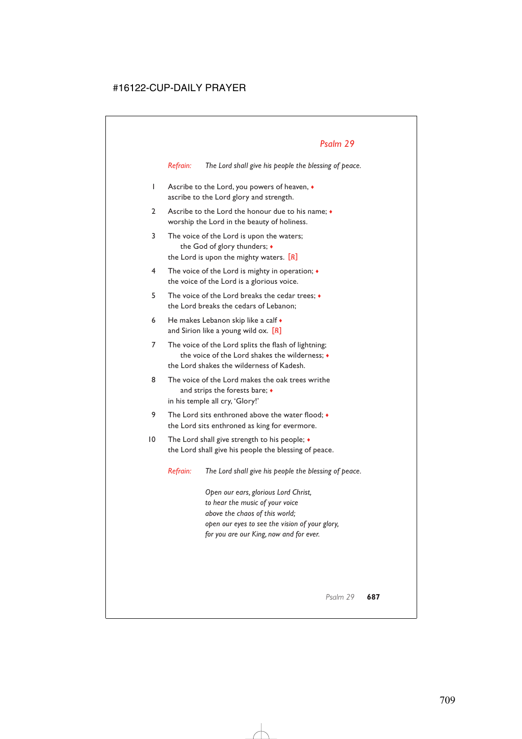*Refrain: The Lord shall give his people the blessing of peace.*

- 1 Ascribe to the Lord, you powers of heaven, ♦ ascribe to the Lord glory and strength.
- 2 Ascribe to the Lord the honour due to his name:  $\bullet$ worship the Lord in the beauty of holiness.
- 3 The voice of the Lord is upon the waters; the God of glory thunders; ♦ the Lord is upon the mighty waters. [*R*]
- 4 The voice of the Lord is mighty in operation; ♦ the voice of the Lord is a glorious voice.
- 5 The voice of the Lord breaks the cedar trees; ♦ the Lord breaks the cedars of Lebanon;
- 6 He makes Lebanon skip like a calf  $\bullet$ and Sirion like a young wild ox. [*R*]
- 7 The voice of the Lord splits the flash of lightning; the voice of the Lord shakes the wilderness; ♦ the Lord shakes the wilderness of Kadesh.
- 8 The voice of the Lord makes the oak trees writhe and strips the forests bare;  $\bullet$ in his temple all cry, 'Glory!'
- 9 The Lord sits enthroned above the water flood:  $\bullet$ the Lord sits enthroned as king for evermore.
- 10 The Lord shall give strength to his people;  $\triangleleft$ the Lord shall give his people the blessing of peace.

*Refrain: The Lord shall give his people the blessing of peace.*

*Open our ears, glorious Lord Christ, to hear the music of your voice above the chaos of this world; open our eyes to see the vision of your glory, for you are our King, now and for ever.*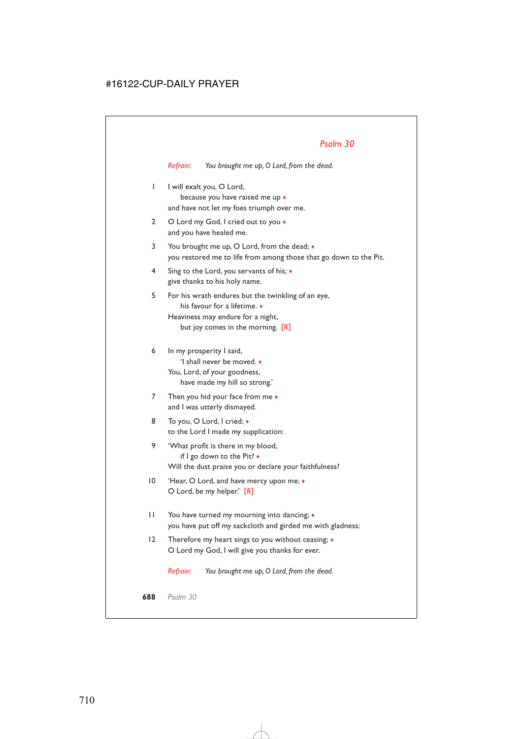*Refrain: You brought me up, O Lord, from the dead.*

- 1 I will exalt you, O Lord, because you have raised me up ♦ and have not let my foes triumph over me.
- 2 O Lord my God, I cried out to you  $\bullet$ and you have healed me.
- 3 You brought me up, O Lord, from the dead; ♦ you restored me to life from among those that go down to the Pit.
- 4 Sing to the Lord, you servants of his; ♦ give thanks to his holy name.
- 5 For his wrath endures but the twinkling of an eye, his favour for a lifetime. ♦ Heaviness may endure for a night, but joy comes in the morning. [*R*]
- 6 In my prosperity I said, 'I shall never be moved. ♦ You, Lord, of your goodness, have made my hill so strong.'
- 7 Then you hid your face from me  $\bullet$ and I was utterly dismayed.
- 8 To you, O Lord, I cried; ♦ to the Lord I made my supplication:
- 9 'What profit is there in my blood, if I go down to the Pit? ♦ Will the dust praise you or declare your faithfulness?
- 10 'Hear, O Lord, and have mercy upon me;  $\triangleleft$ O Lord, be my helper.' [*R*]
- 11 You have turned my mourning into dancing; ♦ you have put off my sackcloth and girded me with gladness;
- 12 Therefore my heart sings to you without ceasing;  $\triangleleft$ O Lord my God, I will give you thanks for ever.

*Refrain: You brought me up, O Lord, from the dead.*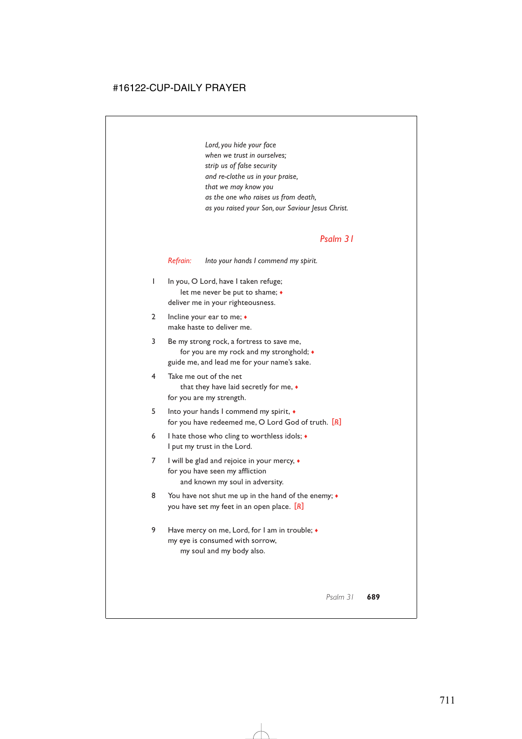*Lord, you hide your face when we trust in ourselves; strip us of false security and re-clothe us in your praise, that we may know you as the one who raises us from death, as you raised your Son, our Saviour Jesus Christ.*

#### *Psalm 31*

*Refrain: Into your hands I commend my spirit.*

- 1 In you, O Lord, have I taken refuge; let me never be put to shame; ♦ deliver me in your righteousness.
- 2 Incline your ear to me;  $\bullet$ make haste to deliver me.
- 3 Be my strong rock, a fortress to save me, for you are my rock and my stronghold; ♦ guide me, and lead me for your name's sake.
- 4 Take me out of the net that they have laid secretly for me, ♦ for you are my strength.
- 5 Into your hands I commend my spirit, ♦ for you have redeemed me, O Lord God of truth. [*R*]
- 6 I hate those who cling to worthless idols;  $\triangleleft$ I put my trust in the Lord.
- 7 I will be glad and rejoice in your mercy, ♦ for you have seen my affliction and known my soul in adversity.
- 8 You have not shut me up in the hand of the enemy;  $\bullet$ you have set my feet in an open place. [*R*]
- 9 Have mercy on me, Lord, for I am in trouble;  $\triangleleft$ my eye is consumed with sorrow, my soul and my body also.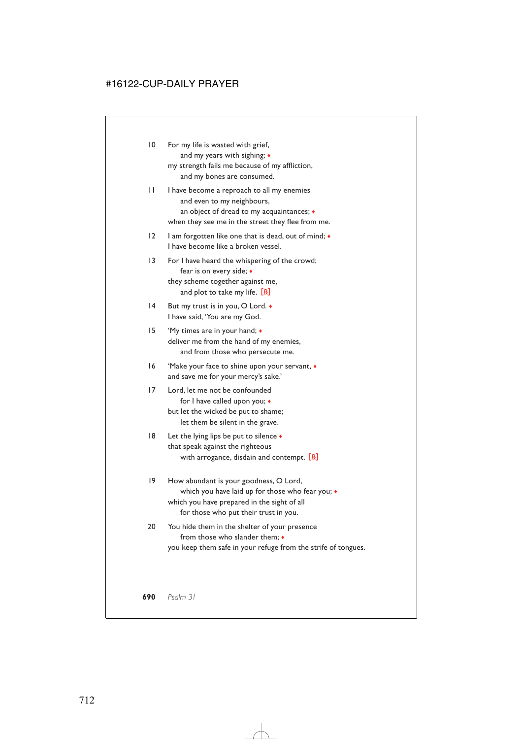| 10              | For my life is wasted with grief,<br>and my years with sighing; +<br>my strength fails me because of my affliction,<br>and my bones are consumed.                                  |  |  |  |
|-----------------|------------------------------------------------------------------------------------------------------------------------------------------------------------------------------------|--|--|--|
| Н               | I have become a reproach to all my enemies<br>and even to my neighbours,<br>an object of dread to my acquaintances; •<br>when they see me in the street they flee from me.         |  |  |  |
| 12              | I am forgotten like one that is dead, out of mind; •<br>I have become like a broken vessel.                                                                                        |  |  |  |
| $\overline{13}$ | For I have heard the whispering of the crowd;<br>fear is on every side; •<br>they scheme together against me,<br>and plot to take my life. $[R]$                                   |  |  |  |
| 14              | But my trust is in you, O Lord. •<br>I have said, 'You are my God.                                                                                                                 |  |  |  |
| 15              | 'My times are in your hand; •<br>deliver me from the hand of my enemies,<br>and from those who persecute me.                                                                       |  |  |  |
| 16              | 'Make your face to shine upon your servant, •<br>and save me for your mercy's sake.'                                                                                               |  |  |  |
| 17              | Lord, let me not be confounded<br>for I have called upon you; •<br>but let the wicked be put to shame;<br>let them be silent in the grave.                                         |  |  |  |
| 18              | Let the lying lips be put to silence •<br>that speak against the righteous<br>with arrogance, disdain and contempt. $[R]$                                                          |  |  |  |
| 19              | How abundant is your goodness, O Lord,<br>which you have laid up for those who fear you; •<br>which you have prepared in the sight of all<br>for those who put their trust in you. |  |  |  |

#### 20 You hide them in the shelter of your presence from those who slander them;  $\bullet$ you keep them safe in your refuge from the strife of tongues.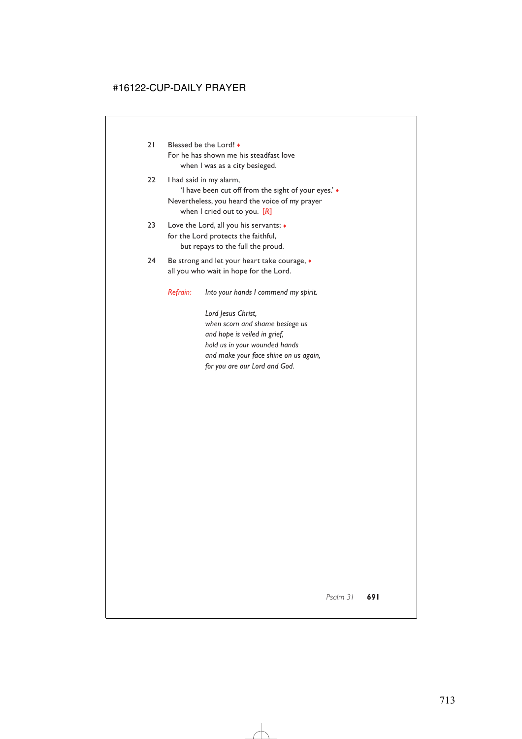- 21 Blessed be the Lord! For he has shown me his steadfast love when I was as a city besieged.
- 22 I had said in my alarm, 'I have been cut off from the sight of your eyes.' ♦ Nevertheless, you heard the voice of my prayer when I cried out to you. [*R*]
- 23 Love the Lord, all you his servants;  $\triangleleft$ for the Lord protects the faithful, but repays to the full the proud.
- 24 Be strong and let your heart take courage,  $\bullet$ all you who wait in hope for the Lord.
	- *Refrain: Into your hands I commend my spirit.*

*Lord Jesus Christ, when scorn and shame besiege us and hope is veiled in grief, hold us in your wounded hands and make your face shine on us again, for you are our Lord and God.*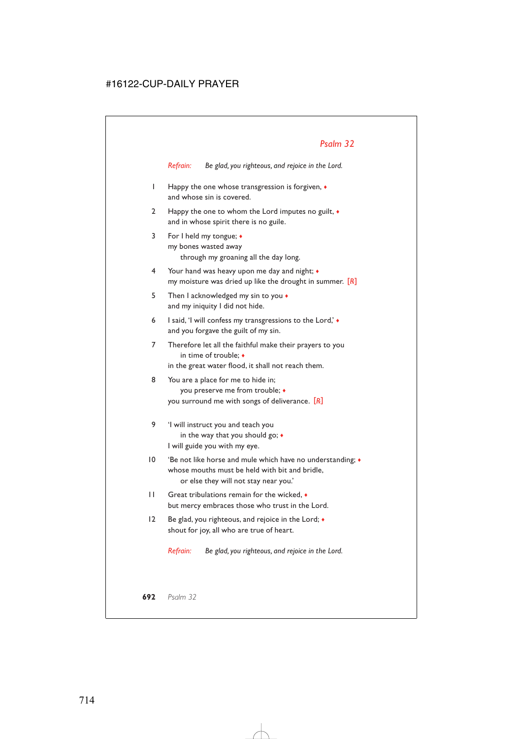*Refrain: Be glad, you righteous, and rejoice in the Lord.*

- 1 Happy the one whose transgression is forgiven, ♦ and whose sin is covered.
- 2 Happy the one to whom the Lord imputes no guilt, ♦ and in whose spirit there is no guile.
- 3 For I held my tongue; ♦ my bones wasted away through my groaning all the day long.
- 4 Your hand was heavy upon me day and night; ♦ my moisture was dried up like the drought in summer. [*R*]
- 5 Then I acknowledged my sin to you  $\bullet$ and my iniquity I did not hide.
- 6 I said, 'I will confess my transgressions to the Lord,' ♦ and you forgave the guilt of my sin.
- 7 Therefore let all the faithful make their prayers to you in time of trouble; ♦ in the great water flood, it shall not reach them.
- 8 You are a place for me to hide in; you preserve me from trouble; ♦ you surround me with songs of deliverance. [*R*]
- 9 'I will instruct you and teach you in the way that you should go; ♦ I will guide you with my eye.
- 10 'Be not like horse and mule which have no understanding;  $\bullet$ whose mouths must be held with bit and bridle, or else they will not stay near you.'
- 11 Great tribulations remain for the wicked, ♦ but mercy embraces those who trust in the Lord.
- 12 Be glad, you righteous, and rejoice in the Lord;  $\bullet$ shout for joy, all who are true of heart.

*Refrain: Be glad, you righteous, and rejoice in the Lord.*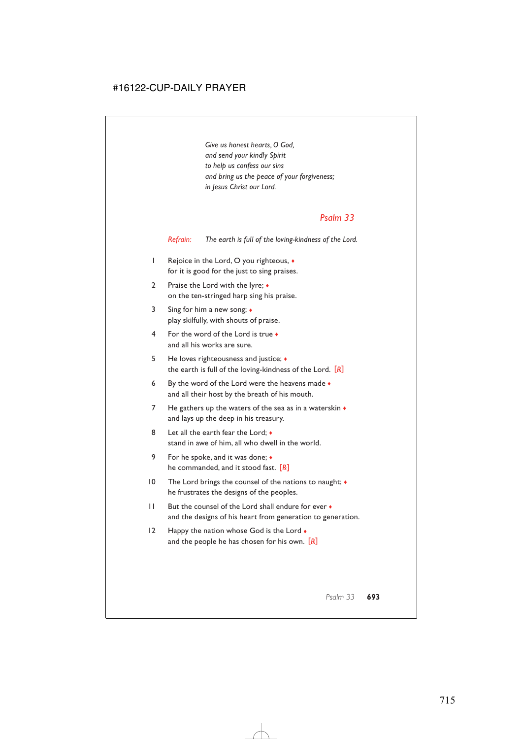*Give us honest hearts, O God, and send your kindly Spirit to help us confess our sins and bring us the peace of your forgiveness; in Jesus Christ our Lord.*

### *Psalm 33*

*Refrain: The earth is full of the loving-kindness of the Lord.*

- 1 Rejoice in the Lord, O you righteous, ♦ for it is good for the just to sing praises.
- 2 Praise the Lord with the lyre;  $\triangleleft$ on the ten-stringed harp sing his praise.
- 3 Sing for him a new song; ♦ play skilfully, with shouts of praise.
- 4 For the word of the Lord is true ♦ and all his works are sure.
- 5 He loves righteousness and justice; ♦ the earth is full of the loving-kindness of the Lord. [*R*]
- 6 By the word of the Lord were the heavens made  $\bullet$ and all their host by the breath of his mouth.
- 7 He gathers up the waters of the sea as in a waterskin  $\bullet$ and lays up the deep in his treasury.
- 8 Let all the earth fear the Lord;  $\bullet$ stand in awe of him, all who dwell in the world.
- 9 For he spoke, and it was done; ♦ he commanded, and it stood fast. [*R*]
- 10 The Lord brings the counsel of the nations to naught; ♦ he frustrates the designs of the peoples.
- 11 But the counsel of the Lord shall endure for ever ♦ and the designs of his heart from generation to generation.
- 12 Happy the nation whose God is the Lord  $\bullet$ and the people he has chosen for his own. [*R*]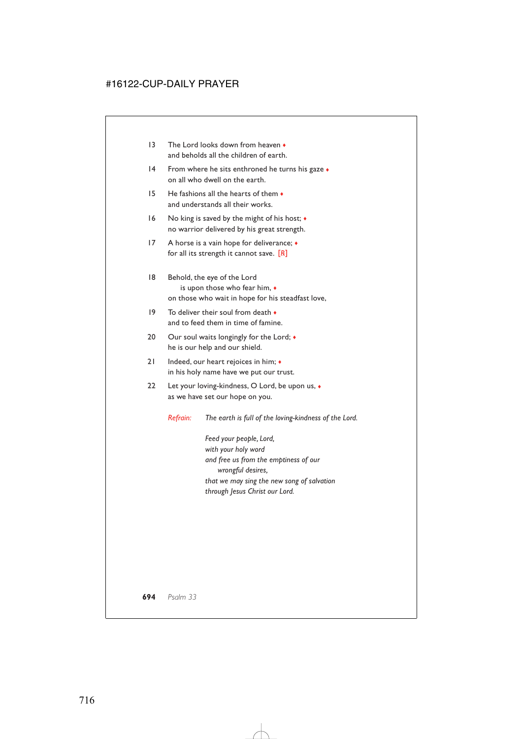- 13 The Lord looks down from heaven ♦ and beholds all the children of earth.
- 14 From where he sits enthroned he turns his gaze  $\bullet$ on all who dwell on the earth.
- 15 He fashions all the hearts of them ♦ and understands all their works.
- 16 No king is saved by the might of his host;  $\triangleleft$ no warrior delivered by his great strength.
- 17 A horse is a vain hope for deliverance; ♦ for all its strength it cannot save. [*R*]
- 18 Behold, the eye of the Lord is upon those who fear him, ♦ on those who wait in hope for his steadfast love,
- 19 To deliver their soul from death ♦ and to feed them in time of famine.
- 20 Our soul waits longingly for the Lord;  $\bullet$ he is our help and our shield.
- 21 Indeed, our heart rejoices in him;  $\triangleleft$ in his holy name have we put our trust.
- 22 Let your loving-kindness, O Lord, be upon us,  $\bullet$ as we have set our hope on you.

*Refrain: The earth is full of the loving-kindness of the Lord.*

*Feed your people, Lord, with your holy word and free us from the emptiness of our wrongful desires, that we may sing the new song of salvation through Jesus Christ our Lord.*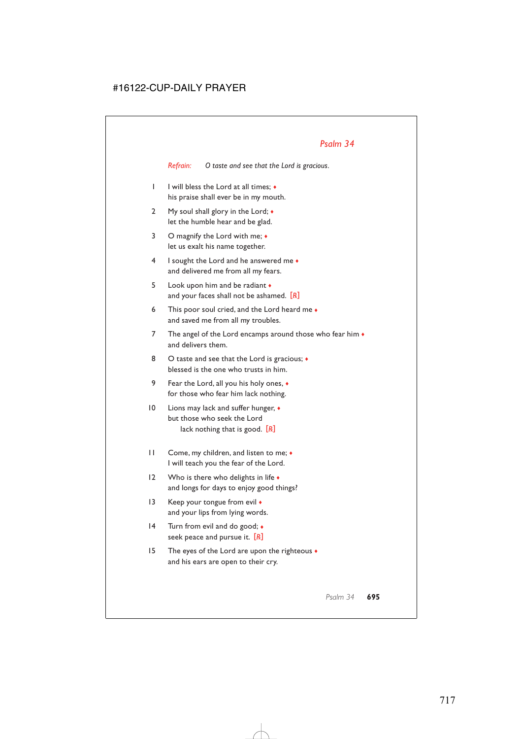*Refrain: O taste and see that the Lord is gracious.*

- 1 I will bless the Lord at all times; ♦ his praise shall ever be in my mouth.
- 2 My soul shall glory in the Lord;  $\bullet$ let the humble hear and be glad.
- 3 O magnify the Lord with me;  $\bullet$ let us exalt his name together.
- 4 I sought the Lord and he answered me ♦ and delivered me from all my fears.
- 5 Look upon him and be radiant  $\bullet$ and your faces shall not be ashamed. [*R*]
- 6 This poor soul cried, and the Lord heard me  $\bullet$ and saved me from all my troubles.
- 7 The angel of the Lord encamps around those who fear him  $\bullet$ and delivers them.
- 8 O taste and see that the Lord is gracious;  $\bullet$ blessed is the one who trusts in him.
- 9 Fear the Lord, all you his holy ones, ♦ for those who fear him lack nothing.
- 10 Lions may lack and suffer hunger,  $\bullet$ but those who seek the Lord lack nothing that is good. [*R*]
- 11 Come, my children, and listen to me; ♦ I will teach you the fear of the Lord.
- 12 Who is there who delights in life  $\bullet$ and longs for days to enjoy good things?
- 13 Keep your tongue from evil  $\bullet$ and your lips from lying words.
- 14 Turn from evil and do good;  $\triangleleft$ seek peace and pursue it. [*R*]
- 15 The eyes of the Lord are upon the righteous ♦ and his ears are open to their cry.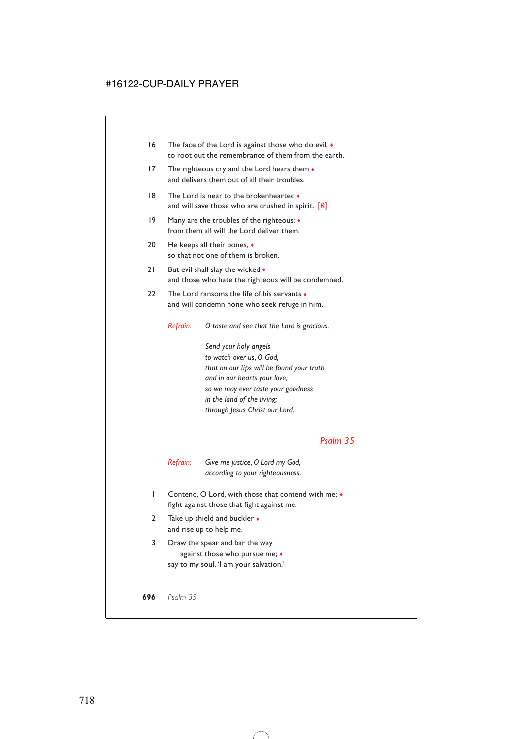- 16 The face of the Lord is against those who do evil, ♦ to root out the remembrance of them from the earth.
- 17 The righteous cry and the Lord hears them  $\bullet$ and delivers them out of all their troubles.
- 18 The Lord is near to the brokenhearted  $\bullet$ and will save those who are crushed in spirit. [*R*]
- 19 Many are the troubles of the righteous;  $\triangleleft$ from them all will the Lord deliver them.
- 20 He keeps all their bones, ♦ so that not one of them is broken.
- 21 But evil shall slay the wicked  $\bullet$ and those who hate the righteous will be condemned.
- 22 The Lord ransoms the life of his servants  $\bullet$ and will condemn none who seek refuge in him.

*Refrain: O taste and see that the Lord is gracious.*

*Send your holy angels to watch over us, O God, that on our lips will be found your truth and in our hearts your love; so we may ever taste your goodness in the land of the living; through Jesus Christ our Lord.*

### *Psalm 35*

*Refrain: Give me justice, O Lord my God, according to your righteousness.*

- 1 Contend, O Lord, with those that contend with me;  $\bullet$ fight against those that fight against me.
- 2 Take up shield and buckler ◆ and rise up to help me.
- 3 Draw the spear and bar the way against those who pursue me; ♦ say to my soul, 'I am your salvation.'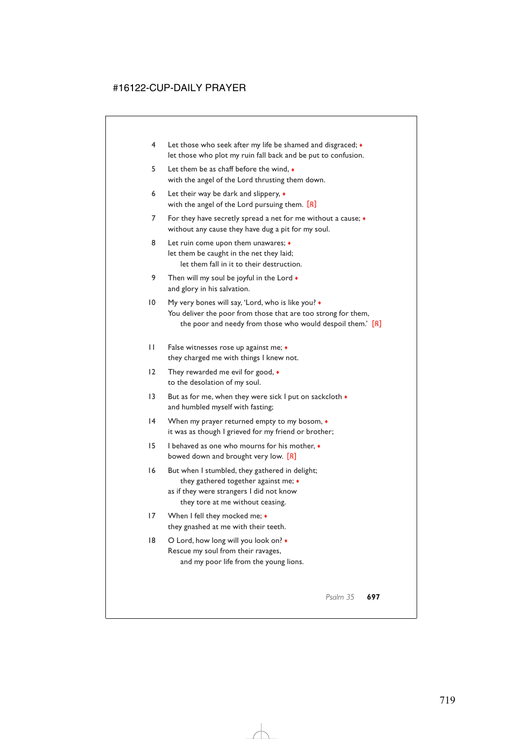- 4 Let those who seek after my life be shamed and disgraced; ♦ let those who plot my ruin fall back and be put to confusion.
- 5 Let them be as chaff before the wind, ♦ with the angel of the Lord thrusting them down.
- 6 Let their way be dark and slippery,  $\bullet$ with the angel of the Lord pursuing them. [*R*]
- 7 For they have secretly spread a net for me without a cause;  $\bullet$ without any cause they have dug a pit for my soul.
- 8 Let ruin come upon them unawares;  $\bullet$ let them be caught in the net they laid; let them fall in it to their destruction.
- 9 Then will my soul be joyful in the Lord  $\bullet$ and glory in his salvation.
- 10 My very bones will say, 'Lord, who is like you? ♦ You deliver the poor from those that are too strong for them, the poor and needy from those who would despoil them.' [*R*]
- 11 False witnesses rose up against me; ♦ they charged me with things I knew not.
- 12 They rewarded me evil for good,  $\bullet$ to the desolation of my soul.
- 13 But as for me, when they were sick I put on sackcloth  $\bullet$ and humbled myself with fasting;
- 14 When my prayer returned empty to my bosom, ♦ it was as though I grieved for my friend or brother;
- 15 I behaved as one who mourns for his mother, ♦ bowed down and brought very low. [*R*]
- 16 But when I stumbled, they gathered in delight; they gathered together against me; ♦
	- as if they were strangers I did not know they tore at me without ceasing.
- 17 When I fell they mocked me;  $\bullet$ they gnashed at me with their teeth.
- 18 O Lord, how long will you look on?  $\bullet$ Rescue my soul from their ravages, and my poor life from the young lions.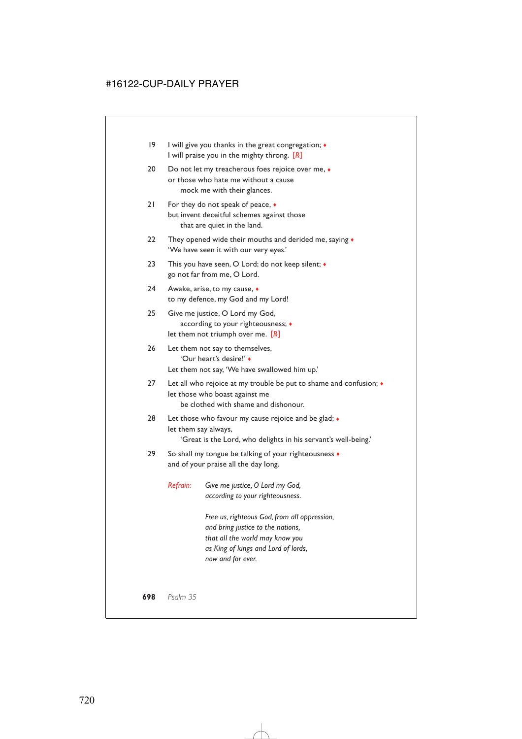| 19 | I will give you thanks in the great congregation; $\triangleleft$<br>I will praise you in the mighty throng. [R]                               |                                                                                                                                                             |  |  |
|----|------------------------------------------------------------------------------------------------------------------------------------------------|-------------------------------------------------------------------------------------------------------------------------------------------------------------|--|--|
| 20 | Do not let my treacherous foes rejoice over me, $\bullet$<br>or those who hate me without a cause<br>mock me with their glances.               |                                                                                                                                                             |  |  |
| 21 | For they do not speak of peace, •<br>but invent deceitful schemes against those<br>that are quiet in the land.                                 |                                                                                                                                                             |  |  |
| 22 | They opened wide their mouths and derided me, saying •<br>'We have seen it with our very eyes.'                                                |                                                                                                                                                             |  |  |
| 23 | This you have seen, O Lord; do not keep silent; •<br>go not far from me, O Lord.                                                               |                                                                                                                                                             |  |  |
| 24 | Awake, arise, to my cause, $\bullet$<br>to my defence, my God and my Lord!                                                                     |                                                                                                                                                             |  |  |
| 25 | Give me justice, O Lord my God,<br>according to your righteousness; •<br>let them not triumph over me. $[R]$                                   |                                                                                                                                                             |  |  |
| 26 | Let them not say to themselves,<br>'Our heart's desire!' •<br>Let them not say, 'We have swallowed him up.'                                    |                                                                                                                                                             |  |  |
| 27 | Let all who rejoice at my trouble be put to shame and confusion; •<br>let those who boast against me<br>be clothed with shame and dishonour.   |                                                                                                                                                             |  |  |
| 28 | Let those who favour my cause rejoice and be glad; •<br>let them say always,<br>'Great is the Lord, who delights in his servant's well-being.' |                                                                                                                                                             |  |  |
| 29 | So shall my tongue be talking of your righteousness •<br>and of your praise all the day long.                                                  |                                                                                                                                                             |  |  |
|    | Refrain:                                                                                                                                       | Give me justice, O Lord my God,<br>according to your righteousness.                                                                                         |  |  |
|    |                                                                                                                                                | Free us, righteous God, from all oppression,<br>and bring justice to the nations,<br>that all the world may know you<br>as King of kings and Lord of lords, |  |  |

*now and for ever.*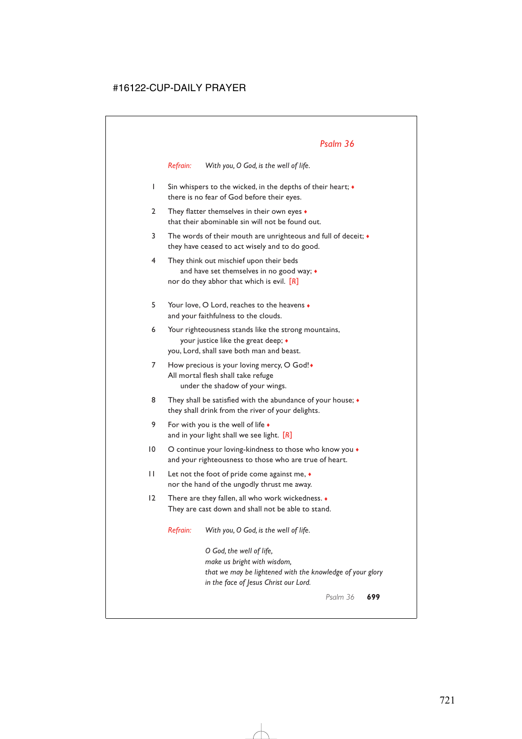*Refrain: With you, O God, is the well of life.*

- 1 Sin whispers to the wicked, in the depths of their heart; ♦ there is no fear of God before their eyes.
- 2 They flatter themselves in their own eyes  $\bullet$ that their abominable sin will not be found out.
- 3 The words of their mouth are unrighteous and full of deceit;  $\bullet$ they have ceased to act wisely and to do good.
- 4 They think out mischief upon their beds and have set themselves in no good way;  $\triangleleft$ nor do they abhor that which is evil. [*R*]
- 5 Your love, O Lord, reaches to the heavens ♦ and your faithfulness to the clouds.
- 6 Your righteousness stands like the strong mountains, your justice like the great deep; ♦ you, Lord, shall save both man and beast.
- 7 How precious is your loving mercy, O God! All mortal flesh shall take refuge under the shadow of your wings.
- 8 They shall be satisfied with the abundance of your house;  $\triangleleft$ they shall drink from the river of your delights.
- 9 For with you is the well of life  $\bullet$ and in your light shall we see light. [*R*]
- 10 O continue your loving-kindness to those who know you  $\bullet$ and your righteousness to those who are true of heart.
- 11 Let not the foot of pride come against me, ♦ nor the hand of the ungodly thrust me away.
- 12 There are they fallen, all who work wickedness. ♦ They are cast down and shall not be able to stand.

*Refrain: With you, O God, is the well of life.*

*O God, the well of life, make us bright with wisdom, that we may be lightened with the knowledge of your glory in the face of Jesus Christ our Lord.*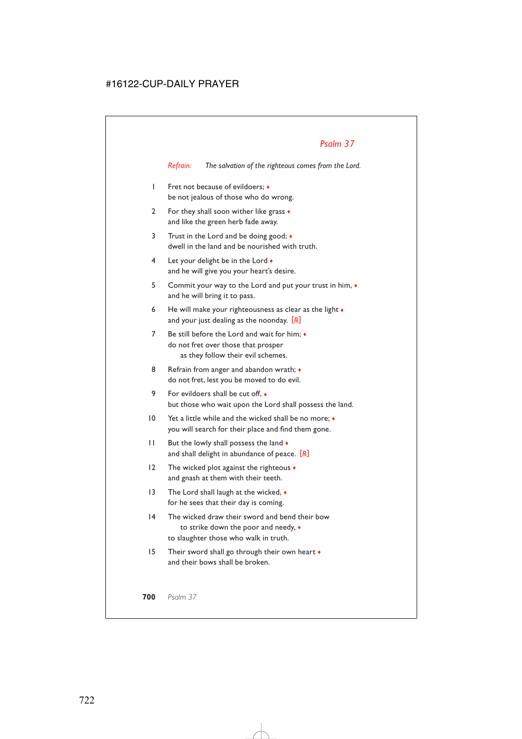*Refrain: The salvation of the righteous comes from the Lord.*

- 1 Fret not because of evildoers; ♦ be not jealous of those who do wrong.
- 2 For they shall soon wither like grass  $\bullet$ and like the green herb fade away.
- 3 Trust in the Lord and be doing good; ♦ dwell in the land and be nourished with truth.
- 4 Let your delight be in the Lord  $\bullet$ and he will give you your heart's desire.
- 5 Commit your way to the Lord and put your trust in him, ♦ and he will bring it to pass.
- 6 He will make your righteousness as clear as the light  $\bullet$ and your just dealing as the noonday. [*R*]
- 7 Be still before the Lord and wait for him;  $\bullet$ do not fret over those that prosper as they follow their evil schemes.
- 8 Refrain from anger and abandon wrath;  $\bullet$ do not fret, lest you be moved to do evil.
- 9 For evildoers shall be cut off.  $\bullet$ but those who wait upon the Lord shall possess the land.
- 10 Yet a little while and the wicked shall be no more; ♦ you will search for their place and find them gone.
- 11 But the lowly shall possess the land  $\bullet$ and shall delight in abundance of peace. [*R*]
- 12 The wicked plot against the righteous ♦ and gnash at them with their teeth.
- 13 The Lord shall laugh at the wicked, ♦ for he sees that their day is coming.
- 14 The wicked draw their sword and bend their bow to strike down the poor and needy, ♦ to slaughter those who walk in truth.
- 15 Their sword shall go through their own heart ♦ and their bows shall be broken.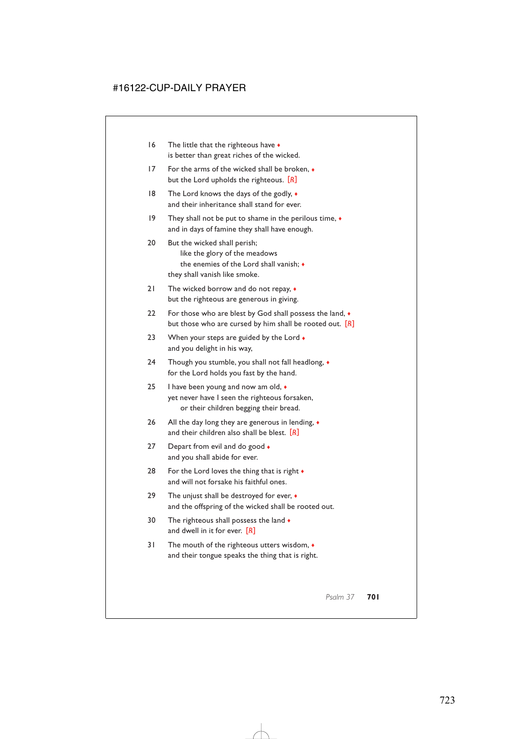- 16 The little that the righteous have  $\bullet$ is better than great riches of the wicked.
- 17 For the arms of the wicked shall be broken, ♦ but the Lord upholds the righteous. [*R*]
- 18 The Lord knows the days of the godly,  $\bullet$ and their inheritance shall stand for ever.
- 19 They shall not be put to shame in the perilous time, ♦ and in days of famine they shall have enough.
- 20 But the wicked shall perish; like the glory of the meadows the enemies of the Lord shall vanish; ♦ they shall vanish like smoke.
- 21 The wicked borrow and do not repay,  $\bullet$ but the righteous are generous in giving.
- 22 For those who are blest by God shall possess the land,  $\bullet$ but those who are cursed by him shall be rooted out. [*R*]
- 23 When your steps are guided by the Lord  $\bullet$ and you delight in his way,
- 24 Though you stumble, you shall not fall headlong, ♦ for the Lord holds you fast by the hand.
- 25 I have been young and now am old,  $\bullet$ yet never have I seen the righteous forsaken, or their children begging their bread.
- 26 All the day long they are generous in lending,  $\bullet$ and their children also shall be blest. [*R*]
- 27 Depart from evil and do good  $\bullet$ and you shall abide for ever.
- 28 For the Lord loves the thing that is right  $\bullet$ and will not forsake his faithful ones.
- 29 The unjust shall be destroyed for ever,  $\triangleleft$ and the offspring of the wicked shall be rooted out.
- 30 The righteous shall possess the land  $\bullet$ and dwell in it for ever. [*R*]
- 31 The mouth of the righteous utters wisdom, ♦ and their tongue speaks the thing that is right.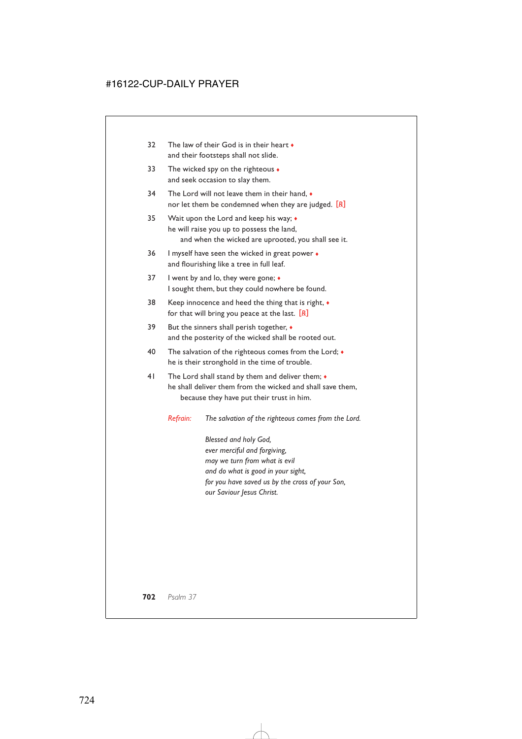- 32 The law of their God is in their heart  $\bullet$ and their footsteps shall not slide.
- 33 The wicked spy on the righteous  $\bullet$ and seek occasion to slay them.
- 34 The Lord will not leave them in their hand, ♦ nor let them be condemned when they are judged. [*R*]
- 35 Wait upon the Lord and keep his way; ♦ he will raise you up to possess the land, and when the wicked are uprooted, you shall see it.
- 36 I myself have seen the wicked in great power ♦ and flourishing like a tree in full leaf.
- 37 I went by and lo, they were gone;  $\triangleleft$ I sought them, but they could nowhere be found.
- 38 Keep innocence and heed the thing that is right, ♦ for that will bring you peace at the last. [*R*]
- 39 But the sinners shall perish together,  $\bullet$ and the posterity of the wicked shall be rooted out.
- 40 The salvation of the righteous comes from the Lord;  $\bullet$ he is their stronghold in the time of trouble.
- 41 The Lord shall stand by them and deliver them;  $\triangleleft$ he shall deliver them from the wicked and shall save them, because they have put their trust in him.

*Refrain: The salvation of the righteous comes from the Lord.*

*Blessed and holy God, ever merciful and forgiving, may we turn from what is evil and do what is good in your sight, for you have saved us by the cross of your Son, our Saviour Jesus Christ.*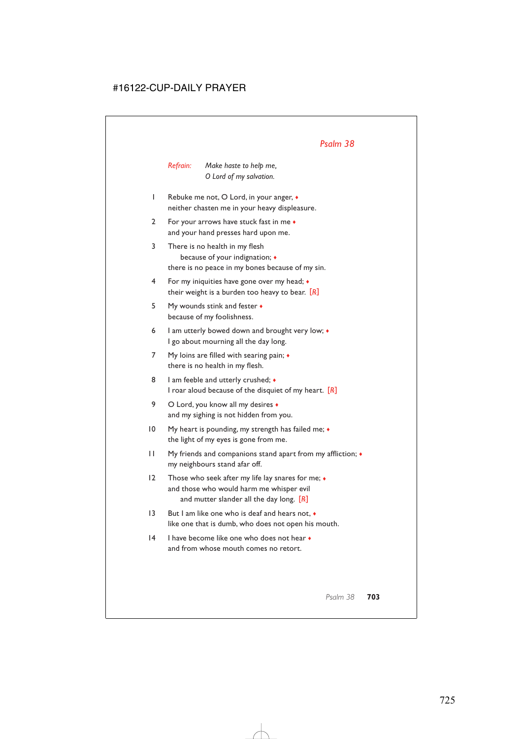*Refrain: Make haste to help me, O Lord of my salvation.*

- 1 Rebuke me not, O Lord, in your anger, ♦ neither chasten me in your heavy displeasure.
- 2 For your arrows have stuck fast in me ♦ and your hand presses hard upon me.
- 3 There is no health in my flesh because of your indignation; ♦ there is no peace in my bones because of my sin.
- 4 For my iniquities have gone over my head; ♦ their weight is a burden too heavy to bear. [*R*]
- 5 My wounds stink and fester ♦ because of my foolishness.
- 6 I am utterly bowed down and brought very low;  $\bullet$ I go about mourning all the day long.
- 7 My loins are filled with searing pain;  $\triangleleft$ there is no health in my flesh.
- 8 I am feeble and utterly crushed;  $\bullet$ I roar aloud because of the disquiet of my heart. [*R*]
- 9 O Lord, you know all my desires  $\bullet$ and my sighing is not hidden from you.
- 10 My heart is pounding, my strength has failed me; ♦ the light of my eyes is gone from me.
- 11 My friends and companions stand apart from my affliction; ♦ my neighbours stand afar off.
- 12 Those who seek after my life lay snares for me;  $\bullet$ and those who would harm me whisper evil and mutter slander all the day long. [*R*]
- 13 But I am like one who is deaf and hears not, ♦ like one that is dumb, who does not open his mouth.
- 14 I have become like one who does not hear ♦ and from whose mouth comes no retort.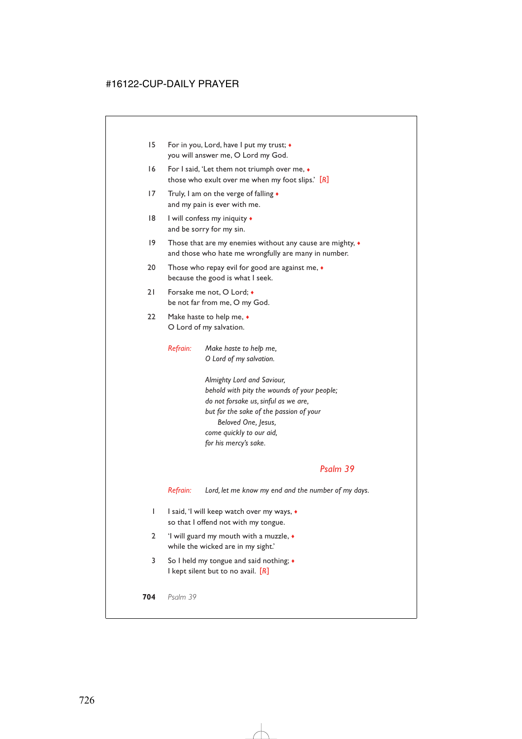- 15 For in you, Lord, have I put my trust; ♦ you will answer me, O Lord my God.
- 16 For I said, 'Let them not triumph over me,  $\bullet$ those who exult over me when my foot slips.' [*R*]
- 17 Truly, I am on the verge of falling  $\bullet$ and my pain is ever with me.
- 18 I will confess my iniquity ♦ and be sorry for my sin.
- 19 Those that are my enemies without any cause are mighty,  $\bullet$ and those who hate me wrongfully are many in number.
- 20 Those who repay evil for good are against me,  $\bullet$ because the good is what I seek.
- 21 Forsake me not, O Lord: ◆ be not far from me, O my God.
- 22 Make haste to help me,  $\bullet$ O Lord of my salvation.
	- *Refrain: Make haste to help me, O Lord of my salvation.*

*Almighty Lord and Saviour, behold with pity the wounds of your people; do not forsake us, sinful as we are, but for the sake of the passion of your Beloved One, Jesus, come quickly to our aid, for his mercy's sake.*

### *Psalm 39*

*Refrain: Lord, let me know my end and the number of my days.*

- 1 I said, 'I will keep watch over my ways, ♦ so that I offend not with my tongue.
- 2 'I will guard my mouth with a muzzle, ♦ while the wicked are in my sight.'
- 3 So I held my tongue and said nothing; ♦ I kept silent but to no avail. [*R*]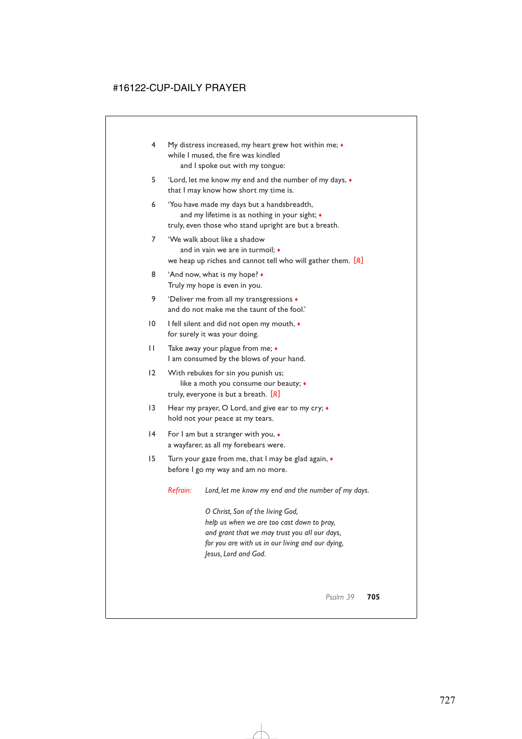- 4 My distress increased, my heart grew hot within me; ♦ while I mused, the fire was kindled and I spoke out with my tongue:
- 5 'Lord, let me know my end and the number of my days, ♦ that I may know how short my time is.
- 6 'You have made my days but a handsbreadth, and my lifetime is as nothing in your sight;  $\triangleleft$ truly, even those who stand upright are but a breath.
- 7 'We walk about like a shadow and in vain we are in turmoil; ♦ we heap up riches and cannot tell who will gather them. [*R*]
- 8 'And now, what is my hope?  $\bullet$ Truly my hope is even in you.
- 9 'Deliver me from all my transgressions ♦ and do not make me the taunt of the fool.'
- 10 I fell silent and did not open my mouth, ♦ for surely it was your doing.
- 11 Take away your plague from me;  $\bullet$ I am consumed by the blows of your hand.
- 12 With rebukes for sin you punish us; like a moth you consume our beauty; ♦ truly, everyone is but a breath. [*R*]
- 13 Hear my prayer, O Lord, and give ear to my cry;  $\bullet$ hold not your peace at my tears.
- 14 For I am but a stranger with you,  $\bullet$ a wayfarer, as all my forebears were.
- 15 Turn your gaze from me, that I may be glad again, ♦ before I go my way and am no more.

*Refrain: Lord, let me know my end and the number of my days.*

*O Christ, Son of the living God, help us when we are too cast down to pray, and grant that we may trust you all our days, for you are with us in our living and our dying, Jesus, Lord and God.*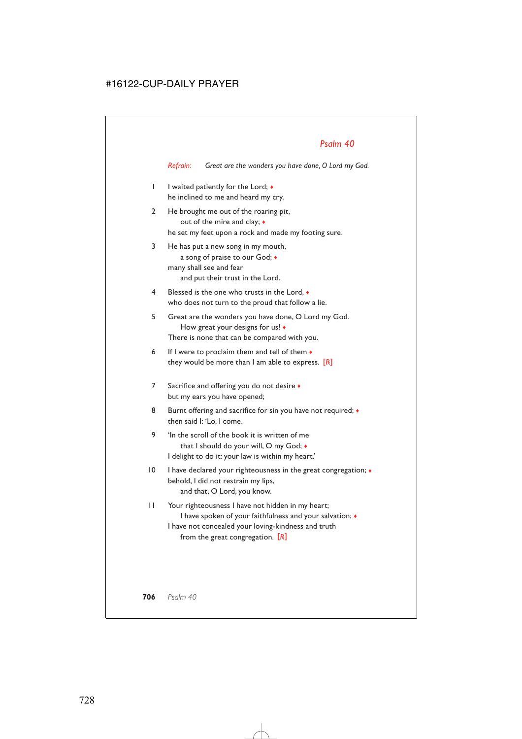*Refrain: Great are the wonders you have done, O Lord my God.*

- 1 I waited patiently for the Lord;  $\bullet$ he inclined to me and heard my cry.
- 2 He brought me out of the roaring pit, out of the mire and clay; ♦ he set my feet upon a rock and made my footing sure.
- 3 He has put a new song in my mouth, a song of praise to our God; ♦ many shall see and fear and put their trust in the Lord.
- 4 Blessed is the one who trusts in the Lord, ♦ who does not turn to the proud that follow a lie.
- 5 Great are the wonders you have done, O Lord my God. How great your designs for us! ♦ There is none that can be compared with you.
- 6 If I were to proclaim them and tell of them  $\bullet$ they would be more than I am able to express. [*R*]
- 7 Sacrifice and offering you do not desire  $\bullet$ but my ears you have opened;
- 8 Burnt offering and sacrifice for sin you have not required;  $\bullet$ then said I: 'Lo, I come.
- 9 'In the scroll of the book it is written of me that I should do your will, O my God; ♦ I delight to do it: your law is within my heart.'
- 10 I have declared your righteousness in the great congregation;  $\bullet$ behold, I did not restrain my lips, and that, O Lord, you know.
- 11 Your righteousness I have not hidden in my heart; I have spoken of your faithfulness and your salvation; ♦ I have not concealed your loving-kindness and truth from the great congregation. [*R*]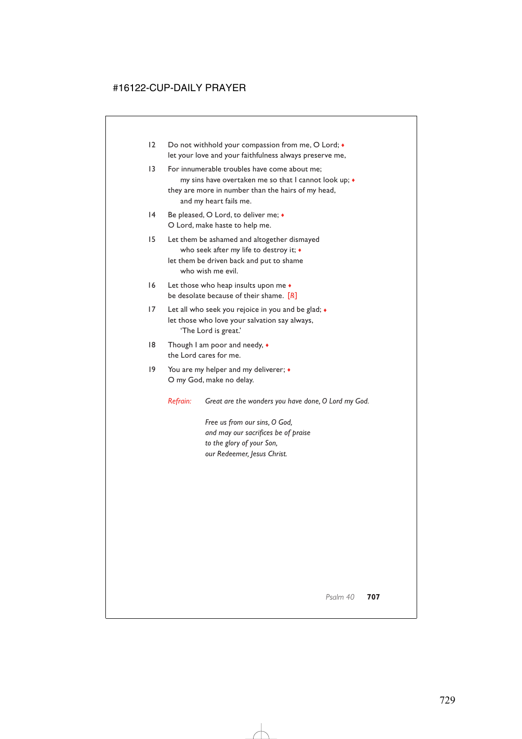- 12 Do not withhold your compassion from me, O Lord;  $\bullet$ let your love and your faithfulness always preserve me,
- 13 For innumerable troubles have come about me; my sins have overtaken me so that I cannot look up; ♦ they are more in number than the hairs of my head, and my heart fails me.
- 14 Be pleased, O Lord, to deliver me;  $\bullet$ O Lord, make haste to help me.
- 15 Let them be ashamed and altogether dismayed who seek after my life to destroy it; ♦ let them be driven back and put to shame who wish me evil.
- 16 Let those who heap insults upon me  $\bullet$ be desolate because of their shame. [*R*]
- 17 Let all who seek you rejoice in you and be glad;  $\bullet$ let those who love your salvation say always, 'The Lord is great.'
- 18 Though I am poor and needy,  $\bullet$ the Lord cares for me.
- 19 You are my helper and my deliverer;  $\bullet$ O my God, make no delay.

*Refrain: Great are the wonders you have done, O Lord my God.*

*Free us from our sins, O God, and may our sacrifices be of praise to the glory of your Son, our Redeemer, Jesus Christ.*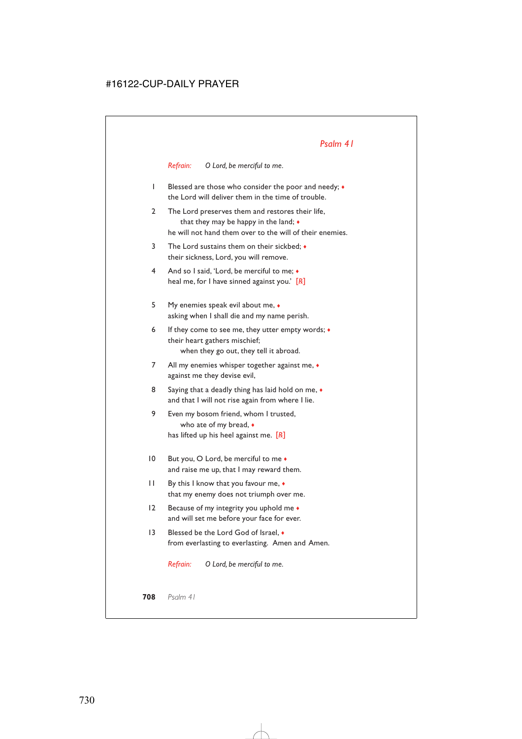*Refrain: O Lord, be merciful to me.*

- 1 Blessed are those who consider the poor and needy; ♦ the Lord will deliver them in the time of trouble.
- 2 The Lord preserves them and restores their life, that they may be happy in the land; ♦ he will not hand them over to the will of their enemies.
- 3 The Lord sustains them on their sickbed; ♦ their sickness, Lord, you will remove.
- 4 And so I said, 'Lord, be merciful to me; ♦ heal me, for I have sinned against you.' [*R*]
- 5 My enemies speak evil about me, ♦ asking when I shall die and my name perish.
- 6 If they come to see me, they utter empty words; ♦ their heart gathers mischief; when they go out, they tell it abroad.
- 7 All my enemies whisper together against me,  $\bullet$ against me they devise evil,
- 8 Saying that a deadly thing has laid hold on me,  $\bullet$ and that I will not rise again from where I lie.
- 9 Even my bosom friend, whom I trusted, who ate of my bread, ♦ has lifted up his heel against me. [*R*]
- 10 But you, O Lord, be merciful to me  $\bullet$ and raise me up, that I may reward them.
- 11 By this I know that you favour me, ♦ that my enemy does not triumph over me.
- 12 Because of my integrity you uphold me  $\bullet$ and will set me before your face for ever.
- 13 Blessed be the Lord God of Israel. ♦ from everlasting to everlasting. Amen and Amen.

*Refrain: O Lord, be merciful to me.*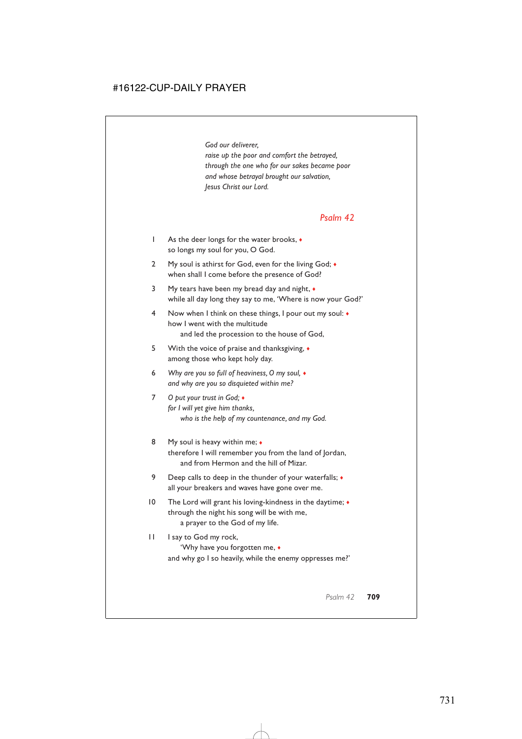*God our deliverer, raise up the poor and comfort the betrayed, through the one who for our sakes became poor and whose betrayal brought our salvation, Jesus Christ our Lord.*

### *Psalm 42*

- 1 As the deer longs for the water brooks, ♦ so longs my soul for you, O God.
- 2 My soul is athirst for God, even for the living God;  $\bullet$ when shall I come before the presence of God?
- 3 My tears have been my bread day and night, ♦ while all day long they say to me, 'Where is now your God?'
- 4 Now when I think on these things, I pour out my soul: ♦ how I went with the multitude and led the procession to the house of God,
- 5 With the voice of praise and thanksgiving, ♦ among those who kept holy day.
- 6 *Why are you so full of heaviness, O my soul,* ♦ *and why are you so disquieted within me?*
- 7 *O put your trust in God;* ♦ *for I will yet give him thanks, who is the help of my countenance, and my God.*
- 8 My soul is heavy within me;  $\bullet$ therefore I will remember you from the land of Jordan, and from Hermon and the hill of Mizar.
- 9 Deep calls to deep in the thunder of your waterfalls;  $\bullet$ all your breakers and waves have gone over me.
- 10 The Lord will grant his loving-kindness in the daytime;  $\bullet$ through the night his song will be with me, a prayer to the God of my life.
- 11 I say to God my rock, 'Why have you forgotten me, ♦ and why go I so heavily, while the enemy oppresses me?'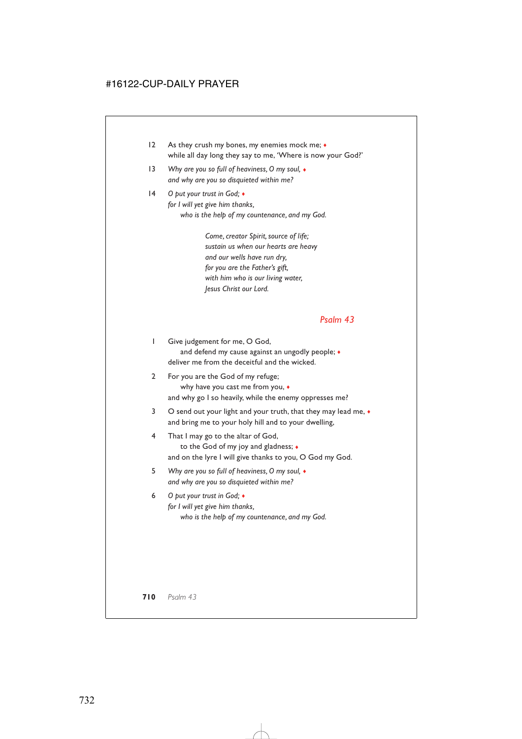- 12 As they crush my bones, my enemies mock me;  $\bullet$ while all day long they say to me, 'Where is now your God?'
- 13 *Why are you so full of heaviness, O my soul,* ♦ *and why are you so disquieted within me?*
- 14 *O put your trust in God;* ♦ *for I will yet give him thanks, who is the help of my countenance, and my God.*

*Come, creator Spirit, source of life; sustain us when our hearts are heavy and our wells have run dry, for you are the Father's gift, with him who is our living water, Jesus Christ our Lord.*

### *Psalm 43*

1 Give judgement for me, O God, and defend my cause against an ungodly people;  $\bullet$ deliver me from the deceitful and the wicked.

- 2 For you are the God of my refuge; why have you cast me from you, ♦ and why go I so heavily, while the enemy oppresses me?
- 3 O send out your light and your truth, that they may lead me,  $\bullet$ and bring me to your holy hill and to your dwelling,
- 4 That I may go to the altar of God, to the God of my joy and gladness; ♦ and on the lyre I will give thanks to you, O God my God.
- 5 *Why are you so full of heaviness, O my soul,* ♦ *and why are you so disquieted within me?*
- 6 *O put your trust in God;* ♦ *for I will yet give him thanks, who is the help of my countenance, and my God.*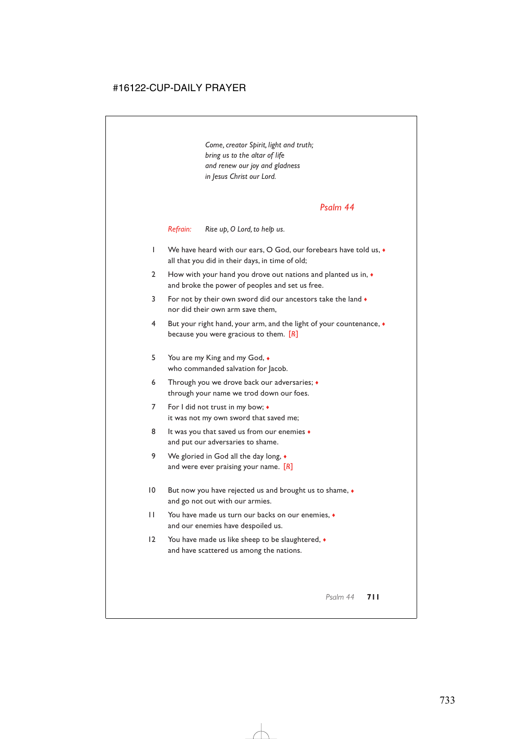*Come, creator Spirit, light and truth; bring us to the altar of life and renew our joy and gladness in Jesus Christ our Lord.*

#### *Psalm 44*

*Refrain: Rise up, O Lord, to help us.*

- 1 We have heard with our ears, O God, our forebears have told us, ♦ all that you did in their days, in time of old;
- 2 How with your hand you drove out nations and planted us in,  $\bullet$ and broke the power of peoples and set us free.
- 3 For not by their own sword did our ancestors take the land  $\bullet$ nor did their own arm save them,
- 4 But your right hand, your arm, and the light of your countenance, ♦ because you were gracious to them. [*R*]
- 5 You are my King and my God, ♦ who commanded salvation for Jacob.
- 6 Through you we drove back our adversaries; ♦ through your name we trod down our foes.
- 7 For I did not trust in my bow;  $\triangleleft$ it was not my own sword that saved me;
- 8 It was you that saved us from our enemies  $\bullet$ and put our adversaries to shame.
- 9 We gloried in God all the day long,  $\bullet$ and were ever praising your name. [*R*]
- 10 But now you have rejected us and brought us to shame,  $\bullet$ and go not out with our armies.
- 11 You have made us turn our backs on our enemies, ♦ and our enemies have despoiled us.
- 12 You have made us like sheep to be slaughtered, ♦ and have scattered us among the nations.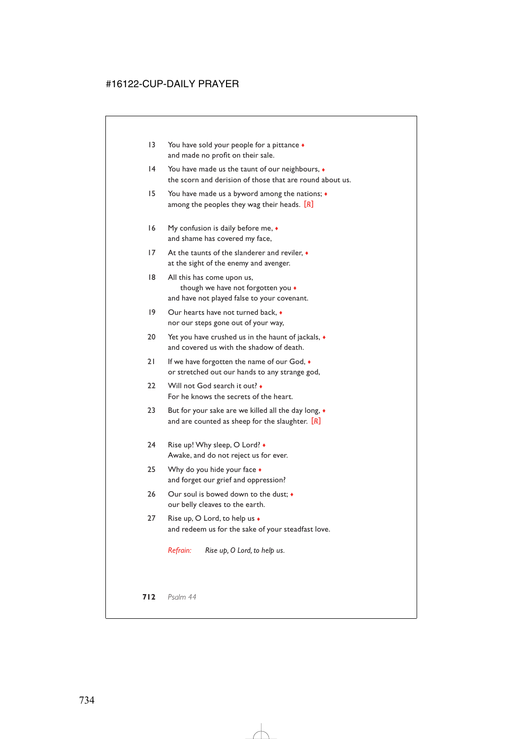- 13 You have sold your people for a pittance  $\bullet$ and made no profit on their sale.
- 14 You have made us the taunt of our neighbours,  $\bullet$ the scorn and derision of those that are round about us.
- 15 You have made us a byword among the nations; ♦ among the peoples they wag their heads. [*R*]
- 16 My confusion is daily before me,  $\bullet$ and shame has covered my face,
- 17 At the taunts of the slanderer and reviler, ♦ at the sight of the enemy and avenger.
- 18 All this has come upon us, though we have not forgotten you ♦ and have not played false to your covenant.
- 19 Our hearts have not turned back, ♦ nor our steps gone out of your way,
- 20 Yet you have crushed us in the haunt of jackals,  $\bullet$ and covered us with the shadow of death.
- 21 If we have forgotten the name of our God,  $\bullet$ or stretched out our hands to any strange god,
- 22 Will not God search it out? For he knows the secrets of the heart.
- 23 But for your sake are we killed all the day long,  $\bullet$ and are counted as sheep for the slaughter. [*R*]
- 24 Rise up! Why sleep, O Lord? Awake, and do not reject us for ever.
- 25 Why do you hide your face  $\bullet$ and forget our grief and oppression?
- 26 Our soul is bowed down to the dust;  $\bullet$ our belly cleaves to the earth.
- 27 Rise up, O Lord, to help us ◆ and redeem us for the sake of your steadfast love.

*Refrain: Rise up, O Lord, to help us.*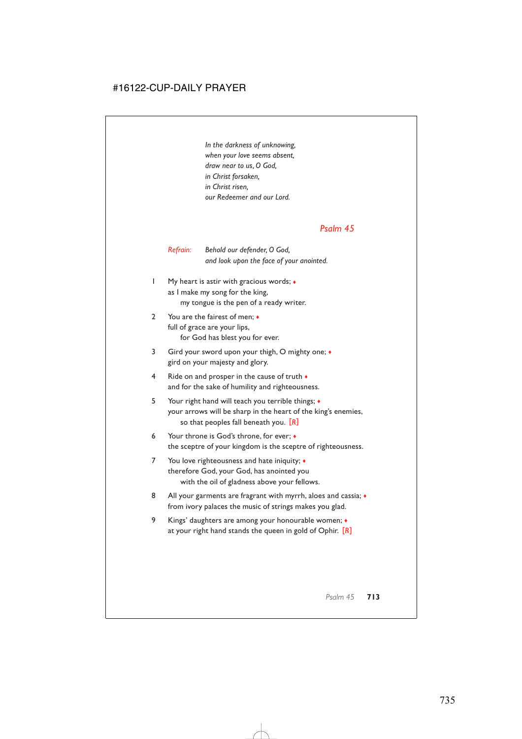*In the darkness of unknowing, when your love seems absent, draw near to us, O God, in Christ forsaken, in Christ risen, our Redeemer and our Lord.*

### *Psalm 45*

#### *Refrain: Behold our defender, O God, and look upon the face of your anointed.*

- 1 My heart is astir with gracious words; ♦ as I make my song for the king, my tongue is the pen of a ready writer.
- 2 You are the fairest of men;  $\triangle$ full of grace are your lips, for God has blest you for ever.
- 3 Gird your sword upon your thigh, O mighty one; ♦ gird on your majesty and glory.
- 4 Ride on and prosper in the cause of truth  $\bullet$ and for the sake of humility and righteousness.
- 5 Your right hand will teach you terrible things; ♦ your arrows will be sharp in the heart of the king's enemies, so that peoples fall beneath you. [*R*]
- 6 Your throne is God's throne, for ever; ♦ the sceptre of your kingdom is the sceptre of righteousness.
- 7 You love righteousness and hate iniquity; ♦ therefore God, your God, has anointed you with the oil of gladness above your fellows.
- 8 All your garments are fragrant with myrrh, aloes and cassia;  $\bullet$ from ivory palaces the music of strings makes you glad.
- 9 Kings' daughters are among your honourable women; ♦ at your right hand stands the queen in gold of Ophir. [*R*]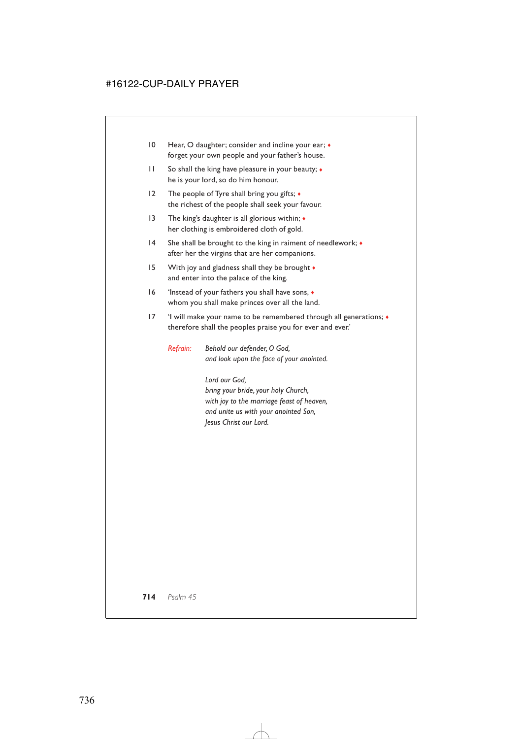- 10 Hear, O daughter; consider and incline your ear;  $\bullet$ forget your own people and your father's house.
- 11 So shall the king have pleasure in your beauty;  $\bullet$ he is your lord, so do him honour.
- 12 The people of Tyre shall bring you gifts;  $\triangleleft$ the richest of the people shall seek your favour.
- 13 The king's daughter is all glorious within;  $\triangleleft$ her clothing is embroidered cloth of gold.
- 14 She shall be brought to the king in raiment of needlework; ♦ after her the virgins that are her companions.
- 15 With joy and gladness shall they be brought  $\bullet$ and enter into the palace of the king.
- 16 'Instead of your fathers you shall have sons, ♦ whom you shall make princes over all the land.
- 17 'I will make your name to be remembered through all generations; ♦ therefore shall the peoples praise you for ever and ever.'

*Refrain: Behold our defender, O God, and look upon the face of your anointed.*

> *Lord our God, bring your bride, your holy Church, with joy to the marriage feast of heaven, and unite us with your anointed Son, Jesus Christ our Lord.*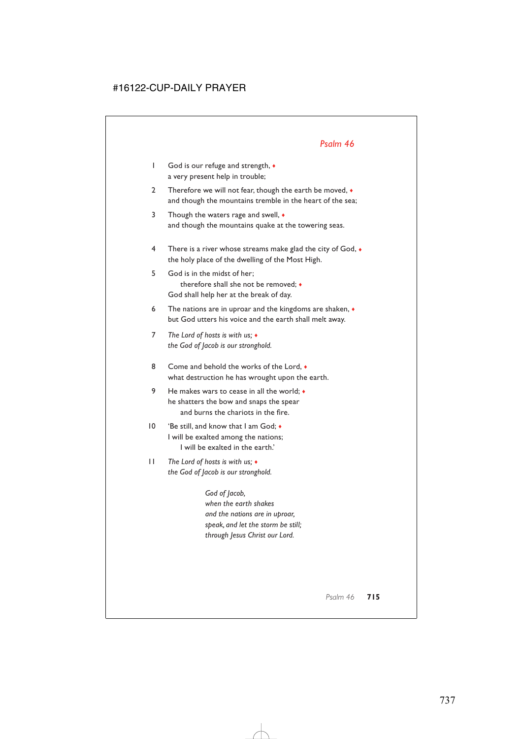- 1 God is our refuge and strength,  $\bullet$ a very present help in trouble;
- 2 Therefore we will not fear, though the earth be moved,  $\bullet$ and though the mountains tremble in the heart of the sea;
- 3 Though the waters rage and swell,  $\bullet$ and though the mountains quake at the towering seas.
- 4 There is a river whose streams make glad the city of God, ♦ the holy place of the dwelling of the Most High.
- 5 God is in the midst of her; therefore shall she not be removed; ♦ God shall help her at the break of day.
- 6 The nations are in uproar and the kingdoms are shaken, ♦ but God utters his voice and the earth shall melt away.
- 7 *The Lord of hosts is with us;* ♦ *the God of Jacob is our stronghold.*
- 8 Come and behold the works of the Lord,  $\bullet$ what destruction he has wrought upon the earth.
- 9 He makes wars to cease in all the world;  $\bullet$ he shatters the bow and snaps the spear and burns the chariots in the fire.
- 10 'Be still, and know that I am God; ♦ I will be exalted among the nations; I will be exalted in the earth.'
- 11 *The Lord of hosts is with us;* ♦ *the God of Jacob is our stronghold.*

*God of Jacob, when the earth shakes and the nations are in uproar, speak, and let the storm be still; through Jesus Christ our Lord.*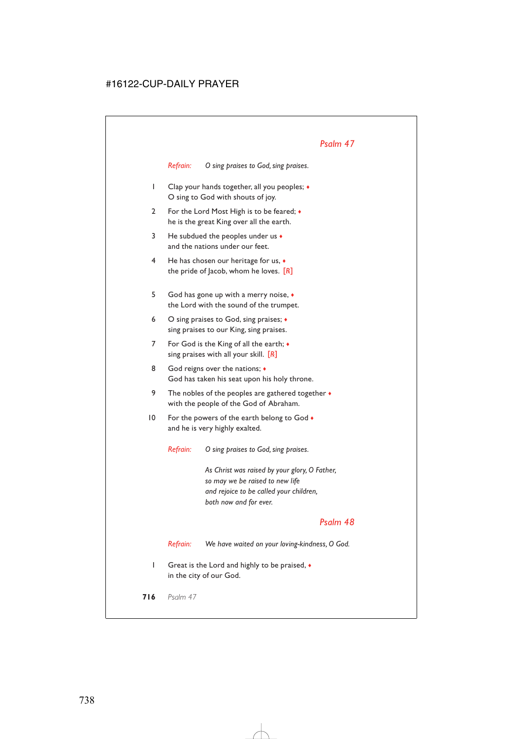*Refrain: O sing praises to God, sing praises.*

- 1 Clap your hands together, all you peoples; ♦ O sing to God with shouts of joy.
- 2 For the Lord Most High is to be feared;  $\bullet$ he is the great King over all the earth.
- 3 He subdued the peoples under us  $\bullet$ and the nations under our feet.
- 4 He has chosen our heritage for us, ♦ the pride of Jacob, whom he loves. [*R*]
- 5 God has gone up with a merry noise, ♦ the Lord with the sound of the trumpet.
- 6 O sing praises to God, sing praises; ♦ sing praises to our King, sing praises.
- 7 For God is the King of all the earth;  $\bullet$ sing praises with all your skill. [*R*]
- 8 God reigns over the nations;  $\triangleleft$ God has taken his seat upon his holy throne.
- 9 The nobles of the peoples are gathered together  $\bullet$ with the people of the God of Abraham.
- 10 For the powers of the earth belong to God  $\bullet$ and he is very highly exalted.

*Refrain: O sing praises to God, sing praises.*

*As Christ was raised by your glory, O Father, so may we be raised to new life and rejoice to be called your children, both now and for ever.*

### *Psalm 48*

*Refrain: We have waited on your loving-kindness, O God.*

1 Great is the Lord and highly to be praised, ♦ in the city of our God.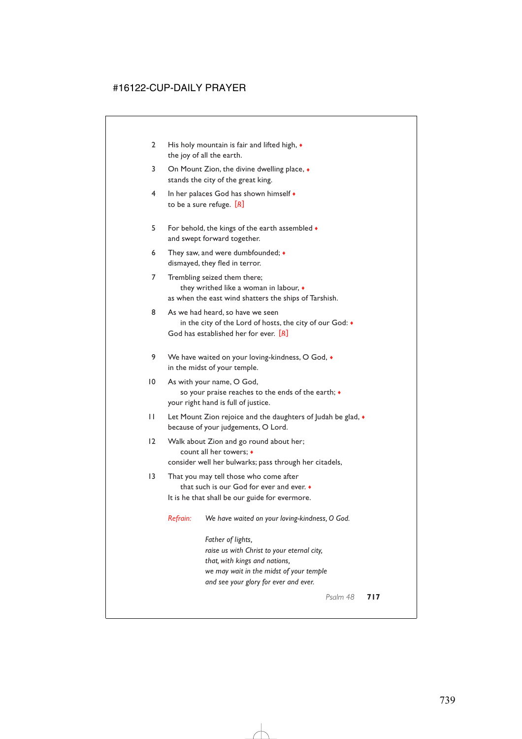- 2 His holy mountain is fair and lifted high,  $\bullet$ the joy of all the earth.
- 3 On Mount Zion, the divine dwelling place, ♦ stands the city of the great king.
- 4 In her palaces God has shown himself ♦ to be a sure refuge. [*R*]
- 5 For behold, the kings of the earth assembled ♦ and swept forward together.
- 6 They saw, and were dumbfounded; ♦ dismayed, they fled in terror.
- 7 Trembling seized them there; they writhed like a woman in labour, ♦ as when the east wind shatters the ships of Tarshish.
- 8 As we had heard, so have we seen in the city of the Lord of hosts, the city of our God: ♦ God has established her for ever. [*R*]
- 9 We have waited on your loving-kindness, O God,  $\bullet$ in the midst of your temple.
- 10 As with your name, O God, so your praise reaches to the ends of the earth; ♦ your right hand is full of justice.
- 11 Let Mount Zion rejoice and the daughters of Judah be glad,  $\bullet$ because of your judgements, O Lord.
- 12 Walk about Zion and go round about her; count all her towers; ♦ consider well her bulwarks; pass through her citadels,
- 13 That you may tell those who come after that such is our God for ever and ever. ♦ It is he that shall be our guide for evermore.

*Refrain: We have waited on your loving-kindness, O God.*

*Father of lights, raise us with Christ to your eternal city, that, with kings and nations, we may wait in the midst of your temple and see your glory for ever and ever.*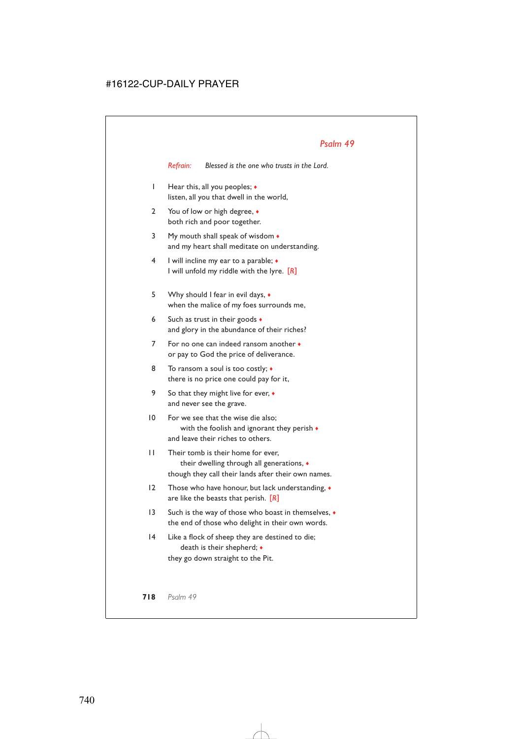*Refrain: Blessed is the one who trusts in the Lord.*

- 1 Hear this, all you peoples; ♦ listen, all you that dwell in the world,
- 2 You of low or high degree, ♦ both rich and poor together.
- 3 My mouth shall speak of wisdom  $\bullet$ and my heart shall meditate on understanding.
- 4 I will incline my ear to a parable; ♦ I will unfold my riddle with the lyre. [*R*]
- 5 Why should I fear in evil days, ♦ when the malice of my foes surrounds me,
- 6 Such as trust in their goods  $\bullet$ and glory in the abundance of their riches?
- 7 For no one can indeed ransom another ♦ or pay to God the price of deliverance.
- 8 To ransom a soul is too costly;  $\triangleleft$ there is no price one could pay for it,
- 9 So that they might live for ever,  $\bullet$ and never see the grave.
- 10 For we see that the wise die also; with the foolish and ignorant they perish  $\bullet$ and leave their riches to others.
- 11 Their tomb is their home for ever, their dwelling through all generations, ♦ though they call their lands after their own names.
- 12 Those who have honour, but lack understanding, ♦ are like the beasts that perish. [*R*]
- 13 Such is the way of those who boast in themselves, ♦ the end of those who delight in their own words.
- 14 Like a flock of sheep they are destined to die; death is their shepherd; ♦ they go down straight to the Pit.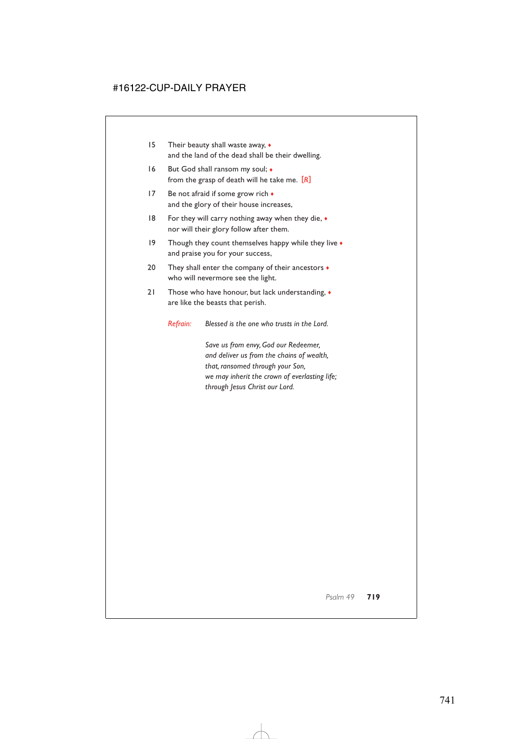- 15 Their beauty shall waste away, ♦ and the land of the dead shall be their dwelling.
- 16 But God shall ransom my soul;  $\bullet$ from the grasp of death will he take me. [*R*]
- 17 Be not afraid if some grow rich  $\bullet$ and the glory of their house increases,
- 18 For they will carry nothing away when they die,  $\bullet$ nor will their glory follow after them.
- 19 Though they count themselves happy while they live  $\bullet$ and praise you for your success,
- 20 They shall enter the company of their ancestors  $\bullet$ who will nevermore see the light.
- 21 Those who have honour, but lack understanding,  $\bullet$ are like the beasts that perish.

*Refrain: Blessed is the one who trusts in the Lord.*

*Save us from envy, God our Redeemer, and deliver us from the chains of wealth, that, ransomed through your Son, we may inherit the crown of everlasting life; through Jesus Christ our Lord.*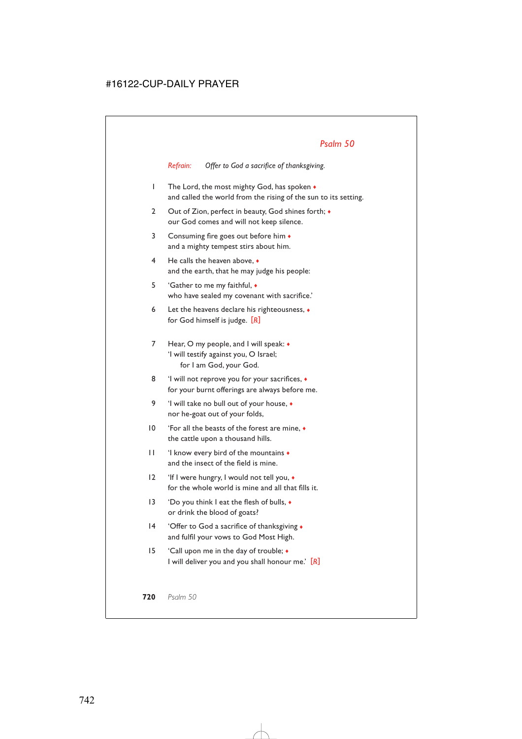*Refrain: Offer to God a sacrifice of thanksgiving.*

- 1 The Lord, the most mighty God, has spoken  $\bullet$ and called the world from the rising of the sun to its setting.
- 2 Out of Zion, perfect in beauty, God shines forth;  $\bullet$ our God comes and will not keep silence.
- 3 Consuming fire goes out before him ♦ and a mighty tempest stirs about him.
- 4 He calls the heaven above, ♦ and the earth, that he may judge his people:
- 5 'Gather to me my faithful, ♦ who have sealed my covenant with sacrifice.'
- 6 Let the heavens declare his righteousness, ♦ for God himself is judge. [*R*]
- 7 Hear, O my people, and I will speak: ♦ 'I will testify against you, O Israel; for I am God, your God.
- 8 'I will not reprove you for your sacrifices,  $\bullet$ for your burnt offerings are always before me.
- 9 'I will take no bull out of your house,  $\bullet$ nor he-goat out of your folds,
- 10 'For all the beasts of the forest are mine, ♦ the cattle upon a thousand hills.
- 11 'I know every bird of the mountains ♦ and the insect of the field is mine.
- 12 'If I were hungry, I would not tell you,  $\bullet$ for the whole world is mine and all that fills it.
- 13 'Do you think I eat the flesh of bulls, ♦ or drink the blood of goats?
- 14 'Offer to God a sacrifice of thanksgiving ♦ and fulfil your vows to God Most High.
- 15 'Call upon me in the day of trouble; ♦ I will deliver you and you shall honour me.' [*R*]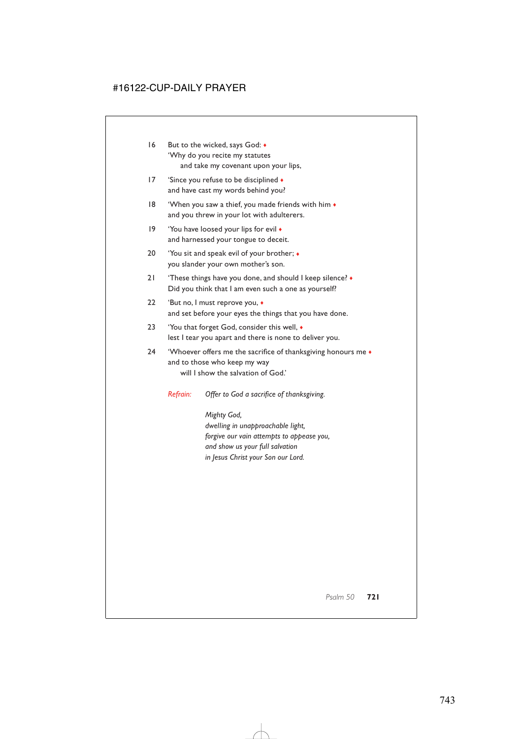- 16 But to the wicked, says God:  $\bullet$ 'Why do you recite my statutes and take my covenant upon your lips,
- 17 'Since you refuse to be disciplined  $\bullet$ and have cast my words behind you?
- 18 'When you saw a thief, you made friends with him  $\bullet$ and you threw in your lot with adulterers.
- 19 'You have loosed your lips for evil  $\bullet$ and harnessed your tongue to deceit.
- 20 'You sit and speak evil of your brother; ♦ you slander your own mother's son.
- 21 'These things have you done, and should I keep silence? ♦ Did you think that I am even such a one as yourself?
- 22 'But no, I must reprove you, ♦ and set before your eyes the things that you have done.
- 23 'You that forget God, consider this well, ♦ lest I tear you apart and there is none to deliver you.
- 24 'Whoever offers me the sacrifice of thanksgiving honours me  $\bullet$ and to those who keep my way will I show the salvation of God.'

*Refrain: Offer to God a sacrifice of thanksgiving.*

*Mighty God, dwelling in unapproachable light, forgive our vain attempts to appease you, and show us your full salvation in Jesus Christ your Son our Lord.*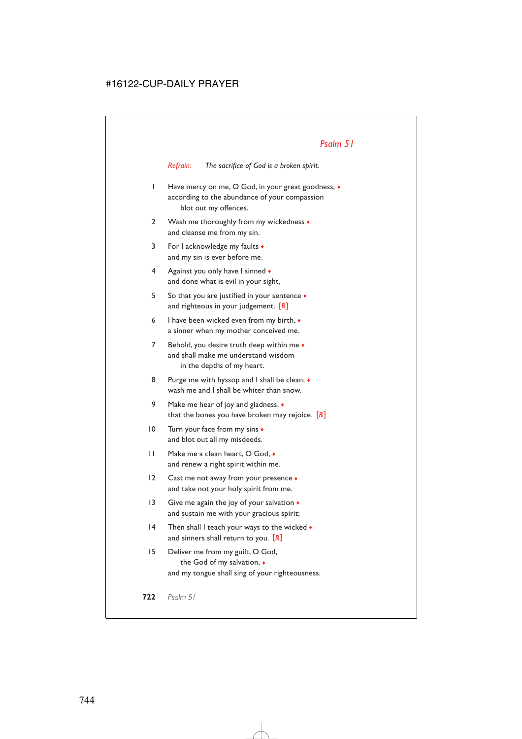*Refrain: The sacrifice of God is a broken spirit.*

- 1 Have mercy on me, O God, in your great goodness; ♦ according to the abundance of your compassion blot out my offences.
- 2 Wash me thoroughly from my wickedness  $\bullet$ and cleanse me from my sin.
- 3 For I acknowledge my faults ♦ and my sin is ever before me.
- 4 Against you only have I sinned  $\bullet$ and done what is evil in your sight,
- 5 So that you are justified in your sentence ♦ and righteous in your judgement. [*R*]
- 6 I have been wicked even from my birth, ♦ a sinner when my mother conceived me.
- 7 Behold, you desire truth deep within me  $\bullet$ and shall make me understand wisdom in the depths of my heart.
- 8 Purge me with hyssop and I shall be clean;  $\bullet$ wash me and I shall be whiter than snow.
- 9 Make me hear of joy and gladness,  $\bullet$ that the bones you have broken may rejoice. [*R*]
- 10 Turn your face from my sins  $\bullet$ and blot out all my misdeeds.
- 11 Make me a clean heart, O God, ♦ and renew a right spirit within me.
- 12 Cast me not away from your presence  $\bullet$ and take not your holy spirit from me.
- 13 Give me again the joy of your salvation  $\bullet$ and sustain me with your gracious spirit;
- 14 Then shall I teach your ways to the wicked  $\bullet$ and sinners shall return to you. [*R*]
- 15 Deliver me from my guilt, O God, the God of my salvation, ♦ and my tongue shall sing of your righteousness.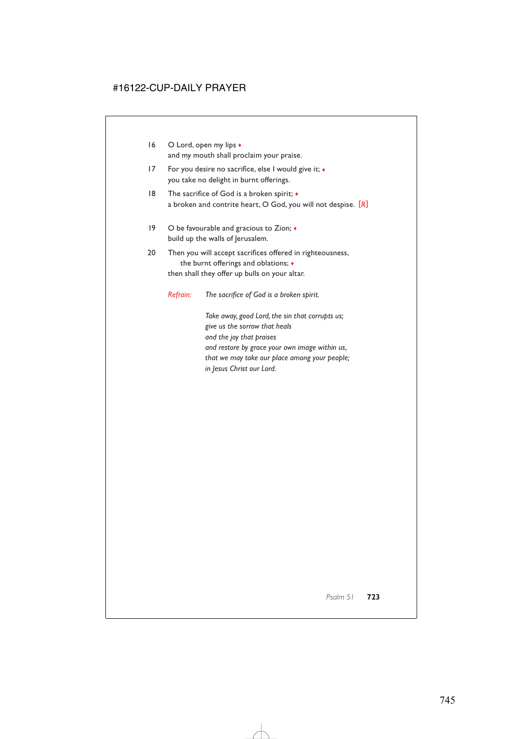- 16 O Lord, open my lips ♦ and my mouth shall proclaim your praise.
- 17 For you desire no sacrifice, else I would give it; ♦ you take no delight in burnt offerings.
- 18 The sacrifice of God is a broken spirit; ♦ a broken and contrite heart, O God, you will not despise. [*R*]
- 19 O be favourable and gracious to Zion; ♦ build up the walls of Jerusalem.
- 20 Then you will accept sacrifices offered in righteousness, the burnt offerings and oblations; ♦ then shall they offer up bulls on your altar.

*Refrain: The sacrifice of God is a broken spirit.*

*Take away, good Lord, the sin that corrupts us; give us the sorrow that heals and the joy that praises and restore by grace your own image within us, that we may take our place among your people; in Jesus Christ our Lord.*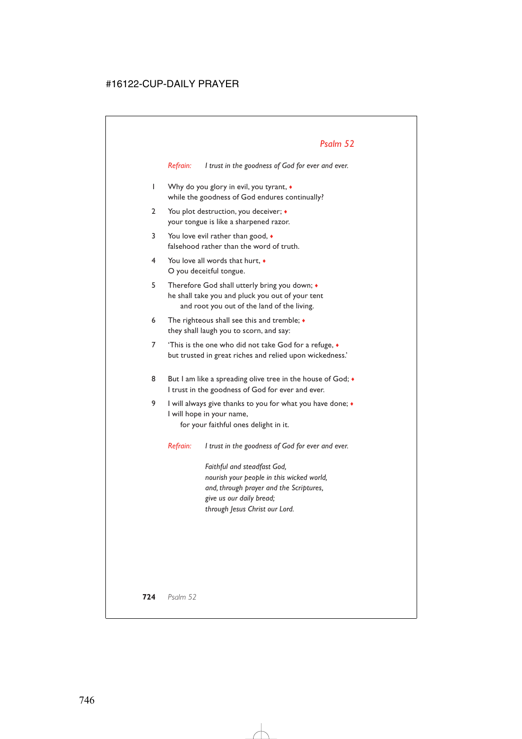*Refrain: I trust in the goodness of God for ever and ever.*

- 1 Why do you glory in evil, you tyrant, ♦ while the goodness of God endures continually?
- 2 You plot destruction, you deceiver;  $\bullet$ your tongue is like a sharpened razor.
- 3 You love evil rather than good,  $\bullet$ falsehood rather than the word of truth.
- 4 You love all words that hurt, ♦ O you deceitful tongue.
- 5 Therefore God shall utterly bring you down; ♦ he shall take you and pluck you out of your tent and root you out of the land of the living.
- 6 The righteous shall see this and tremble;  $\bullet$ they shall laugh you to scorn, and say:
- 7 'This is the one who did not take God for a refuge, ♦ but trusted in great riches and relied upon wickedness.'
- 8 But I am like a spreading olive tree in the house of God;  $\bullet$ I trust in the goodness of God for ever and ever.
- 9 I will always give thanks to you for what you have done; ♦ I will hope in your name,

for your faithful ones delight in it.

*Refrain: I trust in the goodness of God for ever and ever.*

*Faithful and steadfast God, nourish your people in this wicked world, and, through prayer and the Scriptures, give us our daily bread; through Jesus Christ our Lord.*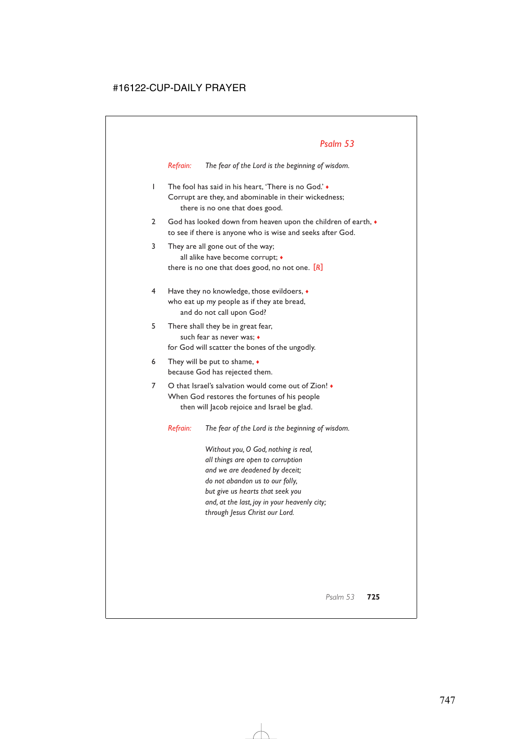*Refrain: The fear of the Lord is the beginning of wisdom.*

- 1 The fool has said in his heart, 'There is no God.' ♦ Corrupt are they, and abominable in their wickedness; there is no one that does good.
- 2 God has looked down from heaven upon the children of earth,  $\bullet$ to see if there is anyone who is wise and seeks after God.
- 3 They are all gone out of the way; all alike have become corrupt; ♦ there is no one that does good, no not one. [*R*]
- 4 Have they no knowledge, those evildoers, ♦ who eat up my people as if they ate bread, and do not call upon God?
- 5 There shall they be in great fear, such fear as never was; ♦ for God will scatter the bones of the ungodly.
- 6 They will be put to shame,  $\bullet$ because God has rejected them.
- 7 O that Israel's salvation would come out of Zion! ♦ When God restores the fortunes of his people then will Jacob rejoice and Israel be glad.

*Refrain: The fear of the Lord is the beginning of wisdom.*

*Without you, O God, nothing is real, all things are open to corruption and we are deadened by deceit; do not abandon us to our folly, but give us hearts that seek you and, at the last, joy in your heavenly city; through Jesus Christ our Lord.*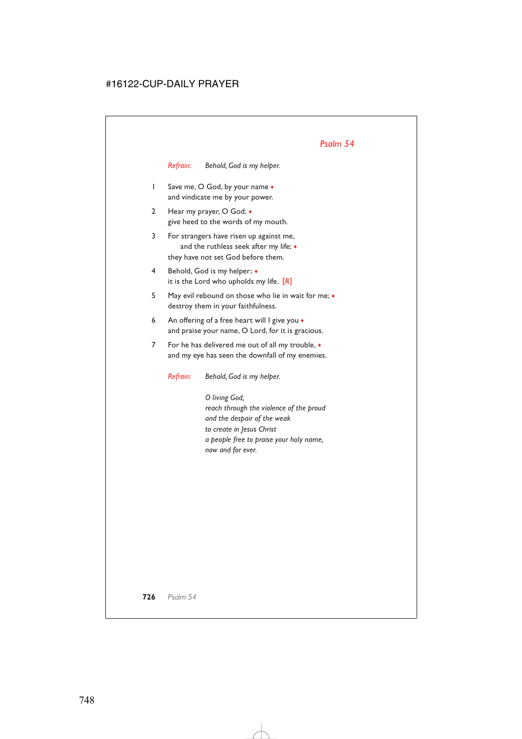*Refrain: Behold, God is my helper.*

- 1 Save me, O God, by your name  $\bullet$ and vindicate me by your power.
- 2 Hear my prayer, O God; ♦ give heed to the words of my mouth.
- 3 For strangers have risen up against me, and the ruthless seek after my life; ♦ they have not set God before them.
- 4 Behold, God is my helper; ♦ it is the Lord who upholds my life. [*R*]
- 5 May evil rebound on those who lie in wait for me; ♦ destroy them in your faithfulness.
- 6 An offering of a free heart will I give you  $\bullet$ and praise your name, O Lord, for it is gracious.
- 7 For he has delivered me out of all my trouble, ♦ and my eye has seen the downfall of my enemies.

*Refrain: Behold, God is my helper.*

*O living God, reach through the violence of the proud and the despair of the weak to create in Jesus Christ a people free to praise your holy name, now and for ever.*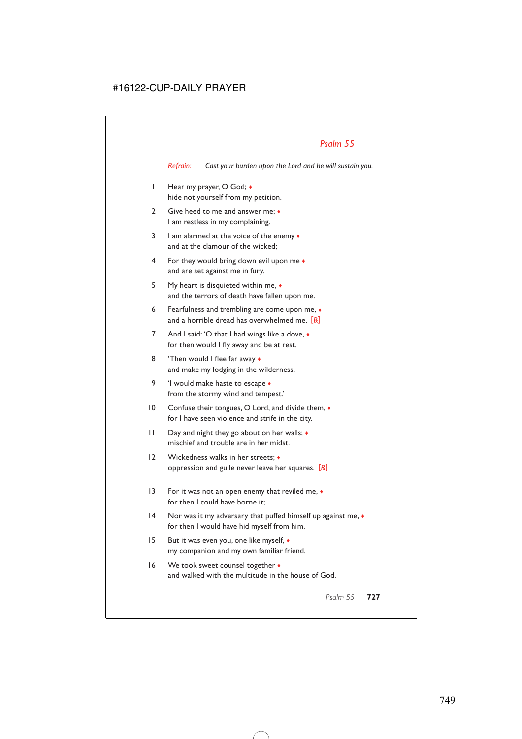*Refrain: Cast your burden upon the Lord and he will sustain you.*

- 1 Hear my prayer, O God; ♦ hide not yourself from my petition.
- 2 Give heed to me and answer me;  $\bullet$ I am restless in my complaining.
- 3 I am alarmed at the voice of the enemy  $\bullet$ and at the clamour of the wicked;
- 4 For they would bring down evil upon me ♦ and are set against me in fury.
- 5 My heart is disquieted within me, ♦ and the terrors of death have fallen upon me.
- 6 Fearfulness and trembling are come upon me, ♦ and a horrible dread has overwhelmed me. [*R*]
- 7 And I said: 'O that I had wings like a dove,  $\bullet$ for then would I fly away and be at rest.
- 8 'Then would I flee far away  $\bullet$ and make my lodging in the wilderness.
- 9 'I would make haste to escape  $\bullet$ from the stormy wind and tempest.'
- 10 Confuse their tongues, O Lord, and divide them, ♦ for I have seen violence and strife in the city.
- 11 Day and night they go about on her walls; ♦ mischief and trouble are in her midst.
- 12 Wickedness walks in her streets; oppression and guile never leave her squares. [*R*]
- 13 For it was not an open enemy that reviled me, ♦ for then I could have borne it:
- 14 Nor was it my adversary that puffed himself up against me,  $\bullet$ for then I would have hid myself from him.
- 15 But it was even you, one like myself, ♦ my companion and my own familiar friend.
- 16 We took sweet counsel together  $\bullet$ and walked with the multitude in the house of God.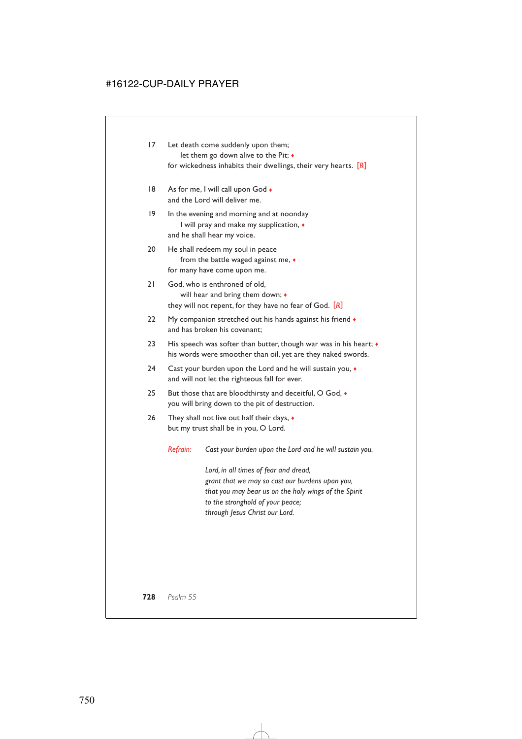- 17 Let death come suddenly upon them; let them go down alive to the Pit; ♦ for wickedness inhabits their dwellings, their very hearts. [*R*]
- 18 As for me, I will call upon God  $\bullet$ and the Lord will deliver me.
- 19 In the evening and morning and at noonday I will pray and make my supplication, ♦ and he shall hear my voice.
- 20 He shall redeem my soul in peace from the battle waged against me, ♦ for many have come upon me.
- 21 God, who is enthroned of old, will hear and bring them down; ♦ they will not repent, for they have no fear of God. [*R*]
- 22 My companion stretched out his hands against his friend  $\bullet$ and has broken his covenant;
- 23 His speech was softer than butter, though war was in his heart;  $\bullet$ his words were smoother than oil, yet are they naked swords.
- 24 Cast your burden upon the Lord and he will sustain you,  $\bullet$ and will not let the righteous fall for ever.
- 25 But those that are bloodthirsty and deceitful, O God,  $\bullet$ you will bring down to the pit of destruction.
- 26 They shall not live out half their days,  $\bullet$ but my trust shall be in you, O Lord.

*Refrain: Cast your burden upon the Lord and he will sustain you.*

*Lord, in all times of fear and dread, grant that we may so cast our burdens upon you, that you may bear us on the holy wings of the Spirit to the stronghold of your peace; through Jesus Christ our Lord.*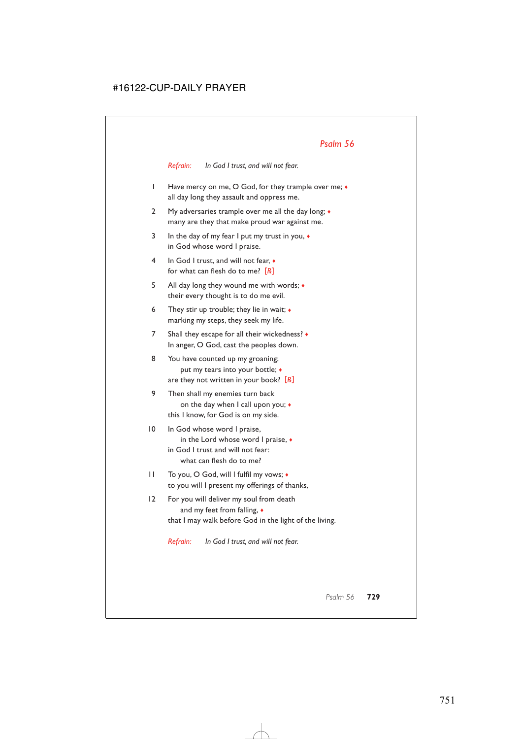*Refrain: In God I trust, and will not fear.*

- 1 Have mercy on me, O God, for they trample over me; ♦ all day long they assault and oppress me.
- 2 My adversaries trample over me all the day long;  $\bullet$ many are they that make proud war against me.
- 3 In the day of my fear I put my trust in you,  $\bullet$ in God whose word I praise.
- 4 In God I trust, and will not fear, ♦ for what can flesh do to me? [*R*]
- 5 All day long they wound me with words; ♦ their every thought is to do me evil.
- 6 They stir up trouble; they lie in wait;  $\bullet$ marking my steps, they seek my life.
- 7 Shall they escape for all their wickedness? ♦ In anger, O God, cast the peoples down.
- 8 You have counted up my groaning; put my tears into your bottle; ♦ are they not written in your book? [*R*]
- 9 Then shall my enemies turn back on the day when I call upon you; ♦ this I know, for God is on my side.
- 10 In God whose word I praise, in the Lord whose word I praise, ♦ in God I trust and will not fear: what can flesh do to me?
- 11 To you, O God, will I fulfil my vows; ♦ to you will I present my offerings of thanks,
- 12 For you will deliver my soul from death and my feet from falling,  $\bullet$ that I may walk before God in the light of the living.

*Refrain: In God I trust, and will not fear.*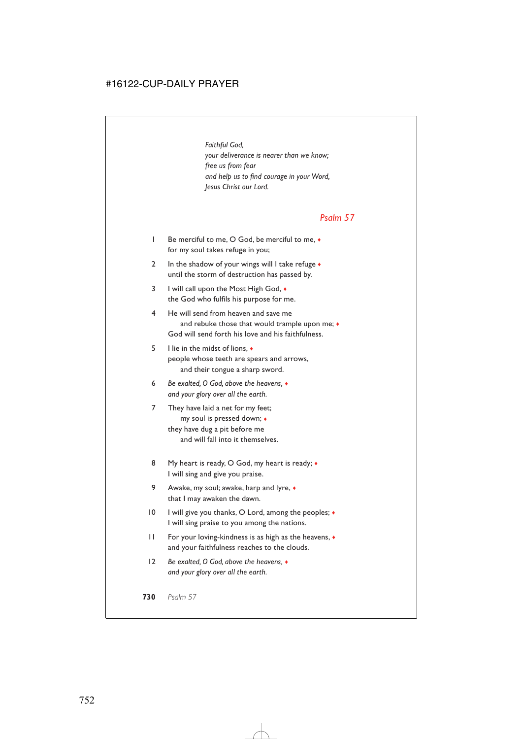*Faithful God, your deliverance is nearer than we know; free us from fear and help us to find courage in your Word, Jesus Christ our Lord.*

#### *Psalm 57*

- 1 Be merciful to me, O God, be merciful to me, ♦ for my soul takes refuge in you;
- 2 In the shadow of your wings will I take refuge  $\bullet$ until the storm of destruction has passed by.
- 3 I will call upon the Most High God, ♦ the God who fulfils his purpose for me.
- 4 He will send from heaven and save me and rebuke those that would trample upon me:  $\bullet$ God will send forth his love and his faithfulness.
- 5 I lie in the midst of lions, ♦ people whose teeth are spears and arrows, and their tongue a sharp sword.
- 6 *Be exalted, O God, above the heavens,* ♦ *and your glory over all the earth.*
- 7 They have laid a net for my feet; my soul is pressed down; ♦ they have dug a pit before me and will fall into it themselves.
- 8 My heart is ready, O God, my heart is ready;  $\bullet$ I will sing and give you praise.
- 9 Awake, my soul; awake, harp and lyre, ♦ that I may awaken the dawn.
- 10 I will give you thanks, O Lord, among the peoples;  $\bullet$ I will sing praise to you among the nations.
- 11 For your loving-kindness is as high as the heavens, ♦ and your faithfulness reaches to the clouds.
- 12 *Be exalted, O God, above the heavens,* ♦ *and your glory over all the earth.*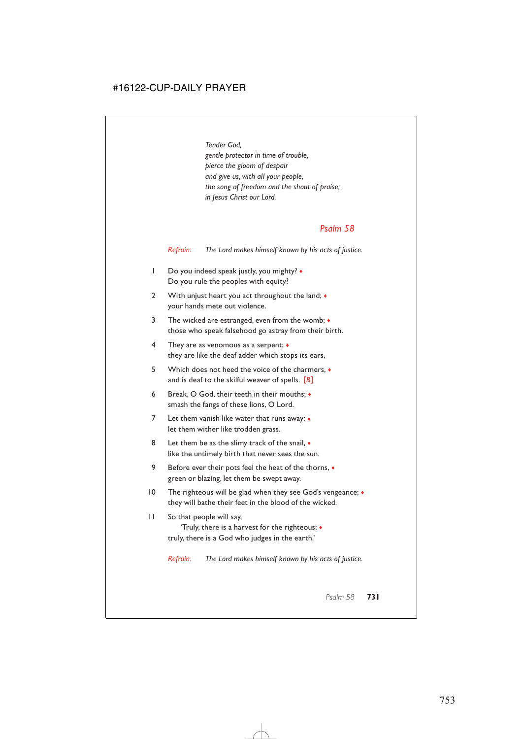*Tender God, gentle protector in time of trouble, pierce the gloom of despair and give us, with all your people, the song of freedom and the shout of praise; in Jesus Christ our Lord.*

#### *Psalm 58*

*Refrain: The Lord makes himself known by his acts of justice.*

- 1 Do you indeed speak justly, you mighty?  $\bullet$ Do you rule the peoples with equity?
- 2 With unjust heart you act throughout the land;  $\bullet$ your hands mete out violence.
- 3 The wicked are estranged, even from the womb;  $\bullet$ those who speak falsehood go astray from their birth.
- 4 They are as venomous as a serpent; ♦ they are like the deaf adder which stops its ears,
- 5 Which does not heed the voice of the charmers, ♦ and is deaf to the skilful weaver of spells. [*R*]
- 6 Break, O God, their teeth in their mouths; ♦ smash the fangs of these lions, O Lord.
- 7 Let them vanish like water that runs away; ♦ let them wither like trodden grass.
- 8 Let them be as the slimy track of the snail,  $\bullet$ like the untimely birth that never sees the sun.
- 9 Before ever their pots feel the heat of the thorns,  $\bullet$ green or blazing, let them be swept away.
- 10 The righteous will be glad when they see God's vengeance;  $\bullet$ they will bathe their feet in the blood of the wicked.
- 11 So that people will say,

'Truly, there is a harvest for the righteous; ♦ truly, there is a God who judges in the earth.'

*Refrain: The Lord makes himself known by his acts of justice.*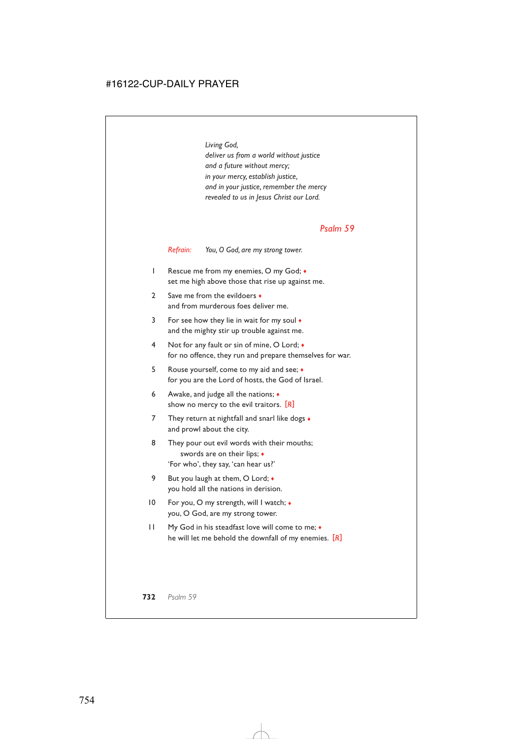*Living God, deliver us from a world without justice and a future without mercy; in your mercy, establish justice, and in your justice, remember the mercy revealed to us in Jesus Christ our Lord.*

#### *Psalm 59*

*Refrain: You, O God, are my strong tower.*

- 1 Rescue me from my enemies, O my God; ♦ set me high above those that rise up against me.
- 2 Save me from the evildoers ◆ and from murderous foes deliver me.
- 3 For see how they lie in wait for my soul ♦ and the mighty stir up trouble against me.
- 4 Not for any fault or sin of mine, O Lord; ♦ for no offence, they run and prepare themselves for war.
- 5 Rouse yourself, come to my aid and see; ♦ for you are the Lord of hosts, the God of Israel.
- 6 Awake, and judge all the nations; ♦ show no mercy to the evil traitors. [*R*]
- 7 They return at nightfall and snarl like dogs  $\bullet$ and prowl about the city.
- 8 They pour out evil words with their mouths; swords are on their lips; ♦ 'For who', they say, 'can hear us?'
- 9 But you laugh at them, O Lord;  $\bullet$ you hold all the nations in derision.
- 10 For you, O my strength, will I watch; ♦ you, O God, are my strong tower.
- 11 My God in his steadfast love will come to me; ♦ he will let me behold the downfall of my enemies. [*R*]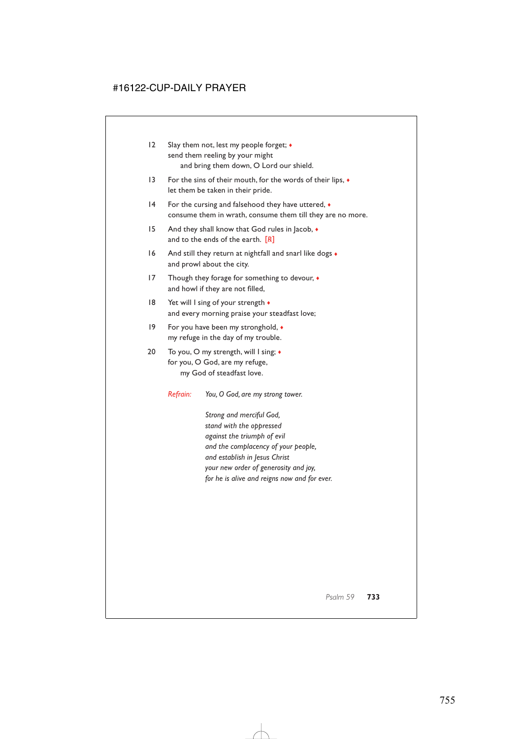- 12 Slay them not, lest my people forget; ♦ send them reeling by your might and bring them down, O Lord our shield.
- 13 For the sins of their mouth, for the words of their lips,  $\bullet$ let them be taken in their pride.
- 14 For the cursing and falsehood they have uttered,  $\bullet$ consume them in wrath, consume them till they are no more.
- 15 And they shall know that God rules in Jacob,  $\triangleleft$ and to the ends of the earth. [*R*]
- 16 And still they return at nightfall and snarl like dogs  $\bullet$ and prowl about the city.
- 17 Though they forage for something to devour,  $\bullet$ and howl if they are not filled,
- 18 Yet will I sing of your strength ◆ and every morning praise your steadfast love;
- 19 For you have been my stronghold,  $\bullet$ my refuge in the day of my trouble.
- 20 To you, O my strength, will I sing; ♦ for you, O God, are my refuge, my God of steadfast love.

*Refrain: You, O God, are my strong tower.*

*Strong and merciful God, stand with the oppressed against the triumph of evil and the complacency of your people, and establish in Jesus Christ your new order of generosity and joy, for he is alive and reigns now and for ever.*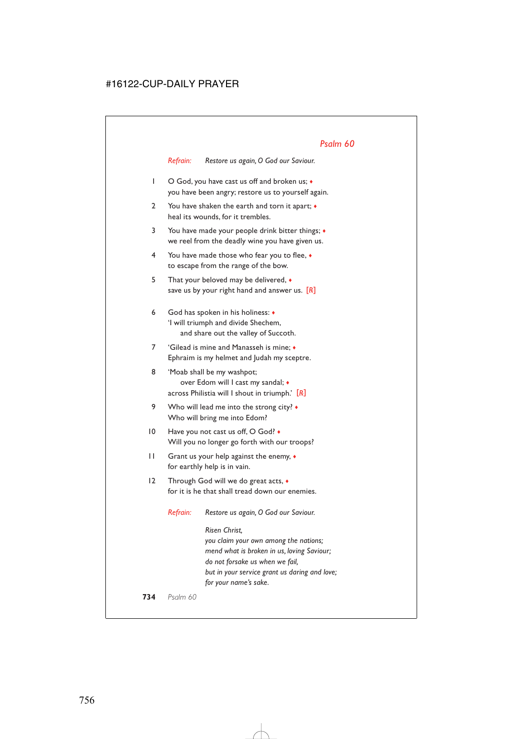*Refrain: Restore us again, O God our Saviour.*

- 1 O God, you have cast us off and broken us;  $\bullet$ you have been angry; restore us to yourself again.
- 2 You have shaken the earth and torn it apart; ♦ heal its wounds, for it trembles.
- 3 You have made your people drink bitter things; ♦ we reel from the deadly wine you have given us.
- 4 You have made those who fear you to flee, ♦ to escape from the range of the bow.
- 5 That your beloved may be delivered, ♦ save us by your right hand and answer us. [*R*]
- 6 God has spoken in his holiness: ♦ 'I will triumph and divide Shechem, and share out the valley of Succoth.
- 7 'Gilead is mine and Manasseh is mine; ♦ Ephraim is my helmet and Judah my sceptre.
- 8 'Moab shall be my washpot; over Edom will I cast my sandal; ♦ across Philistia will I shout in triumph.' [*R*]
- 9 Who will lead me into the strong city?  $\bullet$ Who will bring me into Edom?
- 10 Have you not cast us off, O God? Will you no longer go forth with our troops?
- 11 Grant us your help against the enemy,  $\bullet$ for earthly help is in vain.
- 12 Through God will we do great acts, ♦ for it is he that shall tread down our enemies.

*Refrain: Restore us again, O God our Saviour.*

*Risen Christ, you claim your own among the nations; mend what is broken in us, loving Saviour; do not forsake us when we fail, but in your service grant us daring and love; for your name's sake.*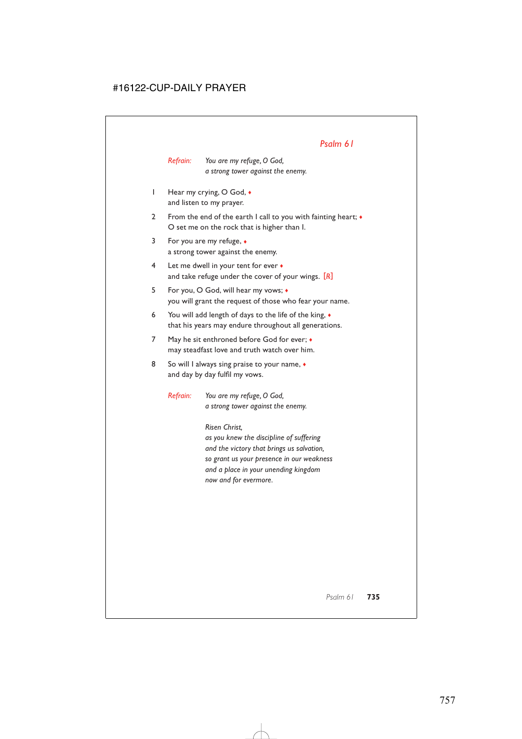*Refrain: You are my refuge, O God, a strong tower against the enemy.*

- 1 Hear my crying, O God,  $\bullet$ and listen to my prayer.
- 2 From the end of the earth I call to you with fainting heart; ♦ O set me on the rock that is higher than I.
- 3 For you are my refuge, ♦ a strong tower against the enemy.
- 4 Let me dwell in your tent for ever ♦ and take refuge under the cover of your wings. [*R*]
- 5 For you, O God, will hear my vows; ♦ you will grant the request of those who fear your name.
- 6 You will add length of days to the life of the king, ♦ that his years may endure throughout all generations.
- 7 May he sit enthroned before God for ever;  $\bullet$ may steadfast love and truth watch over him.
- 8 So will I always sing praise to your name,  $\bullet$ and day by day fulfil my vows.

*Refrain: You are my refuge, O God, a strong tower against the enemy.*

> *Risen Christ, as you knew the discipline of suffering and the victory that brings us salvation, so grant us your presence in our weakness and a place in your unending kingdom now and for evermore.*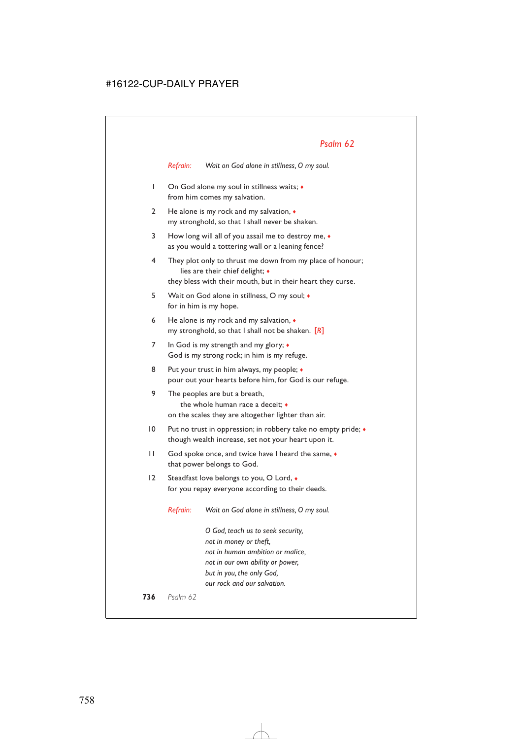*Refrain: Wait on God alone in stillness, O my soul.*

- 1 On God alone my soul in stillness waits; ♦ from him comes my salvation.
- 2 He alone is my rock and my salvation,  $\bullet$ my stronghold, so that I shall never be shaken.
- 3 How long will all of you assail me to destroy me, ♦ as you would a tottering wall or a leaning fence?
- 4 They plot only to thrust me down from my place of honour; lies are their chief delight; ♦ they bless with their mouth, but in their heart they curse.
- 5 Wait on God alone in stillness, O my soul; ♦ for in him is my hope.
- 6 He alone is my rock and my salvation, ♦ my stronghold, so that I shall not be shaken. [*R*]
- 7 In God is my strength and my glory; ♦ God is my strong rock; in him is my refuge.
- 8 Put your trust in him always, my people;  $\bullet$ pour out your hearts before him, for God is our refuge.
- 9 The peoples are but a breath, the whole human race a deceit; ♦ on the scales they are altogether lighter than air.
- 10 Put no trust in oppression; in robbery take no empty pride; ♦ though wealth increase, set not your heart upon it.
- 11 God spoke once, and twice have I heard the same,  $\bullet$ that power belongs to God.
- 12 Steadfast love belongs to you, O Lord, ♦ for you repay everyone according to their deeds.

*Refrain: Wait on God alone in stillness, O my soul.*

*O God, teach us to seek security, not in money or theft, not in human ambition or malice, not in our own ability or power, but in you, the only God, our rock and our salvation.*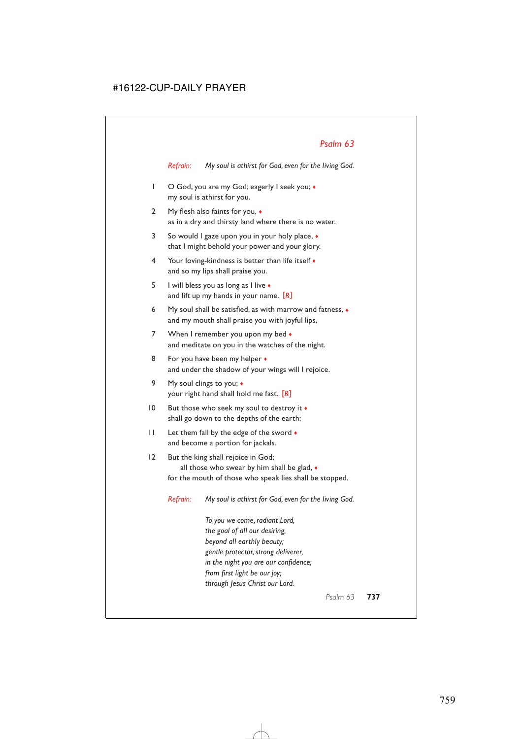*Refrain: My soul is athirst for God, even for the living God.*

- 1 O God, you are my God; eagerly I seek you;  $\bullet$ my soul is athirst for you.
- 2 My flesh also faints for you, ♦ as in a dry and thirsty land where there is no water.
- 3 So would I gaze upon you in your holy place, ♦ that I might behold your power and your glory.
- 4 Your loving-kindness is better than life itself  $\bullet$ and so my lips shall praise you.
- 5 I will bless you as long as I live ♦ and lift up my hands in your name. [*R*]
- 6 My soul shall be satisfied, as with marrow and fatness, ♦ and my mouth shall praise you with joyful lips,
- 7 When I remember you upon my bed  $\bullet$ and meditate on you in the watches of the night.
- 8 For you have been my helper  $\bullet$ and under the shadow of your wings will I rejoice.
- 9 My soul clings to you;  $\triangleleft$ your right hand shall hold me fast. [*R*]
- 10 But those who seek my soul to destroy it  $\bullet$ shall go down to the depths of the earth;
- 11 Let them fall by the edge of the sword  $\bullet$ and become a portion for jackals.
- 12 But the king shall rejoice in God; all those who swear by him shall be glad, ♦ for the mouth of those who speak lies shall be stopped.

*Refrain: My soul is athirst for God, even for the living God.*

*To you we come, radiant Lord, the goal of all our desiring, beyond all earthly beauty; gentle protector, strong deliverer, in the night you are our confidence; from first light be our joy; through Jesus Christ our Lord.*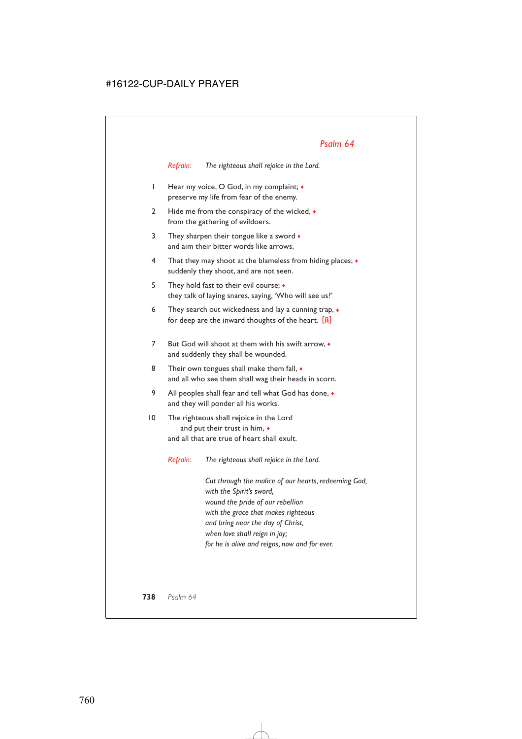*Refrain: The righteous shall rejoice in the Lord.*

- 1 Hear my voice, O God, in my complaint; ♦ preserve my life from fear of the enemy.
- 2 Hide me from the conspiracy of the wicked,  $\bullet$ from the gathering of evildoers.
- 3 They sharpen their tongue like a sword  $\bullet$ and aim their bitter words like arrows,
- 4 That they may shoot at the blameless from hiding places; ♦ suddenly they shoot, and are not seen.
- 5 They hold fast to their evil course; ♦ they talk of laying snares, saying, 'Who will see us?'
- 6 They search out wickedness and lay a cunning trap,  $\bullet$ for deep are the inward thoughts of the heart. [*R*]
- 7 But God will shoot at them with his swift arrow, ♦ and suddenly they shall be wounded.
- 8 Their own tongues shall make them fall,  $\bullet$ and all who see them shall wag their heads in scorn.
- 9 All peoples shall fear and tell what God has done,  $\bullet$ and they will ponder all his works.
- 10 The righteous shall rejoice in the Lord and put their trust in him,  $\bullet$ and all that are true of heart shall exult.

*Refrain: The righteous shall rejoice in the Lord.*

*Cut through the malice of our hearts, redeeming God, with the Spirit's sword, wound the pride of our rebellion with the grace that makes righteous and bring near the day of Christ, when love shall reign in joy; for he is alive and reigns, now and for ever.*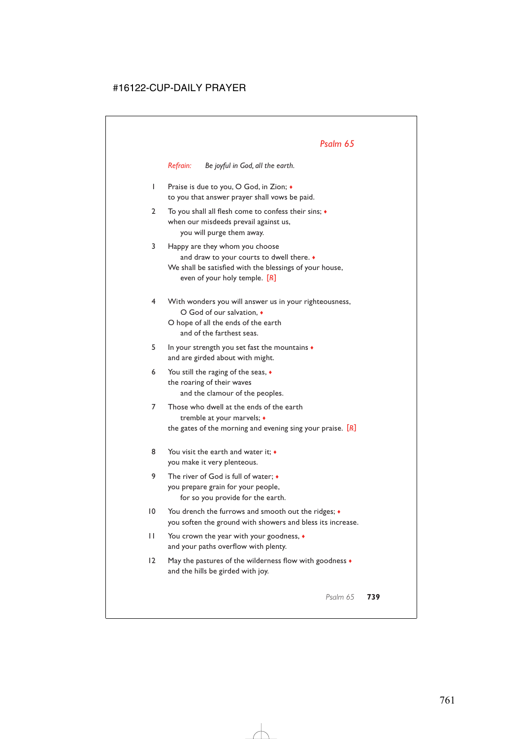*Refrain: Be joyful in God, all the earth.*

- 1 Praise is due to you, O God, in Zion; ♦ to you that answer prayer shall vows be paid.
- 2 To you shall all flesh come to confess their sins; ♦ when our misdeeds prevail against us, you will purge them away.
- 3 Happy are they whom you choose and draw to your courts to dwell there. ♦ We shall be satisfied with the blessings of your house, even of your holy temple. [*R*]
- 4 With wonders you will answer us in your righteousness, O God of our salvation, ♦ O hope of all the ends of the earth
	- and of the farthest seas.
- 5 In your strength you set fast the mountains ♦ and are girded about with might.
- 6 You still the raging of the seas, ♦ the roaring of their waves and the clamour of the peoples.
- 7 Those who dwell at the ends of the earth tremble at your marvels; ♦ the gates of the morning and evening sing your praise. [*R*]
- 8 You visit the earth and water it:  $\bullet$ you make it very plenteous.
- 9 The river of God is full of water; ♦ you prepare grain for your people, for so you provide for the earth.
- 10 You drench the furrows and smooth out the ridges;  $\bullet$ you soften the ground with showers and bless its increase.
- 11 You crown the year with your goodness, ♦ and your paths overflow with plenty.
- 12 May the pastures of the wilderness flow with goodness ♦ and the hills be girded with joy.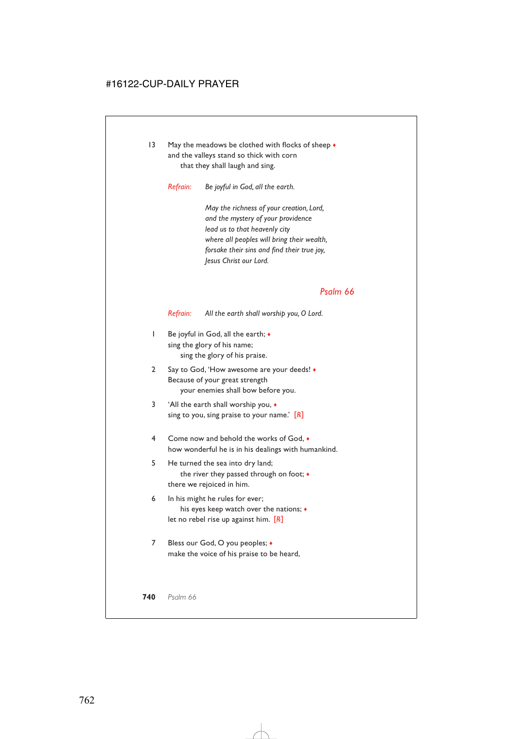13 May the meadows be clothed with flocks of sheep  $\bullet$ and the valleys stand so thick with corn that they shall laugh and sing.

*Refrain: Be joyful in God, all the earth.*

*May the richness of your creation, Lord, and the mystery of your providence lead us to that heavenly city where all peoples will bring their wealth, forsake their sins and find their true joy, Jesus Christ our Lord.*

#### *Psalm 66*

*Refrain: All the earth shall worship you, O Lord.*

- 1 Be joyful in God, all the earth;  $\triangleleft$ sing the glory of his name; sing the glory of his praise.
- 2 Say to God, 'How awesome are your deeds! ♦ Because of your great strength your enemies shall bow before you.
- 3 'All the earth shall worship you, ♦ sing to you, sing praise to your name.' [*R*]
- 4 Come now and behold the works of God, ♦ how wonderful he is in his dealings with humankind.
- 5 He turned the sea into dry land; the river they passed through on foot; ♦ there we rejoiced in him.
- 6 In his might he rules for ever; his eyes keep watch over the nations; ♦ let no rebel rise up against him. [*R*]
- 7 Bless our God, O you peoples;  $\triangle$ make the voice of his praise to be heard,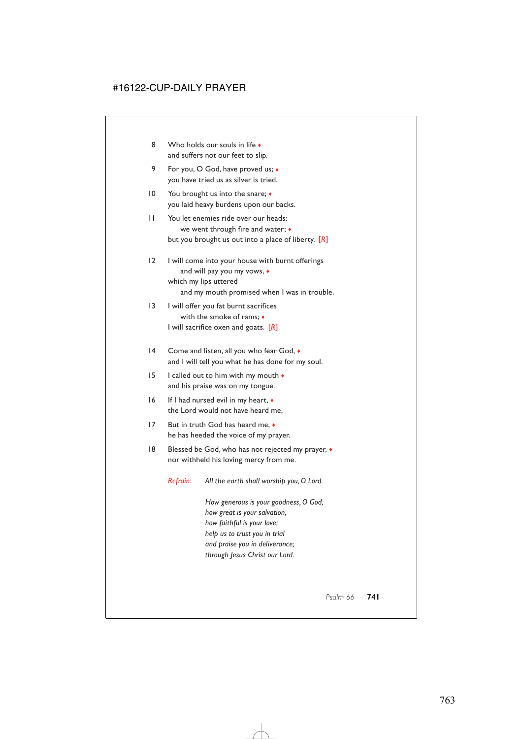- 8 Who holds our souls in life and suffers not our feet to slip.
- 9 For you, O God, have proved us;  $\bullet$ you have tried us as silver is tried.
- 10 You brought us into the snare;  $\triangleleft$ you laid heavy burdens upon our backs.
- 11 You let enemies ride over our heads; we went through fire and water; ♦ but you brought us out into a place of liberty. [*R*]
- 12 I will come into your house with burnt offerings and will pay you my vows, ♦ which my lips uttered and my mouth promised when I was in trouble.
- 13 I will offer you fat burnt sacrifices with the smoke of rams; ♦ I will sacrifice oxen and goats. [*R*]
- 14 Come and listen, all you who fear God,  $\bullet$ and I will tell you what he has done for my soul.
- 15 I called out to him with my mouth  $\bullet$ and his praise was on my tongue.
- 16 If I had nursed evil in my heart, ♦ the Lord would not have heard me,
- 17 But in truth God has heard me;  $\bullet$ he has heeded the voice of my prayer.
- 18 Blessed be God, who has not rejected my prayer,  $\bullet$ nor withheld his loving mercy from me.

*Refrain: All the earth shall worship you, O Lord.*

*How generous is your goodness, O God, how great is your salvation, how faithful is your love; help us to trust you in trial and praise you in deliverance; through Jesus Christ our Lord.*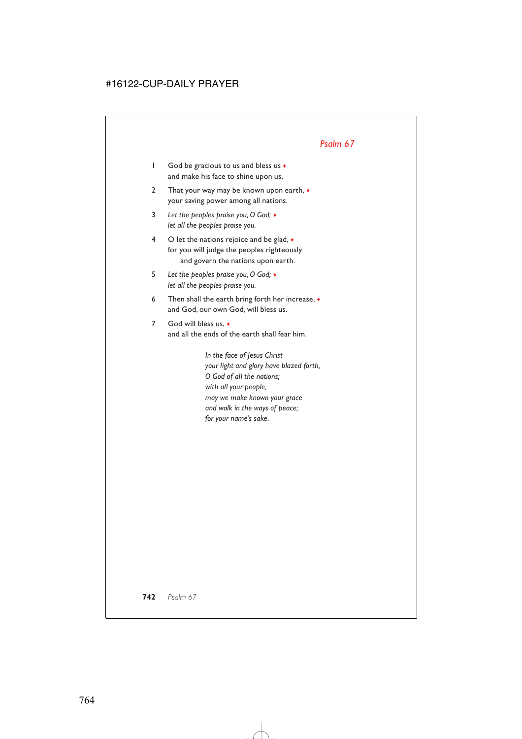- 1 God be gracious to us and bless us ♦ and make his face to shine upon us,
- 2 That your way may be known upon earth,  $\bullet$ your saving power among all nations.
- 3 *Let the peoples praise you, O God;* ♦ *let all the peoples praise you.*
- 4 O let the nations rejoice and be glad,  $\bullet$ for you will judge the peoples righteously and govern the nations upon earth.
- 5 *Let the peoples praise you, O God;* ♦ *let all the peoples praise you.*
- 6 Then shall the earth bring forth her increase, ♦ and God, our own God, will bless us.
- 7 God will bless us.  $\bullet$ and all the ends of the earth shall fear him.

*In the face of Jesus Christ your light and glory have blazed forth, O God of all the nations; with all your people, may we make known your grace and walk in the ways of peace; for your name's sake.*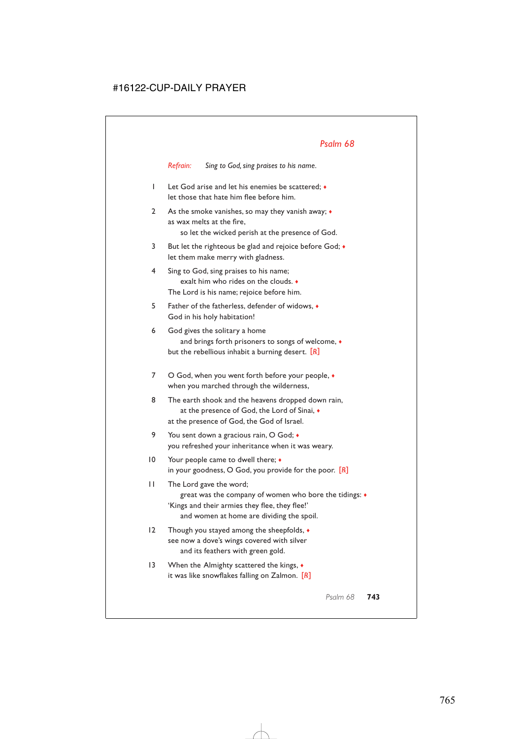*Refrain: Sing to God, sing praises to his name.*

- 1 Let God arise and let his enemies be scattered; ♦ let those that hate him flee before him.
- 2 As the smoke vanishes, so may they vanish away; ♦ as wax melts at the fire,

so let the wicked perish at the presence of God.

- 3 But let the righteous be glad and rejoice before God; ♦ let them make merry with gladness.
- 4 Sing to God, sing praises to his name; exalt him who rides on the clouds. ♦ The Lord is his name; rejoice before him.
- 5 Father of the fatherless, defender of widows, ♦ God in his holy habitation!
- 6 God gives the solitary a home and brings forth prisoners to songs of welcome, ♦ but the rebellious inhabit a burning desert. [*R*]
- 7 O God, when you went forth before your people,  $\bullet$ when you marched through the wilderness,
- 8 The earth shook and the heavens dropped down rain, at the presence of God, the Lord of Sinai, ♦ at the presence of God, the God of Israel.
- 9 You sent down a gracious rain, O God;  $\bullet$ you refreshed your inheritance when it was weary.
- 10 Your people came to dwell there;  $\bullet$ in your goodness, O God, you provide for the poor. [*R*]
- 11 The Lord gave the word; great was the company of women who bore the tidings: ♦ 'Kings and their armies they flee, they flee!' and women at home are dividing the spoil.
- 12 Though you stayed among the sheepfolds, ♦ see now a dove's wings covered with silver and its feathers with green gold.
- 13 When the Almighty scattered the kings,  $\bullet$ it was like snowflakes falling on Zalmon. [*R*]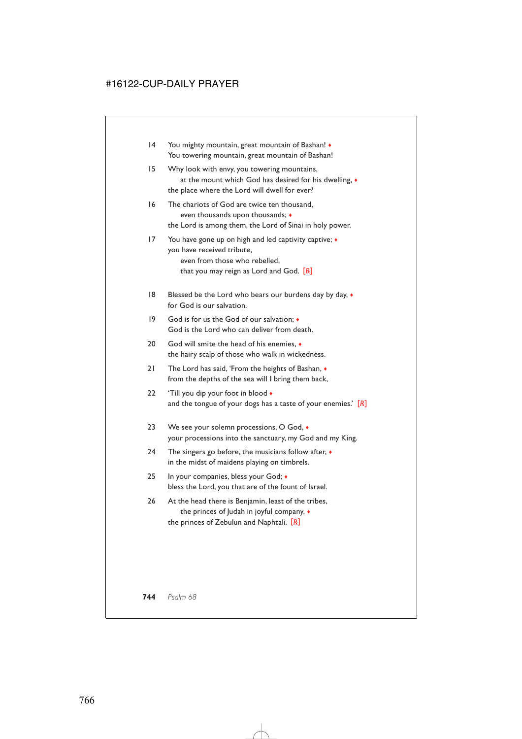- 14 You mighty mountain, great mountain of Bashan! ♦ You towering mountain, great mountain of Bashan!
- 15 Why look with envy, you towering mountains, at the mount which God has desired for his dwelling, ♦ the place where the Lord will dwell for ever?
- 16 The chariots of God are twice ten thousand, even thousands upon thousands; ♦ the Lord is among them, the Lord of Sinai in holy power.
- 17 You have gone up on high and led captivity captive; ♦ you have received tribute, even from those who rebelled, that you may reign as Lord and God. [*R*]
- 18 Blessed be the Lord who bears our burdens day by day,  $\bullet$ for God is our salvation.
- 19 God is for us the God of our salvation; ♦ God is the Lord who can deliver from death.
- 20 God will smite the head of his enemies.  $\bullet$ the hairy scalp of those who walk in wickedness.
- 21 The Lord has said, 'From the heights of Bashan, ♦ from the depths of the sea will I bring them back,
- 22 'Till you dip your foot in blood  $\bullet$ and the tongue of your dogs has a taste of your enemies.' [*R*]
- 23 We see your solemn processions, O God,  $\bullet$ your processions into the sanctuary, my God and my King.
- 24 The singers go before, the musicians follow after,  $\bullet$ in the midst of maidens playing on timbrels.
- 25 In your companies, bless your God;  $\bullet$ bless the Lord, you that are of the fount of Israel.
- 26 At the head there is Benjamin, least of the tribes, the princes of Judah in joyful company, ♦ the princes of Zebulun and Naphtali. [*R*]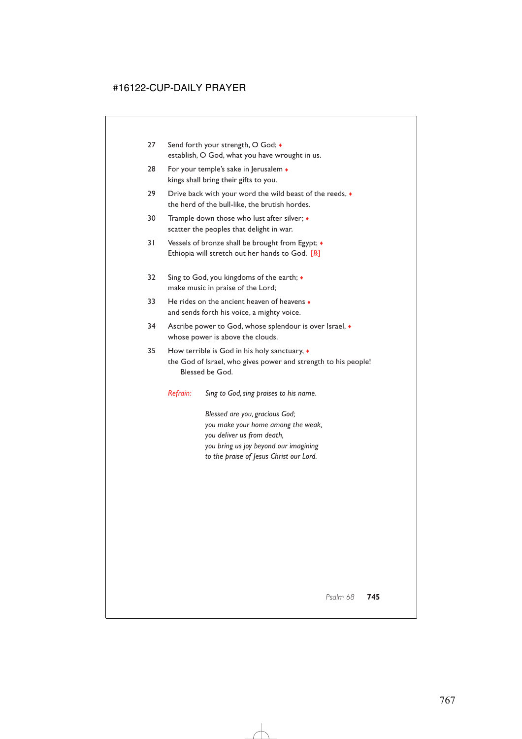- 27 Send forth your strength, O God;  $\bullet$ establish, O God, what you have wrought in us.
- 28 For your temple's sake in Jerusalem  $\bullet$ kings shall bring their gifts to you.
- 29 Drive back with your word the wild beast of the reeds,  $\bullet$ the herd of the bull-like, the brutish hordes.
- 30 Trample down those who lust after silver;  $\triangleleft$ scatter the peoples that delight in war.
- 31 Vessels of bronze shall be brought from Egypt; ♦ Ethiopia will stretch out her hands to God. [*R*]
- 32 Sing to God, you kingdoms of the earth;  $\bullet$ make music in praise of the Lord;
- 33 He rides on the ancient heaven of heavens  $\bullet$ and sends forth his voice, a mighty voice.
- 34 Ascribe power to God, whose splendour is over Israel, ♦ whose power is above the clouds.
- 35 How terrible is God in his holy sanctuary, ♦ the God of Israel, who gives power and strength to his people! Blessed be God.
	- *Refrain: Sing to God, sing praises to his name.*

*Blessed are you, gracious God; you make your home among the weak, you deliver us from death, you bring us joy beyond our imagining to the praise of Jesus Christ our Lord.*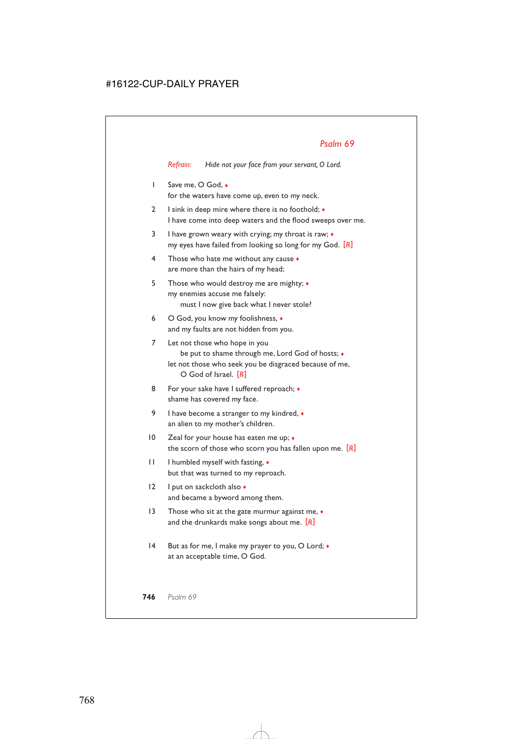*Refrain: Hide not your face from your servant, O Lord.*

- 1 Save me, O God,  $\bullet$ for the waters have come up, even to my neck.
- 2 I sink in deep mire where there is no foothold;  $\bullet$ I have come into deep waters and the flood sweeps over me.
- 3 I have grown weary with crying; my throat is raw; ♦ my eyes have failed from looking so long for my God. [*R*]
- 4 Those who hate me without any cause ♦ are more than the hairs of my head;
- 5 Those who would destroy me are mighty; ♦ my enemies accuse me falsely: must I now give back what I never stole?
- 6 O God, you know my foolishness, ♦ and my faults are not hidden from you.
- 7 Let not those who hope in you be put to shame through me, Lord God of hosts; ♦ let not those who seek you be disgraced because of me, O God of Israel. [*R*]
- 8 For your sake have I suffered reproach;  $\bullet$ shame has covered my face.
- 9 I have become a stranger to my kindred, ♦ an alien to my mother's children.
- 10 Zeal for your house has eaten me up;  $\bullet$ the scorn of those who scorn you has fallen upon me. [*R*]
- 11 I humbled myself with fasting, ♦ but that was turned to my reproach.
- 12 I put on sackcloth also ♦ and became a byword among them.
- 13 Those who sit at the gate murmur against me,  $\bullet$ and the drunkards make songs about me. [*R*]
- 14 But as for me, I make my prayer to you, O Lord;  $\bullet$ at an acceptable time, O God.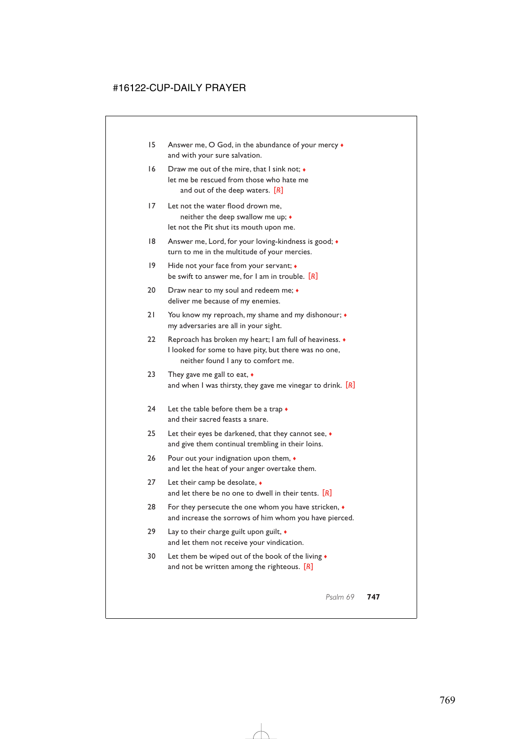- 15 Answer me, O God, in the abundance of your mercy  $\bullet$ and with your sure salvation.
- 16 Draw me out of the mire, that I sink not; ♦ let me be rescued from those who hate me and out of the deep waters. [*R*]
- 17 Let not the water flood drown me, neither the deep swallow me up; ♦ let not the Pit shut its mouth upon me.
- 18 Answer me, Lord, for your loving-kindness is good;  $\bullet$ turn to me in the multitude of your mercies.
- 19 Hide not your face from your servant;  $\bullet$ be swift to answer me, for I am in trouble. [*R*]
- 20 Draw near to my soul and redeem me;  $\bullet$ deliver me because of my enemies.
- 21 You know my reproach, my shame and my dishonour;  $\bullet$ my adversaries are all in your sight.
- 22 Reproach has broken my heart; I am full of heaviness. ♦ I looked for some to have pity, but there was no one, neither found I any to comfort me.
- 23 They gave me gall to eat,  $\bullet$ and when I was thirsty, they gave me vinegar to drink. [*R*]
- 24 Let the table before them be a trap  $\bullet$ and their sacred feasts a snare.
- 25 Let their eyes be darkened, that they cannot see, ♦ and give them continual trembling in their loins.
- 26 Pour out your indignation upon them, ♦ and let the heat of your anger overtake them.
- 27 Let their camp be desolate, ◆ and let there be no one to dwell in their tents. [*R*]
- 28 For they persecute the one whom you have stricken,  $\bullet$ and increase the sorrows of him whom you have pierced.
- 29 Lay to their charge guilt upon guilt,  $\bullet$ and let them not receive your vindication.
- 30 Let them be wiped out of the book of the living  $\bullet$ and not be written among the righteous. [*R*]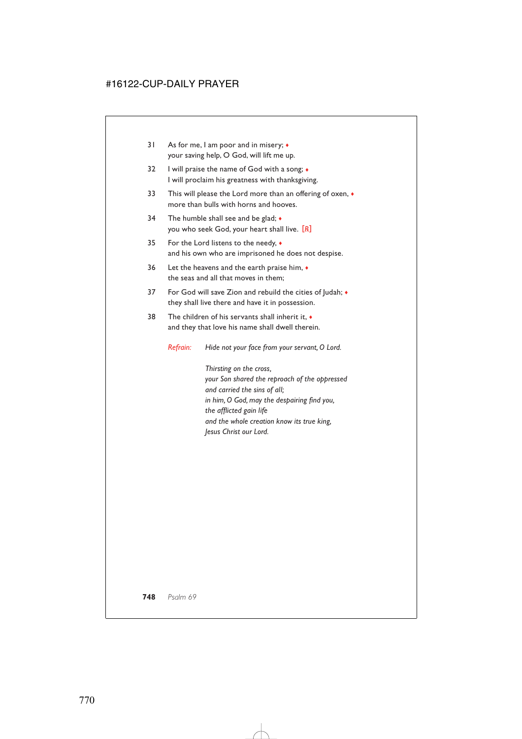- 31 As for me, I am poor and in misery; ♦ your saving help, O God, will lift me up.
- 32 I will praise the name of God with a song;  $\bullet$ I will proclaim his greatness with thanksgiving.
- 33 This will please the Lord more than an offering of oxen,  $\bullet$ more than bulls with horns and hooves.
- 34 The humble shall see and be glad;  $\bullet$ you who seek God, your heart shall live. [*R*]
- 35 For the Lord listens to the needy, ♦ and his own who are imprisoned he does not despise.
- 36 Let the heavens and the earth praise him, ♦ the seas and all that moves in them;
- 37 For God will save Zion and rebuild the cities of Judah; ♦ they shall live there and have it in possession.
- 38 The children of his servants shall inherit it, ♦ and they that love his name shall dwell therein.

*Refrain: Hide not your face from your servant, O Lord.*

*Thirsting on the cross, your Son shared the reproach of the oppressed and carried the sins of all; in him, O God, may the despairing find you, the afflicted gain life and the whole creation know its true king, Jesus Christ our Lord.*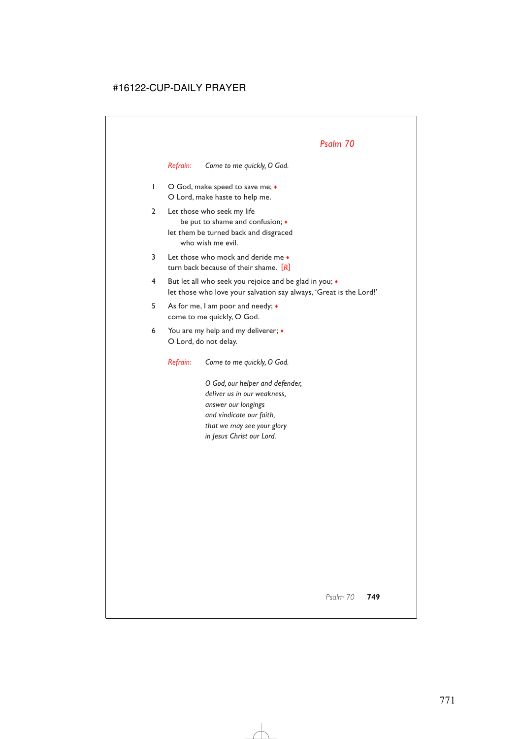*Refrain: Come to me quickly, O God.*

- 1 O God, make speed to save me;  $\bullet$ O Lord, make haste to help me.
- 2 Let those who seek my life be put to shame and confusion; ♦ let them be turned back and disgraced who wish me evil.
- 3 Let those who mock and deride me  $\bullet$ turn back because of their shame. [*R*]
- 4 But let all who seek you rejoice and be glad in you; ♦ let those who love your salvation say always, 'Great is the Lord!'
- 5 As for me, I am poor and needy; ♦ come to me quickly, O God.
- 6 You are my help and my deliverer; ♦ O Lord, do not delay.

*Refrain: Come to me quickly, O God.*

*O God, our helper and defender, deliver us in our weakness, answer our longings and vindicate our faith, that we may see your glory in Jesus Christ our Lord.*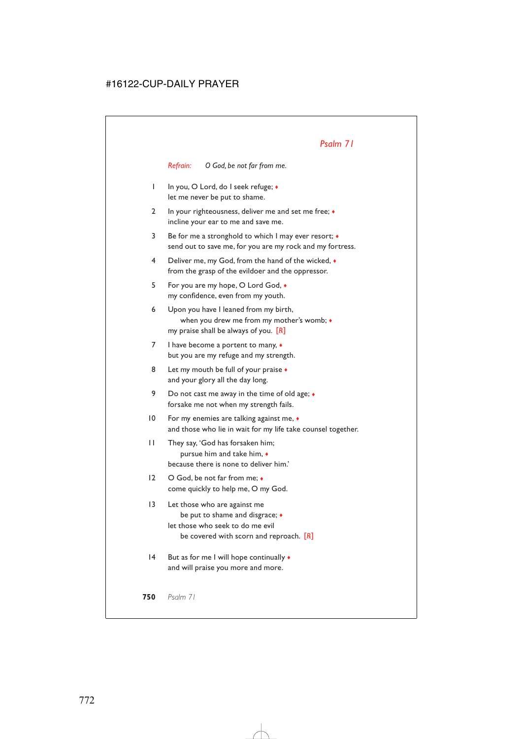*Refrain: O God, be not far from me.*

- 1 In you, O Lord, do I seek refuge; ♦ let me never be put to shame.
- 2 In your righteousness, deliver me and set me free; ◆ incline your ear to me and save me.
- 3 Be for me a stronghold to which I may ever resort; ♦ send out to save me, for you are my rock and my fortress.
- 4 Deliver me, my God, from the hand of the wicked, ♦ from the grasp of the evildoer and the oppressor.
- 5 For you are my hope, O Lord God, ♦ my confidence, even from my youth.
- 6 Upon you have I leaned from my birth, when you drew me from my mother's womb; ♦ my praise shall be always of you. [*R*]
- 7 I have become a portent to many,  $\bullet$ but you are my refuge and my strength.
- 8 Let my mouth be full of your praise  $\bullet$ and your glory all the day long.
- 9 Do not cast me away in the time of old age;  $\bullet$ forsake me not when my strength fails.
- 10 For my enemies are talking against me, ♦ and those who lie in wait for my life take counsel together.
- 11 They say, 'God has forsaken him; pursue him and take him, ♦ because there is none to deliver him.'
- 12 O God, be not far from me; ◆ come quickly to help me, O my God.
- 13 Let those who are against me be put to shame and disgrace; ♦ let those who seek to do me evil be covered with scorn and reproach. [*R*]
- 14 But as for me I will hope continually  $\triangleleft$ and will praise you more and more.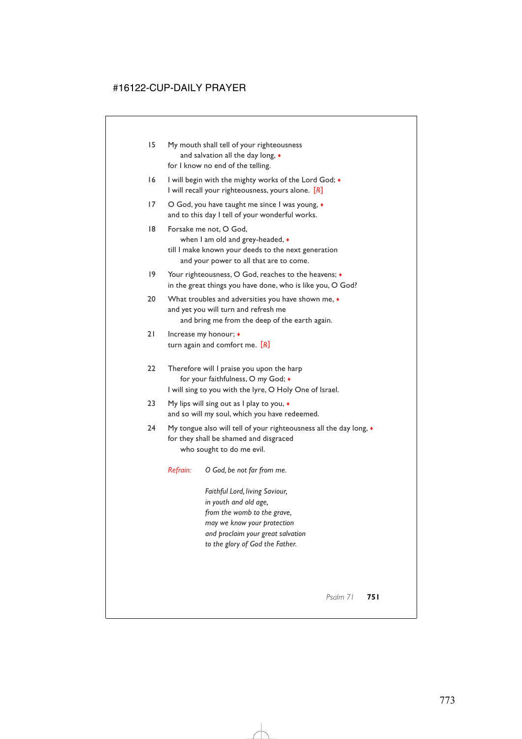- 15 My mouth shall tell of your righteousness and salvation all the day long, ♦ for I know no end of the telling.
- 16 I will begin with the mighty works of the Lord God;  $\bullet$ I will recall your righteousness, yours alone. [*R*]
- 17 O God, you have taught me since I was young,  $\bullet$ and to this day I tell of your wonderful works.
- 18 Forsake me not, O God, when I am old and grey-headed, ♦ till I make known your deeds to the next generation
	- and your power to all that are to come.
- 19 Your righteousness, O God, reaches to the heavens;  $\bullet$ in the great things you have done, who is like you, O God?
- 20 What troubles and adversities you have shown me,  $\bullet$ and yet you will turn and refresh me and bring me from the deep of the earth again.
- 21 Increase my honour; ♦ turn again and comfort me. [*R*]
- 22 Therefore will I praise you upon the harp for your faithfulness, O my God; ♦ I will sing to you with the lyre, O Holy One of Israel.
- 23 My lips will sing out as I play to you,  $\bullet$ and so will my soul, which you have redeemed.
- 24 My tongue also will tell of your righteousness all the day long,  $\bullet$ for they shall be shamed and disgraced who sought to do me evil.
	- *Refrain: O God, be not far from me.*

*Faithful Lord, living Saviour, in youth and old age, from the womb to the grave, may we know your protection and proclaim your great salvation to the glory of God the Father.*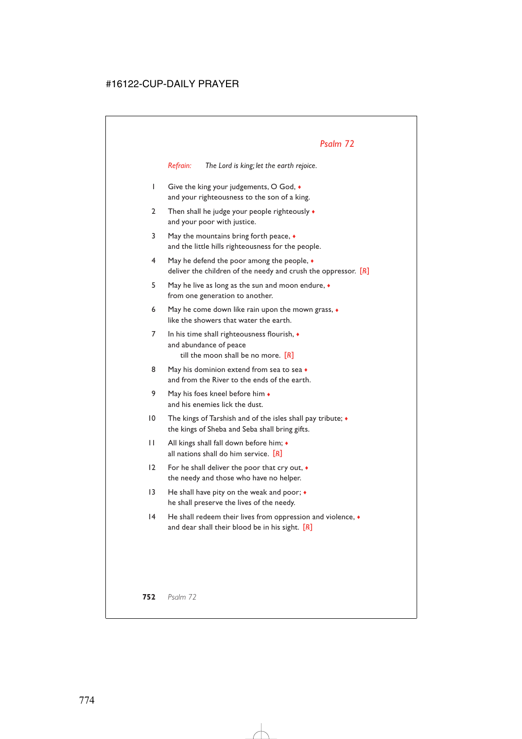*Refrain: The Lord is king; let the earth rejoice.*

- 1 Give the king your judgements, O God, ♦ and your righteousness to the son of a king.
- 2 Then shall he judge your people righteously  $\bullet$ and your poor with justice.
- 3 May the mountains bring forth peace, ♦ and the little hills righteousness for the people.
- 4 May he defend the poor among the people, ♦ deliver the children of the needy and crush the oppressor. [*R*]
- 5 May he live as long as the sun and moon endure, ♦ from one generation to another.
- 6 May he come down like rain upon the mown grass, ♦ like the showers that water the earth.
- 7 In his time shall righteousness flourish, ♦ and abundance of peace till the moon shall be no more. [*R*]
- 8 May his dominion extend from sea to sea  $\bullet$ and from the River to the ends of the earth.
- 9 May his foes kneel before him  $\bullet$ and his enemies lick the dust.
- 10 The kings of Tarshish and of the isles shall pay tribute; ♦ the kings of Sheba and Seba shall bring gifts.
- 11 All kings shall fall down before him; ♦ all nations shall do him service. [*R*]
- 12 For he shall deliver the poor that cry out,  $\bullet$ the needy and those who have no helper.
- 13 He shall have pity on the weak and poor;  $\bullet$ he shall preserve the lives of the needy.
- 14 He shall redeem their lives from oppression and violence,  $\bullet$ and dear shall their blood be in his sight. [*R*]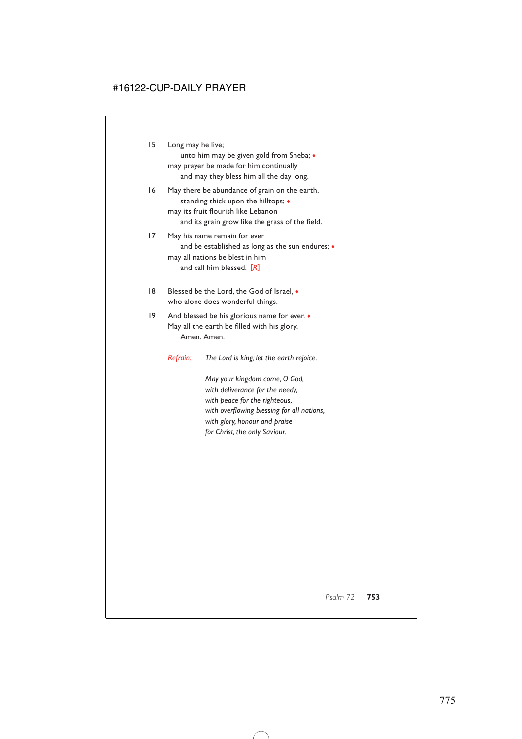15 Long may he live;

unto him may be given gold from Sheba; ♦ may prayer be made for him continually and may they bless him all the day long.

- 16 May there be abundance of grain on the earth, standing thick upon the hilltops; ♦ may its fruit flourish like Lebanon and its grain grow like the grass of the field.
- 17 May his name remain for ever and be established as long as the sun endures;  $\bullet$ may all nations be blest in him and call him blessed. [*R*]
- 18 Blessed be the Lord, the God of Israel, ♦ who alone does wonderful things.
- 19 And blessed be his glorious name for ever.  $\bullet$ May all the earth be filled with his glory. Amen. Amen.
	- *Refrain: The Lord is king; let the earth rejoice.*

*May your kingdom come, O God, with deliverance for the needy, with peace for the righteous, with overflowing blessing for all nations, with glory, honour and praise for Christ, the only Saviour.*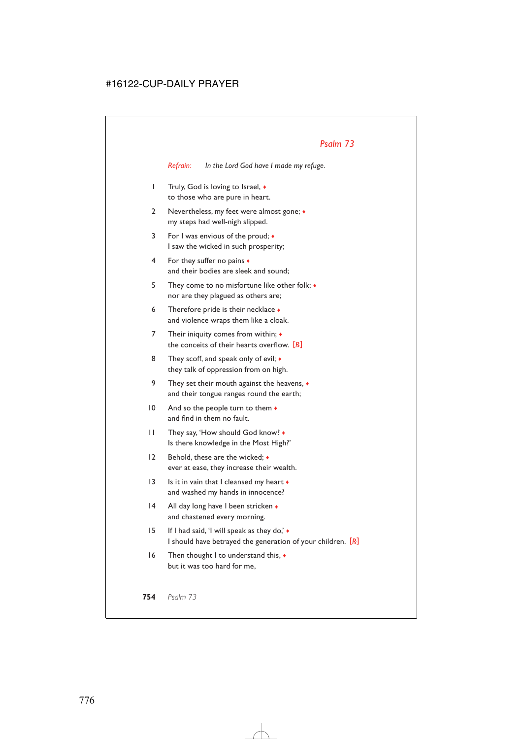*Refrain: In the Lord God have I made my refuge.*

- 1 Truly, God is loving to Israel, ♦ to those who are pure in heart.
- 2 Nevertheless, my feet were almost gone;  $\bullet$ my steps had well-nigh slipped.
- 3 For I was envious of the proud; ♦ I saw the wicked in such prosperity;
- 4 For they suffer no pains ♦ and their bodies are sleek and sound;
- 5 They come to no misfortune like other folk; ♦ nor are they plagued as others are;
- 6 Therefore pride is their necklace ♦ and violence wraps them like a cloak.
- 7 Their iniquity comes from within;  $\triangleleft$ the conceits of their hearts overflow. [*R*]
- 8 They scoff, and speak only of evil;  $\bullet$ they talk of oppression from on high.
- 9 They set their mouth against the heavens,  $\bullet$ and their tongue ranges round the earth;
- 10 And so the people turn to them ♦ and find in them no fault.
- 11 They say, 'How should God know? ♦ Is there knowledge in the Most High?'
- 12 Behold, these are the wicked;  $\bullet$ ever at ease, they increase their wealth.
- 13 Is it in vain that I cleansed my heart ♦ and washed my hands in innocence?
- 14 All day long have I been stricken and chastened every morning.
- 15 If I had said, 'I will speak as they do,' ♦ I should have betrayed the generation of your children. [*R*]
- 16 Then thought I to understand this, ♦ but it was too hard for me,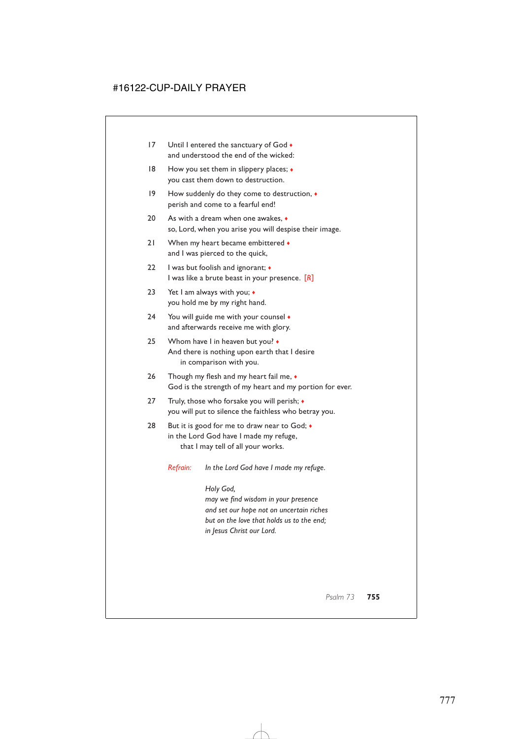- 17 Until I entered the sanctuary of God  $\bullet$ and understood the end of the wicked:
- 18 How you set them in slippery places;  $\bullet$ you cast them down to destruction.
- 19 How suddenly do they come to destruction, ♦ perish and come to a fearful end!
- 20 As with a dream when one awakes,  $\bullet$ so, Lord, when you arise you will despise their image.
- 21 When my heart became embittered and I was pierced to the quick,
- 22 I was but foolish and ignorant;  $\triangleleft$ I was like a brute beast in your presence. [*R*]
- 23 Yet I am always with you; ◆ you hold me by my right hand.
- 24 You will guide me with your counsel  $\bullet$ and afterwards receive me with glory.
- 25 Whom have I in heaven but you?  $\bullet$ And there is nothing upon earth that I desire in comparison with you.
- 26 Though my flesh and my heart fail me,  $\bullet$ God is the strength of my heart and my portion for ever.
- 27 Truly, those who forsake you will perish; ♦ you will put to silence the faithless who betray you.
- 28 But it is good for me to draw near to God;  $\bullet$ in the Lord God have I made my refuge, that I may tell of all your works.
	- *Refrain: In the Lord God have I made my refuge.*

*Holy God, may we find wisdom in your presence and set our hope not on uncertain riches but on the love that holds us to the end; in Jesus Christ our Lord.*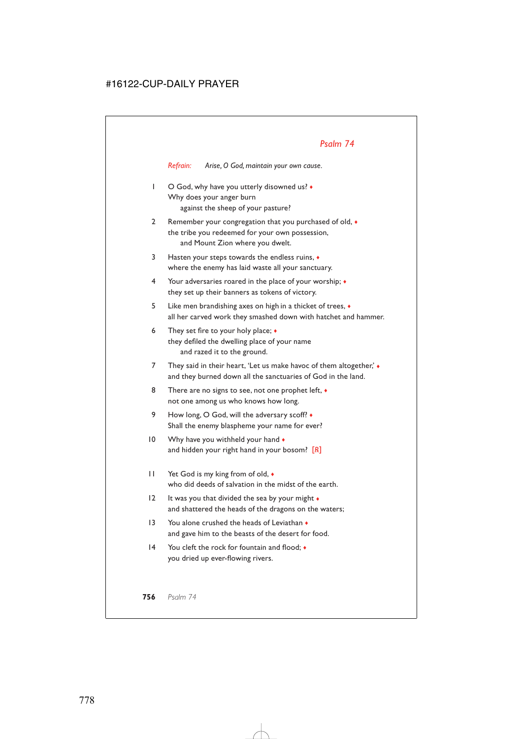*Refrain: Arise, O God, maintain your own cause.*

- 1 O God, why have you utterly disowned us?  $\bullet$ Why does your anger burn against the sheep of your pasture?
- 2 Remember your congregation that you purchased of old,  $\bullet$ the tribe you redeemed for your own possession, and Mount Zion where you dwelt.
- 3 Hasten your steps towards the endless ruins, ♦ where the enemy has laid waste all your sanctuary.
- 4 Your adversaries roared in the place of your worship; ♦ they set up their banners as tokens of victory.
- 5 Like men brandishing axes on high in a thicket of trees, ♦ all her carved work they smashed down with hatchet and hammer.
- 6 They set fire to your holy place;  $\bullet$ they defiled the dwelling place of your name and razed it to the ground.
- 7 They said in their heart, 'Let us make havoc of them altogether,'  $\bullet$ and they burned down all the sanctuaries of God in the land.
- 8 There are no signs to see, not one prophet left,  $\bullet$ not one among us who knows how long.
- 9 How long, O God, will the adversary scoff?  $\bullet$ Shall the enemy blaspheme your name for ever?
- 10 Why have you withheld your hand  $\bullet$ and hidden your right hand in your bosom? [*R*]
- 11 Yet God is my king from of old,  $\bullet$ who did deeds of salvation in the midst of the earth.
- 12 It was you that divided the sea by your might ♦ and shattered the heads of the dragons on the waters;
- 13 You alone crushed the heads of Leviathan  $\triangle$ and gave him to the beasts of the desert for food.
- 14 You cleft the rock for fountain and flood:  $\bullet$ you dried up ever-flowing rivers.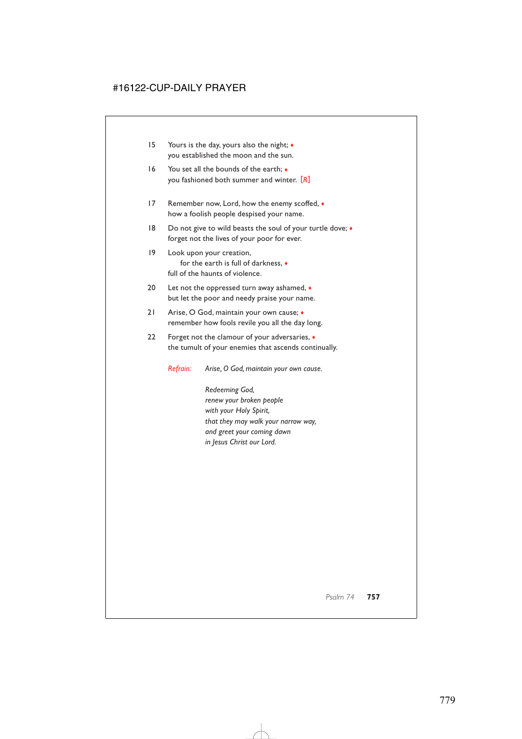- 15 Yours is the day, yours also the night; ♦ you established the moon and the sun.
- 16 You set all the bounds of the earth;  $\bullet$ you fashioned both summer and winter. [*R*]
- 17 Remember now, Lord, how the enemy scoffed,  $\bullet$ how a foolish people despised your name.
- 18 Do not give to wild beasts the soul of your turtle dove;  $\triangleleft$ forget not the lives of your poor for ever.
- 19 Look upon your creation, for the earth is full of darkness, ♦ full of the haunts of violence.
- 20 Let not the oppressed turn away ashamed,  $\bullet$ but let the poor and needy praise your name.
- 21 Arise, O God, maintain your own cause; ♦ remember how fools revile you all the day long.
- 22 Forget not the clamour of your adversaries, ♦ the tumult of your enemies that ascends continually.

*Refrain: Arise, O God, maintain your own cause.*

*Redeeming God, renew your broken people with your Holy Spirit, that they may walk your narrow way, and greet your coming dawn in Jesus Christ our Lord.*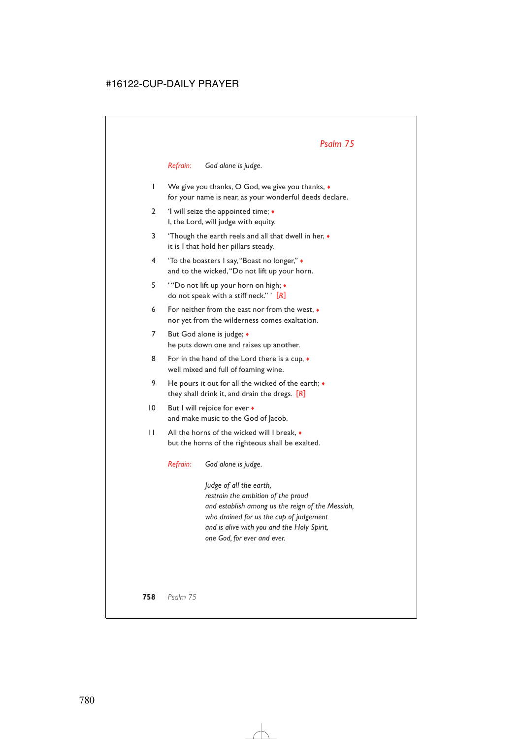#### *Refrain: God alone is judge.*

- 1 We give you thanks, O God, we give you thanks, ♦ for your name is near, as your wonderful deeds declare.
- 2 'I will seize the appointed time;  $\triangle$ I, the Lord, will judge with equity.
- 3 'Though the earth reels and all that dwell in her, ♦ it is I that hold her pillars steady.
- 4 'To the boasters I say,"Boast no longer," ♦ and to the wicked,"Do not lift up your horn.
- 5 ' "Do not lift up your horn on high; ♦ do not speak with a stiff neck." ' [*R*]
- 6 For neither from the east nor from the west, ♦ nor yet from the wilderness comes exaltation.
- 7 But God alone is judge; ♦ he puts down one and raises up another.
- 8 For in the hand of the Lord there is a cup,  $\bullet$ well mixed and full of foaming wine.
- 9 He pours it out for all the wicked of the earth;  $\bullet$ they shall drink it, and drain the dregs. [*R*]
- 10 But I will rejoice for ever ♦ and make music to the God of Jacob.
- 11 All the horns of the wicked will I break, ♦ but the horns of the righteous shall be exalted.

*Refrain: God alone is judge.*

*Judge of all the earth, restrain the ambition of the proud and establish among us the reign of the Messiah, who drained for us the cup of judgement and is alive with you and the Holy Spirit, one God, for ever and ever.*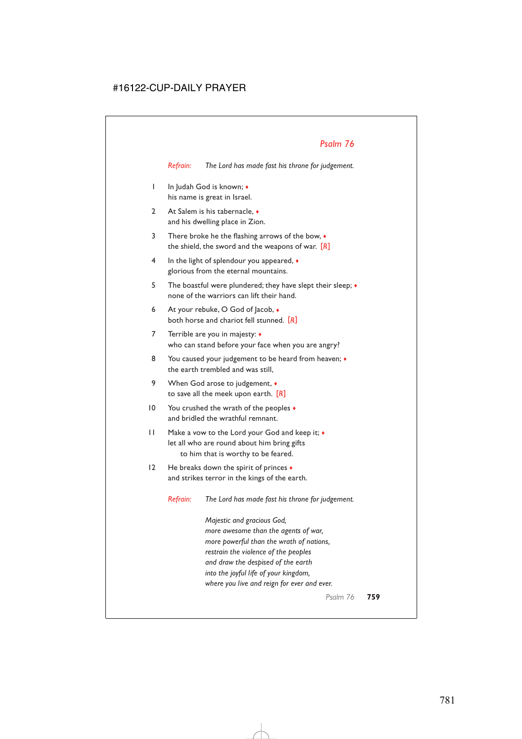*Refrain: The Lord has made fast his throne for judgement.*

- 1 In Judah God is known; ♦ his name is great in Israel.
- 2 At Salem is his tabernacle.  $\bullet$ and his dwelling place in Zion.
- 3 There broke he the flashing arrows of the bow, ♦ the shield, the sword and the weapons of war. [*R*]
- 4 In the light of splendour you appeared,  $\bullet$ glorious from the eternal mountains.
- 5 The boastful were plundered; they have slept their sleep;  $\bullet$ none of the warriors can lift their hand.
- 6 At your rebuke, O God of Jacob,  $\bullet$ both horse and chariot fell stunned. [*R*]
- 7 Terrible are you in majesty: ♦ who can stand before your face when you are angry?
- 8 You caused your judgement to be heard from heaven;  $\bullet$ the earth trembled and was still,
- 9 When God arose to judgement,  $\bullet$ to save all the meek upon earth. [*R*]
- 10 You crushed the wrath of the peoples  $\bullet$ and bridled the wrathful remnant.
- 11 Make a vow to the Lord your God and keep it; ♦ let all who are round about him bring gifts to him that is worthy to be feared.
- 12 He breaks down the spirit of princes  $\bullet$ and strikes terror in the kings of the earth.

*Refrain: The Lord has made fast his throne for judgement.*

*Majestic and gracious God, more awesome than the agents of war, more powerful than the wrath of nations, restrain the violence of the peoples and draw the despised of the earth into the joyful life of your kingdom, where you live and reign for ever and ever.*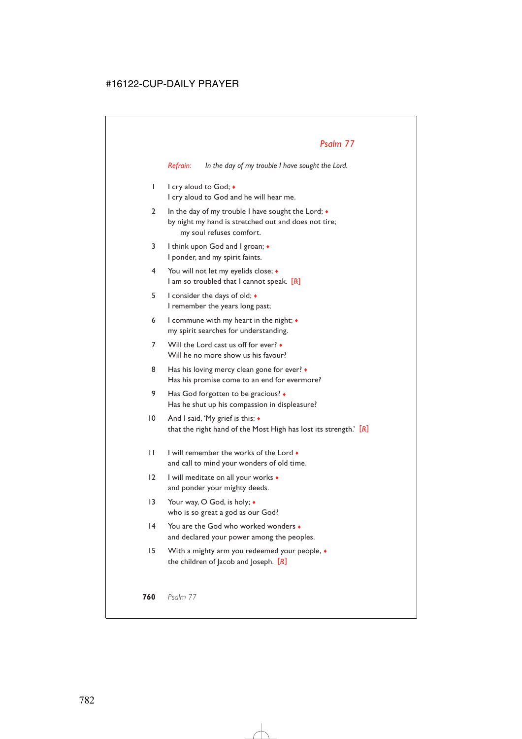*Refrain: In the day of my trouble I have sought the Lord.*

- 1 I cry aloud to God;  $\bullet$ I cry aloud to God and he will hear me.
- 2 In the day of my trouble I have sought the Lord;  $\bullet$ by night my hand is stretched out and does not tire; my soul refuses comfort.
- 3 I think upon God and I groan;  $\triangleleft$ I ponder, and my spirit faints.
- 4 You will not let my eyelids close; ♦ I am so troubled that I cannot speak. [*R*]
- 5 I consider the days of old; ♦ I remember the years long past;
- 6 I commune with my heart in the night;  $\bullet$ my spirit searches for understanding.
- 7 Will the Lord cast us off for ever? Will he no more show us his favour?
- 8 Has his loving mercy clean gone for ever?  $\bullet$ Has his promise come to an end for evermore?
- 9 Has God forgotten to be gracious? Has he shut up his compassion in displeasure?
- 10 And I said, 'My grief is this: ♦ that the right hand of the Most High has lost its strength.' [*R*]
- 11 I will remember the works of the Lord ♦ and call to mind your wonders of old time.
- 12 I will meditate on all your works  $\bullet$ and ponder your mighty deeds.
- 13 Your way, O God, is holy;  $\triangleleft$ who is so great a god as our God?
- 14 You are the God who worked wonders  $\bullet$ and declared your power among the peoples.
- 15 With a mighty arm you redeemed your people,  $\bullet$ the children of Jacob and Joseph. [*R*]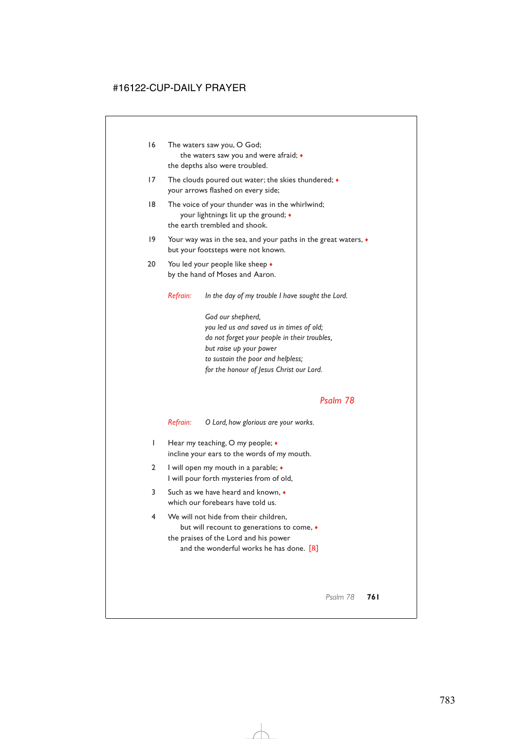- 16 The waters saw you, O God; the waters saw you and were afraid; ♦ the depths also were troubled.
- 17 The clouds poured out water; the skies thundered;  $\bullet$ your arrows flashed on every side;
- 18 The voice of your thunder was in the whirlwind; your lightnings lit up the ground; ♦ the earth trembled and shook.
- 19 Your way was in the sea, and your paths in the great waters, ♦ but your footsteps were not known.
- 20 You led your people like sheep  $\bullet$ by the hand of Moses and Aaron.

*Refrain: In the day of my trouble I have sought the Lord.*

*God our shepherd, you led us and saved us in times of old; do not forget your people in their troubles, but raise up your power to sustain the poor and helpless; for the honour of Jesus Christ our Lord.*

# *Psalm 78*

*Refrain: O Lord, how glorious are your works.*

- 1 Hear my teaching, O my people;  $\bullet$ incline your ears to the words of my mouth.
- 2 I will open my mouth in a parable;  $\triangleleft$ I will pour forth mysteries from of old,
- 3 Such as we have heard and known, ♦ which our forebears have told us.
- 4 We will not hide from their children, but will recount to generations to come, ♦ the praises of the Lord and his power and the wonderful works he has done. [*R*]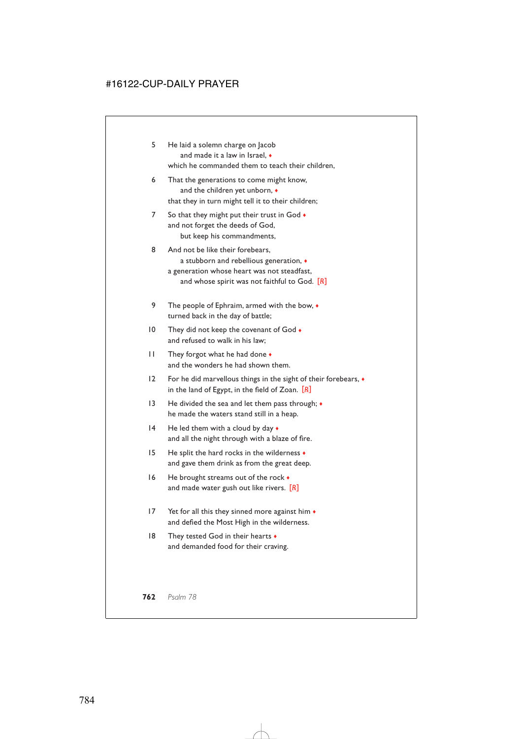- 5 He laid a solemn charge on Jacob and made it a law in Israel,  $\bullet$ which he commanded them to teach their children,
- 6 That the generations to come might know, and the children yet unborn,  $\bullet$ that they in turn might tell it to their children;
- 7 So that they might put their trust in God  $\bullet$ and not forget the deeds of God, but keep his commandments,
- 8 And not be like their forebears, a stubborn and rebellious generation, ♦ a generation whose heart was not steadfast, and whose spirit was not faithful to God. [*R*]
- 9 The people of Ephraim, armed with the bow,  $\bullet$ turned back in the day of battle;
- 10 They did not keep the covenant of God  $\bullet$ and refused to walk in his law;
- 11 They forgot what he had done ♦ and the wonders he had shown them.
- 12 For he did marvellous things in the sight of their forebears, ♦ in the land of Egypt, in the field of Zoan. [*R*]
- 13 He divided the sea and let them pass through;  $\bullet$ he made the waters stand still in a heap.
- 14 He led them with a cloud by day  $\bullet$ and all the night through with a blaze of fire.
- 15 He split the hard rocks in the wilderness  $\bullet$ and gave them drink as from the great deep.
- 16 He brought streams out of the rock  $\bullet$ and made water gush out like rivers. [*R*]
- 17 Yet for all this they sinned more against him  $\bullet$ and defied the Most High in the wilderness.
- 18 They tested God in their hearts  $\bullet$ and demanded food for their craving.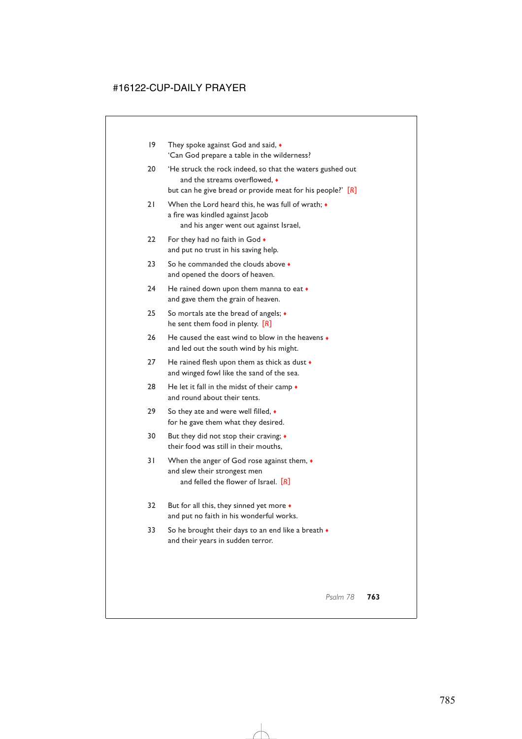19 They spoke against God and said,  $\bullet$ 'Can God prepare a table in the wilderness? 20 'He struck the rock indeed, so that the waters gushed out and the streams overflowed, ♦ but can he give bread or provide meat for his people?' [*R*] 21 When the Lord heard this, he was full of wrath;  $\bullet$ a fire was kindled against Jacob and his anger went out against Israel, 22 For they had no faith in God  $\bullet$ and put no trust in his saving help. 23 So he commanded the clouds above  $\triangle$ and opened the doors of heaven. 24 He rained down upon them manna to eat  $\bullet$ and gave them the grain of heaven. 25 So mortals ate the bread of angels; ♦ he sent them food in plenty. [*R*] 26 He caused the east wind to blow in the heavens  $\bullet$ and led out the south wind by his might. 27 He rained flesh upon them as thick as dust  $\bullet$ and winged fowl like the sand of the sea. 28 He let it fall in the midst of their camp  $\triangle$ and round about their tents. 29 So they ate and were well filled,  $\bullet$ for he gave them what they desired. 30 But they did not stop their craving;  $\triangleleft$ their food was still in their mouths, 31 When the anger of God rose against them, ♦ and slew their strongest men and felled the flower of Israel. [*R*] 32 But for all this, they sinned yet more ♦ and put no faith in his wonderful works. 33 So he brought their days to an end like a breath  $\bullet$ and their years in sudden terror.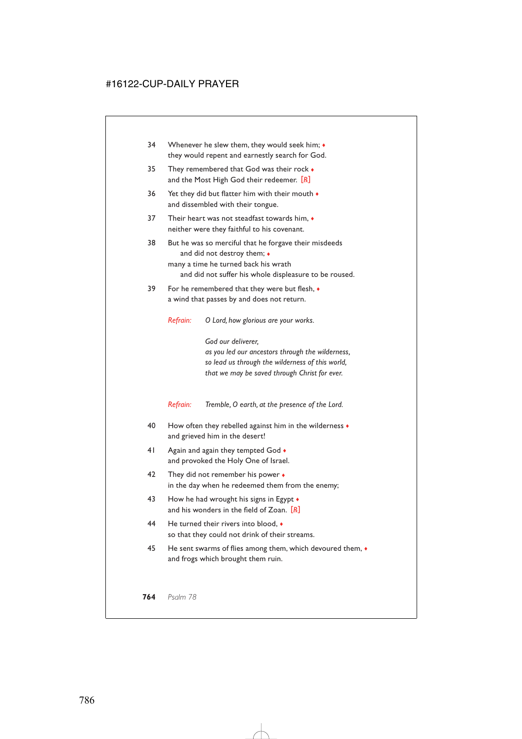- 34 Whenever he slew them, they would seek him;  $\bullet$ they would repent and earnestly search for God.
- 35 They remembered that God was their rock  $\bullet$ and the Most High God their redeemer. [*R*]
- 36 Yet they did but flatter him with their mouth  $\bullet$ and dissembled with their tongue.
- 37 Their heart was not steadfast towards him,  $\bullet$ neither were they faithful to his covenant.
- 38 But he was so merciful that he forgave their misdeeds and did not destroy them;  $\bullet$ many a time he turned back his wrath and did not suffer his whole displeasure to be roused.
- 39 For he remembered that they were but flesh,  $\bullet$ a wind that passes by and does not return.
	- *Refrain: O Lord, how glorious are your works.*

*God our deliverer, as you led our ancestors through the wilderness, so lead us through the wilderness of this world, that we may be saved through Christ for ever.*

*Refrain: Tremble, O earth, at the presence of the Lord.*

- 40 How often they rebelled against him in the wilderness  $\bullet$ and grieved him in the desert!
- 41 Again and again they tempted God  $\bullet$ and provoked the Holy One of Israel.
- 42 They did not remember his power ♦ in the day when he redeemed them from the enemy;
- 43 How he had wrought his signs in Egypt  $\bullet$ and his wonders in the field of Zoan. [*R*]
- 44 He turned their rivers into blood, ♦ so that they could not drink of their streams.
- 45 He sent swarms of flies among them, which devoured them,  $\bullet$ and frogs which brought them ruin.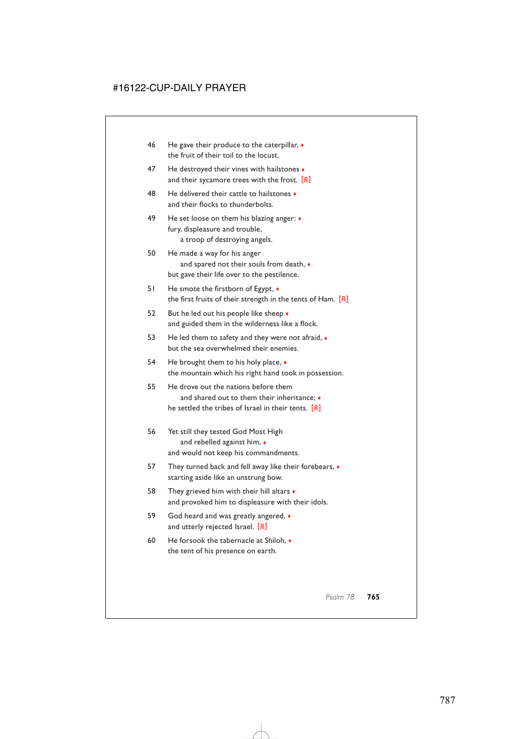- 46 He gave their produce to the caterpillar,  $\triangleleft$ the fruit of their toil to the locust.
- 47 He destroyed their vines with hailstones  $\bullet$ and their sycamore trees with the frost. [*R*]
- 48 He delivered their cattle to hailstones ♦ and their flocks to thunderbolts.
- 49 He set loose on them his blazing anger: ♦ fury, displeasure and trouble, a troop of destroying angels.
- 50 He made a way for his anger and spared not their souls from death, ♦ but gave their life over to the pestilence.
- 51 He smote the firstborn of Egypt, ♦ the first fruits of their strength in the tents of Ham. [*R*]
- 52 But he led out his people like sheep  $\bullet$ and guided them in the wilderness like a flock.
- 53 He led them to safety and they were not afraid,  $\bullet$ but the sea overwhelmed their enemies.
- 54 He brought them to his holy place, ♦ the mountain which his right hand took in possession.
- 55 He drove out the nations before them and shared out to them their inheritance; ♦ he settled the tribes of Israel in their tents. [*R*]
- 56 Yet still they tested God Most High and rebelled against him, ♦ and would not keep his commandments.
- 57 They turned back and fell away like their forebears,  $\bullet$ starting aside like an unstrung bow.
- 58 They grieved him with their hill altars ♦ and provoked him to displeasure with their idols.
- 59 God heard and was greatly angered, ♦ and utterly rejected Israel. [*R*]
- 60 He forsook the tabernacle at Shiloh, ♦ the tent of his presence on earth.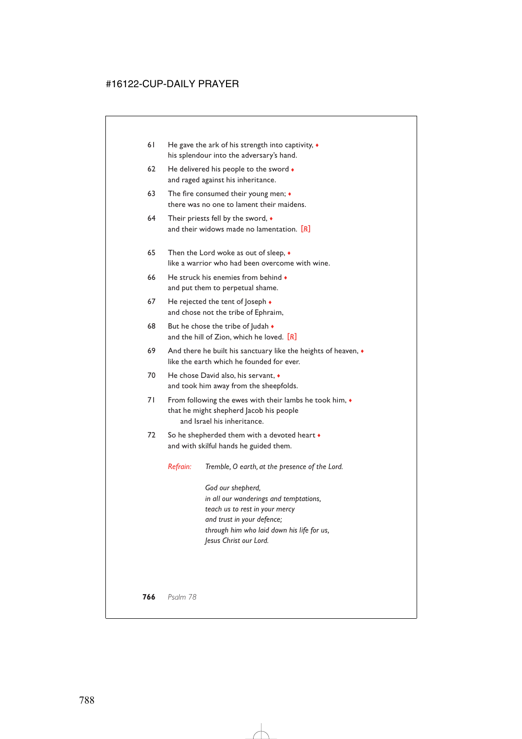- 61 He gave the ark of his strength into captivity,  $\bullet$ his splendour into the adversary's hand.
- 62 He delivered his people to the sword  $\bullet$ and raged against his inheritance.
- 63 The fire consumed their young men;  $\bullet$ there was no one to lament their maidens.
- 64 Their priests fell by the sword, ♦ and their widows made no lamentation. [*R*]
- 65 Then the Lord woke as out of sleep, ♦ like a warrior who had been overcome with wine.
- 66 He struck his enemies from behind  $\bullet$ and put them to perpetual shame.
- 67 He rejected the tent of loseph  $\bullet$ and chose not the tribe of Ephraim,
- 68 But he chose the tribe of  $\vert$ udah  $\bullet$ and the hill of Zion, which he loved. [*R*]
- 69 And there he built his sanctuary like the heights of heaven,  $\bullet$ like the earth which he founded for ever.
- 70 He chose David also, his servant, ♦ and took him away from the sheepfolds.
- 71 From following the ewes with their lambs he took him,  $\bullet$ that he might shepherd Jacob his people and Israel his inheritance.
- 72 So he shepherded them with a devoted heart  $\bullet$ and with skilful hands he guided them.

*Refrain: Tremble, O earth, at the presence of the Lord.*

*God our shepherd, in all our wanderings and temptations, teach us to rest in your mercy and trust in your defence; through him who laid down his life for us, Jesus Christ our Lord.*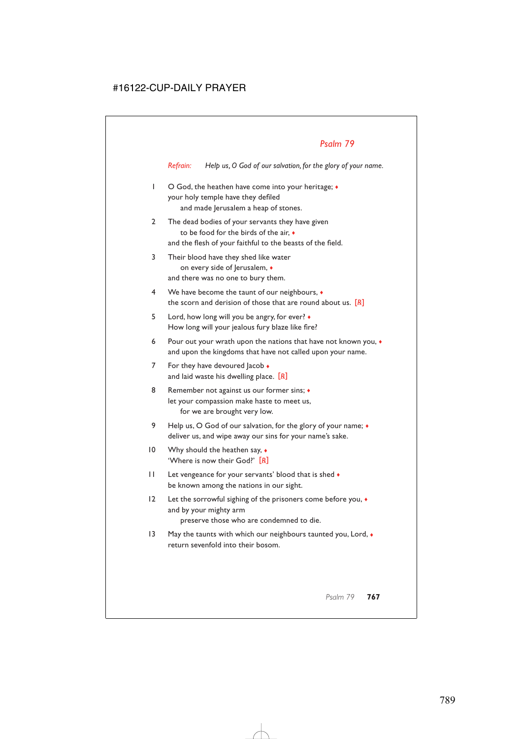*Refrain: Help us, O God of our salvation, for the glory of your name.*

- 1 O God, the heathen have come into your heritage; ♦ your holy temple have they defiled and made Jerusalem a heap of stones.
- 2 The dead bodies of your servants they have given to be food for the birds of the air, ♦ and the flesh of your faithful to the beasts of the field.
- 3 Their blood have they shed like water on every side of Jerusalem,  $\triangleleft$ and there was no one to bury them.
- 4 We have become the taunt of our neighbours, ♦ the scorn and derision of those that are round about us. [*R*]
- 5 Lord, how long will you be angry, for ever? ♦ How long will your jealous fury blaze like fire?
- 6 Pour out your wrath upon the nations that have not known you, ♦ and upon the kingdoms that have not called upon your name.
- 7 For they have devoured lacob  $\bullet$ and laid waste his dwelling place. [*R*]
- 8 Remember not against us our former sins;  $\triangleleft$ let your compassion make haste to meet us, for we are brought very low.
- 9 Help us, O God of our salvation, for the glory of your name;  $\bullet$ deliver us, and wipe away our sins for your name's sake.
- 10 Why should the heathen say,  $\bullet$ 'Where is now their God?' [*R*]
- 11 Let vengeance for your servants' blood that is shed  $\bullet$ be known among the nations in our sight.
- 12 Let the sorrowful sighing of the prisoners come before you,  $\bullet$ and by your mighty arm preserve those who are condemned to die.
- 13 May the taunts with which our neighbours taunted you, Lord,  $\bullet$ return sevenfold into their bosom.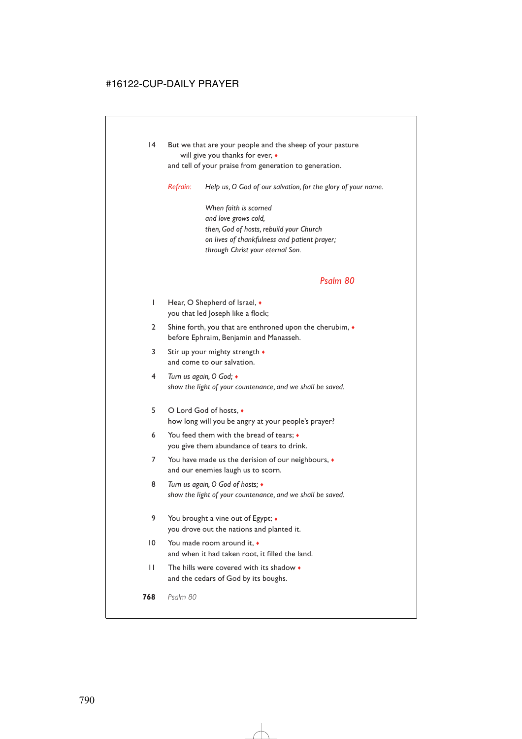14 But we that are your people and the sheep of your pasture will give you thanks for ever,  $\bullet$ 

and tell of your praise from generation to generation.

*Refrain: Help us, O God of our salvation, for the glory of your name.*

*When faith is scorned and love grows cold, then, God of hosts, rebuild your Church on lives of thankfulness and patient prayer; through Christ your eternal Son.*

#### *Psalm 80*

- 1 Hear, O Shepherd of Israel, ♦ you that led Joseph like a flock;
- 2 Shine forth, you that are enthroned upon the cherubim,  $\bullet$ before Ephraim, Benjamin and Manasseh.
- 3 Stir up your mighty strength ♦ and come to our salvation.
- 4 *Turn us again, O God;* ♦ *show the light of your countenance, and we shall be saved.*
- 5 O Lord God of hosts, ♦ how long will you be angry at your people's prayer?
- 6 You feed them with the bread of tears; ♦ you give them abundance of tears to drink.
- 7 You have made us the derision of our neighbours,  $\bullet$ and our enemies laugh us to scorn.
- 8 *Turn us again, O God of hosts;* ♦ *show the light of your countenance, and we shall be saved.*
- 9 You brought a vine out of Egypt; ♦ you drove out the nations and planted it.
- 10 You made room around it,  $\bullet$ and when it had taken root, it filled the land.
- 11 The hills were covered with its shadow ♦ and the cedars of God by its boughs.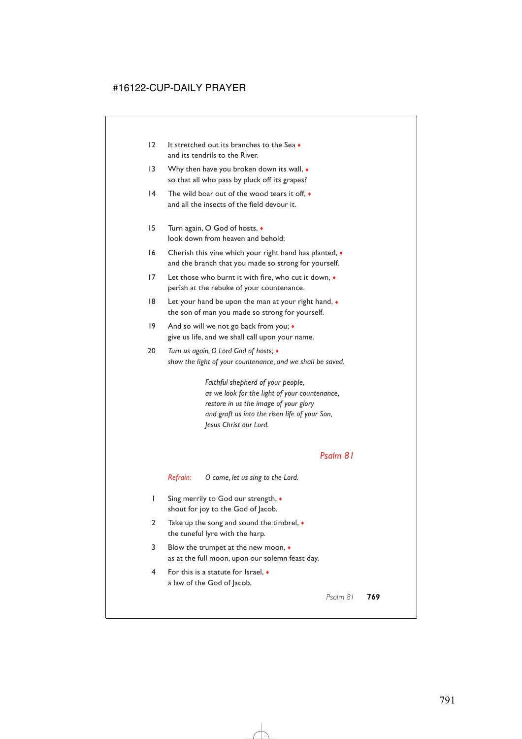- 12 It stretched out its branches to the Sea ♦ and its tendrils to the River.
- 13 Why then have you broken down its wall,  $\bullet$ so that all who pass by pluck off its grapes?
- 14 The wild boar out of the wood tears it off.  $\bullet$ and all the insects of the field devour it.
- 15 Turn again, O God of hosts, ♦ look down from heaven and behold;
- 16 Cherish this vine which your right hand has planted,  $\bullet$ and the branch that you made so strong for yourself.
- 17 Let those who burnt it with fire, who cut it down,  $\bullet$ perish at the rebuke of your countenance.
- 18 Let your hand be upon the man at your right hand, ♦ the son of man you made so strong for yourself.
- 19 And so will we not go back from you;  $\bullet$ give us life, and we shall call upon your name.
- 20 *Turn us again, O Lord God of hosts;* ♦ *show the light of your countenance, and we shall be saved.*

*Faithful shepherd of your people, as we look for the light of your countenance, restore in us the image of your glory and graft us into the risen life of your Son, Jesus Christ our Lord.*

### *Psalm 81*

*Refrain: O come, let us sing to the Lord.*

- 1 Sing merrily to God our strength, ♦ shout for joy to the God of Jacob.
- 2 Take up the song and sound the timbrel,  $\bullet$ the tuneful lyre with the harp.
- 3 Blow the trumpet at the new moon, ♦ as at the full moon, upon our solemn feast day.
- 4 For this is a statute for Israel, ♦ a law of the God of Jacob,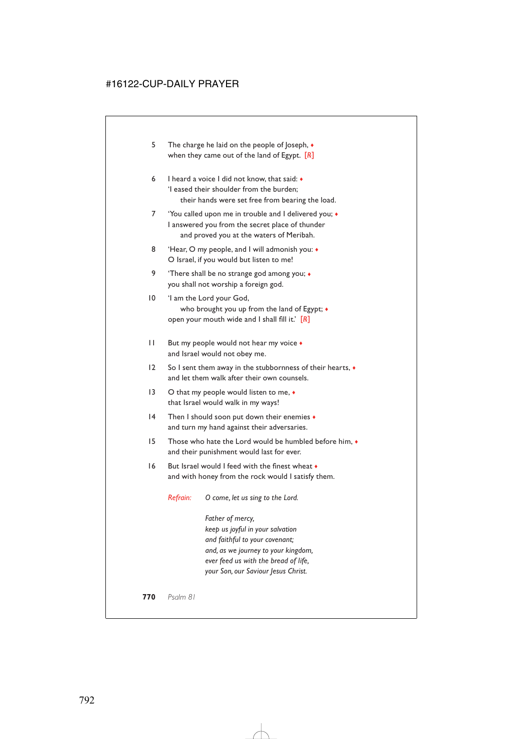- 5 The charge he laid on the people of Joseph,  $\bullet$ when they came out of the land of Egypt. [*R*]
- 6 I heard a voice I did not know, that said: ♦ 'I eased their shoulder from the burden; their hands were set free from bearing the load.
- 7 'You called upon me in trouble and I delivered you; ♦ I answered you from the secret place of thunder and proved you at the waters of Meribah.
- 8 'Hear, O my people, and I will admonish you:  $\bullet$ O Israel, if you would but listen to me!
- 9 'There shall be no strange god among you; ♦ you shall not worship a foreign god.
- 10 'I am the Lord your God, who brought you up from the land of Egypt;  $\bullet$ open your mouth wide and I shall fill it.' [*R*]
- 11 But my people would not hear my voice  $\bullet$ and Israel would not obey me.
- 12 So I sent them away in the stubbornness of their hearts,  $\bullet$ and let them walk after their own counsels.
- 13 O that my people would listen to me, ◆ that Israel would walk in my ways!
- 14 Then I should soon put down their enemies  $\bullet$ and turn my hand against their adversaries.
- 15 Those who hate the Lord would be humbled before him, ♦ and their punishment would last for ever.
- 16 But Israel would I feed with the finest wheat ♦ and with honey from the rock would I satisfy them.

*Refrain: O come, let us sing to the Lord.*

*Father of mercy, keep us joyful in your salvation and faithful to your covenant; and, as we journey to your kingdom, ever feed us with the bread of life, your Son, our Saviour Jesus Christ.*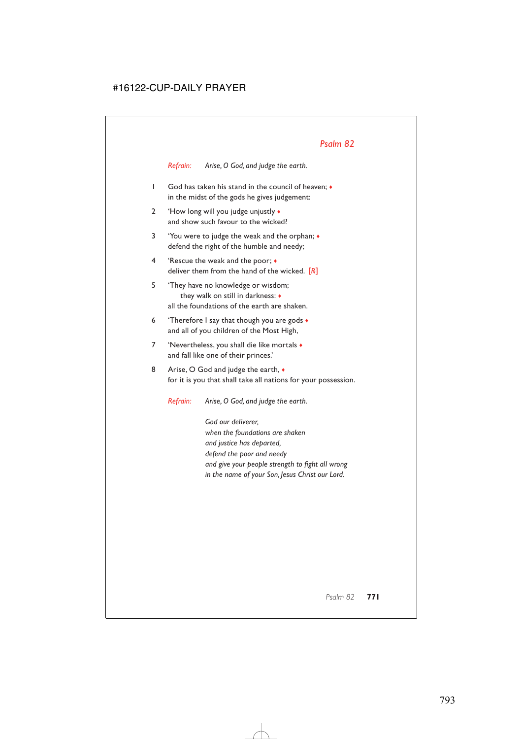*Refrain: Arise, O God, and judge the earth.*

- 1 God has taken his stand in the council of heaven; ♦ in the midst of the gods he gives judgement:
- 2 'How long will you judge unjustly ♦ and show such favour to the wicked?
- 3 'You were to judge the weak and the orphan; ♦ defend the right of the humble and needy;
- 4 'Rescue the weak and the poor; ♦ deliver them from the hand of the wicked. [*R*]
- 5 'They have no knowledge or wisdom; they walk on still in darkness: ♦ all the foundations of the earth are shaken.
- 6 Therefore I say that though you are gods  $\bullet$ and all of you children of the Most High,
- 7 'Nevertheless, you shall die like mortals ♦ and fall like one of their princes.'
- 8 Arise, O God and judge the earth,  $\bullet$ for it is you that shall take all nations for your possession.

*Refrain: Arise, O God, and judge the earth.*

*God our deliverer, when the foundations are shaken and justice has departed, defend the poor and needy and give your people strength to fight all wrong in the name of your Son, Jesus Christ our Lord.*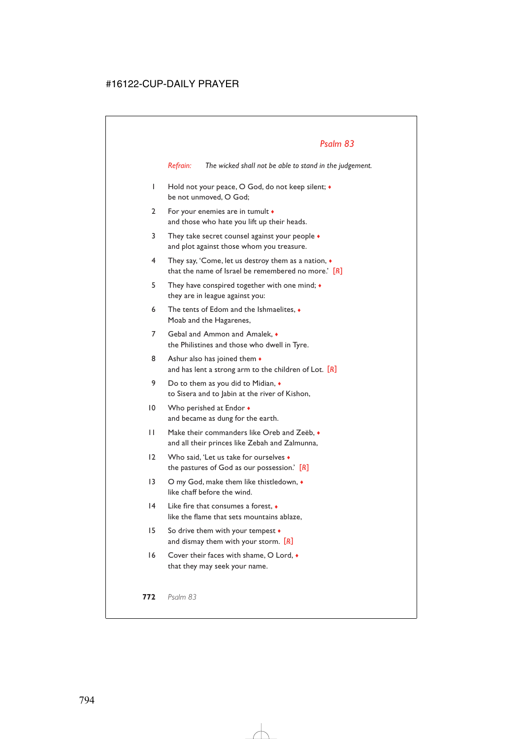*Refrain: The wicked shall not be able to stand in the judgement.*

- 1 Hold not your peace, O God, do not keep silent; ♦ be not unmoved, O God;
- 2 For your enemies are in tumult  $\bullet$ and those who hate you lift up their heads.
- 3 They take secret counsel against your people  $\bullet$ and plot against those whom you treasure.
- 4 They say, 'Come, let us destroy them as a nation, ♦ that the name of Israel be remembered no more.' [*R*]
- 5 They have conspired together with one mind; ♦ they are in league against you:
- 6 The tents of Edom and the Ishmaelites, ♦ Moab and the Hagarenes,
- 7 Gebal and Ammon and Amalek, ♦ the Philistines and those who dwell in Tyre.
- 8 Ashur also has joined them  $\bullet$ and has lent a strong arm to the children of Lot. [*R*]
- 9 Do to them as you did to Midian,  $\bullet$ to Sisera and to Jabin at the river of Kishon,
- 10 Who perished at Endor  $\bullet$ and became as dung for the earth.
- 11 Make their commanders like Oreb and Zeëb, ♦ and all their princes like Zebah and Zalmunna,
- 12 Who said, 'Let us take for ourselves  $\bullet$ the pastures of God as our possession.' [*R*]
- 13 O my God, make them like thistledown, ♦ like chaff before the wind.
- 14 Like fire that consumes a forest, ♦ like the flame that sets mountains ablaze,
- 15 So drive them with your tempest ♦ and dismay them with your storm. [*R*]
- 16 Cover their faces with shame, O Lord,  $\bullet$ that they may seek your name.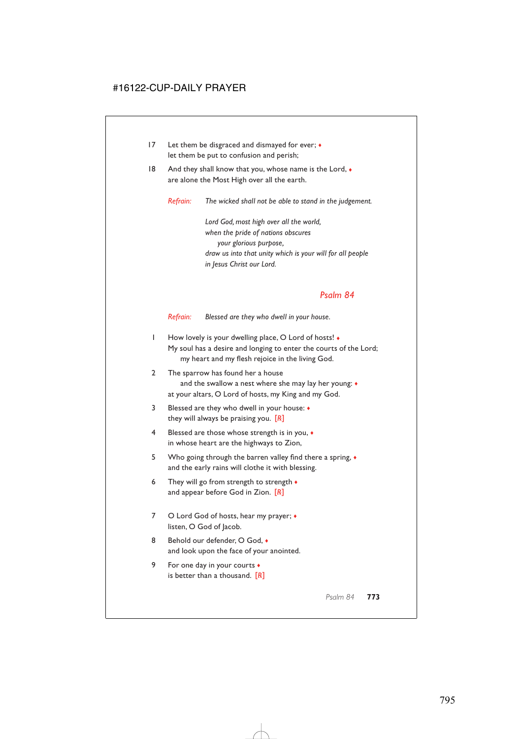- 17 Let them be disgraced and dismayed for ever;  $\bullet$ let them be put to confusion and perish;
- 18 And they shall know that you, whose name is the Lord,  $\bullet$ are alone the Most High over all the earth.

*Refrain: The wicked shall not be able to stand in the judgement.*

*Lord God, most high over all the world, when the pride of nations obscures your glorious purpose, draw us into that unity which is your will for all people in Jesus Christ our Lord.*

### *Psalm 84*

*Refrain: Blessed are they who dwell in your house.*

- 1 How lovely is your dwelling place, O Lord of hosts! ♦ My soul has a desire and longing to enter the courts of the Lord; my heart and my flesh rejoice in the living God.
- 2 The sparrow has found her a house and the swallow a nest where she may lay her young: ♦ at your altars, O Lord of hosts, my King and my God.
- 3 Blessed are they who dwell in your house: ♦ they will always be praising you. [*R*]
- 4 Blessed are those whose strength is in you, ♦ in whose heart are the highways to Zion,
- 5 Who going through the barren valley find there a spring, ♦ and the early rains will clothe it with blessing.
- 6 They will go from strength to strength  $\bullet$ and appear before God in Zion. [*R*]
- 7 O Lord God of hosts, hear my prayer;  $\bullet$ listen, O God of Jacob.
- 8 Behold our defender, O God. and look upon the face of your anointed.
- 9 For one day in your courts  $\bullet$ is better than a thousand. [*R*]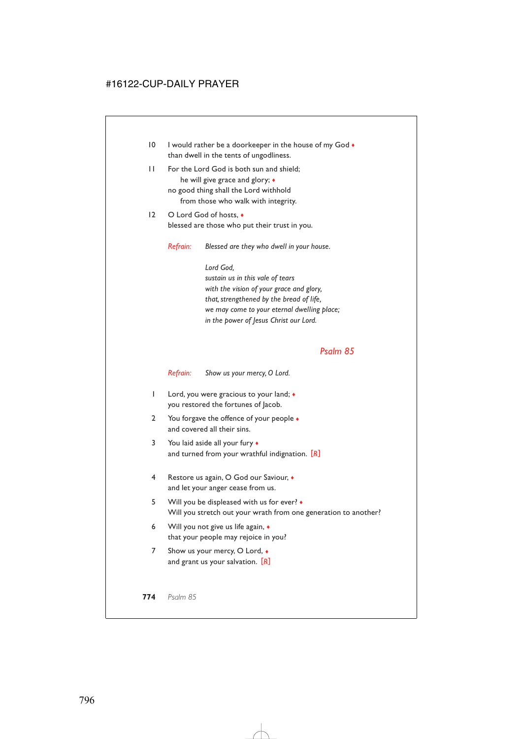- 10 I would rather be a doorkeeper in the house of my God  $\bullet$ than dwell in the tents of ungodliness.
- 11 For the Lord God is both sun and shield; he will give grace and glory; ♦ no good thing shall the Lord withhold from those who walk with integrity.
- 12 O Lord God of hosts, ♦ blessed are those who put their trust in you.

*Refrain: Blessed are they who dwell in your house.*

*Lord God, sustain us in this vale of tears with the vision of your grace and glory, that, strengthened by the bread of life, we may come to your eternal dwelling place; in the power of Jesus Christ our Lord.*

### *Psalm 85*

*Refrain: Show us your mercy, O Lord.*

- 1 Lord, you were gracious to your land; ♦ you restored the fortunes of Jacob.
- 2 You forgave the offence of your people  $\bullet$ and covered all their sins.
- 3 You laid aside all your fury  $\bullet$ and turned from your wrathful indignation. [*R*]
- 4 Restore us again, O God our Saviour, ♦ and let your anger cease from us.
- 5 Will you be displeased with us for ever? ♦ Will you stretch out your wrath from one generation to another?
- 6 Will you not give us life again, ♦ that your people may rejoice in you?
- 7 Show us your mercy, O Lord,  $\bullet$ and grant us your salvation. [*R*]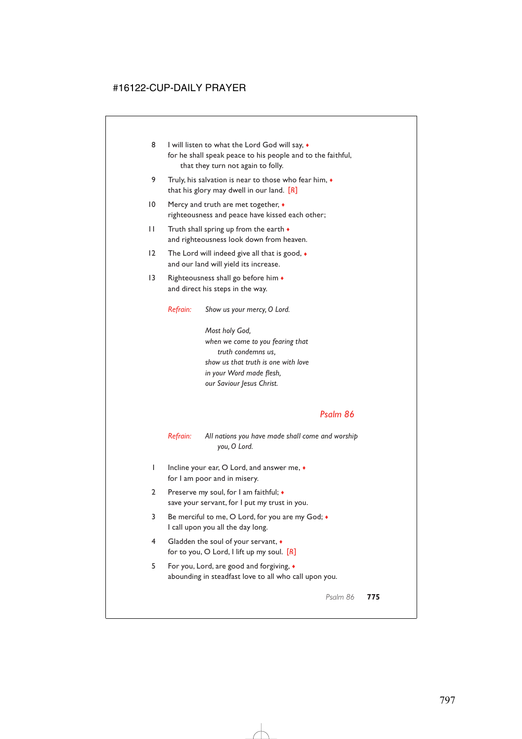- 8 I will listen to what the Lord God will say,  $\bullet$ for he shall speak peace to his people and to the faithful, that they turn not again to folly.
- 9 Truly, his salvation is near to those who fear him,  $\bullet$ that his glory may dwell in our land. [*R*]
- 10 Mercy and truth are met together,  $\triangleleft$ righteousness and peace have kissed each other;
- 11 Truth shall spring up from the earth  $\bullet$ and righteousness look down from heaven.
- 12 The Lord will indeed give all that is good,  $\bullet$ and our land will yield its increase.
- 13 Righteousness shall go before him  $\bullet$ and direct his steps in the way.

*Refrain: Show us your mercy, O Lord.*

*Most holy God, when we come to you fearing that truth condemns us, show us that truth is one with love in your Word made flesh, our Saviour Jesus Christ.*

### *Psalm 86*

*Refrain: All nations you have made shall come and worship you, O Lord.*

- 1 Incline your ear, O Lord, and answer me, ♦ for I am poor and in misery.
- 2 Preserve my soul, for I am faithful;  $\bullet$ save your servant, for I put my trust in you.
- 3 Be merciful to me, O Lord, for you are my God; ♦ I call upon you all the day long.
- 4 Gladden the soul of your servant,  $\bullet$ for to you, O Lord, I lift up my soul. [*R*]
- 5 For you, Lord, are good and forgiving, ♦ abounding in steadfast love to all who call upon you.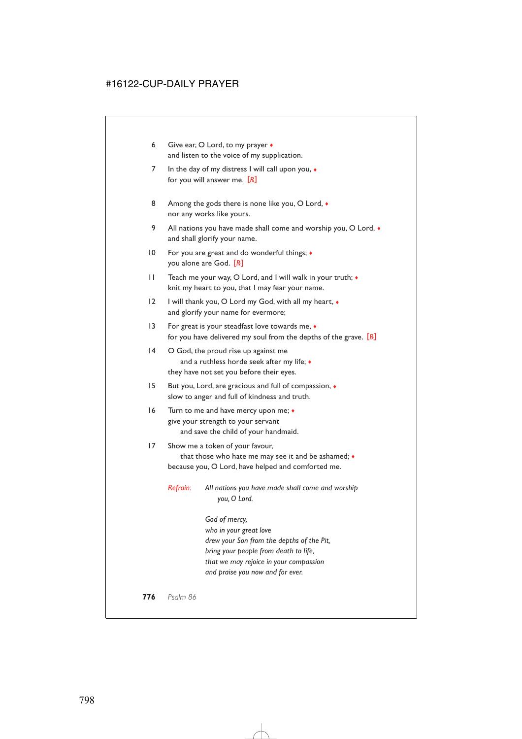- 6 Give ear, O Lord, to my prayer  $\triangleleft$ and listen to the voice of my supplication.
- 7 In the day of my distress I will call upon you,  $\bullet$ for you will answer me. [*R*]
- 8 Among the gods there is none like you, O Lord,  $\bullet$ nor any works like yours.
- 9 All nations you have made shall come and worship you, O Lord,  $\bullet$ and shall glorify your name.
- 10 For you are great and do wonderful things; ♦ you alone are God. [*R*]
- 11 Teach me your way, O Lord, and I will walk in your truth;  $\bullet$ knit my heart to you, that I may fear your name.
- 12 I will thank you, O Lord my God, with all my heart,  $\bullet$ and glorify your name for evermore;
- 13 For great is your steadfast love towards me, ♦ for you have delivered my soul from the depths of the grave. [*R*]
- 14 O God, the proud rise up against me and a ruthless horde seek after my life;  $\bullet$ they have not set you before their eyes.
- 15 But you, Lord, are gracious and full of compassion, ♦ slow to anger and full of kindness and truth.
- 16 Turn to me and have mercy upon me; ♦ give your strength to your servant and save the child of your handmaid.

### 17 Show me a token of your favour, that those who hate me may see it and be ashamed; ♦ because you, O Lord, have helped and comforted me.

*Refrain: All nations you have made shall come and worship you, O Lord.*

> *God of mercy, who in your great love drew your Son from the depths of the Pit, bring your people from death to life, that we may rejoice in your compassion and praise you now and for ever.*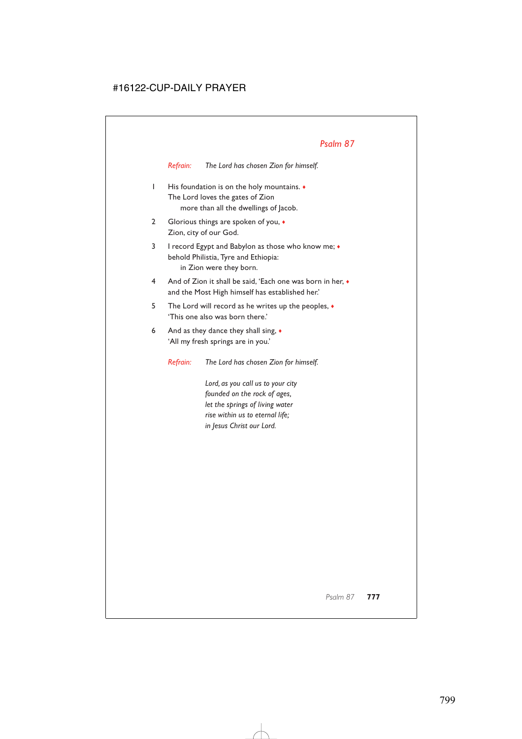*Refrain: The Lord has chosen Zion for himself.*

- 1 His foundation is on the holy mountains. ♦ The Lord loves the gates of Zion more than all the dwellings of Jacob.
- 2 Glorious things are spoken of you, ♦ Zion, city of our God.
- 3 I record Egypt and Babylon as those who know me; ♦ behold Philistia, Tyre and Ethiopia: in Zion were they born.
- 4 And of Zion it shall be said, 'Each one was born in her, ♦ and the Most High himself has established her.'
- 5 The Lord will record as he writes up the peoples, ♦ 'This one also was born there.'
- 6 And as they dance they shall sing,  $\bullet$ 'All my fresh springs are in you.'

*Refrain: The Lord has chosen Zion for himself.*

*Lord, as you call us to your city founded on the rock of ages, let the springs of living water rise within us to eternal life; in Jesus Christ our Lord.*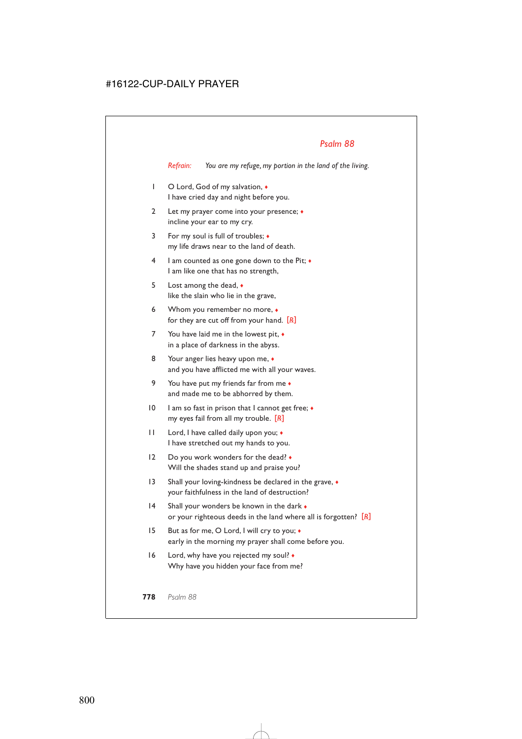*Refrain: You are my refuge, my portion in the land of the living.*

- 1 O Lord, God of my salvation,  $\bullet$ I have cried day and night before you.
- 2 Let my prayer come into your presence; ♦ incline your ear to my cry.
- 3 For my soul is full of troubles; ♦ my life draws near to the land of death.
- 4 I am counted as one gone down to the Pit; ♦ I am like one that has no strength,
- 5 Lost among the dead, ♦ like the slain who lie in the grave,
- 6 Whom you remember no more, ♦ for they are cut off from your hand. [*R*]
- 7 You have laid me in the lowest pit, ♦ in a place of darkness in the abyss.
- 8 Your anger lies heavy upon me,  $\bullet$ and you have afflicted me with all your waves.
- 9 You have put my friends far from me ♦ and made me to be abhorred by them.
- 10 I am so fast in prison that I cannot get free;  $\triangleleft$ my eyes fail from all my trouble. [*R*]
- 11 Lord, I have called daily upon you;  $\bullet$ I have stretched out my hands to you.
- 12 Do you work wonders for the dead? Will the shades stand up and praise you?
- 13 Shall your loving-kindness be declared in the grave,  $\bullet$ your faithfulness in the land of destruction?
- 14 Shall your wonders be known in the dark  $\bullet$ or your righteous deeds in the land where all is forgotten? [*R*]
- 15 But as for me, O Lord, I will cry to you; ♦ early in the morning my prayer shall come before you.
- 16 Lord, why have you rejected my soul? ♦ Why have you hidden your face from me?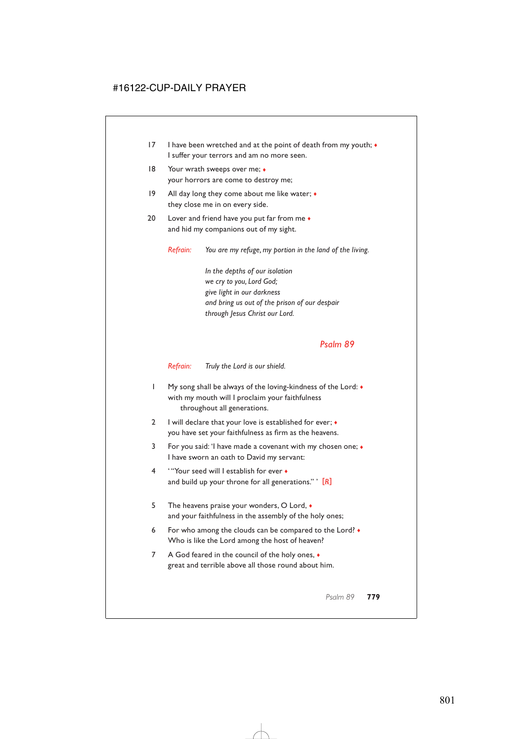- 17 I have been wretched and at the point of death from my youth;  $\bullet$ I suffer your terrors and am no more seen.
- 18 Your wrath sweeps over me;  $\triangleleft$ your horrors are come to destroy me;
- 19 All day long they come about me like water;  $\bullet$ they close me in on every side.
- 20 Lover and friend have you put far from me  $\bullet$ and hid my companions out of my sight.

*Refrain: You are my refuge, my portion in the land of the living.*

*In the depths of our isolation we cry to you, Lord God; give light in our darkness and bring us out of the prison of our despair through Jesus Christ our Lord.*

### *Psalm 89*

*Refrain: Truly the Lord is our shield.*

- 1 My song shall be always of the loving-kindness of the Lord: ♦ with my mouth will I proclaim your faithfulness throughout all generations.
- 2 I will declare that your love is established for ever; ♦ you have set your faithfulness as firm as the heavens.
- 3 For you said: 'I have made a covenant with my chosen one; ♦ I have sworn an oath to David my servant:
- 4 ' "Your seed will I establish for ever ♦ and build up your throne for all generations." ' [*R*]
- 5 The heavens praise your wonders, O Lord,  $\bullet$ and your faithfulness in the assembly of the holy ones;
- 6 For who among the clouds can be compared to the Lord? ♦ Who is like the Lord among the host of heaven?
- 7 A God feared in the council of the holy ones,  $\bullet$ great and terrible above all those round about him.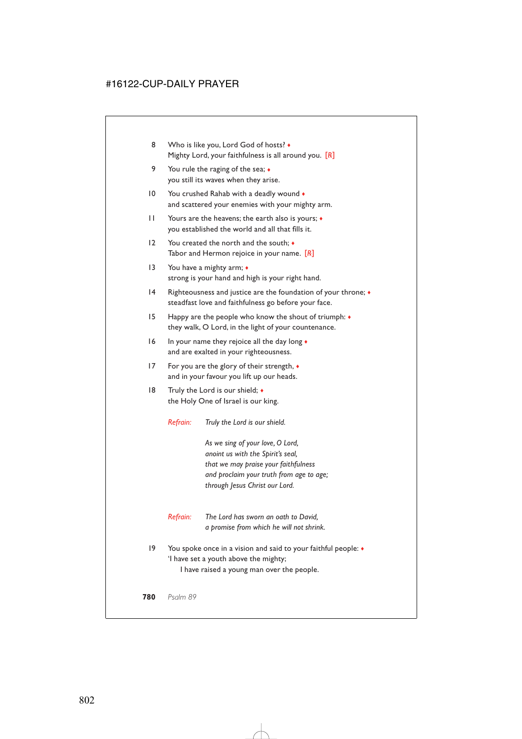- 8 Who is like you, Lord God of hosts? Mighty Lord, your faithfulness is all around you. [*R*]
- 9 You rule the raging of the sea;  $\triangleleft$ you still its waves when they arise.
- 10 You crushed Rahab with a deadly wound  $\bullet$ and scattered your enemies with your mighty arm.
- 11 Yours are the heavens; the earth also is yours; ♦ you established the world and all that fills it.
- 12 You created the north and the south;  $\bullet$ Tabor and Hermon rejoice in your name. [*R*]
- 13 You have a mighty arm;  $\bullet$ strong is your hand and high is your right hand.
- 14 Righteousness and justice are the foundation of your throne; ♦ steadfast love and faithfulness go before your face.
- 15 Happy are the people who know the shout of triumph: ♦ they walk, O Lord, in the light of your countenance.
- 16 In your name they rejoice all the day long ♦ and are exalted in your righteousness.
- 17 For you are the glory of their strength,  $\bullet$ and in your favour you lift up our heads.
- 18 Truly the Lord is our shield;  $\bullet$ the Holy One of Israel is our king.

*Refrain: Truly the Lord is our shield.*

*As we sing of your love, O Lord, anoint us with the Spirit's seal, that we may praise your faithfulness and proclaim your truth from age to age; through Jesus Christ our Lord.*

- *Refrain: The Lord has sworn an oath to David, a promise from which he will not shrink.*
- 19 You spoke once in a vision and said to your faithful people:  $\bullet$ 'I have set a youth above the mighty;

I have raised a young man over the people.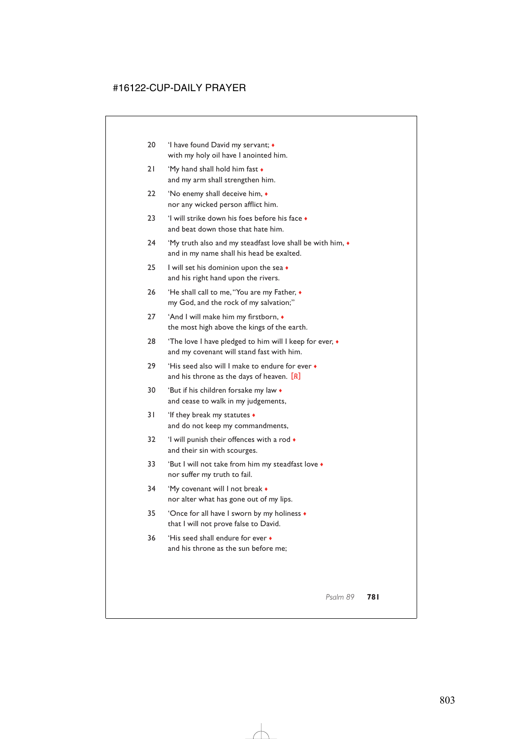- 20 'I have found David my servant;  $\triangleleft$ with my holy oil have I anointed him.
- 21 'My hand shall hold him fast ♦ and my arm shall strengthen him.
- 22 'No enemy shall deceive him, ♦ nor any wicked person afflict him.
- 23 'I will strike down his foes before his face  $\bullet$ and beat down those that hate him.
- 24 'My truth also and my steadfast love shall be with him, ♦ and in my name shall his head be exalted.
- 25 I will set his dominion upon the sea ◆ and his right hand upon the rivers.
- 26 'He shall call to me,"You are my Father, ♦ my God, and the rock of my salvation;"
- 27 'And I will make him my firstborn, ♦ the most high above the kings of the earth.
- 28 'The love I have pledged to him will I keep for ever,  $\bullet$ and my covenant will stand fast with him.
- 29 'His seed also will I make to endure for ever  $\bullet$ and his throne as the days of heaven. [*R*]
- 30 'But if his children forsake my law ♦ and cease to walk in my judgements,
- 31 'If they break my statutes  $\bullet$ and do not keep my commandments,
- 32 'I will punish their offences with a rod  $\bullet$ and their sin with scourges.
- 33 'But I will not take from him my steadfast love ♦ nor suffer my truth to fail.
- 34 'My covenant will I not break ♦ nor alter what has gone out of my lips.
- 35 'Once for all have I sworn by my holiness ♦ that I will not prove false to David.
- 36 'His seed shall endure for ever ♦ and his throne as the sun before me;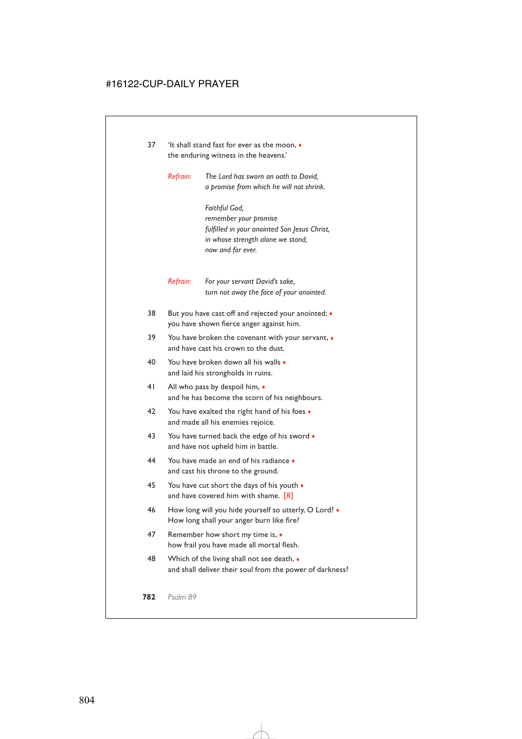- 37 'It shall stand fast for ever as the moon,  $\bullet$ the enduring witness in the heavens.'
	- *Refrain: The Lord has sworn an oath to David, a promise from which he will not shrink.*

*Faithful God, remember your promise fulfilled in your anointed Son Jesus Christ, in whose strength alone we stand, now and for ever.*

*Refrain: For your servant David's sake, turn not away the face of your anointed.*

- 38 But you have cast off and rejected your anointed; ♦ you have shown fierce anger against him.
- 39 You have broken the covenant with your servant,  $\bullet$ and have cast his crown to the dust.
- 40 You have broken down all his walls ♦ and laid his strongholds in ruins.
- 41 All who pass by despoil him, ♦ and he has become the scorn of his neighbours.
- 42 You have exalted the right hand of his foes  $\bullet$ and made all his enemies rejoice.
- 43 You have turned back the edge of his sword  $\bullet$ and have not upheld him in battle.
- 44 You have made an end of his radiance ♦ and cast his throne to the ground.
- 45 You have cut short the days of his youth  $\bullet$ and have covered him with shame. [*R*]
- 46 How long will you hide yourself so utterly, O Lord? How long shall your anger burn like fire?
- 47 Remember how short my time is, ♦ how frail you have made all mortal flesh.
- 48 Which of the living shall not see death, ♦ and shall deliver their soul from the power of darkness?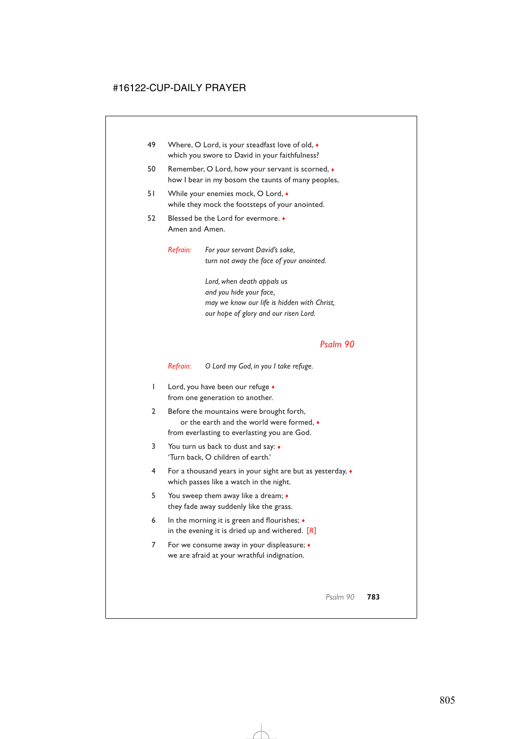- 49 Where, O Lord, is your steadfast love of old,  $\bullet$ which you swore to David in your faithfulness?
- 50 Remember, O Lord, how your servant is scorned,  $\bullet$ how I bear in my bosom the taunts of many peoples,
- 51 While your enemies mock, O Lord,  $\bullet$ while they mock the footsteps of your anointed.
- 52 Blessed be the Lord for evermore. ♦ Amen and Amen.

*Refrain: For your servant David's sake, turn not away the face of your anointed.*

> *Lord, when death appals us and you hide your face, may we know our life is hidden with Christ, our hope of glory and our risen Lord.*

### *Psalm 90*

*Refrain: O Lord my God, in you I take refuge.*

- 1 Lord, you have been our refuge  $\bullet$ from one generation to another.
- 2 Before the mountains were brought forth, or the earth and the world were formed, ♦ from everlasting to everlasting you are God.
- 3 You turn us back to dust and say: ♦ 'Turn back, O children of earth.'
- 4 For a thousand years in your sight are but as yesterday, ♦ which passes like a watch in the night.
- 5 You sweep them away like a dream; ♦ they fade away suddenly like the grass.
- 6 In the morning it is green and flourishes;  $\triangleleft$ in the evening it is dried up and withered. [*R*]
- 7 For we consume away in your displeasure; ♦ we are afraid at your wrathful indignation.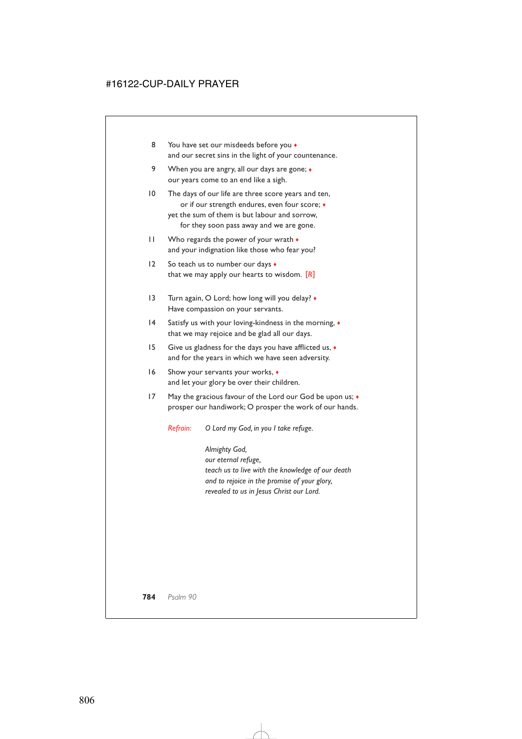- 8 You have set our misdeeds before you  $\bullet$ and our secret sins in the light of your countenance.
- 9 When you are angry, all our days are gone;  $\bullet$ our years come to an end like a sigh.
- 10 The days of our life are three score years and ten, or if our strength endures, even four score; ♦ yet the sum of them is but labour and sorrow, for they soon pass away and we are gone.
- 11 Who regards the power of your wrath ♦ and your indignation like those who fear you?
- 12 So teach us to number our days  $\bullet$ that we may apply our hearts to wisdom. [*R*]
- 13 Turn again, O Lord; how long will you delay?  $\bullet$ Have compassion on your servants.
- 14 Satisfy us with your loving-kindness in the morning,  $\bullet$ that we may rejoice and be glad all our days.
- 15 Give us gladness for the days you have afflicted us, ♦ and for the years in which we have seen adversity.
- 16 Show your servants your works,  $\bullet$ and let your glory be over their children.
- 17 May the gracious favour of the Lord our God be upon us;  $\triangleleft$ prosper our handiwork; O prosper the work of our hands.

*Refrain: O Lord my God, in you I take refuge.*

*Almighty God, our eternal refuge, teach us to live with the knowledge of our death and to rejoice in the promise of your glory, revealed to us in Jesus Christ our Lord.*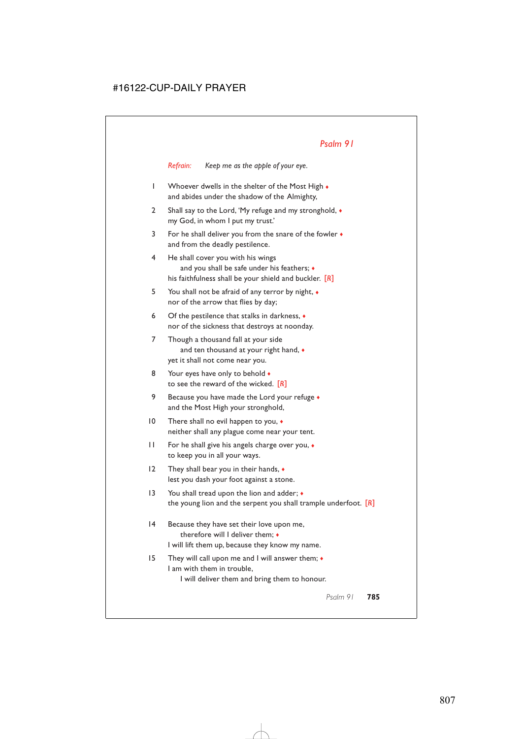*Refrain: Keep me as the apple of your eye.*

- 1 Whoever dwells in the shelter of the Most High  $\bullet$ and abides under the shadow of the Almighty,
- 2 Shall say to the Lord, 'My refuge and my stronghold,  $\bullet$ my God, in whom I put my trust.'
- 3 For he shall deliver you from the snare of the fowler ♦ and from the deadly pestilence.
- 4 He shall cover you with his wings and you shall be safe under his feathers;  $\bullet$ his faithfulness shall be your shield and buckler. [*R*]
- 5 You shall not be afraid of any terror by night, ♦ nor of the arrow that flies by day;
- 6 Of the pestilence that stalks in darkness, ♦ nor of the sickness that destroys at noonday.
- 7 Though a thousand fall at your side and ten thousand at your right hand, ♦ yet it shall not come near you.
- 8 Your eyes have only to behold  $\bullet$ to see the reward of the wicked. [*R*]
- 9 Because you have made the Lord your refuge  $\bullet$ and the Most High your stronghold,
- 10 There shall no evil happen to you,  $\triangleleft$ neither shall any plague come near your tent.
- 11 For he shall give his angels charge over you, ♦ to keep you in all your ways.
- 12 They shall bear you in their hands, ♦ lest you dash your foot against a stone.
- 13 You shall tread upon the lion and adder;  $\bullet$ the young lion and the serpent you shall trample underfoot. [*R*]
- 14 Because they have set their love upon me, therefore will I deliver them; ♦ I will lift them up, because they know my name.
- 15 They will call upon me and I will answer them; ♦ I am with them in trouble,

I will deliver them and bring them to honour.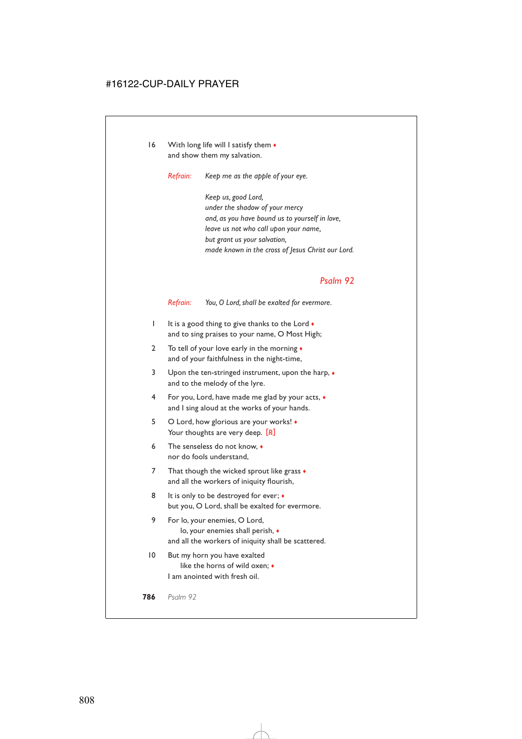16 With long life will I satisfy them  $\bullet$ and show them my salvation.

*Refrain: Keep me as the apple of your eye.*

*Keep us, good Lord, under the shadow of your mercy and, as you have bound us to yourself in love, leave us not who call upon your name, but grant us your salvation, made known in the cross of Jesus Christ our Lord.*

#### *Psalm 92*

*Refrain: You, O Lord, shall be exalted for evermore.*

- 1 It is a good thing to give thanks to the Lord ♦ and to sing praises to your name, O Most High;
- 2 To tell of your love early in the morning ♦ and of your faithfulness in the night-time,
- 3 Upon the ten-stringed instrument, upon the harp, ♦ and to the melody of the lyre.
- 4 For you, Lord, have made me glad by your acts, ♦ and I sing aloud at the works of your hands.
- 5 O Lord, how glorious are your works! ♦ Your thoughts are very deep. [R]
- 6 The senseless do not know, ♦ nor do fools understand,
- 7 That though the wicked sprout like grass  $\bullet$ and all the workers of iniquity flourish,
- 8 It is only to be destroyed for ever;  $\bullet$ but you, O Lord, shall be exalted for evermore.
- 9 For lo, your enemies, O Lord, lo, your enemies shall perish, ♦ and all the workers of iniquity shall be scattered.
- 10 But my horn you have exalted like the horns of wild oxen; ♦ I am anointed with fresh oil.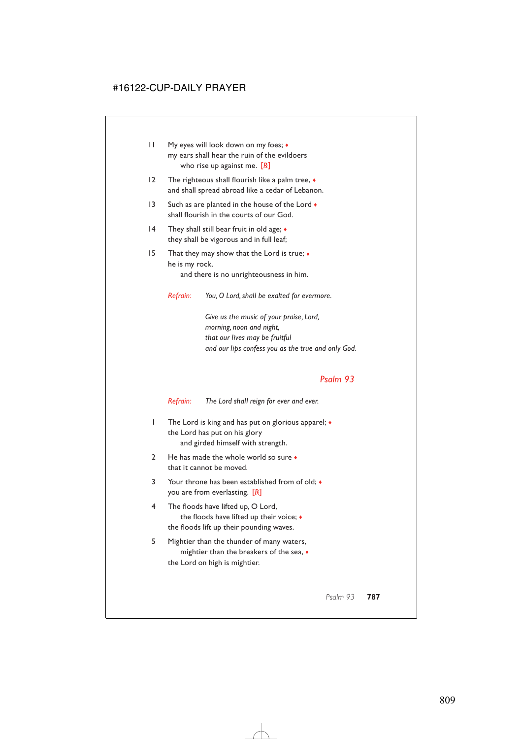- 11 My eyes will look down on my foes;  $\triangleleft$ my ears shall hear the ruin of the evildoers who rise up against me. [*R*]
- 12 The righteous shall flourish like a palm tree, ♦ and shall spread abroad like a cedar of Lebanon.
- 13 Such as are planted in the house of the Lord  $\bullet$ shall flourish in the courts of our God.
- 14 They shall still bear fruit in old age;  $\triangleleft$ they shall be vigorous and in full leaf;
- 15 That they may show that the Lord is true; ♦ he is my rock,

and there is no unrighteousness in him.

*Refrain: You, O Lord, shall be exalted for evermore.*

*Give us the music of your praise, Lord, morning, noon and night, that our lives may be fruitful and our lips confess you as the true and only God.*

### *Psalm 93*

*Refrain: The Lord shall reign for ever and ever.*

- 1 The Lord is king and has put on glorious apparel; ♦ the Lord has put on his glory and girded himself with strength.
- 2 He has made the whole world so sure  $\bullet$ that it cannot be moved.
- 3 Your throne has been established from of old; ♦ you are from everlasting. [*R*]
- 4 The floods have lifted up, O Lord, the floods have lifted up their voice; ♦ the floods lift up their pounding waves.
- 5 Mightier than the thunder of many waters, mightier than the breakers of the sea, ♦ the Lord on high is mightier.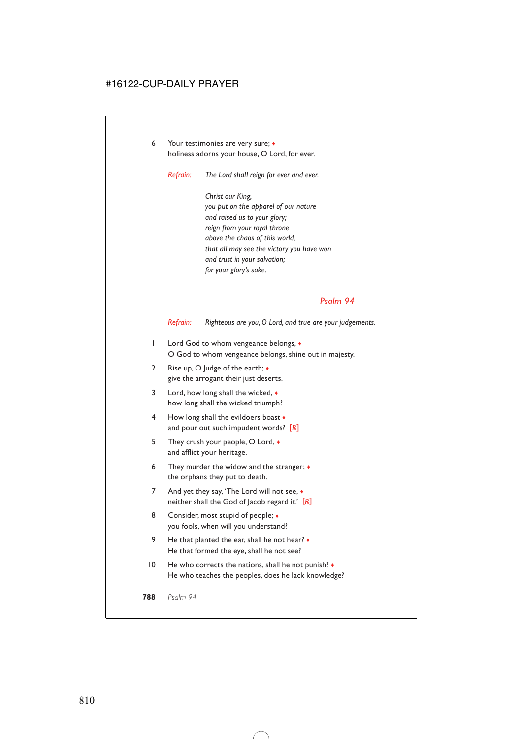6 Your testimonies are very sure; ♦ holiness adorns your house, O Lord, for ever.

*Refrain: The Lord shall reign for ever and ever.*

*Christ our King, you put on the apparel of our nature and raised us to your glory; reign from your royal throne above the chaos of this world, that all may see the victory you have won and trust in your salvation; for your glory's sake.*

### *Psalm 94*

*Refrain: Righteous are you, O Lord, and true are your judgements.*

- 1 Lord God to whom vengeance belongs, ♦ O God to whom vengeance belongs, shine out in majesty.
- 2 Rise up, O Judge of the earth;  $\bullet$ give the arrogant their just deserts.
- 3 Lord, how long shall the wicked,  $\bullet$ how long shall the wicked triumph?
- 4 How long shall the evildoers boast  $\triangle$ and pour out such impudent words? [*R*]
- 5 They crush your people, O Lord,  $\bullet$ and afflict your heritage.
- 6 They murder the widow and the stranger;  $\triangleleft$ the orphans they put to death.
- 7 And yet they say, 'The Lord will not see,  $\bullet$ neither shall the God of Jacob regard it.' [*R*]
- 8 Consider, most stupid of people;  $\triangleleft$ you fools, when will you understand?
- 9 He that planted the ear, shall he not hear?  $\bullet$ He that formed the eye, shall he not see?
- 10 He who corrects the nations, shall he not punish?  $\bullet$ He who teaches the peoples, does he lack knowledge?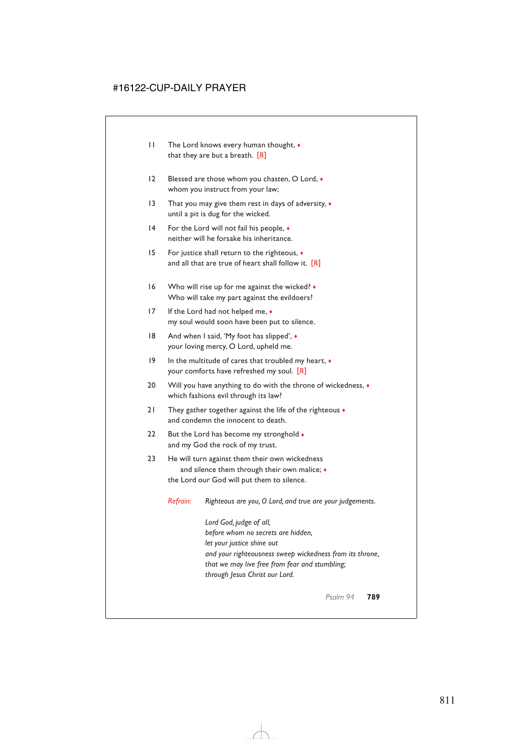- 11 The Lord knows every human thought, ♦ that they are but a breath. [*R*]
- 12 Blessed are those whom you chasten, O Lord,  $\bullet$ whom you instruct from your law;
- 13 That you may give them rest in days of adversity,  $\bullet$ until a pit is dug for the wicked.
- 14 For the Lord will not fail his people,  $\bullet$ neither will he forsake his inheritance.
- 15 For justice shall return to the righteous, ♦ and all that are true of heart shall follow it. [*R*]
- 16 Who will rise up for me against the wicked? ♦ Who will take my part against the evildoers?
- 17 If the Lord had not helped me, ♦ my soul would soon have been put to silence.
- 18 And when I said, 'My foot has slipped',  $\bullet$ your loving mercy, O Lord, upheld me.
- 19 In the multitude of cares that troubled my heart, ♦ your comforts have refreshed my soul. [*R*]
- 20 Will you have anything to do with the throne of wickedness,  $\bullet$ which fashions evil through its law?
- 21 They gather together against the life of the righteous  $\bullet$ and condemn the innocent to death.
- 22 But the Lord has become my stronghold  $\bullet$ and my God the rock of my trust.
- 23 He will turn against them their own wickedness and silence them through their own malice;  $\triangleleft$ the Lord our God will put them to silence.

*Refrain: Righteous are you, O Lord, and true are your judgements.*

*Lord God, judge of all, before whom no secrets are hidden, let your justice shine out and your righteousness sweep wickedness from its throne, that we may live free from fear and stumbling; through Jesus Christ our Lord.*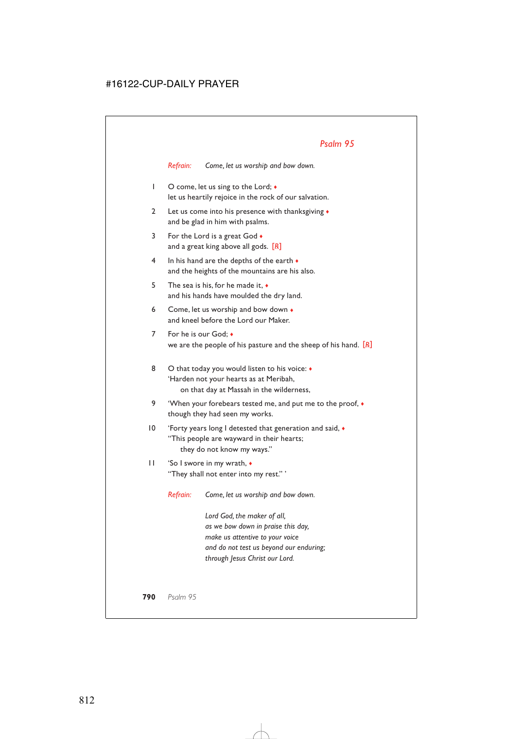*Refrain: Come, let us worship and bow down.*

- 1 O come, let us sing to the Lord;  $\bullet$ let us heartily rejoice in the rock of our salvation.
- 2 Let us come into his presence with thanksgiving ♦ and be glad in him with psalms.
- 3 For the Lord is a great God  $\bullet$ and a great king above all gods. [*R*]
- 4 In his hand are the depths of the earth  $\bullet$ and the heights of the mountains are his also.
- 5 The sea is his, for he made it, ♦ and his hands have moulded the dry land.
- 6 Come, let us worship and bow down ♦ and kneel before the Lord our Maker.
- 7 For he is our God:  $\bullet$ we are the people of his pasture and the sheep of his hand. [*R*]
- 8 O that today you would listen to his voice:  $\triangleleft$ 'Harden not your hearts as at Meribah, on that day at Massah in the wilderness,
- 9 'When your forebears tested me, and put me to the proof,  $\bullet$ though they had seen my works.
- 10 'Forty years long I detested that generation and said, ♦ "This people are wayward in their hearts; they do not know my ways."
- 11 'So I swore in my wrath, ♦ "They shall not enter into my rest." '

*Refrain: Come, let us worship and bow down.*

*Lord God, the maker of all, as we bow down in praise this day, make us attentive to your voice and do not test us beyond our enduring; through Jesus Christ our Lord.*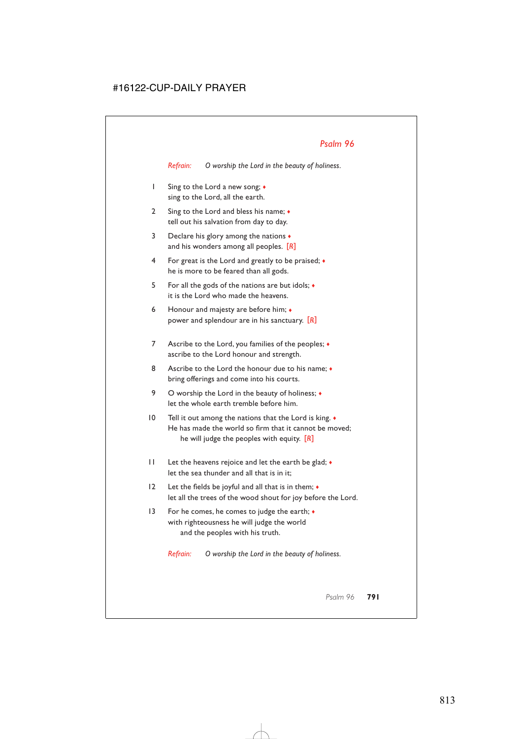*Refrain: O worship the Lord in the beauty of holiness.*

- 1 Sing to the Lord a new song; ♦ sing to the Lord, all the earth.
- 2 Sing to the Lord and bless his name; ♦ tell out his salvation from day to day.
- 3 Declare his glory among the nations  $\bullet$ and his wonders among all peoples. [*R*]
- 4 For great is the Lord and greatly to be praised; ♦ he is more to be feared than all gods.
- 5 For all the gods of the nations are but idols; ♦ it is the Lord who made the heavens.
- 6 Honour and majesty are before him; ♦ power and splendour are in his sanctuary. [*R*]
- 7 Ascribe to the Lord, you families of the peoples;  $\bullet$ ascribe to the Lord honour and strength.
- 8 Ascribe to the Lord the honour due to his name:  $\bullet$ bring offerings and come into his courts.
- 9 O worship the Lord in the beauty of holiness;  $\triangleleft$ let the whole earth tremble before him.
- 10 Tell it out among the nations that the Lord is king.  $\bullet$ He has made the world so firm that it cannot be moved; he will judge the peoples with equity. [*R*]
- 11 Let the heavens rejoice and let the earth be glad; ♦ let the sea thunder and all that is in it;
- 12 Let the fields be joyful and all that is in them; ♦ let all the trees of the wood shout for joy before the Lord.
- 13 For he comes, he comes to judge the earth;  $\bullet$ with righteousness he will judge the world and the peoples with his truth.

*Refrain: O worship the Lord in the beauty of holiness.*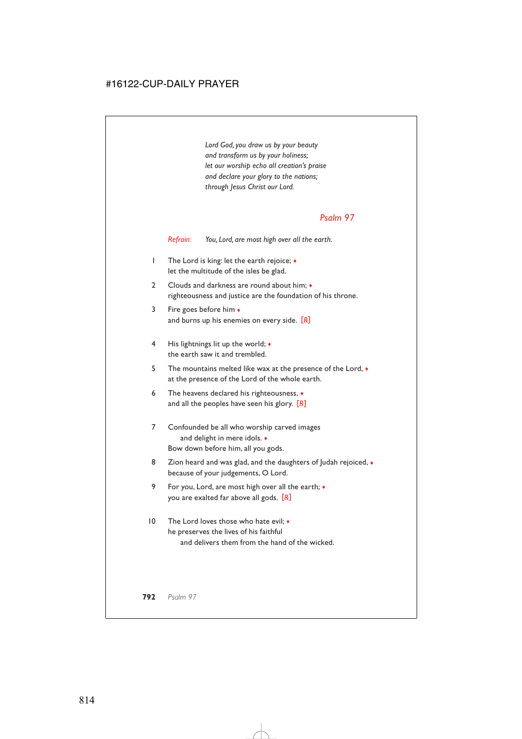*Lord God, you draw us by your beauty and transform us by your holiness; let our worship echo all creation's praise and declare your glory to the nations; through Jesus Christ our Lord.*

### *Psalm 97*

*Refrain: You, Lord, are most high over all the earth.*

- 1 The Lord is king: let the earth rejoice; ♦ let the multitude of the isles be glad.
- 2 Clouds and darkness are round about him;  $\bullet$ righteousness and justice are the foundation of his throne.
- 3 Fire goes before him ♦ and burns up his enemies on every side. [*R*]
- 4 His lightnings lit up the world;  $\bullet$ the earth saw it and trembled.
- 5 The mountains melted like wax at the presence of the Lord,  $\bullet$ at the presence of the Lord of the whole earth.
- 6 The heavens declared his righteousness, ♦ and all the peoples have seen his glory. [*R*]
- 7 Confounded be all who worship carved images and delight in mere idols. ♦ Bow down before him, all you gods.
- 8 Zion heard and was glad, and the daughters of Judah rejoiced,  $\bullet$ because of your judgements, O Lord.
- 9 For you, Lord, are most high over all the earth; ♦ you are exalted far above all gods. [*R*]
- 10 The Lord loves those who hate evil; ♦ he preserves the lives of his faithful and delivers them from the hand of the wicked.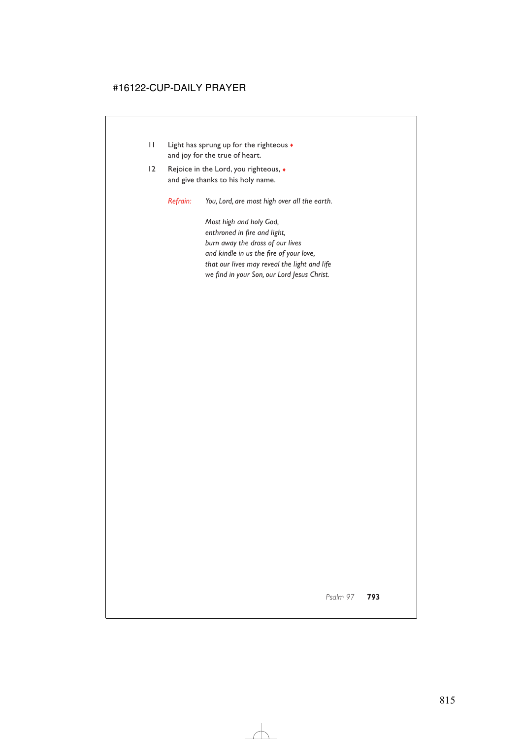- 11 Light has sprung up for the righteous ♦ and joy for the true of heart.
- 12 Rejoice in the Lord, you righteous,  $\bullet$ and give thanks to his holy name.

*Refrain: You, Lord, are most high over all the earth.*

*Most high and holy God, enthroned in fire and light, burn away the dross of our lives and kindle in us the fire of your love, that our lives may reveal the light and life we find in your Son, our Lord Jesus Christ.*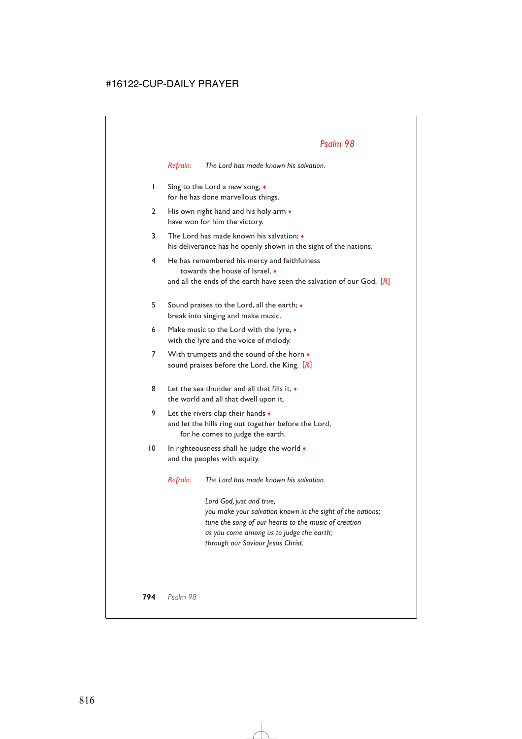*Refrain: The Lord has made known his salvation.*

- 1 Sing to the Lord a new song, ♦ for he has done marvellous things.
- 2 His own right hand and his holy arm  $\bullet$ have won for him the victory.
- 3 The Lord has made known his salvation; ♦ his deliverance has he openly shown in the sight of the nations.
- 4 He has remembered his mercy and faithfulness towards the house of Israel, ♦ and all the ends of the earth have seen the salvation of our God. [*R*]
- 5 Sound praises to the Lord, all the earth; ♦ break into singing and make music.
- 6 Make music to the Lord with the lyre,  $\bullet$ with the lyre and the voice of melody.
- 7 With trumpets and the sound of the horn  $\bullet$ sound praises before the Lord, the King. [*R*]
- 8 Let the sea thunder and all that fills it,  $\bullet$ the world and all that dwell upon it.
- 9 Let the rivers clap their hands  $\bullet$ and let the hills ring out together before the Lord, for he comes to judge the earth.
- 10 In righteousness shall he judge the world  $\bullet$ and the peoples with equity.

*Refrain: The Lord has made known his salvation.*

*Lord God, just and true, you make your salvation known in the sight of the nations; tune the song of our hearts to the music of creation as you come among us to judge the earth; through our Saviour Jesus Christ.*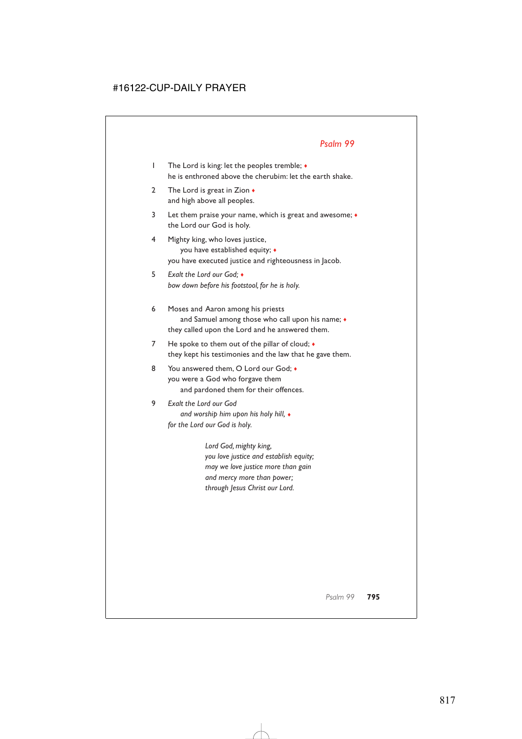- 1 The Lord is king: let the peoples tremble; ♦ he is enthroned above the cherubim: let the earth shake.
- 2 The Lord is great in Zion ♦ and high above all peoples.
- 3 Let them praise your name, which is great and awesome; ♦ the Lord our God is holy.
- 4 Mighty king, who loves justice, you have established equity; ♦ you have executed justice and righteousness in Jacob.
- 5 *Exalt the Lord our God;* ♦ *bow down before his footstool, for he is holy.*
- 6 Moses and Aaron among his priests and Samuel among those who call upon his name;  $\bullet$ they called upon the Lord and he answered them.
- 7 He spoke to them out of the pillar of cloud;  $\bullet$ they kept his testimonies and the law that he gave them.
- 8 You answered them, O Lord our God: you were a God who forgave them and pardoned them for their offences.

#### 9 *Exalt the Lord our God and worship him upon his holy hill,* ♦ *for the Lord our God is holy.*

*Lord God, mighty king, you love justice and establish equity; may we love justice more than gain and mercy more than power; through Jesus Christ our Lord.*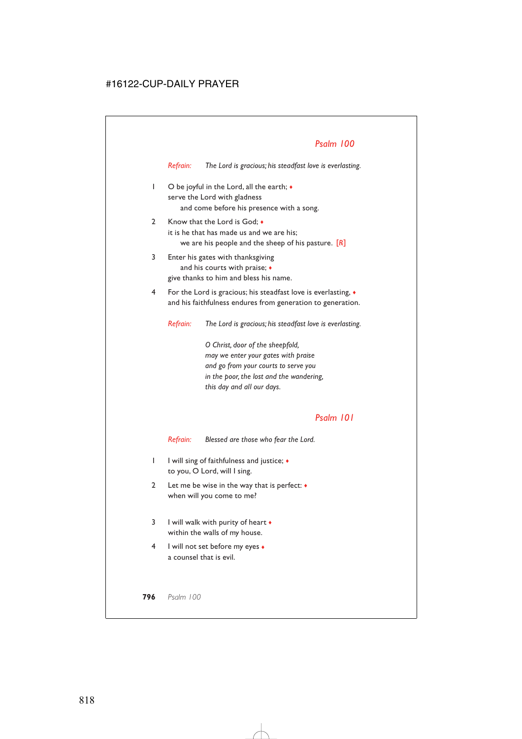*Refrain: The Lord is gracious; his steadfast love is everlasting.*

- 1 O be joyful in the Lord, all the earth; ♦ serve the Lord with gladness and come before his presence with a song.
- 2 Know that the Lord is God;  $\bullet$ it is he that has made us and we are his; we are his people and the sheep of his pasture. [*R*]
- 3 Enter his gates with thanksgiving and his courts with praise; ♦ give thanks to him and bless his name.
- 4 For the Lord is gracious; his steadfast love is everlasting, ♦ and his faithfulness endures from generation to generation.

*Refrain: The Lord is gracious; his steadfast love is everlasting.*

*O Christ, door of the sheepfold, may we enter your gates with praise and go from your courts to serve you in the poor, the lost and the wandering, this day and all our days.*

### *Psalm 101*

*Refrain: Blessed are those who fear the Lord.*

- 1 I will sing of faithfulness and justice; ♦ to you, O Lord, will I sing.
- 2 Let me be wise in the way that is perfect:  $\bullet$ when will you come to me?
- 3 I will walk with purity of heart  $\bullet$ within the walls of my house.
- 4 I will not set before my eyes ♦ a counsel that is evil.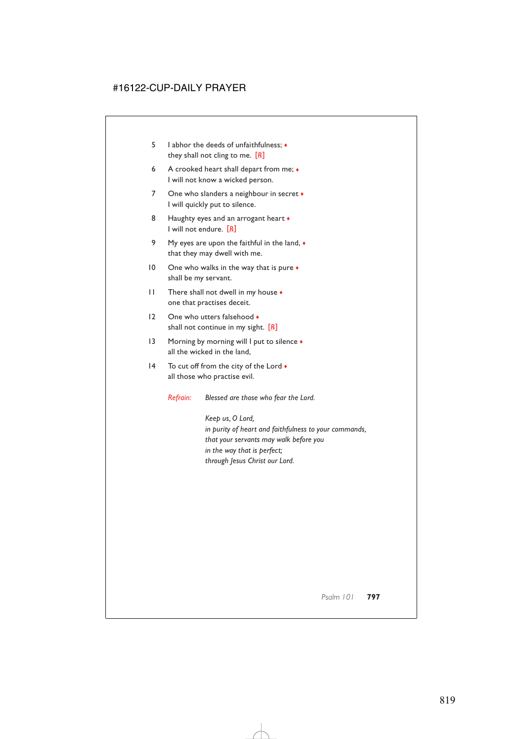- 5 I abhor the deeds of unfaithfulness; ♦ they shall not cling to me. [*R*]
- 6 A crooked heart shall depart from me; ♦ I will not know a wicked person.
- 7 One who slanders a neighbour in secret  $\bullet$ I will quickly put to silence.
- 8 Haughty eyes and an arrogant heart  $\bullet$ I will not endure. [*R*]
- 9 My eyes are upon the faithful in the land,  $\bullet$ that they may dwell with me.
- 10 One who walks in the way that is pure  $\bullet$ shall be my servant.
- 11 There shall not dwell in my house  $\bullet$ one that practises deceit.
- 12 One who utters falsehood shall not continue in my sight. [*R*]
- 13 Morning by morning will I put to silence  $\bullet$ all the wicked in the land,
- 14 To cut off from the city of the Lord  $\bullet$ all those who practise evil.

*Refrain: Blessed are those who fear the Lord.*

*Keep us, O Lord, in purity of heart and faithfulness to your commands, that your servants may walk before you in the way that is perfect; through Jesus Christ our Lord.*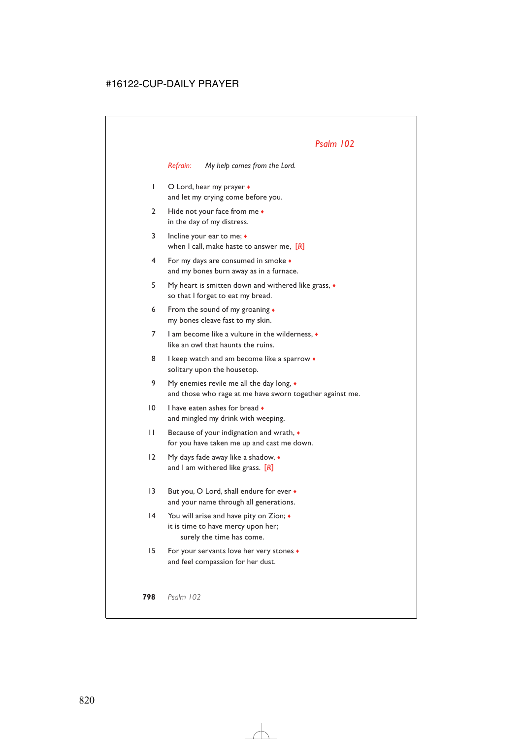*Refrain: My help comes from the Lord.*

- 1 O Lord, hear my prayer ♦ and let my crying come before you.
- 2 Hide not your face from me  $\bullet$ in the day of my distress.
- 3 Incline your ear to me; ♦ when I call, make haste to answer me, [*R*]
- 4 For my days are consumed in smoke ♦ and my bones burn away as in a furnace.
- 5 My heart is smitten down and withered like grass, ♦ so that I forget to eat my bread.
- 6 From the sound of my groaning ♦ my bones cleave fast to my skin.
- 7 I am become like a vulture in the wilderness, ♦ like an owl that haunts the ruins.
- 8 I keep watch and am become like a sparrow  $\bullet$ solitary upon the housetop.
- 9 My enemies revile me all the day long, ♦ and those who rage at me have sworn together against me.
- 10 I have eaten ashes for bread  $\bullet$ and mingled my drink with weeping,
- 11 Because of your indignation and wrath, ♦ for you have taken me up and cast me down.
- 12 My days fade away like a shadow,  $\bullet$ and I am withered like grass. [*R*]
- 13 But you, O Lord, shall endure for ever  $\bullet$ and your name through all generations.
- 14 You will arise and have pity on Zion; ♦ it is time to have mercy upon her; surely the time has come.
- 15 For your servants love her very stones ♦ and feel compassion for her dust.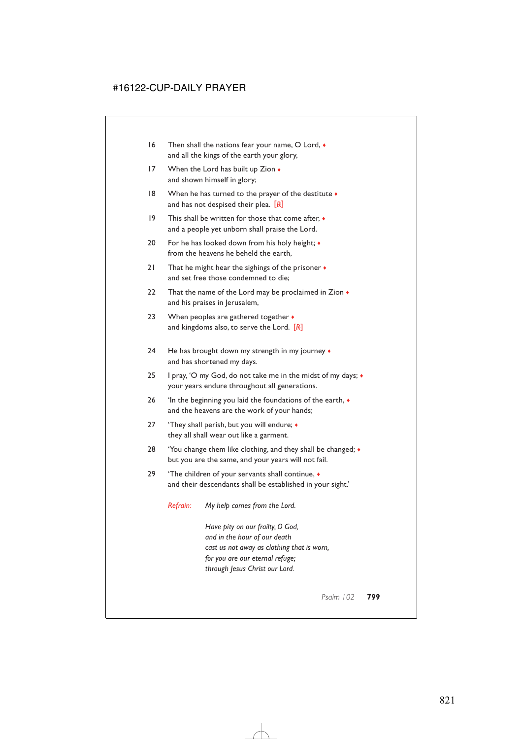- 16 Then shall the nations fear your name, O Lord,  $\bullet$ and all the kings of the earth your glory,
- 17 When the Lord has built up Zion  $\bullet$ and shown himself in glory;
- 18 When he has turned to the prayer of the destitute  $\bullet$ and has not despised their plea. [*R*]
- 19 This shall be written for those that come after,  $\bullet$ and a people yet unborn shall praise the Lord.
- 20 For he has looked down from his holy height;  $\bullet$ from the heavens he beheld the earth,
- 21 That he might hear the sighings of the prisoner  $\bullet$ and set free those condemned to die;
- 22 That the name of the Lord may be proclaimed in Zion  $\bullet$ and his praises in Jerusalem,
- 23 When peoples are gathered together  $\bullet$ and kingdoms also, to serve the Lord. [*R*]
- 24 He has brought down my strength in my journey  $\bullet$ and has shortened my days.
- 25 I pray, 'O my God, do not take me in the midst of my days; ♦ your years endure throughout all generations.
- 26 'In the beginning you laid the foundations of the earth, ♦ and the heavens are the work of your hands;
- 27 'They shall perish, but you will endure;  $\bullet$ they all shall wear out like a garment.
- 28 'You change them like clothing, and they shall be changed; ♦ but you are the same, and your years will not fail.
- 29 'The children of your servants shall continue,  $\bullet$ and their descendants shall be established in your sight.'

*Refrain: My help comes from the Lord.*

*Have pity on our frailty, O God, and in the hour of our death cast us not away as clothing that is worn, for you are our eternal refuge; through Jesus Christ our Lord.*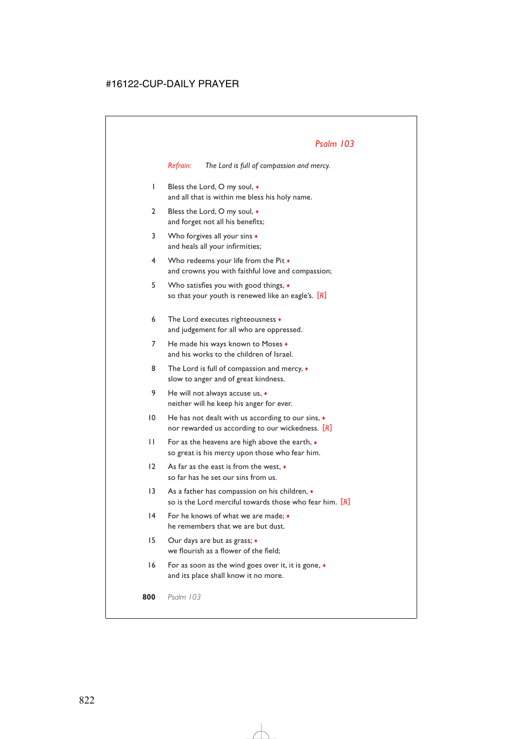*Refrain: The Lord is full of compassion and mercy.*

- 1 Bless the Lord, O my soul, ♦ and all that is within me bless his holy name.
- 2 Bless the Lord, O my soul,  $\bullet$ and forget not all his benefits;
- 3 Who forgives all your sins ♦ and heals all your infirmities;
- 4 Who redeems your life from the Pit  $\bullet$ and crowns you with faithful love and compassion;
- 5 Who satisfies you with good things, ♦ so that your youth is renewed like an eagle's. [*R*]
- 6 The Lord executes righteousness ♦ and judgement for all who are oppressed.
- 7 He made his ways known to Moses  $\bullet$ and his works to the children of Israel.
- 8 The Lord is full of compassion and mercy,  $\bullet$ slow to anger and of great kindness.
- 9 He will not always accuse us,  $\bullet$ neither will he keep his anger for ever.
- 10 He has not dealt with us according to our sins,  $\bullet$ nor rewarded us according to our wickedness. [*R*]
- 11 For as the heavens are high above the earth, ♦ so great is his mercy upon those who fear him.
- 12 As far as the east is from the west, ♦ so far has he set our sins from us.
- 13 As a father has compassion on his children,  $\bullet$ so is the Lord merciful towards those who fear him. [*R*]
- 14 For he knows of what we are made; ♦ he remembers that we are but dust.
- 15 Our days are but as grass;  $\triangleleft$ we flourish as a flower of the field;
- 16 For as soon as the wind goes over it, it is gone, ♦ and its place shall know it no more.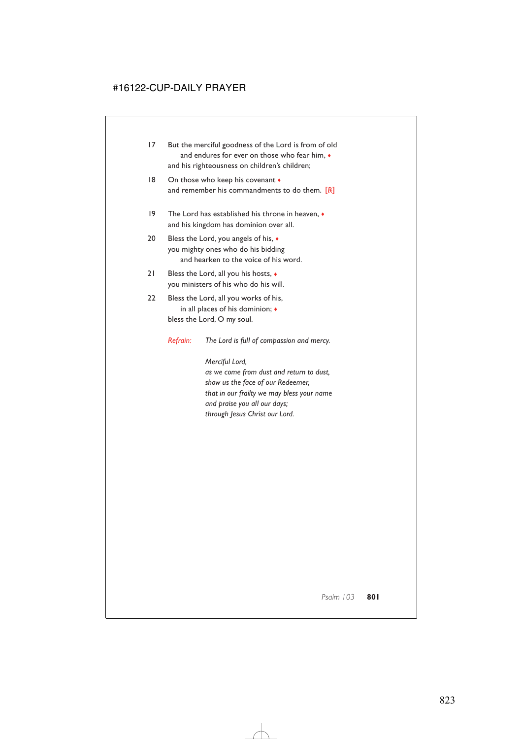- 17 But the merciful goodness of the Lord is from of old and endures for ever on those who fear him,  $\bullet$ and his righteousness on children's children;
- 18 On those who keep his covenant  $\bullet$ and remember his commandments to do them. [*R*]
- 19 The Lord has established his throne in heaven, ♦ and his kingdom has dominion over all.
- 20 Bless the Lord, you angels of his, ♦ you mighty ones who do his bidding and hearken to the voice of his word.
- 21 Bless the Lord, all you his hosts,  $\bullet$ you ministers of his who do his will.
- 22 Bless the Lord, all you works of his, in all places of his dominion; ♦ bless the Lord, O my soul.

*Refrain: The Lord is full of compassion and mercy.*

*Merciful Lord, as we come from dust and return to dust, show us the face of our Redeemer, that in our frailty we may bless your name and praise you all our days; through Jesus Christ our Lord.*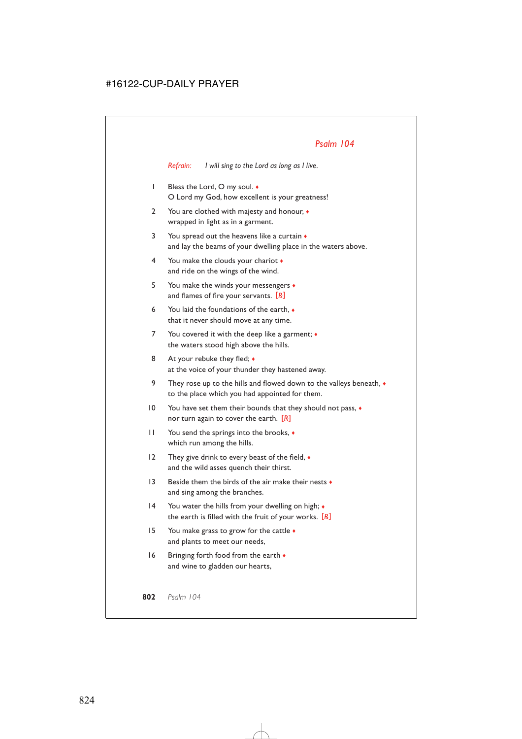*Refrain: I will sing to the Lord as long as I live.*

- 1 Bless the Lord, O my soul. ♦ O Lord my God, how excellent is your greatness!
- 2 You are clothed with majesty and honour,  $\bullet$ wrapped in light as in a garment.
- 3 You spread out the heavens like a curtain  $\bullet$ and lay the beams of your dwelling place in the waters above.
- 4 You make the clouds your chariot ♦ and ride on the wings of the wind.
- 5 You make the winds your messengers ♦ and flames of fire your servants. [*R*]
- 6 You laid the foundations of the earth, ♦ that it never should move at any time.
- 7 You covered it with the deep like a garment;  $\bullet$ the waters stood high above the hills.
- 8 At your rebuke they fled;  $\bullet$ at the voice of your thunder they hastened away.
- 9 They rose up to the hills and flowed down to the valleys beneath,  $\bullet$ to the place which you had appointed for them.
- 10 You have set them their bounds that they should not pass, ♦ nor turn again to cover the earth. [*R*]
- 11 You send the springs into the brooks, ♦ which run among the hills.
- 12 They give drink to every beast of the field,  $\bullet$ and the wild asses quench their thirst.
- 13 Beside them the birds of the air make their nests ♦ and sing among the branches.
- 14 You water the hills from your dwelling on high;  $\bullet$ the earth is filled with the fruit of your works. [*R*]
- 15 You make grass to grow for the cattle ♦ and plants to meet our needs,
- 16 Bringing forth food from the earth  $\bullet$ and wine to gladden our hearts,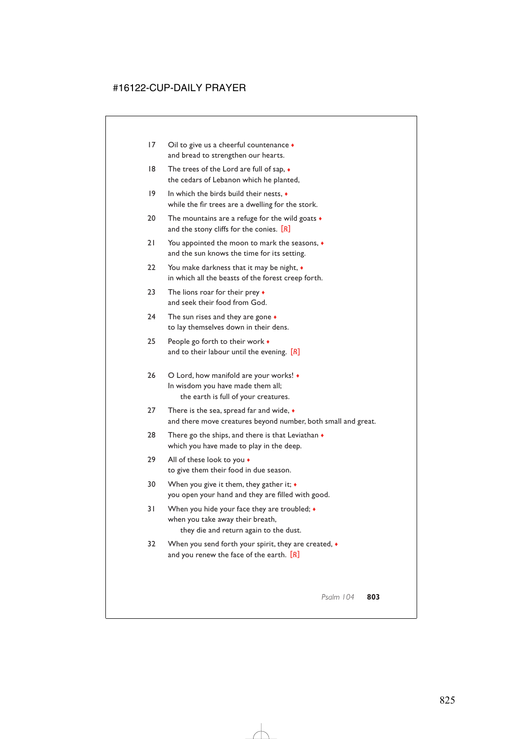- 17 Oil to give us a cheerful countenance ♦ and bread to strengthen our hearts.
- 18 The trees of the Lord are full of sap,  $\bullet$ the cedars of Lebanon which he planted,
- 19 In which the birds build their nests, ♦ while the fir trees are a dwelling for the stork.
- 20 The mountains are a refuge for the wild goats  $\bullet$ and the stony cliffs for the conies. [*R*]
- 21 You appointed the moon to mark the seasons, ♦ and the sun knows the time for its setting.
- 22 You make darkness that it may be night,  $\bullet$ in which all the beasts of the forest creep forth.
- 23 The lions roar for their prey ♦ and seek their food from God.
- 24 The sun rises and they are gone  $\bullet$ to lay themselves down in their dens.
- 25 People go forth to their work ♦ and to their labour until the evening. [*R*]
- 26 O Lord, how manifold are your works! ♦ In wisdom you have made them all; the earth is full of your creatures.
- 27 There is the sea, spread far and wide,  $\bullet$ and there move creatures beyond number, both small and great.
- 28 There go the ships, and there is that Leviathan  $\bullet$ which you have made to play in the deep.
- 29 All of these look to you  $\bullet$ to give them their food in due season.
- 30 When you give it them, they gather it;  $\bullet$ you open your hand and they are filled with good.
- 31 When you hide your face they are troubled;  $\bullet$ when you take away their breath, they die and return again to the dust.
- 32 When you send forth your spirit, they are created,  $\bullet$ and you renew the face of the earth. [*R*]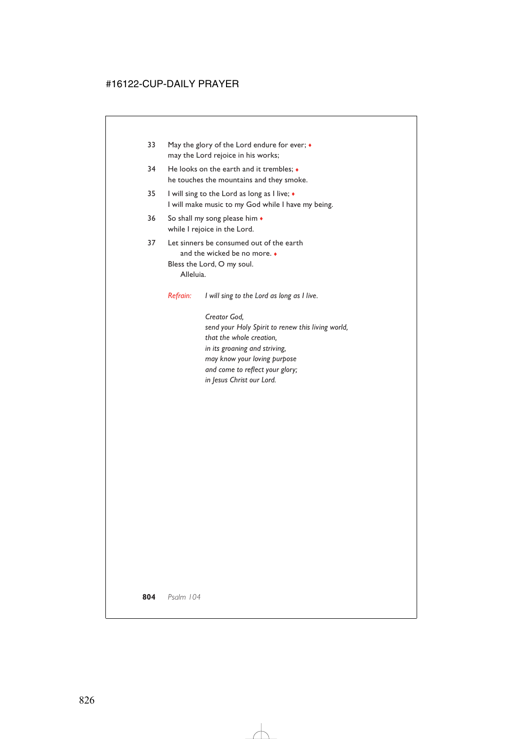- 33 May the glory of the Lord endure for ever;  $\bullet$ may the Lord rejoice in his works;
- 34 He looks on the earth and it trembles;  $\bullet$ he touches the mountains and they smoke.
- 35 I will sing to the Lord as long as I live; ♦ I will make music to my God while I have my being.
- 36 So shall my song please him  $\triangleleft$ while I rejoice in the Lord.
- 37 Let sinners be consumed out of the earth and the wicked be no more. ♦ Bless the Lord, O my soul. Alleluia.

*Refrain: I will sing to the Lord as long as I live.*

*Creator God, send your Holy Spirit to renew this living world, that the whole creation, in its groaning and striving, may know your loving purpose and come to reflect your glory; in Jesus Christ our Lord.*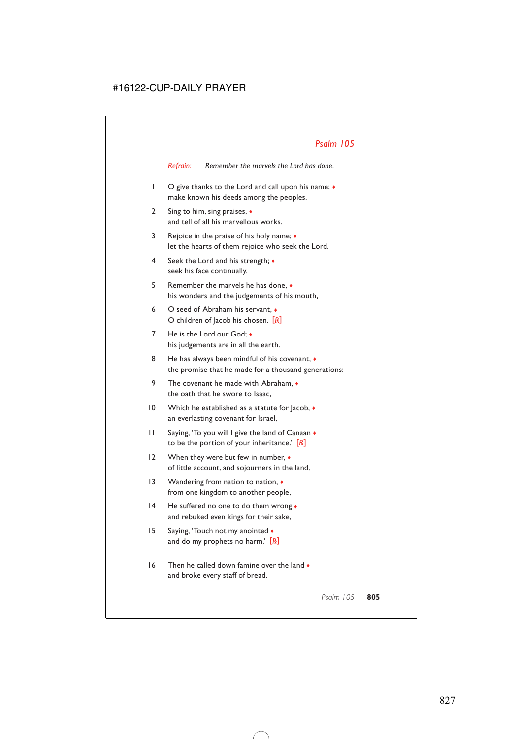*Refrain: Remember the marvels the Lord has done.*

- 1 O give thanks to the Lord and call upon his name; ♦ make known his deeds among the peoples.
- 2 Sing to him, sing praises, ♦ and tell of all his marvellous works.
- 3 Rejoice in the praise of his holy name; ♦ let the hearts of them rejoice who seek the Lord.
- 4 Seek the Lord and his strength; ♦ seek his face continually.
- 5 Remember the marvels he has done, ♦ his wonders and the judgements of his mouth,
- 6 O seed of Abraham his servant, ♦ O children of Jacob his chosen. [*R*]
- 7 He is the Lord our God; ♦ his judgements are in all the earth.
- 8 He has always been mindful of his covenant,  $\bullet$ the promise that he made for a thousand generations:
- 9 The covenant he made with Abraham,  $\bullet$ the oath that he swore to Isaac,
- 10 Which he established as a statute for lacob,  $\bullet$ an everlasting covenant for Israel,
- 11 Saying, 'To you will I give the land of Canaan ♦ to be the portion of your inheritance.' [*R*]
- 12 When they were but few in number, ♦ of little account, and sojourners in the land,
- 13 Wandering from nation to nation,  $\triangleleft$ from one kingdom to another people,
- 14 He suffered no one to do them wrong ♦ and rebuked even kings for their sake,
- 15 Saying, 'Touch not my anointed ♦ and do my prophets no harm.' [*R*]
- $16$  Then he called down famine over the land  $\bullet$ and broke every staff of bread.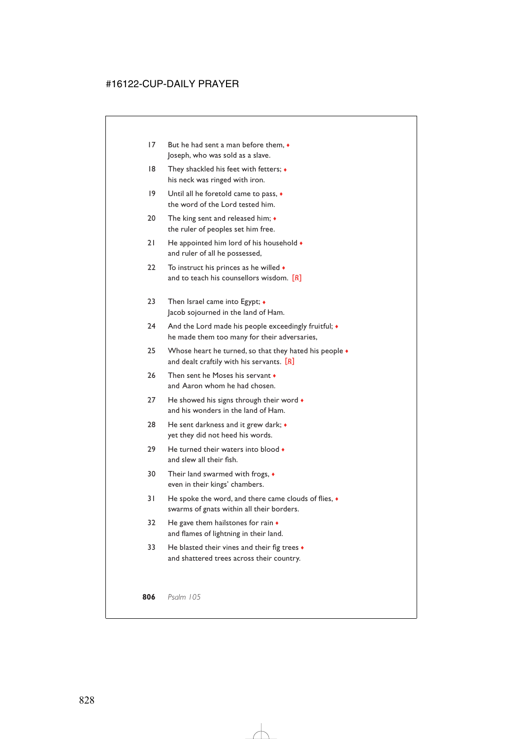- 17 But he had sent a man before them, ♦ Joseph, who was sold as a slave.
- 18 They shackled his feet with fetters;  $\bullet$ his neck was ringed with iron.
- 19 Until all he foretold came to pass,  $\triangleleft$ the word of the Lord tested him.
- 20 The king sent and released him;  $\triangleleft$ the ruler of peoples set him free.
- 21 He appointed him lord of his household  $\bullet$ and ruler of all he possessed,
- 22 To instruct his princes as he willed  $\bullet$ and to teach his counsellors wisdom. [*R*]
- 23 Then Israel came into Egypt; ◆ Jacob sojourned in the land of Ham.
- 24 And the Lord made his people exceedingly fruitful;  $\bullet$ he made them too many for their adversaries,
- 25 Whose heart he turned, so that they hated his people  $\bullet$ and dealt craftily with his servants. [*R*]
- 26 Then sent he Moses his servant. and Aaron whom he had chosen.
- 27 He showed his signs through their word  $\bullet$ and his wonders in the land of Ham.
- 28 He sent darkness and it grew dark;  $\bullet$ yet they did not heed his words.
- 29 He turned their waters into blood and slew all their fish.
- 30 Their land swarmed with frogs, ♦ even in their kings' chambers.
- 31 He spoke the word, and there came clouds of flies, ♦ swarms of gnats within all their borders.
- 32 He gave them hailstones for rain  $\bullet$ and flames of lightning in their land.
- 33 He blasted their vines and their fig trees  $\bullet$ and shattered trees across their country.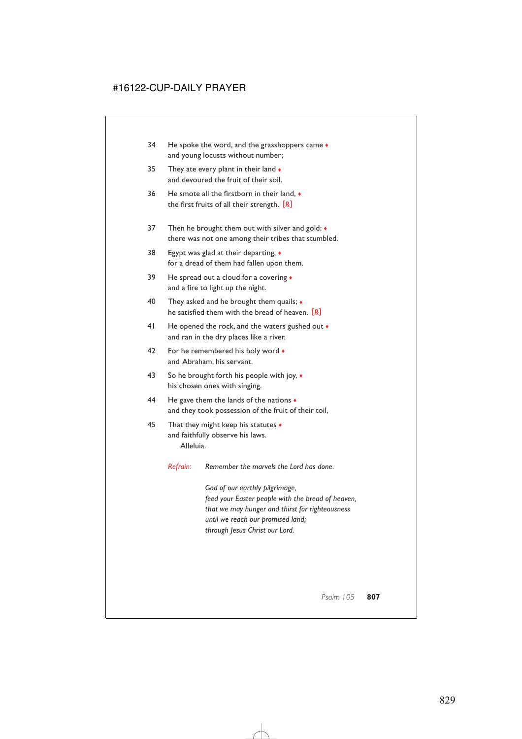- 34 He spoke the word, and the grasshoppers came  $\bullet$ and young locusts without number;
- 35 They ate every plant in their land  $\bullet$ and devoured the fruit of their soil.
- 36 He smote all the firstborn in their land, ♦ the first fruits of all their strength. [*R*]
- 37 Then he brought them out with silver and gold;  $\bullet$ there was not one among their tribes that stumbled.
- 38 Egypt was glad at their departing, ♦ for a dread of them had fallen upon them.
- 39 He spread out a cloud for a covering  $\bullet$ and a fire to light up the night.
- 40 They asked and he brought them quails;  $\bullet$ he satisfied them with the bread of heaven. [*R*]
- 41 He opened the rock, and the waters gushed out  $\bullet$ and ran in the dry places like a river.
- 42 For he remembered his holy word  $\bullet$ and Abraham, his servant.
- 43 So he brought forth his people with joy,  $\bullet$ his chosen ones with singing.
- 44 He gave them the lands of the nations ♦ and they took possession of the fruit of their toil,
- 45 That they might keep his statutes  $\bullet$ and faithfully observe his laws. Alleluia.
	- *Refrain: Remember the marvels the Lord has done.*

*God of our earthly pilgrimage, feed your Easter people with the bread of heaven, that we may hunger and thirst for righteousness until we reach our promised land; through Jesus Christ our Lord.*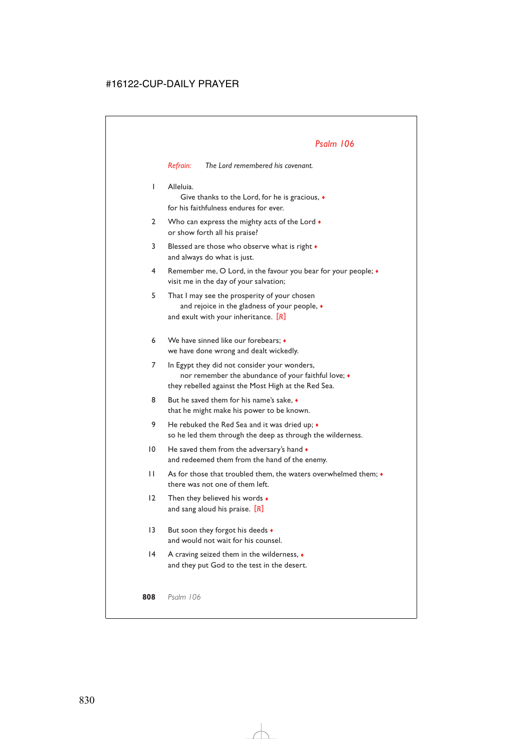*Refrain: The Lord remembered his covenant.*

1 Alleluia.

Give thanks to the Lord, for he is gracious, ♦ for his faithfulness endures for ever.

- 2 Who can express the mighty acts of the Lord  $\bullet$ or show forth all his praise?
- 3 Blessed are those who observe what is right ♦ and always do what is just.
- 4 Remember me, O Lord, in the favour you bear for your people; ♦ visit me in the day of your salvation;
- 5 That I may see the prosperity of your chosen and rejoice in the gladness of your people, ♦ and exult with your inheritance. [*R*]
- 6 We have sinned like our forebears; ♦ we have done wrong and dealt wickedly.
- 7 In Egypt they did not consider your wonders, nor remember the abundance of your faithful love; ♦ they rebelled against the Most High at the Red Sea.
- 8 But he saved them for his name's sake.  $\bullet$ that he might make his power to be known.
- 9 He rebuked the Red Sea and it was dried up;  $\bullet$ so he led them through the deep as through the wilderness.
- 10 He saved them from the adversary's hand  $\bullet$ and redeemed them from the hand of the enemy.
- 11 As for those that troubled them, the waters overwhelmed them; ♦ there was not one of them left.
- 12 Then they believed his words  $\bullet$ and sang aloud his praise. [*R*]
- 13 But soon they forgot his deeds  $\bullet$ and would not wait for his counsel.
- 14 A craving seized them in the wilderness, ♦ and they put God to the test in the desert.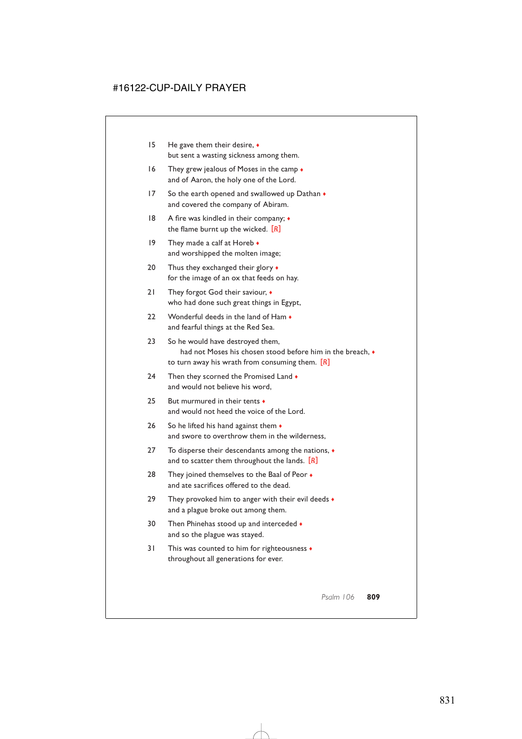- 15 He gave them their desire, ♦ but sent a wasting sickness among them.
- 16 They grew jealous of Moses in the camp  $\bullet$ and of Aaron, the holy one of the Lord.
- 17 So the earth opened and swallowed up Dathan  $\bullet$ and covered the company of Abiram.
- 18 A fire was kindled in their company; ♦ the flame burnt up the wicked. [*R*]
- 19 They made a calf at Horeb  $\bullet$ and worshipped the molten image;
- 20 Thus they exchanged their glory  $\bullet$ for the image of an ox that feeds on hay.
- 21 They forgot God their saviour,  $\bullet$ who had done such great things in Egypt,
- 22 Wonderful deeds in the land of Ham  $\bullet$ and fearful things at the Red Sea.
- 23 So he would have destroyed them, had not Moses his chosen stood before him in the breach,  $\bullet$ to turn away his wrath from consuming them. [*R*]
- 24 Then they scorned the Promised Land  $\bullet$ and would not believe his word,
- 25 But murmured in their tents ♦ and would not heed the voice of the Lord.
- 26 So he lifted his hand against them  $\bullet$ and swore to overthrow them in the wilderness,
- 27 To disperse their descendants among the nations, ♦ and to scatter them throughout the lands. [*R*]
- 28 They joined themselves to the Baal of Peor  $\bullet$ and ate sacrifices offered to the dead.
- 29 They provoked him to anger with their evil deeds  $\bullet$ and a plague broke out among them.
- 30 Then Phinehas stood up and interceded  $\bullet$ and so the plague was stayed.
- 31 This was counted to him for righteousness ♦ throughout all generations for ever.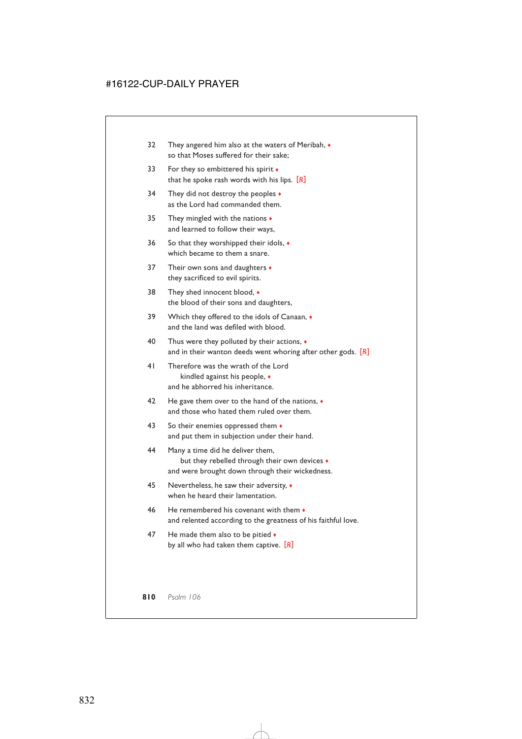- 32 They angered him also at the waters of Meribah,  $\bullet$ so that Moses suffered for their sake;
- 33 For they so embittered his spirit  $\bullet$ that he spoke rash words with his lips. [*R*]
- 34 They did not destroy the peoples  $\triangleleft$ as the Lord had commanded them.
- 35 They mingled with the nations ♦ and learned to follow their ways,
- 36 So that they worshipped their idols, ♦ which became to them a snare.
- 37 Their own sons and daughters  $\bullet$ they sacrificed to evil spirits.
- 38 They shed innocent blood,  $\bullet$ the blood of their sons and daughters,
- 39 Which they offered to the idols of Canaan,  $\bullet$ and the land was defiled with blood.
- 40 Thus were they polluted by their actions, ♦ and in their wanton deeds went whoring after other gods. [*R*]
- 41 Therefore was the wrath of the Lord kindled against his people, ♦ and he abhorred his inheritance.
- 42 He gave them over to the hand of the nations,  $\bullet$ and those who hated them ruled over them.
- 43 So their enemies oppressed them  $\bullet$ and put them in subjection under their hand.
- 44 Many a time did he deliver them, but they rebelled through their own devices  $\bullet$ and were brought down through their wickedness.
- 45 Nevertheless, he saw their adversity, ♦ when he heard their lamentation.
- 46 He remembered his covenant with them  $\cdot$ and relented according to the greatness of his faithful love.
- 47 He made them also to be pitied  $\bullet$ by all who had taken them captive. [*R*]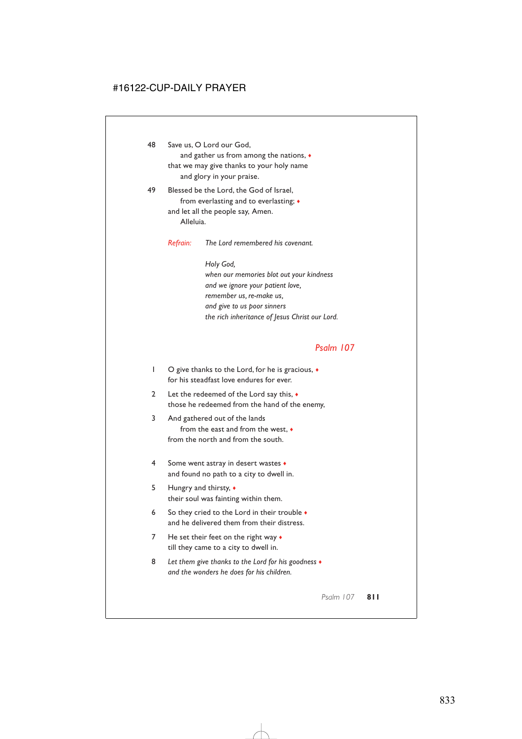48 Save us, O Lord our God, and gather us from among the nations, ♦ that we may give thanks to your holy name and glory in your praise. 49 Blessed be the Lord, the God of Israel, from everlasting and to everlasting; ♦ and let all the people say, Amen.

Alleluia.

*Refrain: The Lord remembered his covenant.*

*Holy God, when our memories blot out your kindness and we ignore your patient love, remember us, re-make us, and give to us poor sinners the rich inheritance of Jesus Christ our Lord.*

#### *Psalm 107*

- 1 O give thanks to the Lord, for he is gracious, ♦ for his steadfast love endures for ever.
- 2 Let the redeemed of the Lord say this,  $\bullet$ those he redeemed from the hand of the enemy,
- 3 And gathered out of the lands from the east and from the west, ♦ from the north and from the south.
- 4 Some went astray in desert wastes ♦ and found no path to a city to dwell in.
- 5 Hungry and thirsty, ♦ their soul was fainting within them.
- 6 So they cried to the Lord in their trouble  $\bullet$ and he delivered them from their distress.
- 7 He set their feet on the right way  $\bullet$ till they came to a city to dwell in.
- 8 *Let them give thanks to the Lord for his goodness* ♦ *and the wonders he does for his children.*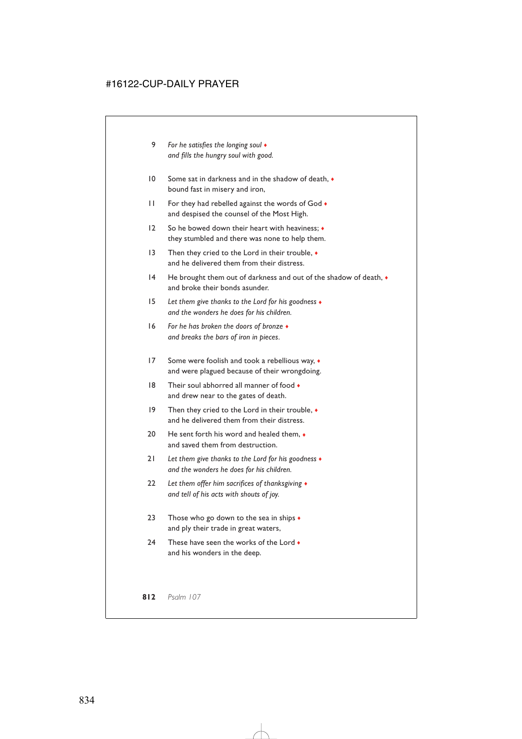- 9 *For he satisfies the longing soul* ♦ *and fills the hungry soul with good.*
- 10 Some sat in darkness and in the shadow of death.  $\bullet$ bound fast in misery and iron,
- 11 For they had rebelled against the words of God  $\bullet$ and despised the counsel of the Most High.
- 12 So he bowed down their heart with heaviness; ♦ they stumbled and there was none to help them.
- 13 Then they cried to the Lord in their trouble, ♦ and he delivered them from their distress.
- 14 He brought them out of darkness and out of the shadow of death,  $\bullet$ and broke their bonds asunder.
- 15 *Let them give thanks to the Lord for his goodness* ♦ *and the wonders he does for his children.*
- 16 *For he has broken the doors of bronze* ♦ *and breaks the bars of iron in pieces.*
- 17 Some were foolish and took a rebellious way,  $\bullet$ and were plagued because of their wrongdoing.
- 18 Their soul abhorred all manner of food  $\bullet$ and drew near to the gates of death.
- 19 Then they cried to the Lord in their trouble,  $\bullet$ and he delivered them from their distress.
- 20 He sent forth his word and healed them.  $\bullet$ and saved them from destruction.
- 21 *Let them give thanks to the Lord for his goodness* ♦ *and the wonders he does for his children.*
- 22 *Let them offer him sacrifices of thanksgiving* ♦ *and tell of his acts with shouts of joy.*
- 23 Those who go down to the sea in ships  $\bullet$ and ply their trade in great waters,
- 24 These have seen the works of the Lord  $\bullet$ and his wonders in the deep.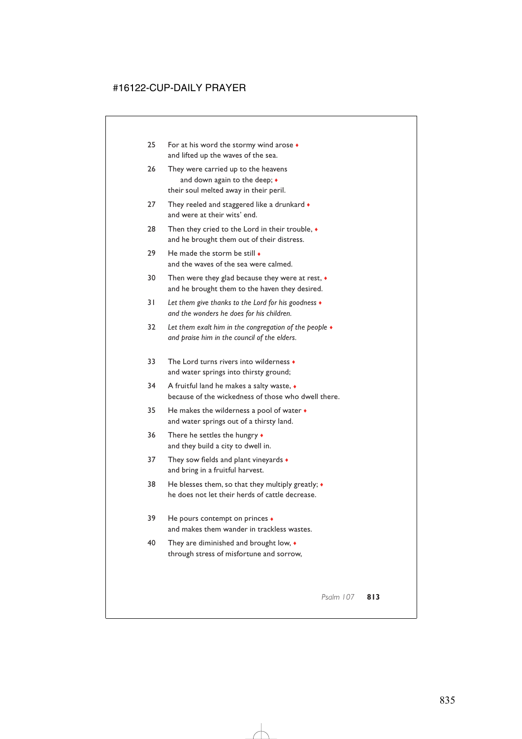- 25 For at his word the stormy wind arose ♦ and lifted up the waves of the sea.
- 26 They were carried up to the heavens and down again to the deep;  $\triangleleft$ their soul melted away in their peril.
- 27 They reeled and staggered like a drunkard  $\bullet$ and were at their wits' end.
- 28 Then they cried to the Lord in their trouble,  $\bullet$ and he brought them out of their distress.
- 29 He made the storm be still  $\bullet$ and the waves of the sea were calmed.
- 30 Then were they glad because they were at rest,  $\bullet$ and he brought them to the haven they desired.
- 31 *Let them give thanks to the Lord for his goodness* ♦ *and the wonders he does for his children.*
- 32 *Let them exalt him in the congregation of the people* ♦ *and praise him in the council of the elders.*
- 33 The Lord turns rivers into wilderness  $\bullet$ and water springs into thirsty ground;
- 34 A fruitful land he makes a salty waste, ♦ because of the wickedness of those who dwell there.
- 35 He makes the wilderness a pool of water ♦ and water springs out of a thirsty land.
- 36 There he settles the hungry ♦ and they build a city to dwell in.
- 37 They sow fields and plant vineyards  $\bullet$ and bring in a fruitful harvest.
- 38 He blesses them, so that they multiply greatly;  $\triangleleft$ he does not let their herds of cattle decrease.
- 39 He pours contempt on princes ♦ and makes them wander in trackless wastes.
- 40 They are diminished and brought low, ♦ through stress of misfortune and sorrow,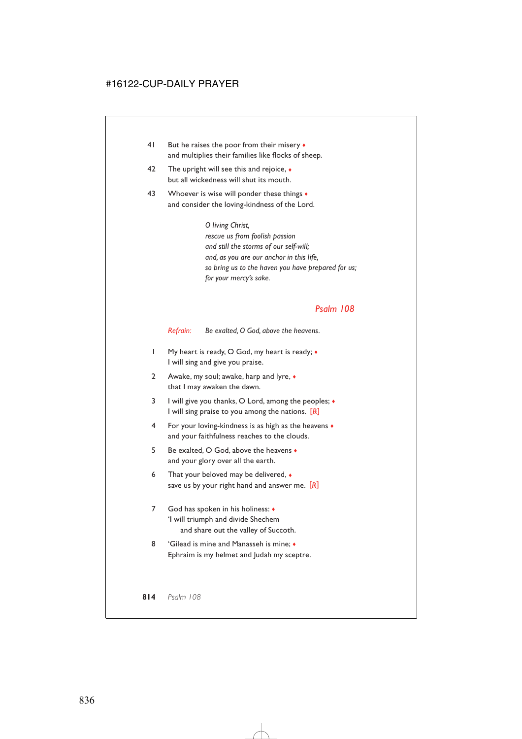- 41 But he raises the poor from their misery  $\bullet$ and multiplies their families like flocks of sheep.
- 42 The upright will see this and rejoice,  $\bullet$ but all wickedness will shut its mouth.
- 43 Whoever is wise will ponder these things  $\bullet$ and consider the loving-kindness of the Lord.

*O living Christ, rescue us from foolish passion and still the storms of our self-will; and, as you are our anchor in this life, so bring us to the haven you have prepared for us; for your mercy's sake.*

### *Psalm 108*

*Refrain: Be exalted, O God, above the heavens.*

- 1 My heart is ready, O God, my heart is ready; ♦ I will sing and give you praise.
- 2 Awake, my soul; awake, harp and lyre,  $\bullet$ that I may awaken the dawn.
- 3 I will give you thanks, O Lord, among the peoples; ♦ I will sing praise to you among the nations. [*R*]
- 4 For your loving-kindness is as high as the heavens ♦ and your faithfulness reaches to the clouds.
- 5 Be exalted, O God, above the heavens ♦ and your glory over all the earth.
- 6 That your beloved may be delivered,  $\bullet$ save us by your right hand and answer me. [*R*]
- 7 God has spoken in his holiness: ♦ 'I will triumph and divide Shechem and share out the valley of Succoth.
- 8 'Gilead is mine and Manasseh is mine;  $\bullet$ Ephraim is my helmet and Judah my sceptre.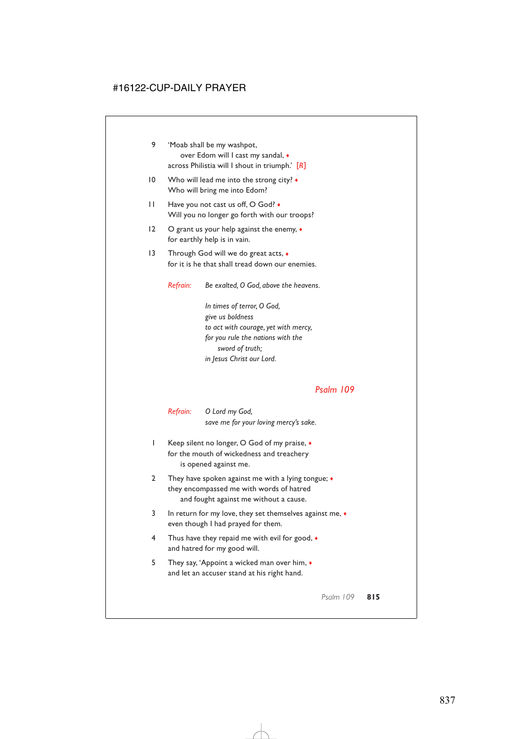| 'Moab shall be my washpot,<br>over Edom will I cast my sandal, $\bullet$<br>across Philistia will I shout in triumph.' $[R]$ |                                                                                                                                                                             |
|------------------------------------------------------------------------------------------------------------------------------|-----------------------------------------------------------------------------------------------------------------------------------------------------------------------------|
| Who will lead me into the strong city? $\bullet$<br>Who will bring me into Edom?                                             |                                                                                                                                                                             |
| Have you not cast us off, O God? •<br>Will you no longer go forth with our troops?                                           |                                                                                                                                                                             |
| O grant us your help against the enemy, $\bullet$<br>for earthly help is in vain.                                            |                                                                                                                                                                             |
| Through God will we do great acts, $\bullet$<br>for it is he that shall tread down our enemies.                              |                                                                                                                                                                             |
| Refrain:                                                                                                                     | Be exalted, O God, above the heavens.                                                                                                                                       |
|                                                                                                                              | In times of terror, O God,<br>give us boldness<br>to act with courage, yet with mercy,<br>for you rule the nations with the<br>sword of truth;<br>in Jesus Christ our Lord. |
|                                                                                                                              |                                                                                                                                                                             |

| Refrain: | O Lord my God,                        |
|----------|---------------------------------------|
|          | save me for your loving mercy's sake. |

- 1 Keep silent no longer, O God of my praise, ♦ for the mouth of wickedness and treachery is opened against me.
- 2 They have spoken against me with a lying tongue;  $\triangleleft$ they encompassed me with words of hatred and fought against me without a cause.
- 3 In return for my love, they set themselves against me, ♦ even though I had prayed for them.
- 4 Thus have they repaid me with evil for good,  $\bullet$ and hatred for my good will.
- 5 They say, 'Appoint a wicked man over him, ♦ and let an accuser stand at his right hand.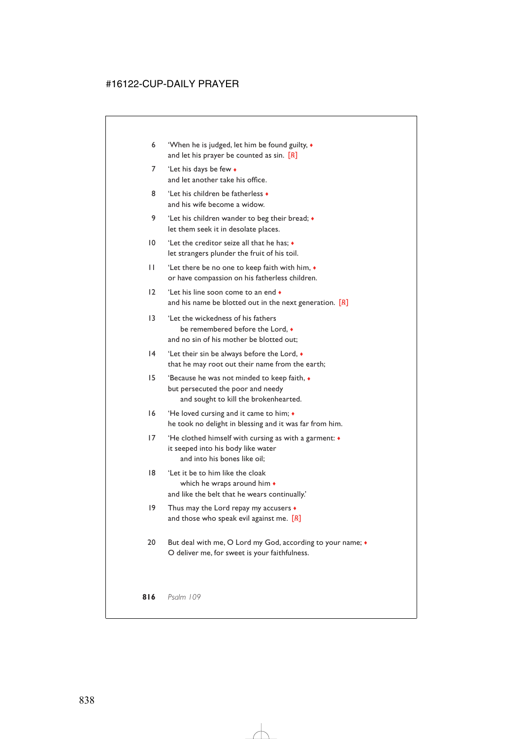- 6 'When he is judged, let him be found guilty, ♦ and let his prayer be counted as sin. [*R*]
- 7 'Let his days be few  $\bullet$ and let another take his office.
- 8 'Let his children be fatherless ♦ and his wife become a widow.
- 9 'Let his children wander to beg their bread;  $\bullet$ let them seek it in desolate places.
- 10 'Let the creditor seize all that he has;  $\triangleleft$ let strangers plunder the fruit of his toil.
- 11 'Let there be no one to keep faith with him, ♦ or have compassion on his fatherless children.
- 12 'Let his line soon come to an end  $\bullet$ and his name be blotted out in the next generation. [*R*]
- 13 'Let the wickedness of his fathers be remembered before the Lord  $\rightarrow$ and no sin of his mother be blotted out;
- 14 'Let their sin be always before the Lord, ♦ that he may root out their name from the earth;
- 15 'Because he was not minded to keep faith, ♦ but persecuted the poor and needy and sought to kill the brokenhearted.
- 16 'He loved cursing and it came to him; ♦ he took no delight in blessing and it was far from him.
- 17 'He clothed himself with cursing as with a garment: ♦ it seeped into his body like water and into his bones like oil;
- 18 'Let it be to him like the cloak which he wraps around him  $\bullet$ and like the belt that he wears continually.'
- 19 Thus may the Lord repay my accusers  $\bullet$ and those who speak evil against me. [*R*]
- 20 But deal with me, O Lord my God, according to your name;  $\bullet$ O deliver me, for sweet is your faithfulness.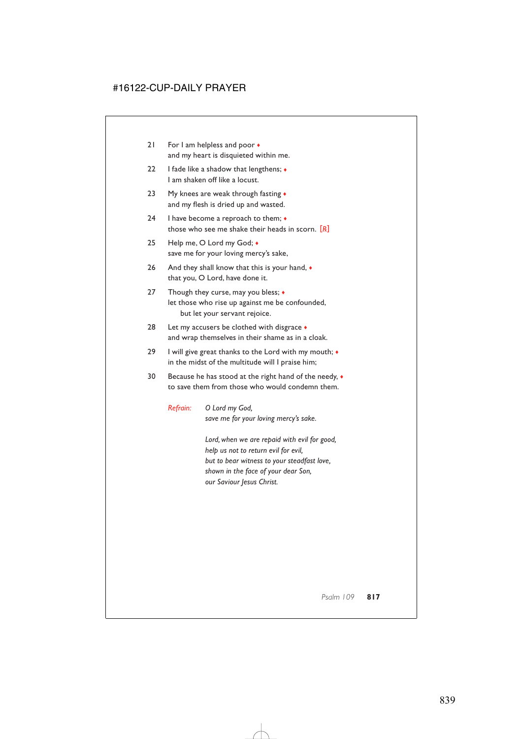- 21 For I am helpless and poor  $\bullet$ and my heart is disquieted within me.
- 22 I fade like a shadow that lengthens;  $\bullet$ I am shaken off like a locust.
- 23 My knees are weak through fasting  $\triangle$ and my flesh is dried up and wasted.
- 24 I have become a reproach to them;  $\bullet$ those who see me shake their heads in scorn. [*R*]
- 25 Help me, O Lord my God; ◆ save me for your loving mercy's sake,
- 26 And they shall know that this is your hand,  $\bullet$ that you, O Lord, have done it.
- 27 Though they curse, may you bless;  $\triangleleft$ let those who rise up against me be confounded, but let your servant rejoice.
- 28 Let my accusers be clothed with disgrace  $\bullet$ and wrap themselves in their shame as in a cloak.
- 29 I will give great thanks to the Lord with my mouth; ♦ in the midst of the multitude will I praise him;
- 30 Because he has stood at the right hand of the needy,  $\bullet$ to save them from those who would condemn them.

*Refrain: O Lord my God, save me for your loving mercy's sake.*

> *Lord, when we are repaid with evil for good, help us not to return evil for evil, but to bear witness to your steadfast love, shown in the face of your dear Son, our Saviour Jesus Christ.*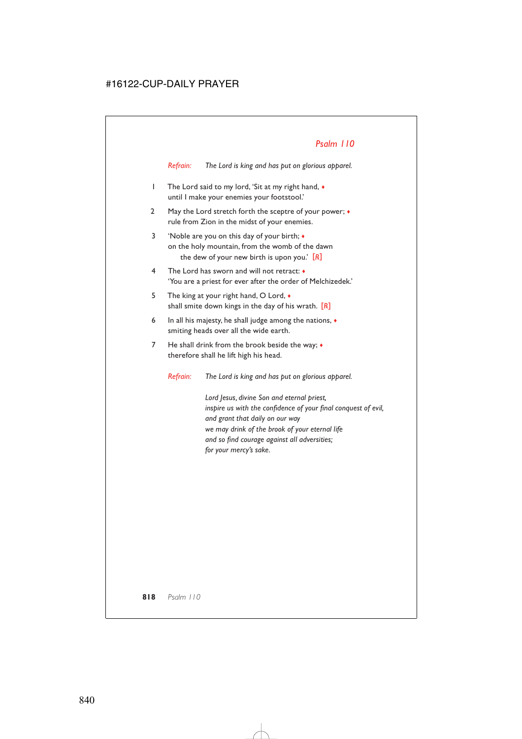*Refrain: The Lord is king and has put on glorious apparel.*

- 1 The Lord said to my lord, 'Sit at my right hand, ♦ until I make your enemies your footstool.'
- 2 May the Lord stretch forth the sceptre of your power;  $\bullet$ rule from Zion in the midst of your enemies.
- 3 'Noble are you on this day of your birth; ♦ on the holy mountain, from the womb of the dawn the dew of your new birth is upon you.' [*R*]
- 4 The Lord has sworn and will not retract: ♦ 'You are a priest for ever after the order of Melchizedek.'
- 5 The king at your right hand, O Lord,  $\bullet$ shall smite down kings in the day of his wrath. [*R*]
- 6 In all his majesty, he shall judge among the nations, ♦ smiting heads over all the wide earth.
- 7 He shall drink from the brook beside the way;  $\bullet$ therefore shall he lift high his head.

*Refrain: The Lord is king and has put on glorious apparel.*

*Lord Jesus, divine Son and eternal priest, inspire us with the confidence of your final conquest of evil, and grant that daily on our way we may drink of the brook of your eternal life and so find courage against all adversities; for your mercy's sake.*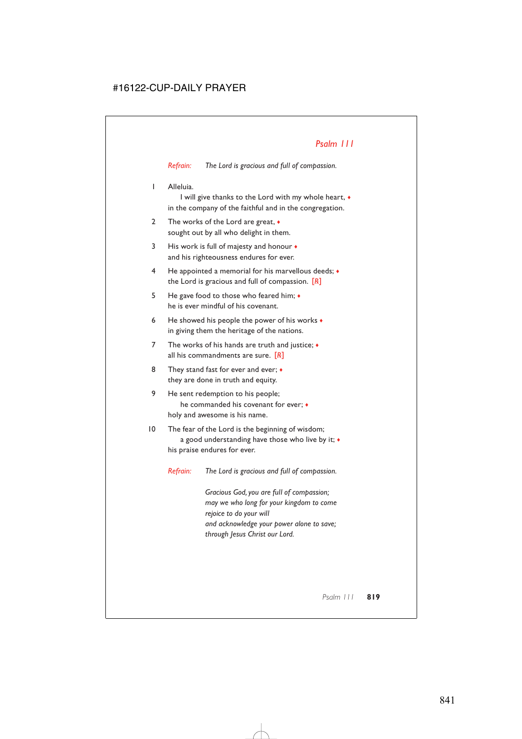*Refrain: The Lord is gracious and full of compassion.*

1 Alleluia.

I will give thanks to the Lord with my whole heart, ♦ in the company of the faithful and in the congregation.

- 2 The works of the Lord are great,  $\bullet$ sought out by all who delight in them.
- 3 His work is full of majesty and honour  $\bullet$ and his righteousness endures for ever.
- 4 He appointed a memorial for his marvellous deeds; ♦ the Lord is gracious and full of compassion. [*R*]
- 5 He gave food to those who feared him; ♦ he is ever mindful of his covenant.
- 6 He showed his people the power of his works  $\bullet$ in giving them the heritage of the nations.
- 7 The works of his hands are truth and justice;  $\bullet$ all his commandments are sure. [*R*]
- 8 They stand fast for ever and ever;  $\bullet$ they are done in truth and equity.
- 9 He sent redemption to his people; he commanded his covenant for ever; ♦ holy and awesome is his name.
- 10 The fear of the Lord is the beginning of wisdom; a good understanding have those who live by it; ♦ his praise endures for ever.

*Refrain: The Lord is gracious and full of compassion.*

*Gracious God, you are full of compassion; may we who long for your kingdom to come rejoice to do your will and acknowledge your power alone to save; through Jesus Christ our Lord.*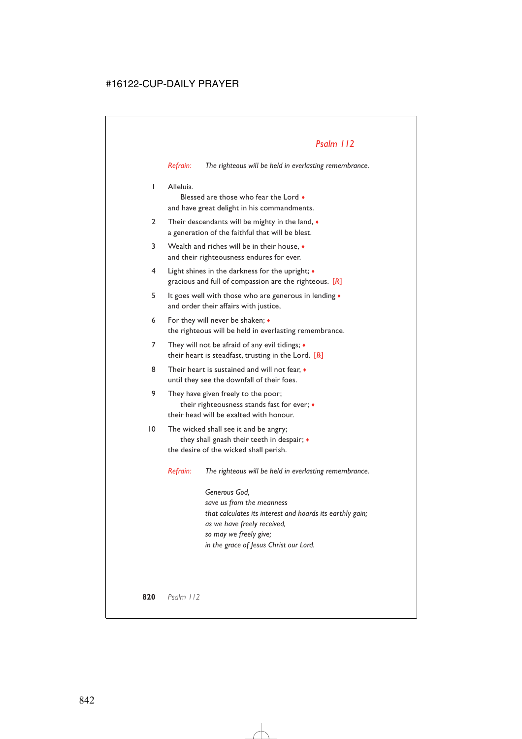*Refrain: The righteous will be held in everlasting remembrance.*

1 Alleluia.

Blessed are those who fear the Lord ♦ and have great delight in his commandments.

- 2 Their descendants will be mighty in the land,  $\bullet$ a generation of the faithful that will be blest.
- 3 Wealth and riches will be in their house, ♦ and their righteousness endures for ever.
- 4 Light shines in the darkness for the upright; ♦ gracious and full of compassion are the righteous. [*R*]
- 5 It goes well with those who are generous in lending ♦ and order their affairs with justice,
- 6 For they will never be shaken; ♦ the righteous will be held in everlasting remembrance.
- 7 They will not be afraid of any evil tidings;  $\bullet$ their heart is steadfast, trusting in the Lord. [*R*]
- 8 Their heart is sustained and will not fear,  $\bullet$ until they see the downfall of their foes.
- 9 They have given freely to the poor; their righteousness stands fast for ever; ♦ their head will be exalted with honour.
- 10 The wicked shall see it and be angry; they shall gnash their teeth in despair; ♦ the desire of the wicked shall perish.

*Refrain: The righteous will be held in everlasting remembrance.*

*Generous God, save us from the meanness that calculates its interest and hoards its earthly gain; as we have freely received, so may we freely give; in the grace of Jesus Christ our Lord.*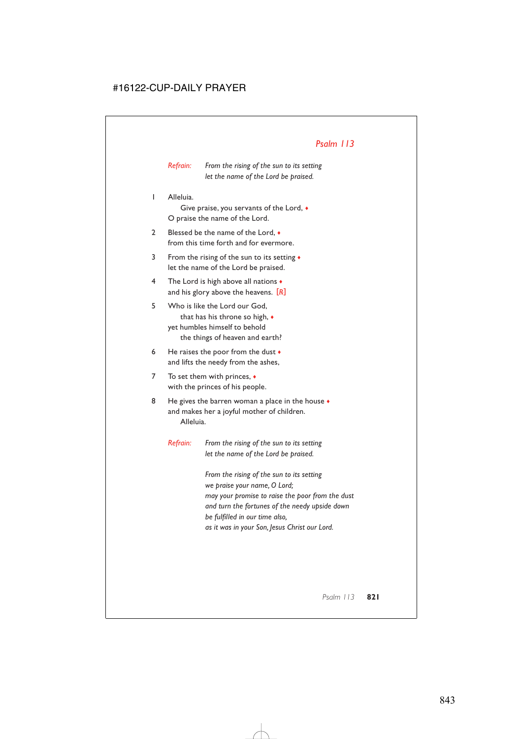*Refrain: From the rising of the sun to its setting let the name of the Lord be praised.*

1 Alleluia.

Give praise, you servants of the Lord, ♦ O praise the name of the Lord.

- 2 Blessed be the name of the Lord,  $\bullet$ from this time forth and for evermore.
- 3 From the rising of the sun to its setting ♦ let the name of the Lord be praised.
- 4 The Lord is high above all nations ♦ and his glory above the heavens. [*R*]
- 5 Who is like the Lord our God, that has his throne so high, ♦ yet humbles himself to behold the things of heaven and earth?
- 6 He raises the poor from the dust  $\bullet$ and lifts the needy from the ashes,
- 7 To set them with princes, ♦ with the princes of his people.
- 8 He gives the barren woman a place in the house  $\bullet$ and makes her a joyful mother of children. Alleluia.

*Refrain: From the rising of the sun to its setting let the name of the Lord be praised.*

> *From the rising of the sun to its setting we praise your name, O Lord; may your promise to raise the poor from the dust and turn the fortunes of the needy upside down be fulfilled in our time also, as it was in your Son, Jesus Christ our Lord.*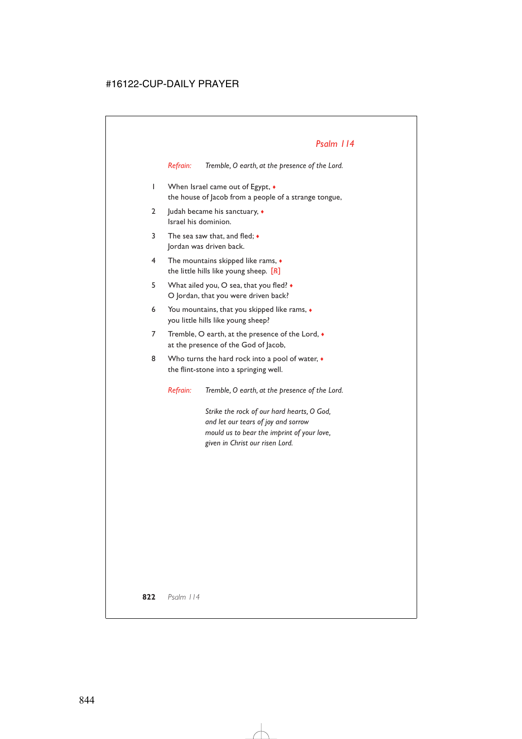*Refrain: Tremble, O earth, at the presence of the Lord.*

- 1 When Israel came out of Egypt, ♦ the house of Jacob from a people of a strange tongue,
- 2 Judah became his sanctuary, ◆ Israel his dominion.
- 3 The sea saw that, and fled; ♦ Jordan was driven back.
- 4 The mountains skipped like rams, ♦ the little hills like young sheep. [*R*]
- 5 What ailed you, O sea, that you fled? ♦ O Jordan, that you were driven back?
- 6 You mountains, that you skipped like rams, ♦ you little hills like young sheep?
- 7 Tremble, O earth, at the presence of the Lord,  $\bullet$ at the presence of the God of Jacob,
- 8 Who turns the hard rock into a pool of water,  $\bullet$ the flint-stone into a springing well.

*Refrain: Tremble, O earth, at the presence of the Lord.*

*Strike the rock of our hard hearts, O God, and let our tears of joy and sorrow mould us to bear the imprint of your love, given in Christ our risen Lord.*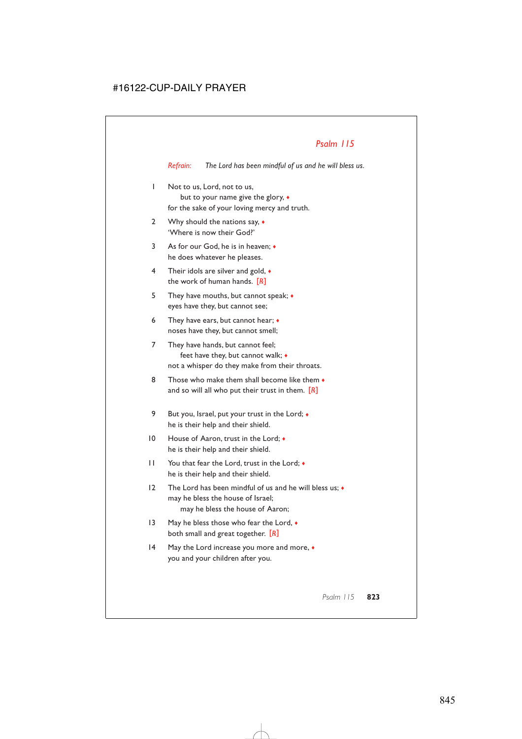*Refrain: The Lord has been mindful of us and he will bless us.*

- 1 Not to us, Lord, not to us, but to your name give the glory, ♦ for the sake of your loving mercy and truth.
- 2 Why should the nations say,  $\bullet$ 'Where is now their God?'
- 3 As for our God, he is in heaven:  $\bullet$ he does whatever he pleases.
- 4 Their idols are silver and gold, ♦ the work of human hands. [*R*]
- 5 They have mouths, but cannot speak; ♦ eyes have they, but cannot see;
- 6 They have ears, but cannot hear; ♦ noses have they, but cannot smell;
- 7 They have hands, but cannot feel; feet have they, but cannot walk; ♦ not a whisper do they make from their throats.
- 8 Those who make them shall become like them  $\bullet$ and so will all who put their trust in them. [*R*]
- 9 But you, Israel, put your trust in the Lord;  $\bullet$ he is their help and their shield.
- 10 House of Aaron, trust in the Lord;  $\bullet$ he is their help and their shield.
- 11 You that fear the Lord, trust in the Lord;  $\bullet$ he is their help and their shield.
- 12 The Lord has been mindful of us and he will bless us;  $\bullet$ may he bless the house of Israel; may he bless the house of Aaron;
- 13 May he bless those who fear the Lord,  $\bullet$ both small and great together. [*R*]
- 14 May the Lord increase you more and more,  $\bullet$ you and your children after you.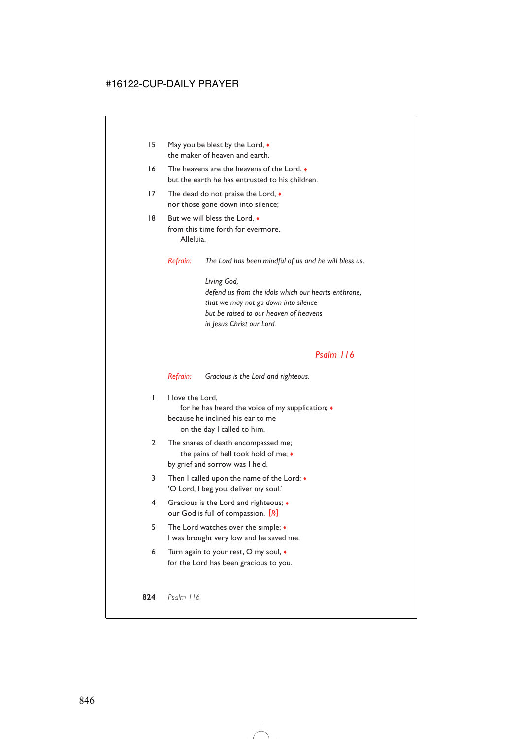- 15 May you be blest by the Lord,  $\bullet$ the maker of heaven and earth.
- 16 The heavens are the heavens of the Lord, ♦ but the earth he has entrusted to his children.
- 17 The dead do not praise the Lord,  $\bullet$ nor those gone down into silence;
- 18 But we will bless the Lord,  $\bullet$ from this time forth for evermore. Alleluia.

*Refrain: The Lord has been mindful of us and he will bless us.*

*Living God, defend us from the idols which our hearts enthrone, that we may not go down into silence but be raised to our heaven of heavens in Jesus Christ our Lord.*

### *Psalm 116*

*Refrain: Gracious is the Lord and righteous.*

I I love the Lord.

for he has heard the voice of my supplication; ♦ because he inclined his ear to me on the day I called to him.

- 2 The snares of death encompassed me; the pains of hell took hold of me; ♦ by grief and sorrow was I held.
- 3 Then I called upon the name of the Lord: ♦ 'O Lord, I beg you, deliver my soul.'
- 4 Gracious is the Lord and righteous; ♦ our God is full of compassion. [*R*]
- 5 The Lord watches over the simple;  $\triangleleft$ I was brought very low and he saved me.
- 6 Turn again to your rest, O my soul, ♦ for the Lord has been gracious to you.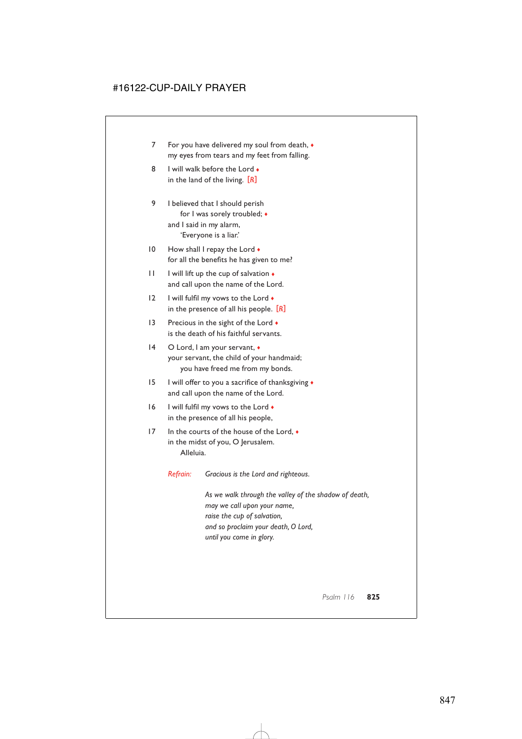- 7 For you have delivered my soul from death,  $\triangleleft$ my eyes from tears and my feet from falling.
- 8 I will walk before the Lord  $\bullet$ in the land of the living. [*R*]
- 9 I believed that I should perish for I was sorely troubled; ♦ and I said in my alarm, 'Everyone is a liar.'
- 10 How shall I repay the Lord  $\bullet$ for all the benefits he has given to me?
- $11$  I will lift up the cup of salvation  $\bullet$ and call upon the name of the Lord.
- 12 I will fulfil my vows to the Lord  $\bullet$ in the presence of all his people. [*R*]
- 13 Precious in the sight of the Lord  $\bullet$ is the death of his faithful servants.
- 14 O Lord, I am your servant, ♦ your servant, the child of your handmaid; you have freed me from my bonds.
- 15 I will offer to you a sacrifice of thanksgiving  $\bullet$ and call upon the name of the Lord.
- 16 I will fulfil my vows to the Lord  $\bullet$ in the presence of all his people,
- 17 In the courts of the house of the Lord, ♦ in the midst of you, O Jerusalem. Alleluia.
	- *Refrain: Gracious is the Lord and righteous.*

*As we walk through the valley of the shadow of death, may we call upon your name, raise the cup of salvation, and so proclaim your death, O Lord, until you come in glory.*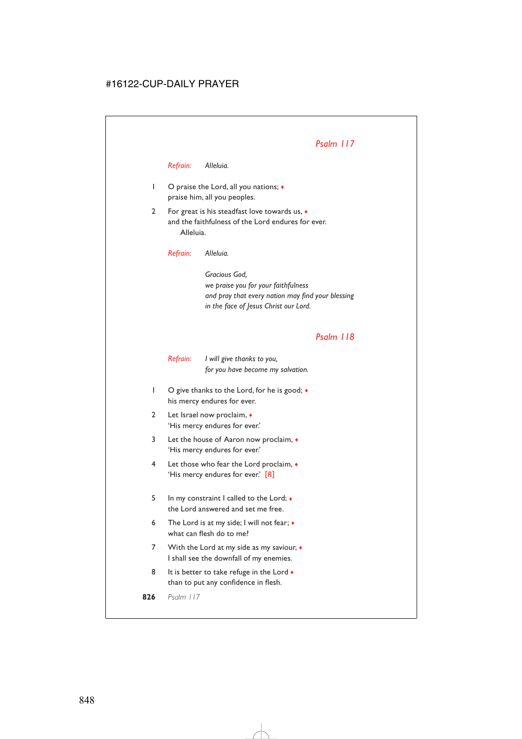*Refrain: Alleluia.*

- 1 O praise the Lord, all you nations; ♦ praise him, all you peoples.
- 2 For great is his steadfast love towards us, ♦ and the faithfulness of the Lord endures for ever. Alleluia.

*Refrain: Alleluia.*

*Gracious God, we praise you for your faithfulness and pray that every nation may find your blessing in the face of Jesus Christ our Lord.*

### *Psalm 118*

*Refrain: I will give thanks to you, for you have become my salvation.*

- 1 O give thanks to the Lord, for he is good;  $\bullet$ his mercy endures for ever.
- 2 Let Israel now proclaim, ♦ 'His mercy endures for ever.'
- 3 Let the house of Aaron now proclaim, ♦ 'His mercy endures for ever.'
- 4 Let those who fear the Lord proclaim, ♦ 'His mercy endures for ever.' [*R*]
- 5 In my constraint I called to the Lord; ♦ the Lord answered and set me free.
- 6 The Lord is at my side; I will not fear; ♦ what can flesh do to me?
- 7 With the Lord at my side as my saviour,  $\bullet$ I shall see the downfall of my enemies.
- 8 It is better to take refuge in the Lord  $\bullet$ than to put any confidence in flesh.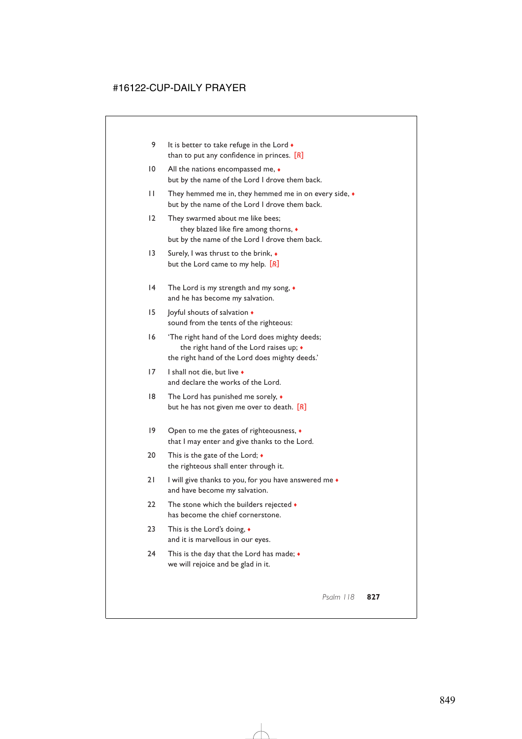- 9 It is better to take refuge in the Lord  $\bullet$ than to put any confidence in princes. [*R*]
- 10 All the nations encompassed me,  $\bullet$ but by the name of the Lord I drove them back.
- 11 They hemmed me in, they hemmed me in on every side, ♦ but by the name of the Lord I drove them back.
- 12 They swarmed about me like bees; they blazed like fire among thorns, ♦ but by the name of the Lord I drove them back.
- 13 Surely, I was thrust to the brink,  $\bullet$ but the Lord came to my help. [*R*]
- 14 The Lord is my strength and my song,  $\bullet$ and he has become my salvation.
- 15 Joyful shouts of salvation ♦ sound from the tents of the righteous:
- 16 'The right hand of the Lord does mighty deeds; the right hand of the Lord raises up; ♦ the right hand of the Lord does mighty deeds.'
- 17 I shall not die, but live ♦ and declare the works of the Lord.
- 18 The Lord has punished me sorely,  $\bullet$ but he has not given me over to death. [*R*]
- 19 Open to me the gates of righteousness, ♦ that I may enter and give thanks to the Lord.
- 20 This is the gate of the Lord;  $\triangleleft$ the righteous shall enter through it.
- 21 I will give thanks to you, for you have answered me  $\bullet$ and have become my salvation.
- 22 The stone which the builders rejected  $\bullet$ has become the chief cornerstone.
- 23 This is the Lord's doing, ♦ and it is marvellous in our eyes.
- 24 This is the day that the Lord has made;  $\bullet$ we will rejoice and be glad in it.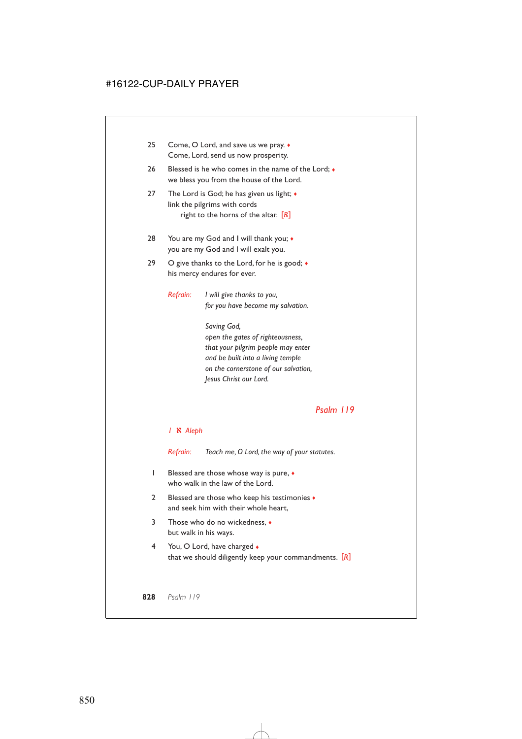| Blessed is he who comes in the name of the Lord; •<br>we bless you from the house of the Lord. |                                                                                                                                                                               |
|------------------------------------------------------------------------------------------------|-------------------------------------------------------------------------------------------------------------------------------------------------------------------------------|
|                                                                                                | The Lord is God; he has given us light; $\bullet$<br>link the pilgrims with cords<br>right to the horns of the altar. $\left[\!\left[ R\right]\!\right]$                      |
| You are my God and I will thank you; •<br>you are my God and I will exalt you.                 |                                                                                                                                                                               |
| O give thanks to the Lord, for he is good; $\bullet$<br>his mercy endures for ever.            |                                                                                                                                                                               |
| Refrain:                                                                                       | I will give thanks to you,<br>for you have become my salvation.<br>Saving God,                                                                                                |
|                                                                                                | open the gates of righteousness,<br>that your pilgrim people may enter<br>and be built into a living temple<br>on the cornerstone of our salvation,<br>Jesus Christ our Lord. |
|                                                                                                |                                                                                                                                                                               |

#### *1* a *Aleph*

*Refrain: Teach me, O Lord, the way of your statutes.*

- 1 Blessed are those whose way is pure, ♦ who walk in the law of the Lord.
- 2 Blessed are those who keep his testimonies ♦ and seek him with their whole heart,
- 3 Those who do no wickedness, ♦ but walk in his ways.
- 4 You, O Lord, have charged ♦ that we should diligently keep your commandments. [*R*]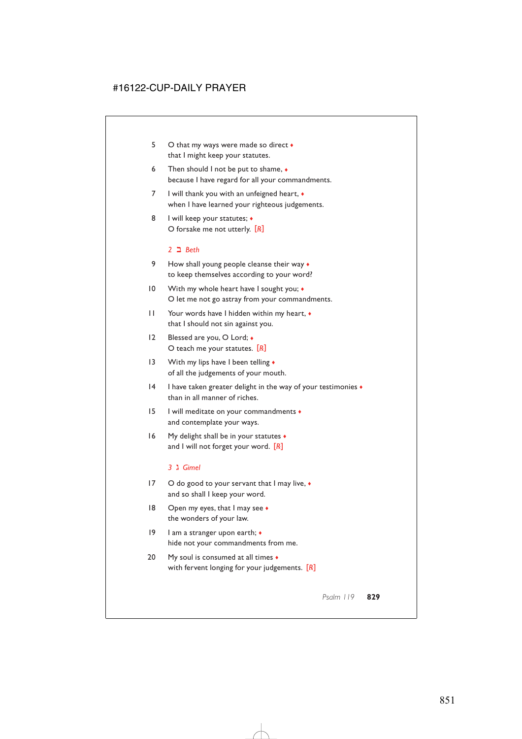- 5 O that my ways were made so direct ♦ that I might keep your statutes.
- 6 Then should I not be put to shame,  $\bullet$ because I have regard for all your commandments.
- 7 I will thank you with an unfeigned heart,  $\bullet$ when I have learned your righteous judgements.
- 8 I will keep your statutes;  $\triangleleft$ O forsake me not utterly. [*R*]

#### *2* b *Beth*

- 9 How shall young people cleanse their way  $\bullet$ to keep themselves according to your word?
- 10 With my whole heart have I sought you;  $\bullet$ O let me not go astray from your commandments.
- 11 Your words have I hidden within my heart, ♦ that I should not sin against you.
- 12 Blessed are you, O Lord; ♦ O teach me your statutes. [*R*]
- 13 With my lips have I been telling  $\bullet$ of all the judgements of your mouth.
- 14 I have taken greater delight in the way of your testimonies ♦ than in all manner of riches.
- 15 I will meditate on your commandments ♦ and contemplate your ways.
- 16 My delight shall be in your statutes  $\bullet$ and I will not forget your word. [*R*]

#### *3* c *Gimel*

- 17 O do good to your servant that I may live,  $\bullet$ and so shall I keep your word.
- 18 Open my eyes, that I may see  $\bullet$ the wonders of your law.
- 19 I am a stranger upon earth; ♦ hide not your commandments from me.
- 20 My soul is consumed at all times  $\triangleleft$ with fervent longing for your judgements. [*R*]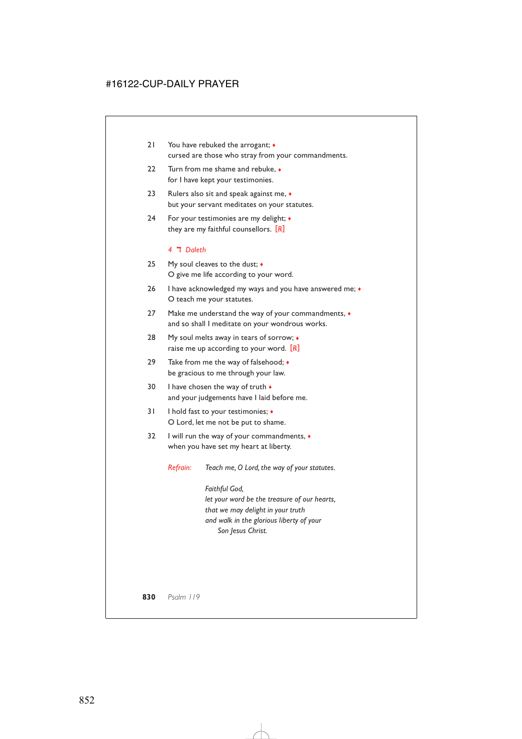- 21 You have rebuked the arrogant;  $\bullet$ cursed are those who stray from your commandments.
- 22 Turn from me shame and rebuke, ♦ for I have kept your testimonies.
- 23 Rulers also sit and speak against me,  $\bullet$ but your servant meditates on your statutes.
- 24 For your testimonies are my delight; ♦ they are my faithful counsellors. [*R*]

### *4* d *Daleth*

- 25 My soul cleaves to the dust; ♦ O give me life according to your word.
- 26 I have acknowledged my ways and you have answered me;  $\bullet$ O teach me your statutes.
- 27 Make me understand the way of your commandments,  $\bullet$ and so shall I meditate on your wondrous works.
- 28 My soul melts away in tears of sorrow;  $\bullet$ raise me up according to your word. [*R*]
- 29 Take from me the way of falsehood;  $\bullet$ be gracious to me through your law.
- 30 I have chosen the way of truth  $\bullet$ and your judgements have I laid before me.
- 31 I hold fast to your testimonies; ♦ O Lord, let me not be put to shame.
- 32 I will run the way of your commandments, ♦ when you have set my heart at liberty.

*Refrain: Teach me, O Lord, the way of your statutes.*

*Faithful God, let your word be the treasure of our hearts, that we may delight in your truth and walk in the glorious liberty of your Son Jesus Christ.*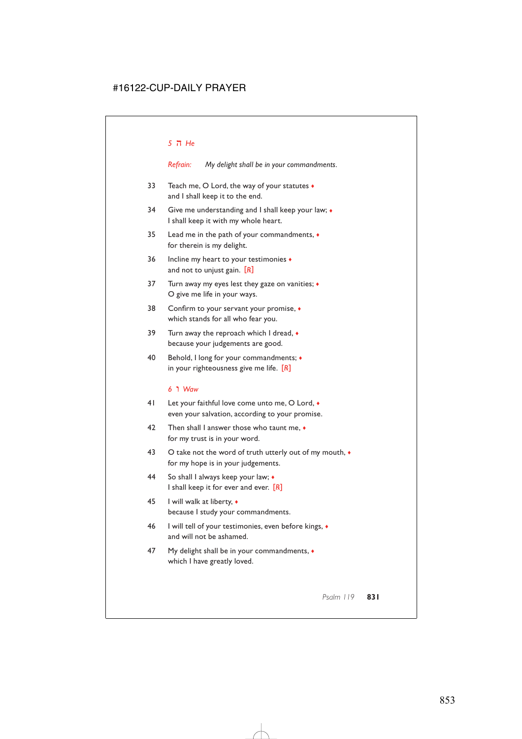#### *5* e *He*

*Refrain: My delight shall be in your commandments.*

- 33 Teach me, O Lord, the way of your statutes ♦ and I shall keep it to the end.
- 34 Give me understanding and I shall keep your law;  $\bullet$ I shall keep it with my whole heart.
- 35 Lead me in the path of your commandments, ♦ for therein is my delight.
- 36 Incline my heart to your testimonies ♦ and not to unjust gain. [*R*]
- 37 Turn away my eyes lest they gaze on vanities;  $\triangleleft$ O give me life in your ways.
- 38 Confirm to your servant your promise, ♦ which stands for all who fear you.
- 39 Turn away the reproach which I dread,  $\bullet$ because your judgements are good.
- 40 Behold, I long for your commandments; ♦ in your righteousness give me life. [*R*]

### *6* f *Waw*

- 41 Let your faithful love come unto me, O Lord,  $\bullet$ even your salvation, according to your promise.
- 42 Then shall I answer those who taunt me,  $\bullet$ for my trust is in your word.
- 43 O take not the word of truth utterly out of my mouth,  $\bullet$ for my hope is in your judgements.
- 44 So shall I always keep your law; ♦ I shall keep it for ever and ever. [*R*]
- 45 I will walk at liberty, ♦ because I study your commandments.
- 46 I will tell of your testimonies, even before kings, ♦ and will not be ashamed.
- 47 My delight shall be in your commandments,  $\bullet$ which I have greatly loved.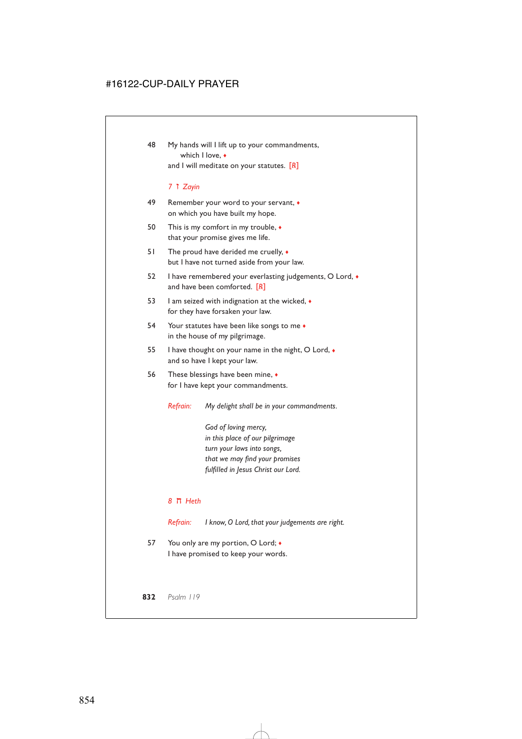48 My hands will I lift up to your commandments, which I love, ♦ and I will meditate on your statutes. [*R*]

#### *7* g *Zayin*

- 49 Remember your word to your servant, ♦ on which you have built my hope.
- 50 This is my comfort in my trouble, ♦ that your promise gives me life.
- 51 The proud have derided me cruelly,  $\bullet$ but I have not turned aside from your law.
- 52 I have remembered your everlasting judgements, O Lord, ♦ and have been comforted. [*R*]
- 53 I am seized with indignation at the wicked, ♦ for they have forsaken your law.
- 54 Your statutes have been like songs to me  $\bullet$ in the house of my pilgrimage.
- 55 I have thought on your name in the night, O Lord, ♦ and so have I kept your law.
- 56 These blessings have been mine, ♦ for I have kept your commandments.

*Refrain: My delight shall be in your commandments.*

*God of loving mercy, in this place of our pilgrimage turn your laws into songs, that we may find your promises fulfilled in Jesus Christ our Lord.*

#### *8* h *Heth*

*Refrain: I know, O Lord, that your judgements are right.*

57 You only are my portion, O Lord;  $\bullet$ I have promised to keep your words.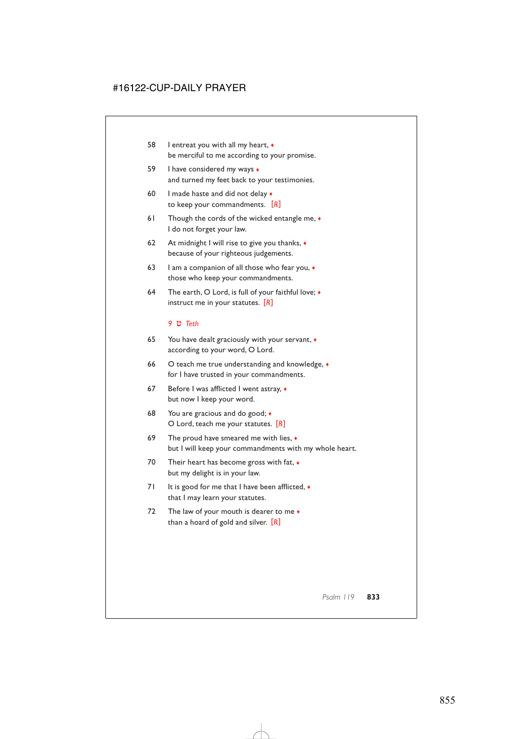- 58 I entreat you with all my heart, ♦ be merciful to me according to your promise.
- 59 I have considered my ways ♦ and turned my feet back to your testimonies.
- 60 I made haste and did not delay  $\bullet$ to keep your commandments. [*R*]
- 61 Though the cords of the wicked entangle me,  $\bullet$ I do not forget your law.
- 62 At midnight I will rise to give you thanks,  $\triangleleft$ because of your righteous judgements.
- 63 I am a companion of all those who fear you,  $\bullet$ those who keep your commandments.
- 64 The earth, O Lord, is full of your faithful love;  $\bullet$ instruct me in your statutes. [*R*]

#### *9* i *Teth*

- 65 You have dealt graciously with your servant, ♦ according to your word, O Lord.
- 66 O teach me true understanding and knowledge,  $\bullet$ for I have trusted in your commandments.
- 67 Before I was afflicted I went astray,  $\bullet$ but now I keep your word.
- 68 You are gracious and do good; ♦ O Lord, teach me your statutes. [*R*]
- 69 The proud have smeared me with lies,  $\bullet$ but I will keep your commandments with my whole heart.
- 70 Their heart has become gross with fat,  $\bullet$ but my delight is in your law.
- 71 It is good for me that I have been afflicted,  $\bullet$ that I may learn your statutes.
- 72 The law of your mouth is dearer to me  $\bullet$ than a hoard of gold and silver. [*R*]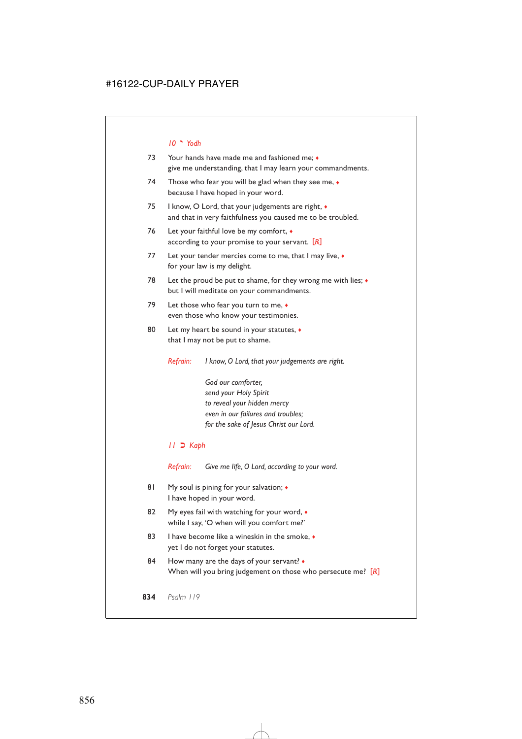#### *10* j *Yodh*

- 73 Your hands have made me and fashioned me; ♦ give me understanding, that I may learn your commandments.
- 74 Those who fear you will be glad when they see me,  $\bullet$ because I have hoped in your word.
- 75 I know, O Lord, that your judgements are right,  $\bullet$ and that in very faithfulness you caused me to be troubled.
- 76 Let your faithful love be my comfort, ♦ according to your promise to your servant. [*R*]
- 77 Let your tender mercies come to me, that I may live,  $\bullet$ for your law is my delight.
- 78 Let the proud be put to shame, for they wrong me with lies;  $\bullet$ but I will meditate on your commandments.
- 79 Let those who fear you turn to me,  $\bullet$ even those who know your testimonies.
- 80 Let my heart be sound in your statutes,  $\bullet$ that I may not be put to shame.

*Refrain: I know, O Lord, that your judgements are right.*

*God our comforter, send your Holy Spirit to reveal your hidden mercy even in our failures and troubles; for the sake of Jesus Christ our Lord.*

### *11* l *Kaph*

*Refrain: Give me life, O Lord, according to your word.*

- 81 My soul is pining for your salvation;  $\triangleleft$ I have hoped in your word.
- 82 My eyes fail with watching for your word,  $\bullet$ while I say, 'O when will you comfort me?'
- 83 I have become like a wineskin in the smoke.  $\bullet$ yet I do not forget your statutes.
- 84 How many are the days of your servant?  $\bullet$ When will you bring judgement on those who persecute me? [*R*]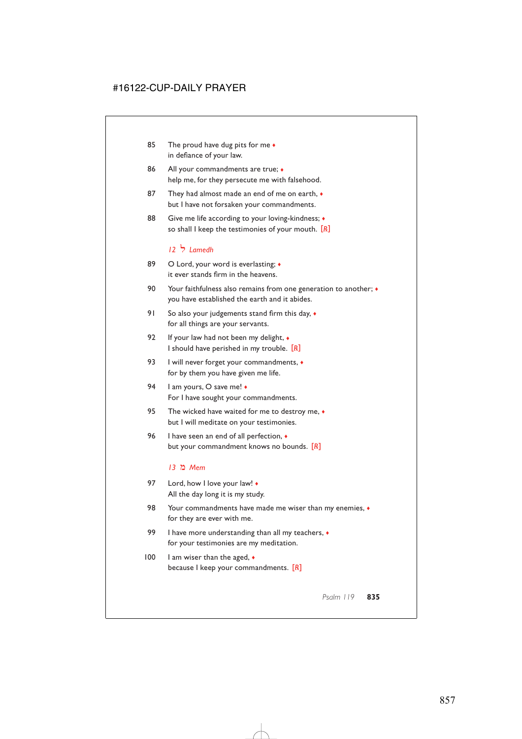- 85 The proud have dug pits for me  $\bullet$ in defiance of your law.
- 86 All your commandments are true;  $\bullet$ help me, for they persecute me with falsehood.
- 87 They had almost made an end of me on earth,  $\bullet$ but I have not forsaken your commandments.
- 88 Give me life according to your loving-kindness;  $\triangleleft$ so shall I keep the testimonies of your mouth. [*R*]

### *12* m *Lamedh*

- 89 O Lord, your word is everlasting;  $\triangleleft$ it ever stands firm in the heavens.
- 90 Your faithfulness also remains from one generation to another;  $\bullet$ you have established the earth and it abides.
- 91 So also your judgements stand firm this day,  $\bullet$ for all things are your servants.
- 92 If your law had not been my delight,  $\bullet$ I should have perished in my trouble. [*R*]
- 93 I will never forget your commandments,  $\bullet$ for by them you have given me life.
- 94 I am yours, O save me!  $\bullet$ For I have sought your commandments.
- 95 The wicked have waited for me to destroy me,  $\bullet$ but I will meditate on your testimonies.
- 96 I have seen an end of all perfection,  $\bullet$ but your commandment knows no bounds. [*R*]

### *13* o *Mem*

- 97 Lord, how I love your law!  $\bullet$ All the day long it is my study.
- 98 Your commandments have made me wiser than my enemies, ♦ for they are ever with me.
- 99 I have more understanding than all my teachers,  $\bullet$ for your testimonies are my meditation.
- 100 I am wiser than the aged,  $\bullet$ because I keep your commandments. [*R*]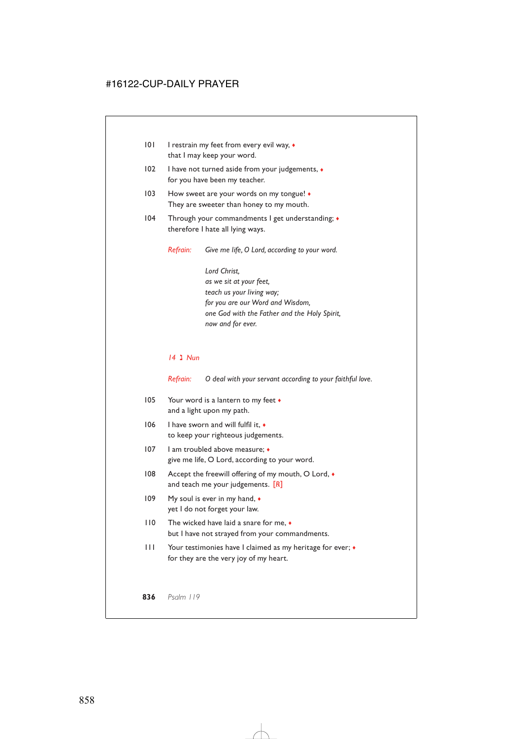- 101 I restrain my feet from every evil way, ♦ that I may keep your word.
- 102 I have not turned aside from your judgements, ♦ for you have been my teacher.
- 103 How sweet are your words on my tongue!  $\bullet$ They are sweeter than honey to my mouth.
- 104 Through your commandments I get understanding; ♦ therefore I hate all lying ways.

*Refrain: Give me life, O Lord, according to your word.*

*Lord Christ, as we sit at your feet, teach us your living way; for you are our Word and Wisdom, one God with the Father and the Holy Spirit, now and for ever.*

#### *14* q *Nun*

*Refrain: O deal with your servant according to your faithful love.*

- 105 Your word is a lantern to my feet  $\bullet$ and a light upon my path.
- 106 I have sworn and will fulfil it,  $\bullet$ to keep your righteous judgements.
- 107 I am troubled above measure; ♦ give me life, O Lord, according to your word.
- 108 Accept the freewill offering of my mouth, O Lord, ♦ and teach me your judgements. [*R*]
- 109 My soul is ever in my hand,  $\bullet$ yet I do not forget your law.
- 110 The wicked have laid a snare for me, ♦ but I have not strayed from your commandments.
- 111 Your testimonies have I claimed as my heritage for ever; ♦ for they are the very joy of my heart.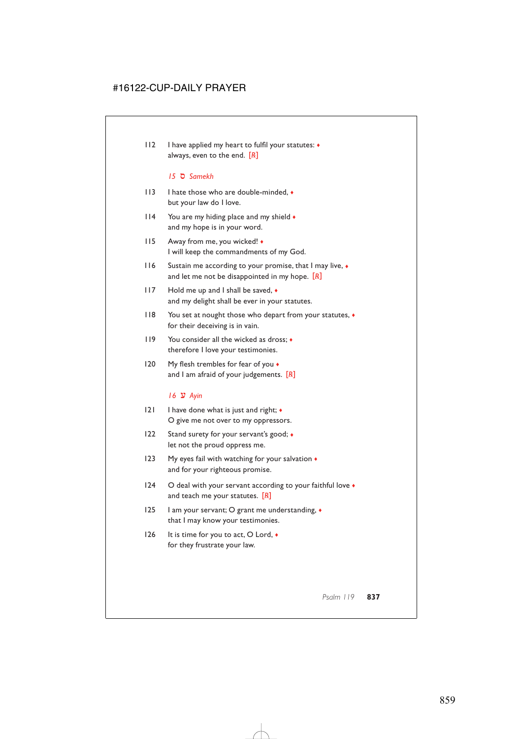112 I have applied my heart to fulfil your statutes: ♦ always, even to the end. [*R*]

#### *15* r *Samekh*

- 113 I hate those who are double-minded, ♦ but your law do I love.
- 114 You are my hiding place and my shield ♦ and my hope is in your word.
- 115 Away from me, you wicked! ♦ I will keep the commandments of my God.
- 116 Sustain me according to your promise, that I may live, ♦ and let me not be disappointed in my hope. [*R*]
- 117 Hold me up and I shall be saved,  $\bullet$ and my delight shall be ever in your statutes.
- 118 You set at nought those who depart from your statutes,  $\bullet$ for their deceiving is in vain.
- 119 You consider all the wicked as dross; ♦ therefore I love your testimonies.
- 120 My flesh trembles for fear of you  $\bullet$ and I am afraid of your judgements. [*R*]

### *16* s *Ayin*

- 121 I have done what is just and right; ♦ O give me not over to my oppressors.
- 122 Stand surety for your servant's good;  $\bullet$ let not the proud oppress me.
- 123 My eyes fail with watching for your salvation  $\triangleleft$ and for your righteous promise.
- 124 O deal with your servant according to your faithful love  $\bullet$ and teach me your statutes. [*R*]
- 125 I am your servant; O grant me understanding, ♦ that I may know your testimonies.
- 126 It is time for you to act, O Lord, ♦ for they frustrate your law.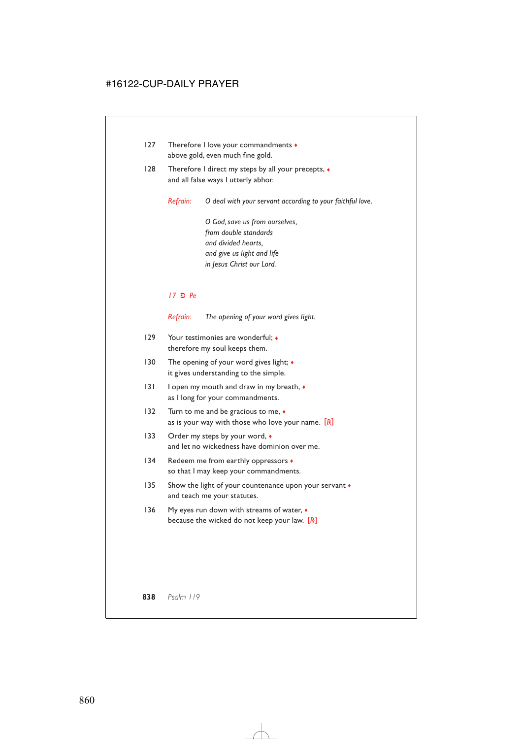- 127 Therefore I love your commandments ♦ above gold, even much fine gold.
- 128 Therefore I direct my steps by all your precepts,  $\bullet$ and all false ways I utterly abhor.

*Refrain: O deal with your servant according to your faithful love.*

*O God, save us from ourselves, from double standards and divided hearts, and give us light and life in Jesus Christ our Lord.*

#### *17* u *Pe*

*Refrain: The opening of your word gives light.*

- 129 Your testimonies are wonderful;  $\bullet$ therefore my soul keeps them.
- 130 The opening of your word gives light; ◆ it gives understanding to the simple.
- 131 I open my mouth and draw in my breath, ♦ as I long for your commandments.
- 132 Turn to me and be gracious to me,  $\bullet$ as is your way with those who love your name. [*R*]
- 133 Order my steps by your word,  $\bullet$ and let no wickedness have dominion over me.
- 134 Redeem me from earthly oppressors  $\bullet$ so that I may keep your commandments.
- 135 Show the light of your countenance upon your servant  $\bullet$ and teach me your statutes.
- 136 My eyes run down with streams of water,  $\triangleleft$ because the wicked do not keep your law. [*R*]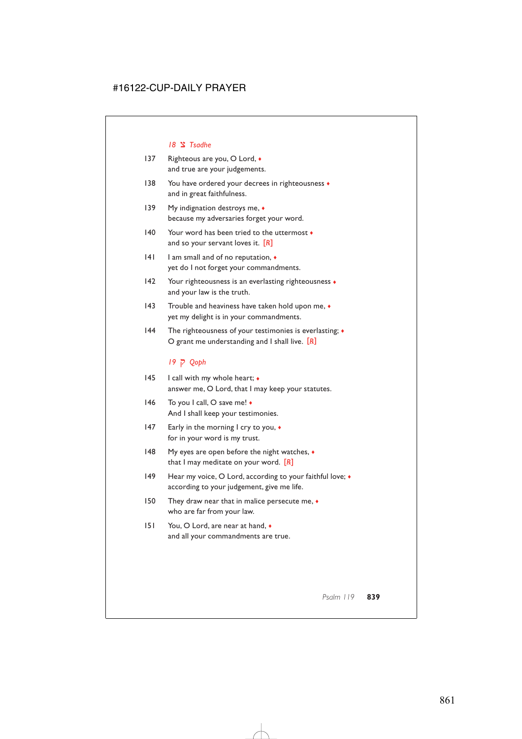#### 18  $\frac{1}{2}$  Tsadhe

- 137 Righteous are you, O Lord,  $\triangleleft$ and true are your judgements.
- 138 You have ordered your decrees in righteousness  $\bullet$ and in great faithfulness.
- 139 My indignation destroys me, ◆ because my adversaries forget your word.
- 140 Your word has been tried to the uttermost  $\bullet$ and so your servant loves it. [*R*]
- 141 I am small and of no reputation,  $\triangleleft$ yet do I not forget your commandments.
- 142 Your righteousness is an everlasting righteousness  $\bullet$ and your law is the truth.
- 143 Trouble and heaviness have taken hold upon me,  $\bullet$ yet my delight is in your commandments.
- 144 The righteousness of your testimonies is everlasting; ♦ O grant me understanding and I shall live. [*R*]

### *19* x *Qoph*

- 145 I call with my whole heart;  $\triangleleft$ answer me, O Lord, that I may keep your statutes.
- 146 To you I call, O save me! ♦ And I shall keep your testimonies.
- 147 Early in the morning I cry to you,  $\bullet$ for in your word is my trust.
- 148 My eyes are open before the night watches,  $\bullet$ that I may meditate on your word. [*R*]
- 149 Hear my voice, O Lord, according to your faithful love;  $\bullet$ according to your judgement, give me life.
- 150 They draw near that in malice persecute me,  $\bullet$ who are far from your law.
- 151 You, O Lord, are near at hand, ♦ and all your commandments are true.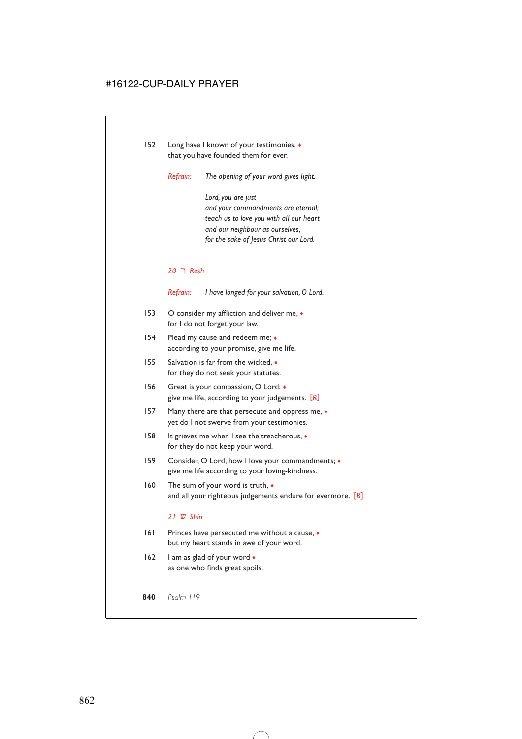- 152 Long have I known of your testimonies, ♦ that you have founded them for ever.
	- *Refrain: The opening of your word gives light.*

*Lord, you are just and your commandments are eternal; teach us to love you with all our heart and our neighbour as ourselves, for the sake of Jesus Christ our Lord.*

#### *20* y *Resh*

*Refrain: I have longed for your salvation, O Lord.*

- 153 O consider my affliction and deliver me,  $\bullet$ for I do not forget your law.
- 154 Plead my cause and redeem me;  $\bullet$ according to your promise, give me life.
- 155 Salvation is far from the wicked, ♦ for they do not seek your statutes.
- 156 Great is your compassion, O Lord;  $\bullet$ give me life, according to your judgements. [*R*]
- 157 Many there are that persecute and oppress me,  $\bullet$ yet do I not swerve from your testimonies.
- 158 It grieves me when I see the treacherous, ♦ for they do not keep your word.
- 159 Consider, O Lord, how I love your commandments; ♦ give me life according to your loving-kindness.
- 160 The sum of your word is truth,  $\bullet$ and all your righteous judgements endure for evermore. [*R*]

#### *21* z *Shin*

- 161 Princes have persecuted me without a cause,  $\bullet$ but my heart stands in awe of your word.
- 162 I am as glad of your word  $\bullet$ as one who finds great spoils.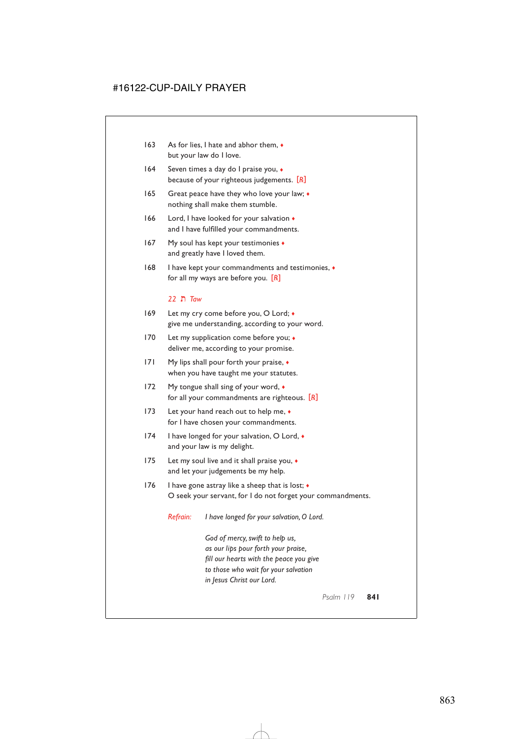- 163 As for lies, I hate and abhor them,  $\bullet$ but your law do I love.
- 164 Seven times a day do I praise you, ♦ because of your righteous judgements. [*R*]
- 165 Great peace have they who love your law;  $\bullet$ nothing shall make them stumble.
- 166 Lord, I have looked for your salvation ♦ and I have fulfilled your commandments.
- 167 My soul has kept your testimonies  $\bullet$ and greatly have I loved them.
- 168 I have kept your commandments and testimonies, ♦ for all my ways are before you. [*R*]

#### *22* = *Taw*

- 169 Let my cry come before you, O Lord; ♦ give me understanding, according to your word.
- 170 Let my supplication come before you; ◆ deliver me, according to your promise.
- 171 My lips shall pour forth your praise,  $\bullet$ when you have taught me your statutes.
- 172 My tongue shall sing of your word,  $\bullet$ for all your commandments are righteous. [*R*]
- 173 Let your hand reach out to help me,  $\bullet$ for I have chosen your commandments.
- 174 I have longed for your salvation, O Lord, ♦ and your law is my delight.
- 175 Let my soul live and it shall praise you, ♦ and let your judgements be my help.
- 176 I have gone astray like a sheep that is lost;  $\bullet$ O seek your servant, for I do not forget your commandments.

*Refrain: I have longed for your salvation, O Lord.*

*God of mercy, swift to help us, as our lips pour forth your praise, fill our hearts with the peace you give to those who wait for your salvation in Jesus Christ our Lord.*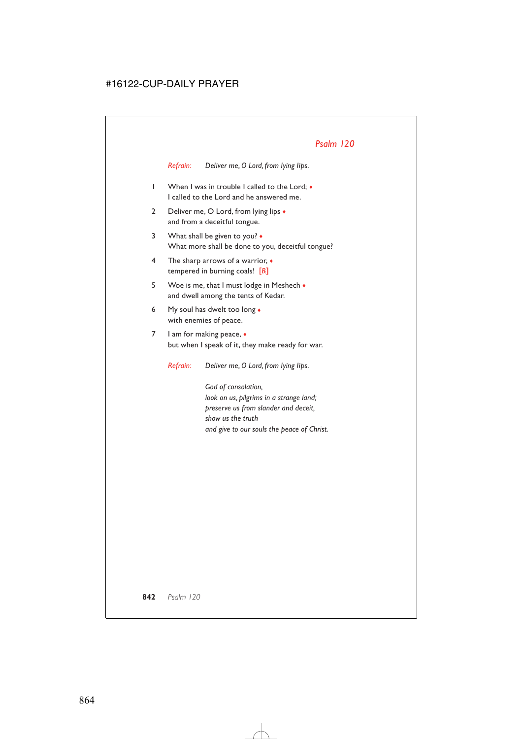*Refrain: Deliver me, O Lord, from lying lips.*

- 1 When I was in trouble I called to the Lord; ♦ I called to the Lord and he answered me.
- 2 Deliver me, O Lord, from lying lips  $\bullet$ and from a deceitful tongue.
- 3 What shall be given to you? ♦ What more shall be done to you, deceitful tongue?
- 4 The sharp arrows of a warrior, ♦ tempered in burning coals! [*R*]
- 5 Woe is me, that I must lodge in Meshech  $\bullet$ and dwell among the tents of Kedar.
- 6 My soul has dwelt too long ♦ with enemies of peace.
- 7 I am for making peace,  $\bullet$ but when I speak of it, they make ready for war.

*Refrain: Deliver me, O Lord, from lying lips.*

*God of consolation, look on us, pilgrims in a strange land; preserve us from slander and deceit, show us the truth and give to our souls the peace of Christ.*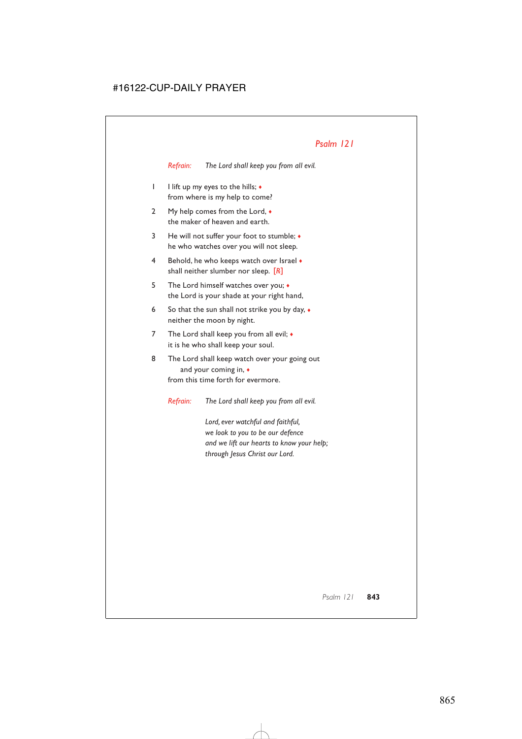*Refrain: The Lord shall keep you from all evil.*

- 1 I lift up my eyes to the hills; ♦ from where is my help to come?
- 2 My help comes from the Lord,  $\bullet$ the maker of heaven and earth.
- 3 He will not suffer your foot to stumble; ♦ he who watches over you will not sleep.
- 4 Behold, he who keeps watch over Israel  $\bullet$ shall neither slumber nor sleep. [*R*]
- 5 The Lord himself watches over you; ♦ the Lord is your shade at your right hand,
- 6 So that the sun shall not strike you by day,  $\bullet$ neither the moon by night.
- 7 The Lord shall keep you from all evil;  $\bullet$ it is he who shall keep your soul.
- 8 The Lord shall keep watch over your going out and your coming in, ♦ from this time forth for evermore.

*Refrain: The Lord shall keep you from all evil.*

*Lord, ever watchful and faithful, we look to you to be our defence and we lift our hearts to know your help; through Jesus Christ our Lord.*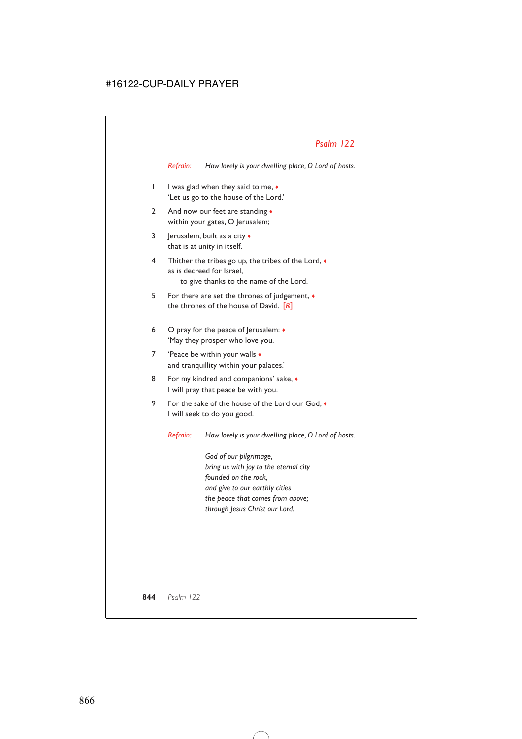*Refrain: How lovely is your dwelling place, O Lord of hosts.*

- 1 I was glad when they said to me, ♦ 'Let us go to the house of the Lord.'
- 2 And now our feet are standing  $\bullet$ within your gates, O Jerusalem;
- 3 Jerusalem, built as a city  $\bullet$ that is at unity in itself.
- 4 Thither the tribes go up, the tribes of the Lord, ♦ as is decreed for Israel, to give thanks to the name of the Lord.
- 5 For there are set the thrones of judgement, ♦ the thrones of the house of David. [*R*]
- 6 O pray for the peace of Jerusalem: ♦ 'May they prosper who love you.
- 7 'Peace be within your walls  $\bullet$ and tranquillity within your palaces.'
- 8 For my kindred and companions' sake,  $\bullet$ I will pray that peace be with you.
- 9 For the sake of the house of the Lord our God,  $\bullet$ I will seek to do you good.

*Refrain: How lovely is your dwelling place, O Lord of hosts.*

*God of our pilgrimage, bring us with joy to the eternal city founded on the rock, and give to our earthly cities the peace that comes from above; through Jesus Christ our Lord.*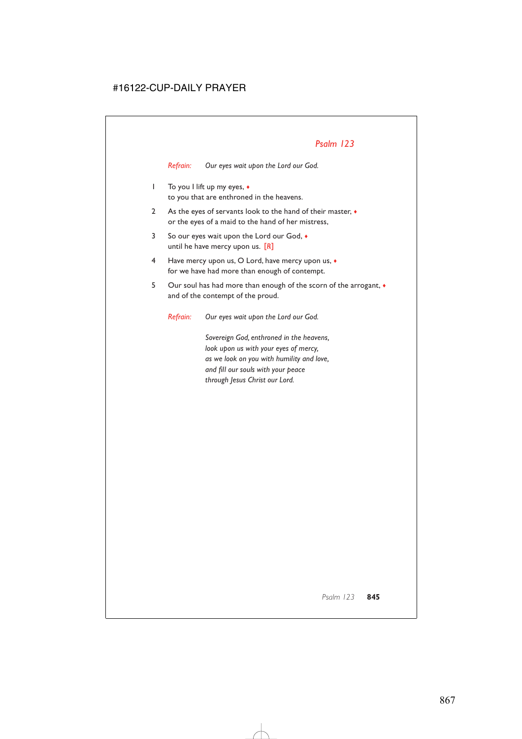*Refrain: Our eyes wait upon the Lord our God.*

- 1 To you I lift up my eyes, ♦ to you that are enthroned in the heavens.
- 2 As the eyes of servants look to the hand of their master,  $\bullet$ or the eyes of a maid to the hand of her mistress,
- 3 So our eyes wait upon the Lord our God, ♦ until he have mercy upon us. [*R*]
- 4 Have mercy upon us, O Lord, have mercy upon us, ♦ for we have had more than enough of contempt.
- 5 Our soul has had more than enough of the scorn of the arrogant,  $\bullet$ and of the contempt of the proud.

*Refrain: Our eyes wait upon the Lord our God.*

*Sovereign God, enthroned in the heavens, look upon us with your eyes of mercy, as we look on you with humility and love, and fill our souls with your peace through Jesus Christ our Lord.*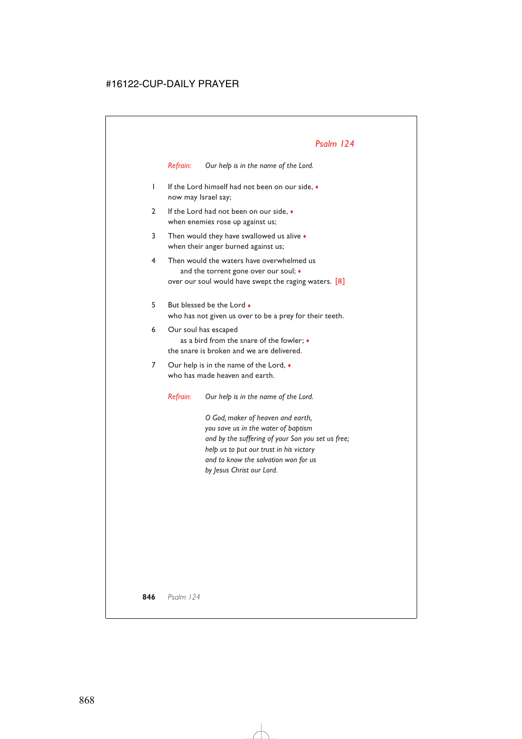*Refrain: Our help is in the name of the Lord.*

- 1 If the Lord himself had not been on our side, ♦ now may Israel say;
- 2 If the Lord had not been on our side.  $\bullet$ when enemies rose up against us;
- 3 Then would they have swallowed us alive  $\bullet$ when their anger burned against us;
- 4 Then would the waters have overwhelmed us and the torrent gone over our soul;  $\triangleleft$ over our soul would have swept the raging waters. [*R*]
- 5 But blessed be the Lord ♦ who has not given us over to be a prey for their teeth.
- 6 Our soul has escaped as a bird from the snare of the fowler; ♦ the snare is broken and we are delivered.
- 7 Our help is in the name of the Lord,  $\bullet$ who has made heaven and earth.

*Refrain: Our help is in the name of the Lord.*

*O God, maker of heaven and earth, you save us in the water of baptism and by the suffering of your Son you set us free; help us to put our trust in his victory and to know the salvation won for us by Jesus Christ our Lord.*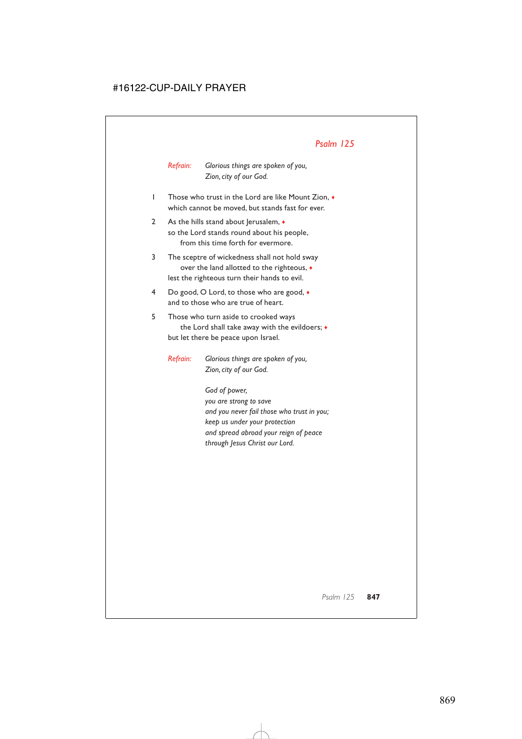*Refrain: Glorious things are spoken of you, Zion, city of our God.*

- 1 Those who trust in the Lord are like Mount Zion, ♦ which cannot be moved, but stands fast for ever.
- 2 As the hills stand about Jerusalem,  $\bullet$ so the Lord stands round about his people, from this time forth for evermore.
- 3 The sceptre of wickedness shall not hold sway over the land allotted to the righteous, ♦ lest the righteous turn their hands to evil.
- 4 Do good, O Lord, to those who are good, ♦ and to those who are true of heart.
- 5 Those who turn aside to crooked ways the Lord shall take away with the evildoers; ♦ but let there be peace upon Israel.

*Refrain: Glorious things are spoken of you, Zion, city of our God.*

> *God of power, you are strong to save and you never fail those who trust in you; keep us under your protection and spread abroad your reign of peace through Jesus Christ our Lord.*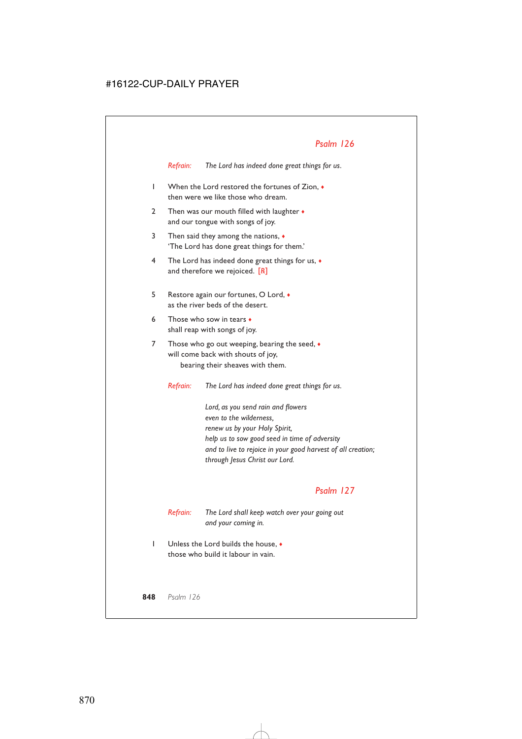*Refrain: The Lord has indeed done great things for us.*

- 1 When the Lord restored the fortunes of Zion, ♦ then were we like those who dream.
- 2 Then was our mouth filled with laughter  $\bullet$ and our tongue with songs of joy.
- 3 Then said they among the nations, ♦ 'The Lord has done great things for them.'
- 4 The Lord has indeed done great things for us,  $\bullet$ and therefore we rejoiced. [*R*]
- 5 Restore again our fortunes, O Lord, ♦ as the river beds of the desert.
- 6 Those who sow in tears ♦ shall reap with songs of joy.
- 7 Those who go out weeping, bearing the seed,  $\bullet$ will come back with shouts of joy, bearing their sheaves with them.

*Refrain: The Lord has indeed done great things for us.*

*Lord, as you send rain and flowers even to the wilderness, renew us by your Holy Spirit, help us to sow good seed in time of adversity and to live to rejoice in your good harvest of all creation; through Jesus Christ our Lord.*

## *Psalm 127*

*Refrain: The Lord shall keep watch over your going out and your coming in.*

1 Unless the Lord builds the house, ♦ those who build it labour in vain.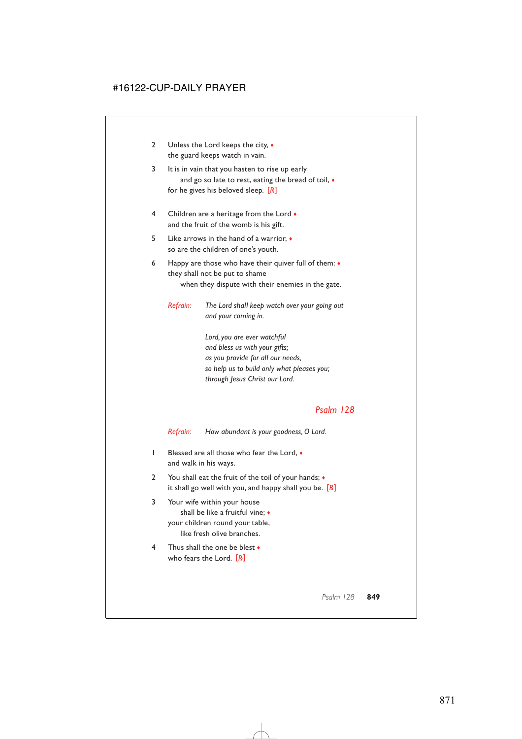- 2 Unless the Lord keeps the city,  $\bullet$ the guard keeps watch in vain.
- 3 It is in vain that you hasten to rise up early and go so late to rest, eating the bread of toil,  $\bullet$ for he gives his beloved sleep. [*R*]
- 4 Children are a heritage from the Lord  $\bullet$ and the fruit of the womb is his gift.
- 5 Like arrows in the hand of a warrior, ♦ so are the children of one's youth.
- 6 Happy are those who have their quiver full of them: ♦ they shall not be put to shame when they dispute with their enemies in the gate.

*Refrain: The Lord shall keep watch over your going out and your coming in.*

> *Lord, you are ever watchful and bless us with your gifts; as you provide for all our needs, so help us to build only what pleases you; through Jesus Christ our Lord.*

### *Psalm 128*

*Refrain: How abundant is your goodness, O Lord.*

- 1 Blessed are all those who fear the Lord, ♦ and walk in his ways.
- 2 You shall eat the fruit of the toil of your hands; ♦ it shall go well with you, and happy shall you be. [*R*]
- 3 Your wife within your house shall be like a fruitful vine; ♦ your children round your table, like fresh olive branches.
- 4 Thus shall the one be blest  $\bullet$ who fears the Lord. [*R*]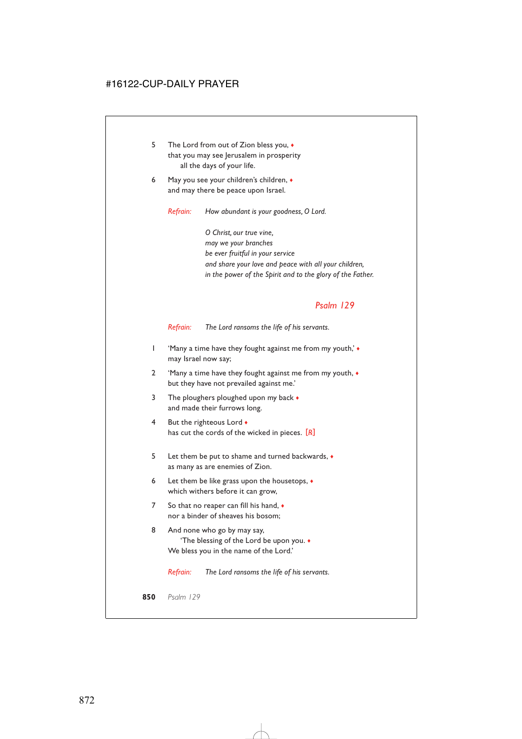- 5 The Lord from out of Zion bless you, ♦ that you may see Jerusalem in prosperity all the days of your life.
- 6 May you see your children's children, ♦ and may there be peace upon Israel.

*Refrain: How abundant is your goodness, O Lord.*

*O Christ, our true vine, may we your branches be ever fruitful in your service and share your love and peace with all your children, in the power of the Spirit and to the glory of the Father.*

### *Psalm 129*

*Refrain: The Lord ransoms the life of his servants.*

- 1 'Many a time have they fought against me from my youth,' ♦ may Israel now say;
- 2 'Many a time have they fought against me from my youth, ♦ but they have not prevailed against me.'
- 3 The ploughers ploughed upon my back  $\bullet$ and made their furrows long.
- 4 But the righteous Lord  $\bullet$ has cut the cords of the wicked in pieces. [*R*]
- 5 Let them be put to shame and turned backwards, ♦ as many as are enemies of Zion.
- 6 Let them be like grass upon the housetops, ♦ which withers before it can grow,
- 7 So that no reaper can fill his hand,  $\bullet$ nor a binder of sheaves his bosom;
- 8 And none who go by may say, 'The blessing of the Lord be upon you. ♦ We bless you in the name of the Lord.'

*Refrain: The Lord ransoms the life of his servants.*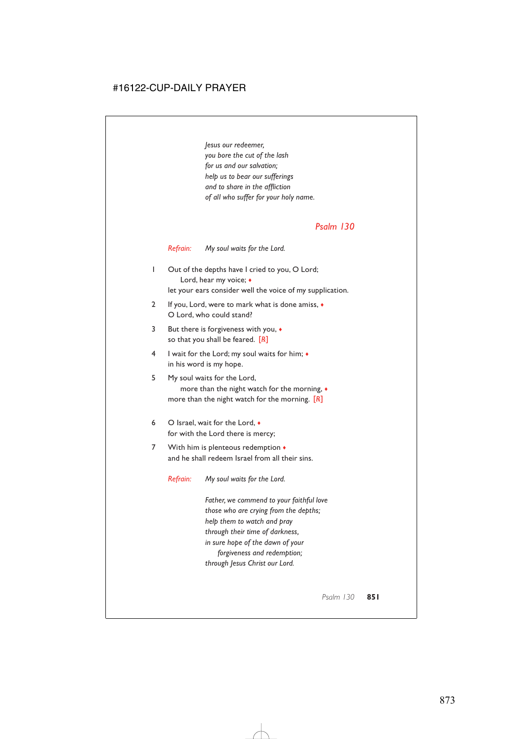*Jesus our redeemer, you bore the cut of the lash for us and our salvation; help us to bear our sufferings and to share in the affliction of all who suffer for your holy name.*

## *Psalm 130*

*Refrain: My soul waits for the Lord.*

- 1 Out of the depths have I cried to you, O Lord; Lord, hear my voice; ♦ let your ears consider well the voice of my supplication.
- 2 If you, Lord, were to mark what is done amiss, ♦ O Lord, who could stand?
- 3 But there is forgiveness with you, ♦ so that you shall be feared. [*R*]
- 4 I wait for the Lord; my soul waits for him; ♦ in his word is my hope.
- 5 My soul waits for the Lord, more than the night watch for the morning, ♦ more than the night watch for the morning. [*R*]
- 6 O Israel, wait for the Lord, ♦ for with the Lord there is mercy;
- 7 With him is plenteous redemption  $\bullet$ and he shall redeem Israel from all their sins.

*Refrain: My soul waits for the Lord.*

*Father, we commend to your faithful love those who are crying from the depths; help them to watch and pray through their time of darkness, in sure hope of the dawn of your forgiveness and redemption; through Jesus Christ our Lord.*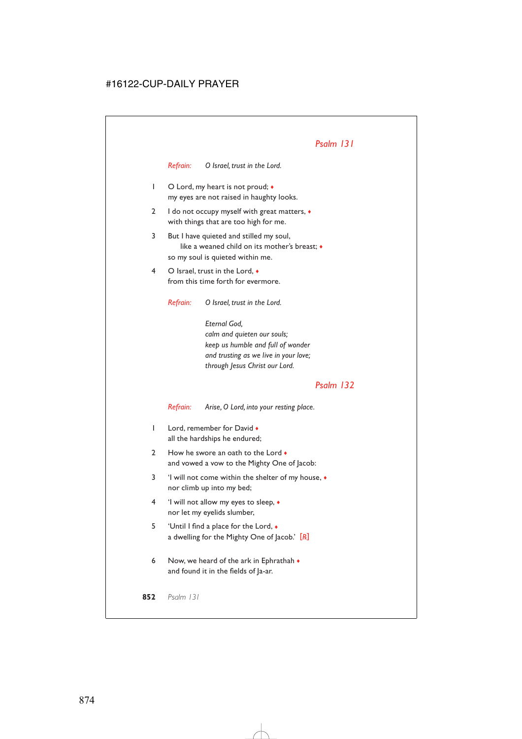*Refrain: O Israel, trust in the Lord.*

- 1 O Lord, my heart is not proud;  $\bullet$ my eyes are not raised in haughty looks.
- 2 I do not occupy myself with great matters,  $\bullet$ with things that are too high for me.
- 3 But I have quieted and stilled my soul, like a weaned child on its mother's breast; ♦ so my soul is quieted within me.
- 4 O Israel, trust in the Lord, ♦ from this time forth for evermore.

*Refrain: O Israel, trust in the Lord.*

*Eternal God, calm and quieten our souls; keep us humble and full of wonder and trusting as we live in your love; through Jesus Christ our Lord.*

# *Psalm 132*

*Refrain: Arise, O Lord, into your resting place.*

- 1 Lord, remember for David  $\bullet$ all the hardships he endured;
- 2 How he swore an oath to the Lord  $\bullet$ and vowed a vow to the Mighty One of Jacob:
- 3 'I will not come within the shelter of my house, ♦ nor climb up into my bed;
- 4 'I will not allow my eyes to sleep, ♦ nor let my eyelids slumber,
- 5 'Until I find a place for the Lord, ♦ a dwelling for the Mighty One of Jacob.' [*R*]
- 6 Now, we heard of the ark in Ephrathah  $\bullet$ and found it in the fields of Ja-ar.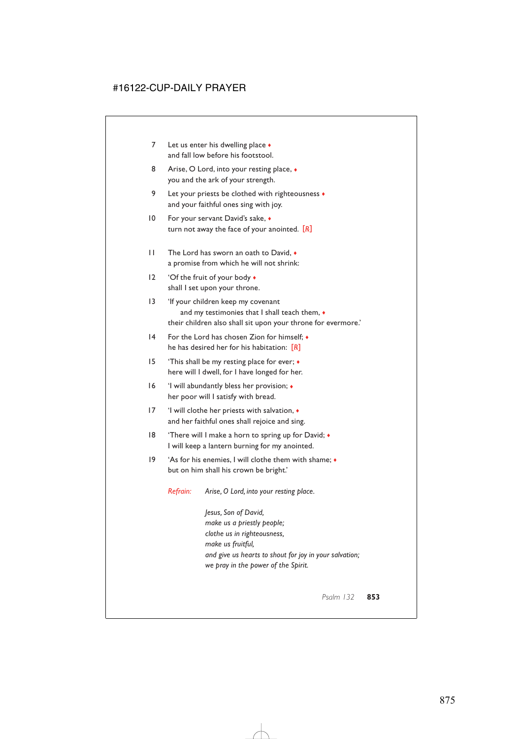- 7 Let us enter his dwelling place  $\bullet$ and fall low before his footstool.
- 8 Arise, O Lord, into your resting place,  $\bullet$ you and the ark of your strength.
- 9 Let your priests be clothed with righteousness  $\bullet$ and your faithful ones sing with joy.
- 10 For your servant David's sake,  $\bullet$ turn not away the face of your anointed. [*R*]
- 11 The Lord has sworn an oath to David.  $\bullet$ a promise from which he will not shrink:
- 12 'Of the fruit of your body  $\bullet$ shall I set upon your throne.
- 13 'If your children keep my covenant and my testimonies that I shall teach them,  $\bullet$ their children also shall sit upon your throne for evermore.'
- 14 For the Lord has chosen Zion for himself; ♦ he has desired her for his habitation: [*R*]
- 15 'This shall be my resting place for ever; ♦ here will I dwell, for I have longed for her.
- 16 'I will abundantly bless her provision; ♦ her poor will I satisfy with bread.
- 17 'I will clothe her priests with salvation, ♦ and her faithful ones shall rejoice and sing.
- 18 'There will I make a horn to spring up for David; ♦ I will keep a lantern burning for my anointed.
- 19 'As for his enemies, I will clothe them with shame; ♦ but on him shall his crown be bright.'

*Refrain: Arise, O Lord, into your resting place.*

*Jesus, Son of David, make us a priestly people; clothe us in righteousness, make us fruitful, and give us hearts to shout for joy in your salvation; we pray in the power of the Spirit.*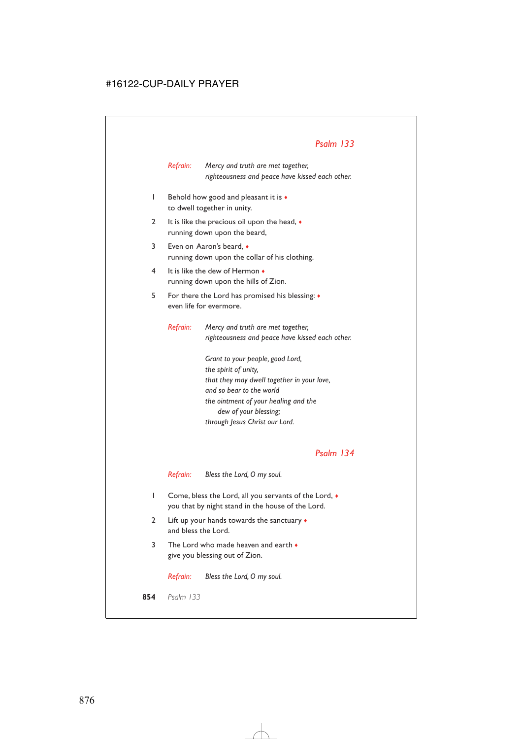*Refrain: Mercy and truth are met together, righteousness and peace have kissed each other.*

- 1 Behold how good and pleasant it is ♦ to dwell together in unity.
- 2 It is like the precious oil upon the head,  $\bullet$ running down upon the beard,
- 3 Even on Aaron's beard, ♦ running down upon the collar of his clothing.
- 4 It is like the dew of Hermon ♦ running down upon the hills of Zion.
- 5 For there the Lord has promised his blessing: ♦ even life for evermore.

*Refrain: Mercy and truth are met together, righteousness and peace have kissed each other.*

> *Grant to your people, good Lord, the spirit of unity, that they may dwell together in your love, and so bear to the world the ointment of your healing and the dew of your blessing; through Jesus Christ our Lord.*

## *Psalm 134*

*Refrain: Bless the Lord, O my soul.*

- 1 Come, bless the Lord, all you servants of the Lord, ♦ you that by night stand in the house of the Lord.
- 2 Lift up your hands towards the sanctuary  $\bullet$ and bless the Lord.
- 3 The Lord who made heaven and earth ♦ give you blessing out of Zion.

*Refrain: Bless the Lord, O my soul.*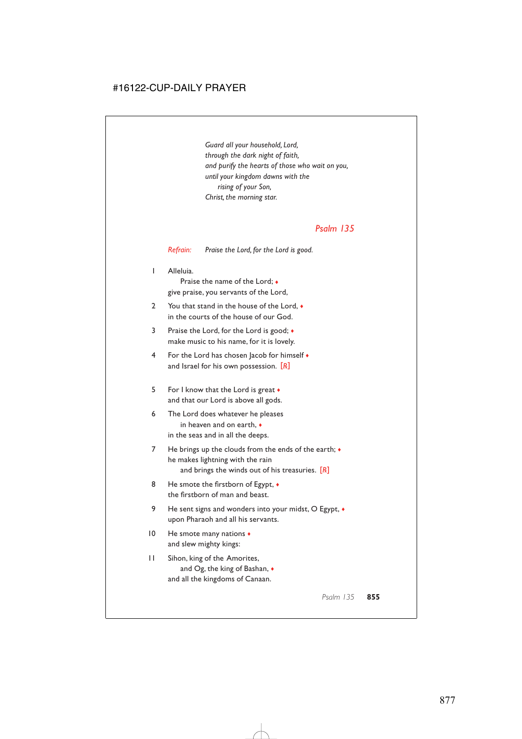*Guard all your household, Lord, through the dark night of faith, and purify the hearts of those who wait on you, until your kingdom dawns with the rising of your Son, Christ, the morning star.*

## *Psalm 135*

*Refrain: Praise the Lord, for the Lord is good.*

1 Alleluia.

Praise the name of the Lord; ♦ give praise, you servants of the Lord,

- 2 You that stand in the house of the Lord,  $\bullet$ in the courts of the house of our God.
- 3 Praise the Lord, for the Lord is good; ♦ make music to his name, for it is lovely.
- 4 For the Lord has chosen Jacob for himself ♦ and Israel for his own possession. [*R*]
- 5 For I know that the Lord is great  $\bullet$ and that our Lord is above all gods.
- 6 The Lord does whatever he pleases in heaven and on earth, ♦ in the seas and in all the deeps.
- 7 He brings up the clouds from the ends of the earth;  $\bullet$ he makes lightning with the rain and brings the winds out of his treasuries. [*R*]
- 8 He smote the firstborn of Egypt,  $\bullet$ the firstborn of man and beast.
- 9 He sent signs and wonders into your midst, O Egypt,  $\bullet$ upon Pharaoh and all his servants.
- 10 He smote many nations  $\bullet$ and slew mighty kings:
- 11 Sihon, king of the Amorites, and Og, the king of Bashan, ♦ and all the kingdoms of Canaan.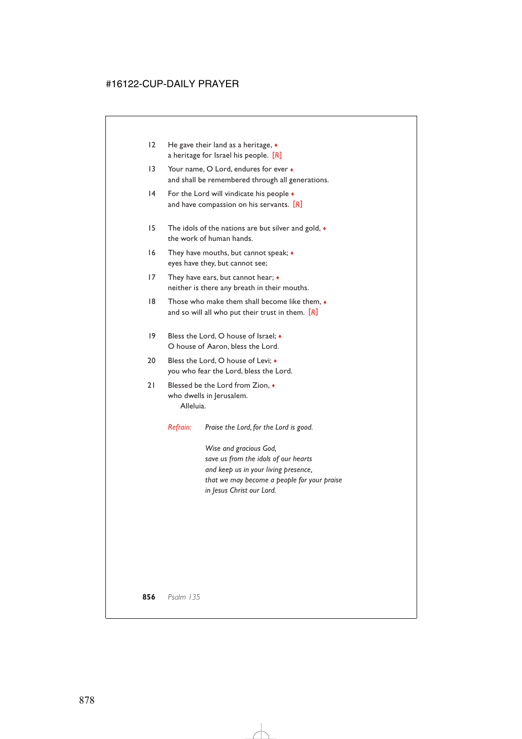| 12 | He gave their land as a heritage, $\bullet$ |
|----|---------------------------------------------|
|    | a heritage for Israel his people. $[R]$     |

- 13 Your name, O Lord, endures for ever  $\bullet$ and shall be remembered through all generations.
- 14 For the Lord will vindicate his people  $\bullet$ and have compassion on his servants. [*R*]
- 15 The idols of the nations are but silver and gold, ♦ the work of human hands.
- 16 They have mouths, but cannot speak; ♦ eyes have they, but cannot see;
- 17 They have ears, but cannot hear;  $\bullet$ neither is there any breath in their mouths.
- 18 Those who make them shall become like them, ♦ and so will all who put their trust in them. [*R*]
- 19 Bless the Lord, O house of Israel;  $\bullet$ O house of Aaron, bless the Lord.
- 20 Bless the Lord, O house of Levi:  $\bullet$ you who fear the Lord, bless the Lord.
- 21 Blessed be the Lord from Zion,  $\bullet$ who dwells in Jerusalem. Alleluia.

*Refrain: Praise the Lord, for the Lord is good.*

*Wise and gracious God, save us from the idols of our hearts and keep us in your living presence, that we may become a people for your praise in Jesus Christ our Lord.*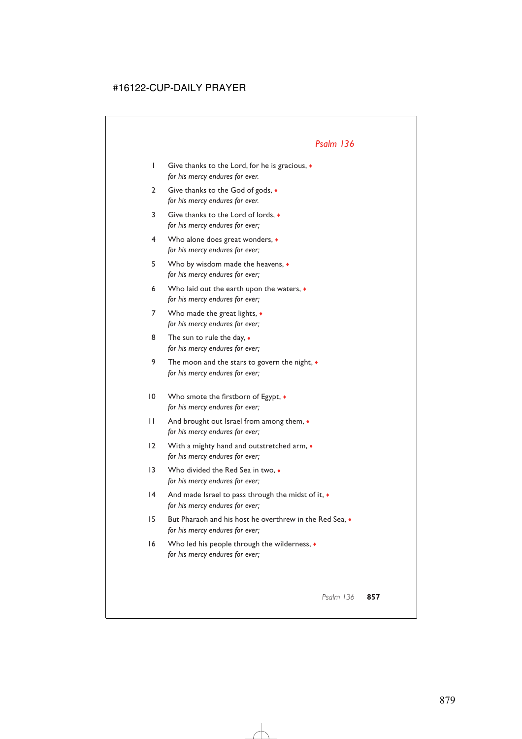- 1 Give thanks to the Lord, for he is gracious, ♦ *for his mercy endures for ever.*
- 2 Give thanks to the God of gods,  $\bullet$ *for his mercy endures for ever.*
- 3 Give thanks to the Lord of lords, ♦ *for his mercy endures for ever;*
- 4 Who alone does great wonders, ♦ *for his mercy endures for ever;*
- 5 Who by wisdom made the heavens, ♦ *for his mercy endures for ever;*
- 6 Who laid out the earth upon the waters,  $\bullet$ *for his mercy endures for ever;*
- 7 Who made the great lights,  $\bullet$ *for his mercy endures for ever;*
- 8 The sun to rule the day,  $\bullet$ *for his mercy endures for ever;*
- 9 The moon and the stars to govern the night, ♦ *for his mercy endures for ever;*
- 10 Who smote the firstborn of Egypt,  $\bullet$ *for his mercy endures for ever;*
- 11 And brought out Israel from among them, ♦ *for his mercy endures for ever;*
- 12 With a mighty hand and outstretched arm,  $\bullet$ *for his mercy endures for ever;*
- 13 Who divided the Red Sea in two.  $\bullet$ *for his mercy endures for ever;*
- 14 And made Israel to pass through the midst of it,  $\bullet$ *for his mercy endures for ever;*
- 15 But Pharaoh and his host he overthrew in the Red Sea, ♦ *for his mercy endures for ever;*
- 16 Who led his people through the wilderness,  $\bullet$ *for his mercy endures for ever;*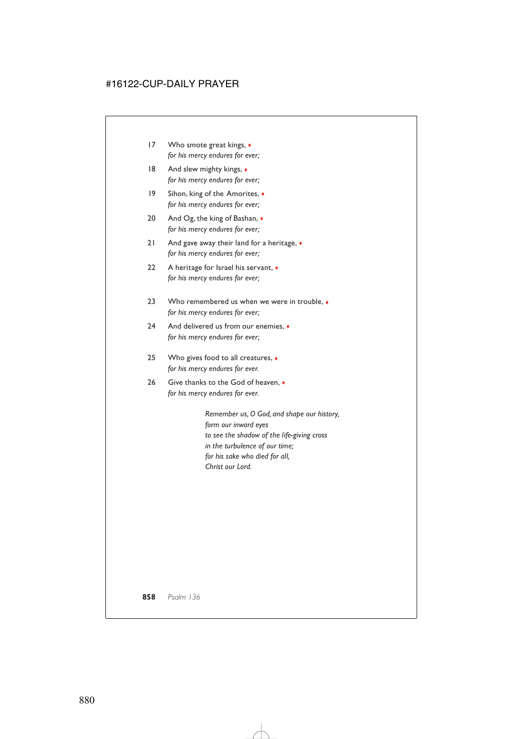- 17 Who smote great kings,  $\bullet$ *for his mercy endures for ever;*
- 18 And slew mighty kings,  $\bullet$ *for his mercy endures for ever;*
- 19 Sihon, king of the Amorites, ♦ *for his mercy endures for ever;*
- 20 And Og, the king of Bashan, ♦ *for his mercy endures for ever;*
- 21 And gave away their land for a heritage,  $\bullet$ *for his mercy endures for ever;*
- 22 A heritage for Israel his servant,  $\bullet$ *for his mercy endures for ever;*
- 23 Who remembered us when we were in trouble, ♦ *for his mercy endures for ever;*
- 24 And delivered us from our enemies.  $\triangle$ *for his mercy endures for ever;*
- 25 Who gives food to all creatures,  $\triangleleft$ *for his mercy endures for ever.*
- 26 Give thanks to the God of heaven,  $\bullet$ *for his mercy endures for ever.*

*Remember us, O God, and shape our history, form our inward eyes to see the shadow of the life-giving cross in the turbulence of our time; for his sake who died for all, Christ our Lord.*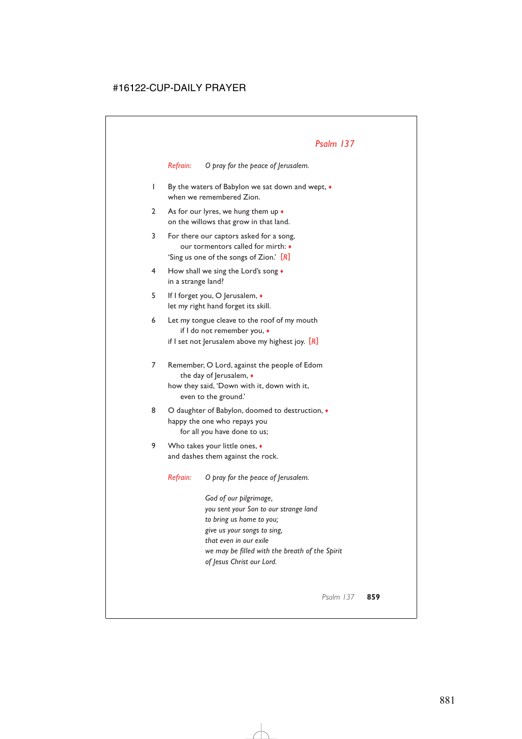*Refrain: O pray for the peace of Jerusalem.*

- 1 By the waters of Babylon we sat down and wept, ♦ when we remembered Zion.
- 2 As for our lyres, we hung them up  $\bullet$ on the willows that grow in that land.
- 3 For there our captors asked for a song, our tormentors called for mirth: ♦ 'Sing us one of the songs of Zion.' [*R*]
- 4 How shall we sing the Lord's song ♦ in a strange land?
- 5 If I forget you, O Jerusalem, ♦ let my right hand forget its skill.
- 6 Let my tongue cleave to the roof of my mouth if I do not remember you, ♦ if I set not Jerusalem above my highest joy. [*R*]
- 7 Remember, O Lord, against the people of Edom the day of Jerusalem,  $\bullet$ how they said, 'Down with it, down with it, even to the ground.'
- 8 O daughter of Babylon, doomed to destruction,  $\bullet$ happy the one who repays you for all you have done to us;
- 9 Who takes your little ones, ◆ and dashes them against the rock.

*Refrain: O pray for the peace of Jerusalem.*

*God of our pilgrimage, you sent your Son to our strange land to bring us home to you; give us your songs to sing, that even in our exile we may be filled with the breath of the Spirit of Jesus Christ our Lord.*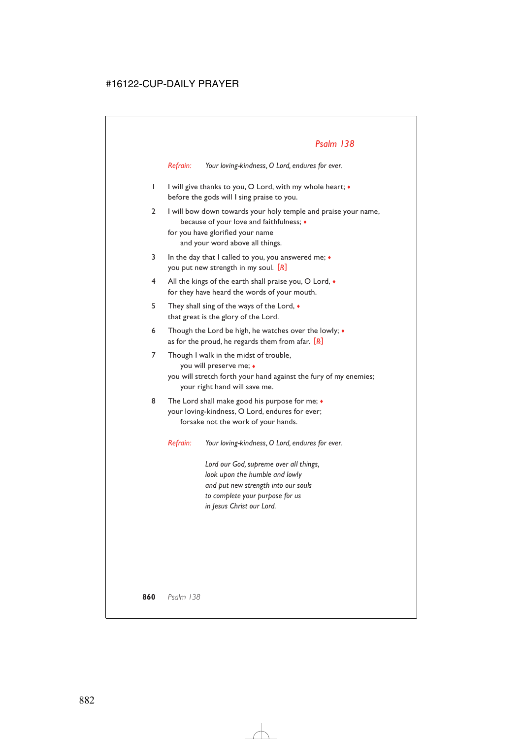*Refrain: Your loving-kindness, O Lord, endures for ever.*

- 1 I will give thanks to you, O Lord, with my whole heart; ♦ before the gods will I sing praise to you.
- 2 I will bow down towards your holy temple and praise your name, because of your love and faithfulness; ♦ for you have glorified your name and your word above all things.
- 3 In the day that I called to you, you answered me;  $\bullet$ you put new strength in my soul. [*R*]
- 4 All the kings of the earth shall praise you, O Lord,  $\bullet$ for they have heard the words of your mouth.
- 5 They shall sing of the ways of the Lord, ♦ that great is the glory of the Lord.
- 6 Though the Lord be high, he watches over the lowly; ♦ as for the proud, he regards them from afar. [*R*]
- 7 Though I walk in the midst of trouble, you will preserve me; ♦
	- you will stretch forth your hand against the fury of my enemies; your right hand will save me.
- 8 The Lord shall make good his purpose for me;  $\bullet$ your loving-kindness, O Lord, endures for ever; forsake not the work of your hands.

*Refrain: Your loving-kindness, O Lord, endures for ever.*

*Lord our God, supreme over all things, look upon the humble and lowly and put new strength into our souls to complete your purpose for us in Jesus Christ our Lord.*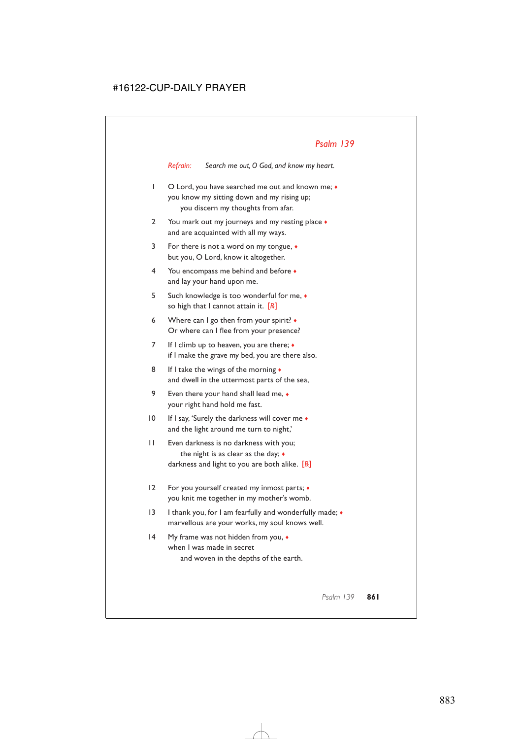*Refrain: Search me out, O God, and know my heart.*

- 1 O Lord, you have searched me out and known me;  $\bullet$ you know my sitting down and my rising up; you discern my thoughts from afar.
- 2 You mark out my journeys and my resting place  $\bullet$ and are acquainted with all my ways.
- 3 For there is not a word on my tongue, ♦ but you, O Lord, know it altogether.
- 4 You encompass me behind and before ♦ and lay your hand upon me.
- 5 Such knowledge is too wonderful for me, ♦ so high that I cannot attain it. [*R*]
- 6 Where can I go then from your spirit? ♦ Or where can I flee from your presence?
- 7 If I climb up to heaven, you are there; ♦ if I make the grave my bed, you are there also.
- 8 If I take the wings of the morning  $\bullet$ and dwell in the uttermost parts of the sea,
- 9 Even there your hand shall lead me,  $\bullet$ your right hand hold me fast.
- 10 If I say, 'Surely the darkness will cover me  $\bullet$ and the light around me turn to night,'
- 11 Even darkness is no darkness with you; the night is as clear as the day;  $\bullet$ darkness and light to you are both alike. [*R*]
- 12 For you yourself created my inmost parts;  $\triangleleft$ you knit me together in my mother's womb.
- 13 I thank you, for I am fearfully and wonderfully made; ♦ marvellous are your works, my soul knows well.
- 14 My frame was not hidden from you, ♦ when I was made in secret and woven in the depths of the earth.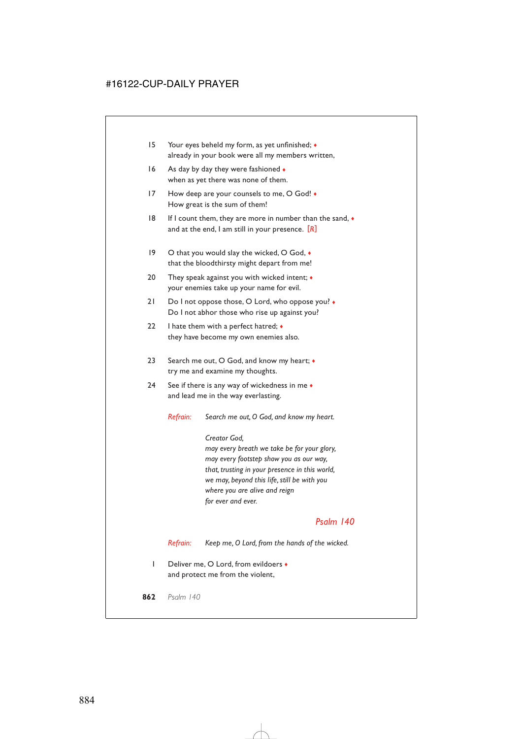- 15 Your eyes beheld my form, as yet unfinished; ♦ already in your book were all my members written,
- 16 As day by day they were fashioned  $\bullet$ when as yet there was none of them.
- 17 How deep are your counsels to me, O God!  $\bullet$ How great is the sum of them!
- 18 If I count them, they are more in number than the sand, ♦ and at the end, I am still in your presence. [*R*]
- 19 O that you would slay the wicked, O God,  $\bullet$ that the bloodthirsty might depart from me!
- 20 They speak against you with wicked intent;  $\bullet$ your enemies take up your name for evil.
- 21 Do I not oppose those, O Lord, who oppose you?  $\bullet$ Do I not abhor those who rise up against you?
- 22 I hate them with a perfect hatred;  $\triangleleft$ they have become my own enemies also.
- 23 Search me out, O God, and know my heart;  $\bullet$ try me and examine my thoughts.
- 24 See if there is any way of wickedness in me  $\bullet$ and lead me in the way everlasting.

*Refrain: Search me out, O God, and know my heart.*

*Creator God, may every breath we take be for your glory, may every footstep show you as our way, that, trusting in your presence in this world, we may, beyond this life, still be with you where you are alive and reign for ever and ever.*

## *Psalm 140*

*Refrain: Keep me, O Lord, from the hands of the wicked.*

1 Deliver me, O Lord, from evildoers ♦ and protect me from the violent,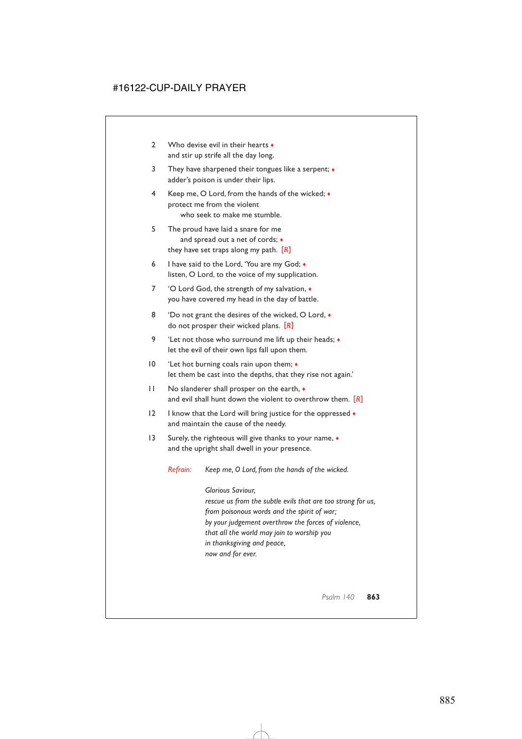- 2 Who devise evil in their hearts and stir up strife all the day long.
- 3 They have sharpened their tongues like a serpent; ♦ adder's poison is under their lips.
- 4 Keep me, O Lord, from the hands of the wicked; ♦ protect me from the violent who seek to make me stumble.
- 5 The proud have laid a snare for me and spread out a net of cords; ♦ they have set traps along my path. [*R*]
- 6 I have said to the Lord, 'You are my God; ♦ listen, O Lord, to the voice of my supplication.
- 7 'O Lord God, the strength of my salvation, ♦ you have covered my head in the day of battle.
- 8 'Do not grant the desires of the wicked, O Lord,  $\bullet$ do not prosper their wicked plans. [*R*]
- 9 'Let not those who surround me lift up their heads; ♦ let the evil of their own lips fall upon them.
- 10 'Let hot burning coals rain upon them;  $\bullet$ let them be cast into the depths, that they rise not again.'
- 11 No slanderer shall prosper on the earth, ♦ and evil shall hunt down the violent to overthrow them. [*R*]
- 12 I know that the Lord will bring justice for the oppressed  $\bullet$ and maintain the cause of the needy.
- 13 Surely, the righteous will give thanks to your name,  $\bullet$ and the upright shall dwell in your presence.

*Refrain: Keep me, O Lord, from the hands of the wicked.*

*Glorious Saviour, rescue us from the subtle evils that are too strong for us, from poisonous words and the spirit of war; by your judgement overthrow the forces of violence, that all the world may join to worship you in thanksgiving and peace, now and for ever.*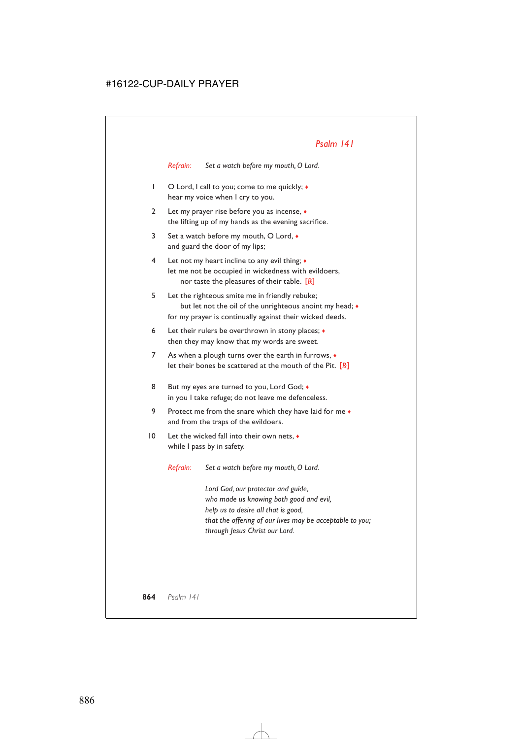# *Psalm 141*

*Refrain: Set a watch before my mouth, O Lord.*

- 1 O Lord, I call to you; come to me quickly; ♦ hear my voice when I cry to you.
- 2 Let my prayer rise before you as incense, ♦ the lifting up of my hands as the evening sacrifice.
- 3 Set a watch before my mouth, O Lord, ♦ and guard the door of my lips;
- 4 Let not my heart incline to any evil thing; ♦ let me not be occupied in wickedness with evildoers, nor taste the pleasures of their table. [*R*]
- 5 Let the righteous smite me in friendly rebuke; but let not the oil of the unrighteous anoint my head;  $\bullet$ for my prayer is continually against their wicked deeds.
- 6 Let their rulers be overthrown in stony places;  $\triangleleft$ then they may know that my words are sweet.
- 7 As when a plough turns over the earth in furrows,  $\bullet$ let their bones be scattered at the mouth of the Pit. [*R*]
- 8 But my eyes are turned to you, Lord God;  $\bullet$ in you I take refuge; do not leave me defenceless.
- 9 Protect me from the snare which they have laid for me  $\bullet$ and from the traps of the evildoers.
- 10 Let the wicked fall into their own nets, ♦ while I pass by in safety.

*Refrain: Set a watch before my mouth, O Lord.*

*Lord God, our protector and guide, who made us knowing both good and evil, help us to desire all that is good, that the offering of our lives may be acceptable to you; through Jesus Christ our Lord.*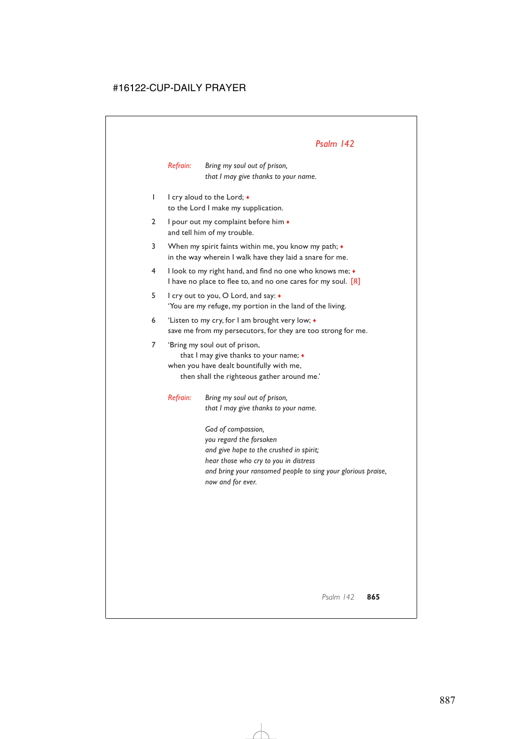# *Psalm 142*

*Refrain: Bring my soul out of prison, that I may give thanks to your name.*

- 1 I cry aloud to the Lord; ♦ to the Lord I make my supplication.
- 2 I pour out my complaint before him  $\bullet$ and tell him of my trouble.
- 3 When my spirit faints within me, you know my path; ♦ in the way wherein I walk have they laid a snare for me.
- 4 I look to my right hand, and find no one who knows me; ♦ I have no place to flee to, and no one cares for my soul. [*R*]
- 5 I cry out to you, O Lord, and say: ♦ 'You are my refuge, my portion in the land of the living.
- 6 'Listen to my cry, for I am brought very low; ♦ save me from my persecutors, for they are too strong for me.

7 'Bring my soul out of prison, that I may give thanks to your name; ♦ when you have dealt bountifully with me, then shall the righteous gather around me.'

*Refrain: Bring my soul out of prison, that I may give thanks to your name.*

> *God of compassion, you regard the forsaken and give hope to the crushed in spirit; hear those who cry to you in distress and bring your ransomed people to sing your glorious praise, now and for ever.*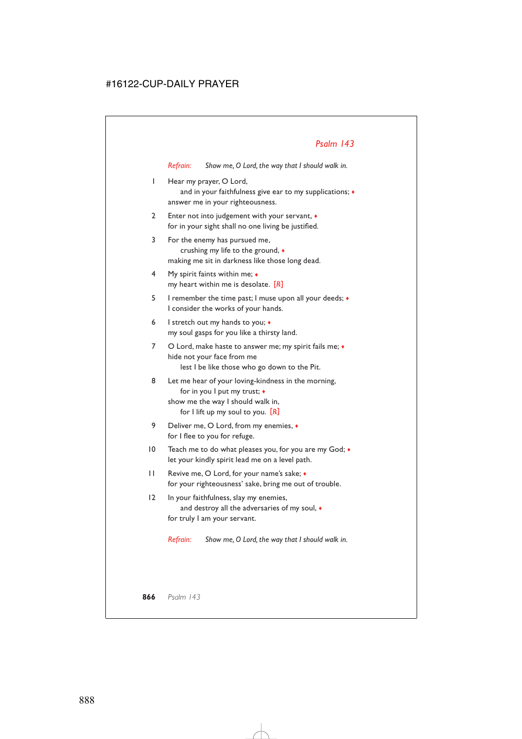*Refrain: Show me, O Lord, the way that I should walk in.*

1 Hear my prayer, O Lord,

and in your faithfulness give ear to my supplications;  $\bullet$ answer me in your righteousness.

- 2 Enter not into judgement with your servant, ♦ for in your sight shall no one living be justified.
- 3 For the enemy has pursued me, crushing my life to the ground, ♦ making me sit in darkness like those long dead.
- 4 My spirit faints within me; ♦ my heart within me is desolate. [*R*]
- 5 I remember the time past; I muse upon all your deeds; ♦ I consider the works of your hands.
- 6 I stretch out my hands to you;  $\triangleleft$ my soul gasps for you like a thirsty land.
- 7 O Lord, make haste to answer me; my spirit fails me;  $\bullet$ hide not your face from me lest I be like those who go down to the Pit.
- 8 Let me hear of your loving-kindness in the morning, for in you I put my trust; ♦ show me the way I should walk in, for I lift up my soul to you. [*R*]
- 9 Deliver me, O Lord, from my enemies, ♦ for I flee to you for refuge.
- 10 Teach me to do what pleases you, for you are my God;  $\bullet$ let your kindly spirit lead me on a level path.
- 11 Revive me, O Lord, for your name's sake;  $\bullet$ for your righteousness' sake, bring me out of trouble.
- 12 In your faithfulness, slay my enemies, and destroy all the adversaries of my soul, ♦ for truly I am your servant.

*Refrain: Show me, O Lord, the way that I should walk in.*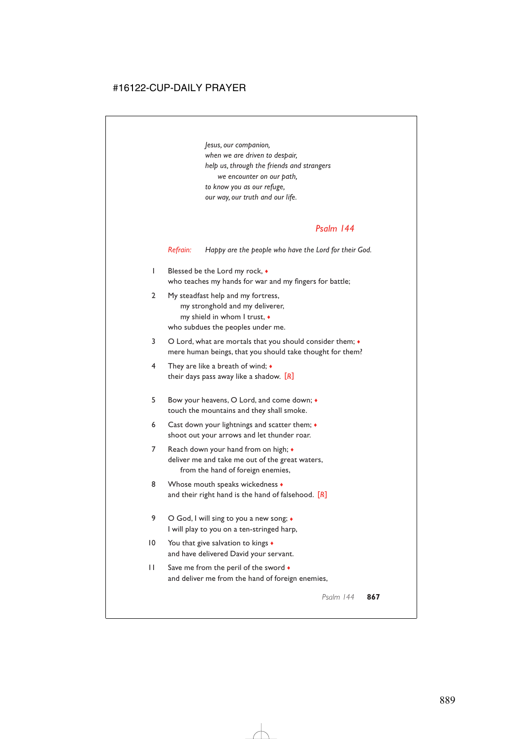*Jesus, our companion, when we are driven to despair, help us, through the friends and strangers we encounter on our path, to know you as our refuge, our way, our truth and our life.*

### *Psalm 144*

*Refrain: Happy are the people who have the Lord for their God.*

- 1 Blessed be the Lord my rock,  $\bullet$ who teaches my hands for war and my fingers for battle;
- 2 My steadfast help and my fortress, my stronghold and my deliverer, my shield in whom I trust, ♦ who subdues the peoples under me.
- 3 O Lord, what are mortals that you should consider them;  $\bullet$ mere human beings, that you should take thought for them?
- 4 They are like a breath of wind; ♦ their days pass away like a shadow. [*R*]
- 5 Bow your heavens, O Lord, and come down; ♦ touch the mountains and they shall smoke.
- 6 Cast down your lightnings and scatter them;  $\triangleleft$ shoot out your arrows and let thunder roar.
- 7 Reach down your hand from on high;  $\bullet$ deliver me and take me out of the great waters, from the hand of foreign enemies,
- 8 Whose mouth speaks wickedness  $\bullet$ and their right hand is the hand of falsehood. [*R*]
- 9 O God, I will sing to you a new song;  $\bullet$ I will play to you on a ten-stringed harp,
- 10 You that give salvation to kings  $\triangleleft$ and have delivered David your servant.
- 11 Save me from the peril of the sword  $\bullet$ and deliver me from the hand of foreign enemies,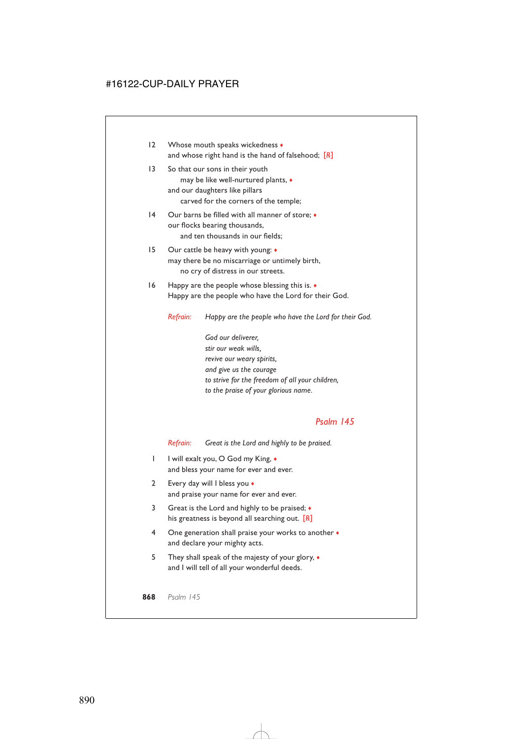- 12 Whose mouth speaks wickedness  $\bullet$ and whose right hand is the hand of falsehood; [*R*]
- 13 So that our sons in their youth may be like well-nurtured plants, ♦ and our daughters like pillars carved for the corners of the temple;
- 14 Our barns be filled with all manner of store;  $\bullet$ our flocks bearing thousands, and ten thousands in our fields;
- 15 Our cattle be heavy with young: ♦ may there be no miscarriage or untimely birth, no cry of distress in our streets.
- 16 Happy are the people whose blessing this is. ♦ Happy are the people who have the Lord for their God.

*Refrain: Happy are the people who have the Lord for their God.*

*God our deliverer, stir our weak wills, revive our weary spirits, and give us the courage to strive for the freedom of all your children, to the praise of your glorious name.*

## *Psalm 145*

*Refrain: Great is the Lord and highly to be praised.*

- 1 I will exalt you, O God my King,  $\bullet$ and bless your name for ever and ever.
- 2 Every day will I bless you ♦ and praise your name for ever and ever.
- 3 Great is the Lord and highly to be praised; ♦ his greatness is beyond all searching out. [*R*]
- 4 One generation shall praise your works to another ♦ and declare your mighty acts.
- 5 They shall speak of the majesty of your glory, ♦ and I will tell of all your wonderful deeds.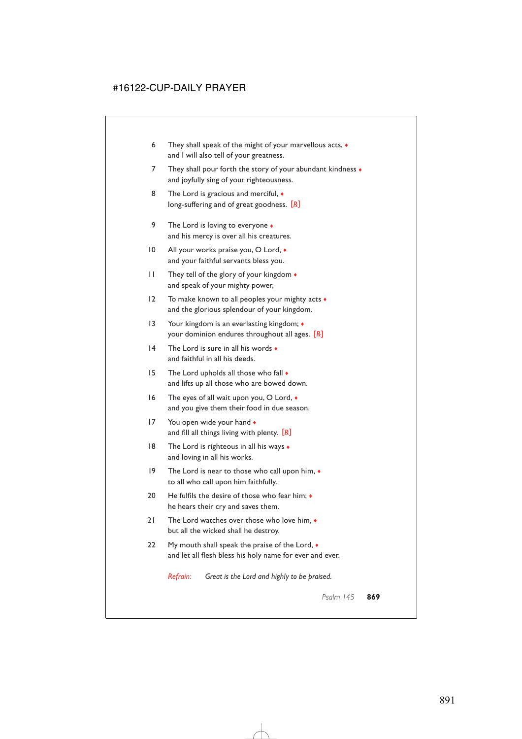- 6 They shall speak of the might of your marvellous acts, ♦ and I will also tell of your greatness.
- 7 They shall pour forth the story of your abundant kindness  $\bullet$ and joyfully sing of your righteousness.
- 8 The Lord is gracious and merciful,  $\bullet$ long-suffering and of great goodness. [*R*]
- 9 The Lord is loving to everyone  $\bullet$ and his mercy is over all his creatures.
- 10 All your works praise you, O Lord,  $\bullet$ and your faithful servants bless you.
- 11 They tell of the glory of your kingdom ♦ and speak of your mighty power,
- 12 To make known to all peoples your mighty acts ♦ and the glorious splendour of your kingdom.
- 13 Your kingdom is an everlasting kingdom;  $\bullet$ your dominion endures throughout all ages. [*R*]
- 14 The Lord is sure in all his words  $\bullet$ and faithful in all his deeds.
- 15 The Lord upholds all those who fall  $\bullet$ and lifts up all those who are bowed down.
- 16 The eyes of all wait upon you, O Lord, ♦ and you give them their food in due season.
- 17 You open wide your hand  $\bullet$ and fill all things living with plenty. [*R*]
- 18 The Lord is righteous in all his ways  $\bullet$ and loving in all his works.
- 19 The Lord is near to those who call upon him, ♦ to all who call upon him faithfully.
- 20 He fulfils the desire of those who fear him:  $\bullet$ he hears their cry and saves them.
- 21 The Lord watches over those who love him,  $\bullet$ but all the wicked shall he destroy.
- 22 My mouth shall speak the praise of the Lord,  $\bullet$ and let all flesh bless his holy name for ever and ever.

*Refrain: Great is the Lord and highly to be praised.*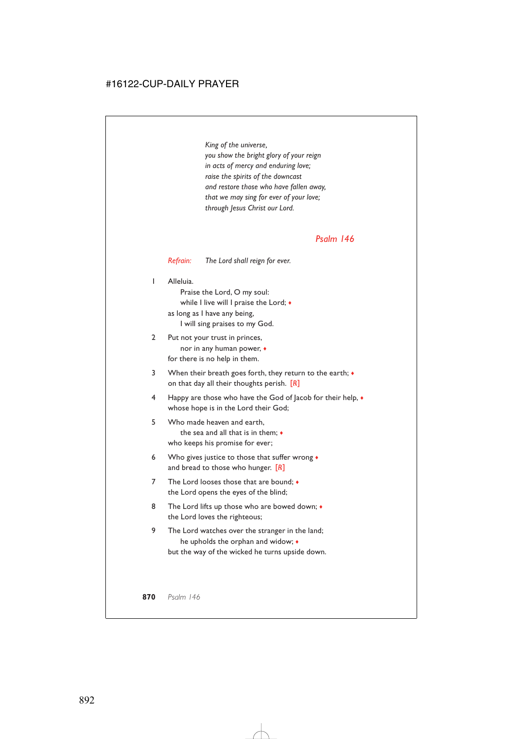*King of the universe, you show the bright glory of your reign in acts of mercy and enduring love; raise the spirits of the downcast and restore those who have fallen away, that we may sing for ever of your love; through Jesus Christ our Lord.*

### *Psalm 146*

#### *Refrain: The Lord shall reign for ever.*

1 Alleluia.

Praise the Lord, O my soul: while I live will I praise the Lord; ♦ as long as I have any being,

I will sing praises to my God.

- 2 Put not your trust in princes, nor in any human power, ♦ for there is no help in them.
- 3 When their breath goes forth, they return to the earth;  $\bullet$ on that day all their thoughts perish. [*R*]
- 4 Happy are those who have the God of Jacob for their help, ♦ whose hope is in the Lord their God;
- 5 Who made heaven and earth, the sea and all that is in them; ♦ who keeps his promise for ever;
- 6 Who gives justice to those that suffer wrong  $\bullet$ and bread to those who hunger. [*R*]
- 7 The Lord looses those that are bound:  $\bullet$ the Lord opens the eyes of the blind;
- 8 The Lord lifts up those who are bowed down;  $\bullet$ the Lord loves the righteous;
- 9 The Lord watches over the stranger in the land; he upholds the orphan and widow; ♦ but the way of the wicked he turns upside down.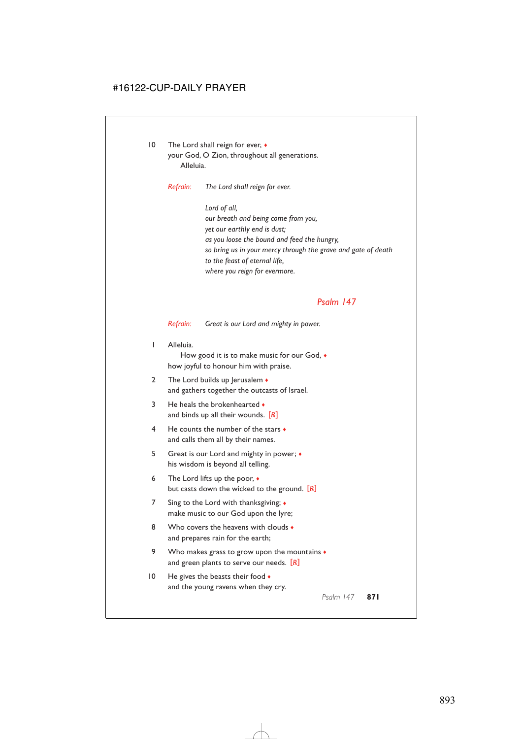10 The Lord shall reign for ever,  $\bullet$ your God, O Zion, throughout all generations. Alleluia.

*Refrain: The Lord shall reign for ever.*

*Lord of all, our breath and being come from you, yet our earthly end is dust; as you loose the bound and feed the hungry, so bring us in your mercy through the grave and gate of death to the feast of eternal life, where you reign for evermore.*

## *Psalm 147*

*Refrain: Great is our Lord and mighty in power.*

1 Alleluia.

How good it is to make music for our God, ♦ how joyful to honour him with praise.

- 2 The Lord builds up Jerusalem  $\bullet$ and gathers together the outcasts of Israel.
- 3 He heals the brokenhearted  $\bullet$ and binds up all their wounds. [*R*]
- 4 He counts the number of the stars ♦ and calls them all by their names.
- 5 Great is our Lord and mighty in power; ♦ his wisdom is beyond all telling.
- 6 The Lord lifts up the poor, ♦ but casts down the wicked to the ground. [*R*]
- 7 Sing to the Lord with thanksgiving; ♦ make music to our God upon the lyre;
- 8 Who covers the heavens with clouds  $\bullet$ and prepares rain for the earth;
- 9 Who makes grass to grow upon the mountains  $\bullet$ and green plants to serve our needs. [*R*]
- 10 He gives the beasts their food  $\bullet$ and the young ravens when they cry.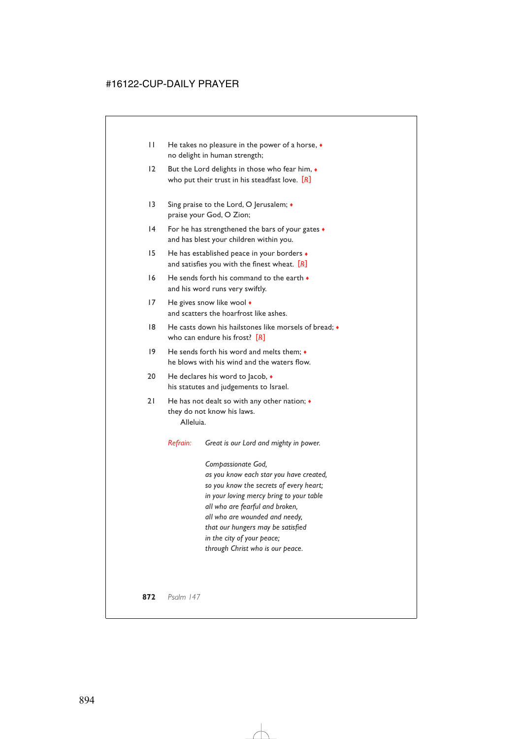- 11 He takes no pleasure in the power of a horse, ♦ no delight in human strength;
- 12 But the Lord delights in those who fear him,  $\bullet$ who put their trust in his steadfast love. [*R*]
- 13 Sing praise to the Lord, O Jerusalem;  $\bullet$ praise your God, O Zion;
- 14 For he has strengthened the bars of your gates  $\triangle$ and has blest your children within you.
- 15 He has established peace in your borders  $\bullet$ and satisfies you with the finest wheat. [*R*]
- $16$  He sends forth his command to the earth  $\bullet$ and his word runs very swiftly.
- 17 He gives snow like wool  $\bullet$ and scatters the hoarfrost like ashes.
- 18 He casts down his hailstones like morsels of bread;  $\bullet$ who can endure his frost? [*R*]
- 19 He sends forth his word and melts them; ♦ he blows with his wind and the waters flow.
- 20 He declares his word to Jacob,  $\triangleleft$ his statutes and judgements to Israel.
- 21 He has not dealt so with any other nation;  $\triangleleft$ they do not know his laws. Alleluia.

*Refrain: Great is our Lord and mighty in power.*

*Compassionate God, as you know each star you have created, so you know the secrets of every heart; in your loving mercy bring to your table all who are fearful and broken, all who are wounded and needy, that our hungers may be satisfied in the city of your peace; through Christ who is our peace.*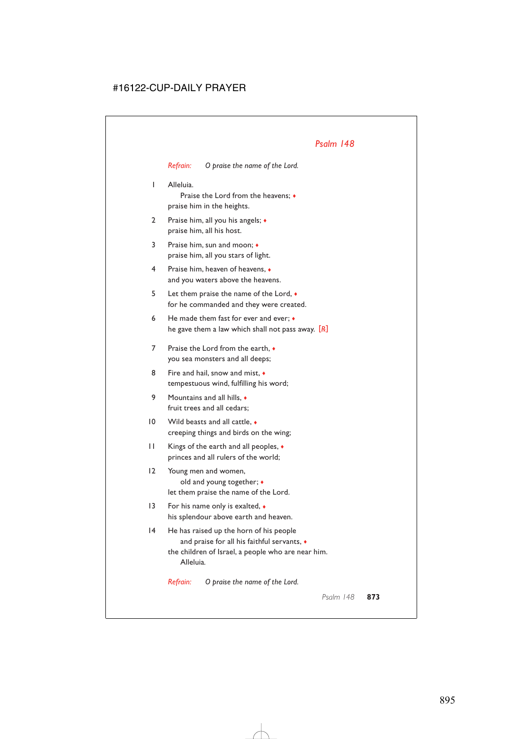*Refrain: O praise the name of the Lord.*

1 Alleluia.

Praise the Lord from the heavens; ♦ praise him in the heights.

- 2 Praise him, all you his angels;  $\triangleleft$ praise him, all his host.
- 3 Praise him, sun and moon; ♦ praise him, all you stars of light.
- 4 Praise him, heaven of heavens, ♦ and you waters above the heavens.
- 5 Let them praise the name of the Lord, ♦ for he commanded and they were created.
- 6 He made them fast for ever and ever;  $\bullet$ he gave them a law which shall not pass away. [*R*]
- 7 Praise the Lord from the earth,  $\bullet$ you sea monsters and all deeps;
- 8 Fire and hail, snow and mist,  $\bullet$ tempestuous wind, fulfilling his word;
- 9 Mountains and all hills, ♦ fruit trees and all cedars;
- 10 Wild beasts and all cattle,  $\bullet$ creeping things and birds on the wing;
- 11 Kings of the earth and all peoples, ♦ princes and all rulers of the world;
- 12 Young men and women, old and young together; ♦ let them praise the name of the Lord.
- 13 For his name only is exalted,  $\bullet$ his splendour above earth and heaven.
- 14 He has raised up the horn of his people and praise for all his faithful servants, ♦ the children of Israel, a people who are near him. Alleluia*.*

*Refrain: O praise the name of the Lord.*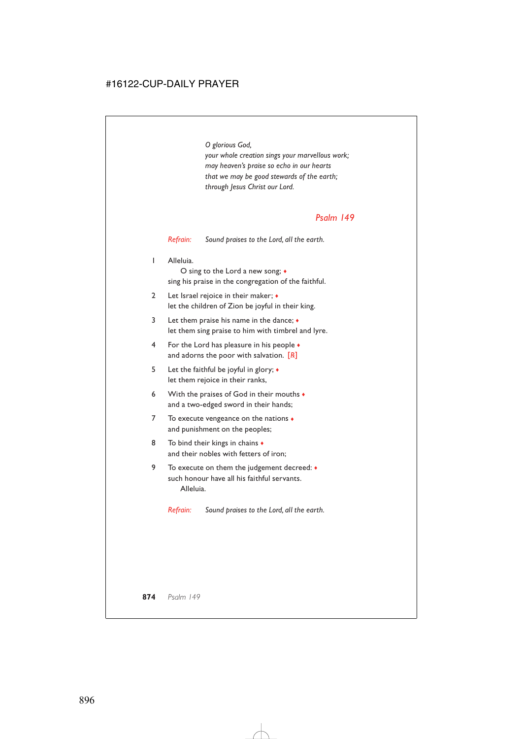*O glorious God, your whole creation sings your marvellous work; may heaven's praise so echo in our hearts that we may be good stewards of the earth; through Jesus Christ our Lord.*

# *Psalm 149*

*Refrain: Sound praises to the Lord, all the earth.*

1 Alleluia.

O sing to the Lord a new song; ♦ sing his praise in the congregation of the faithful.

- 2 Let Israel rejoice in their maker;  $\bullet$ let the children of Zion be joyful in their king.
- 3 Let them praise his name in the dance; ♦ let them sing praise to him with timbrel and lyre.
- 4 For the Lord has pleasure in his people ♦ and adorns the poor with salvation. [*R*]
- 5 Let the faithful be joyful in glory; ♦ let them rejoice in their ranks,
- 6 With the praises of God in their mouths  $\bullet$ and a two-edged sword in their hands;
- 7 To execute vengeance on the nations  $\bullet$ and punishment on the peoples;
- 8 To bind their kings in chains  $\bullet$ and their nobles with fetters of iron;
- 9 To execute on them the judgement decreed: ♦ such honour have all his faithful servants. Alleluia.

*Refrain: Sound praises to the Lord, all the earth.*